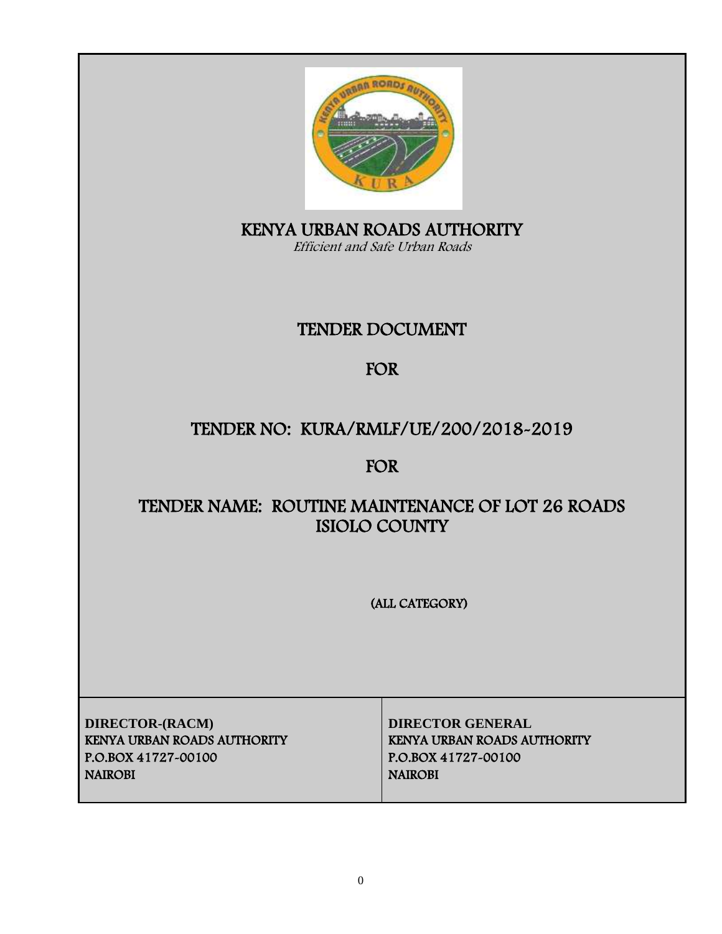

KENYA URBAN ROADS AUTHORITY Efficient and Safe Urban Roads

# TENDER DOCUMENT

# FOR

# TENDER NO: KURA/RMLF/UE/200/2018-2019

# FOR

# TENDER NAME: ROUTINE MAINTENANCE OF LOT 26 ROADS ISIOLO COUNTY

(ALL CATEGORY)

**DIRECTOR-(RACM) DIRECTOR GENERAL** KENYA URBAN ROADS AUTHORITY KENYA URBAN ROADS AUTHORITY P.O.BOX 41727-00100 P.O.BOX 41727-00100 NAIROBI NAIROBI NAIROBI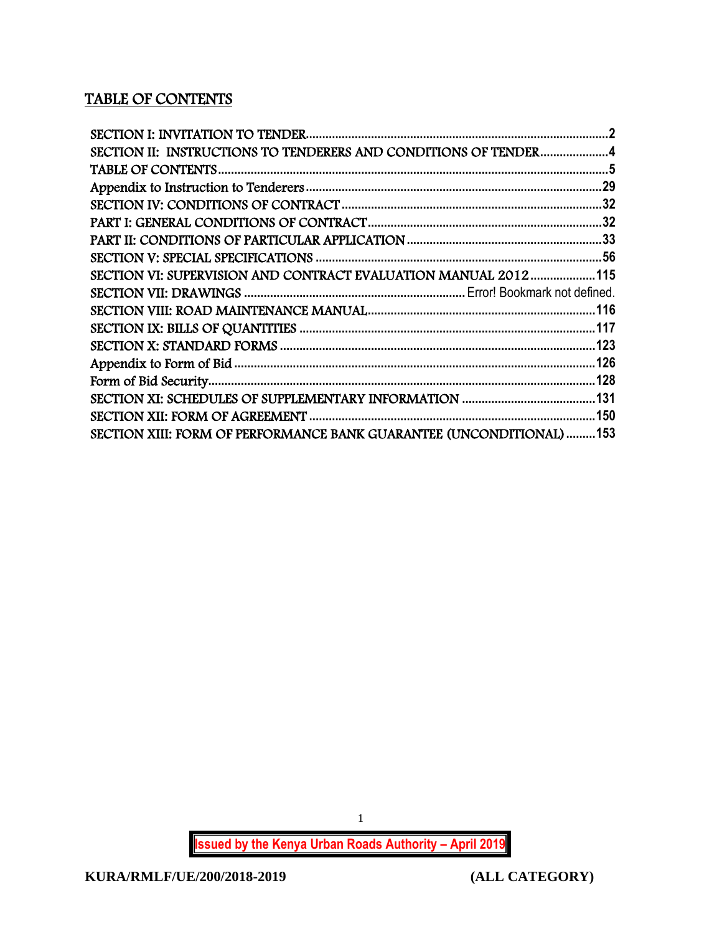# TABLE OF CONTENTS

| SECTION II: INSTRUCTIONS TO TENDERERS AND CONDITIONS OF TENDER4      |  |
|----------------------------------------------------------------------|--|
|                                                                      |  |
|                                                                      |  |
|                                                                      |  |
|                                                                      |  |
|                                                                      |  |
|                                                                      |  |
| SECTION VI: SUPERVISION AND CONTRACT EVALUATION MANUAL 2012115       |  |
|                                                                      |  |
|                                                                      |  |
|                                                                      |  |
|                                                                      |  |
|                                                                      |  |
|                                                                      |  |
|                                                                      |  |
|                                                                      |  |
| SECTION XIII: FORM OF PERFORMANCE BANK GUARANTEE (UNCONDITIONAL) 153 |  |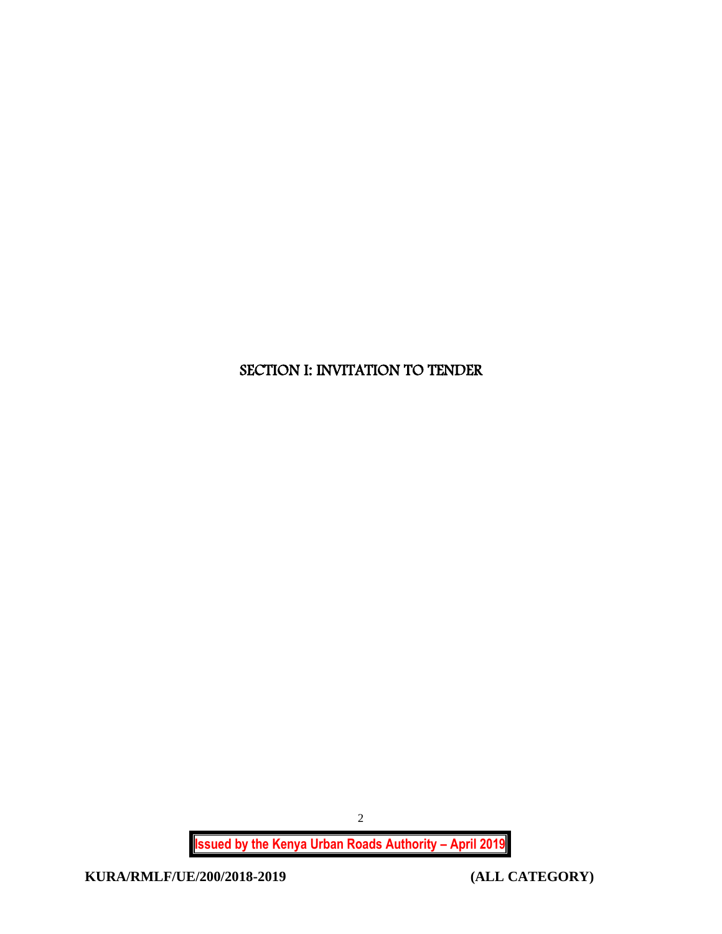# <span id="page-2-0"></span>SECTION I: INVITATION TO TENDER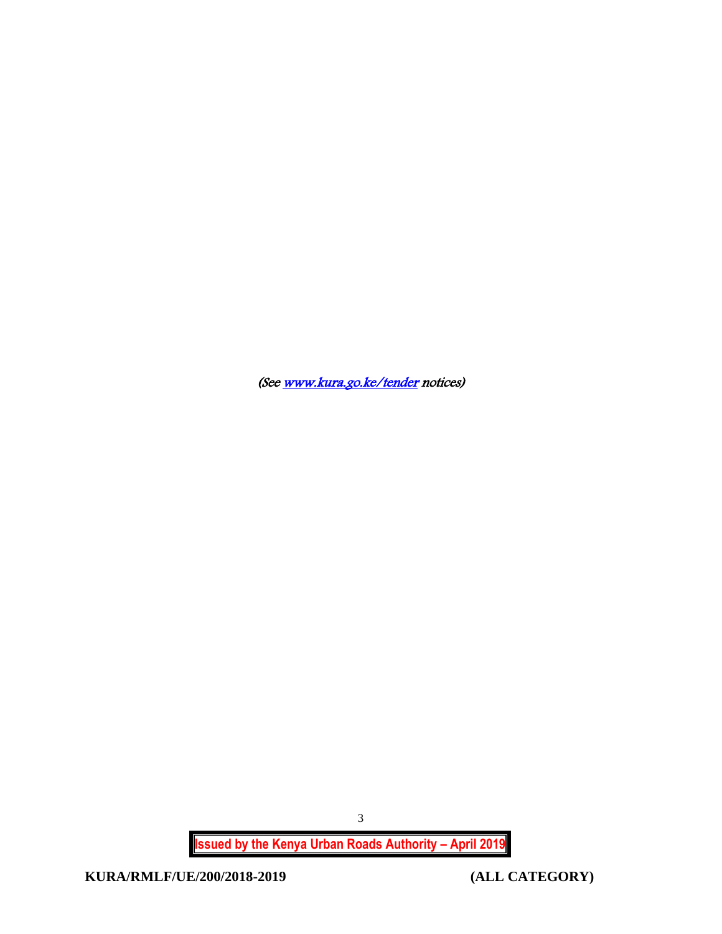(Se[e www.kura.go.ke/tender](http://www.kura.go.ke/tender) notices)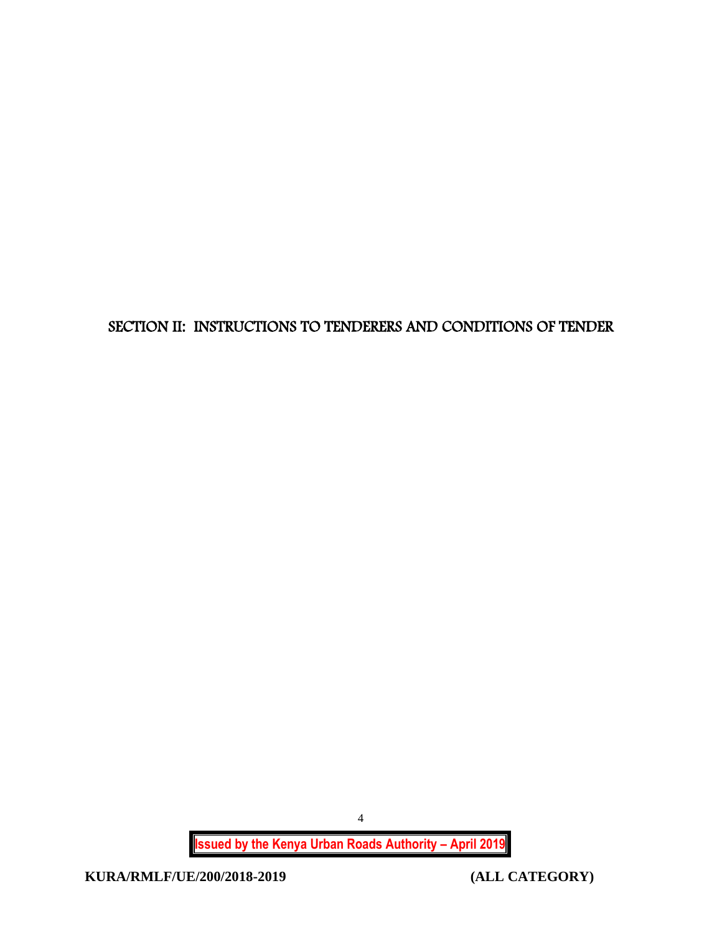<span id="page-4-0"></span>SECTION II: INSTRUCTIONS TO TENDERERS AND CONDITIONS OF TENDER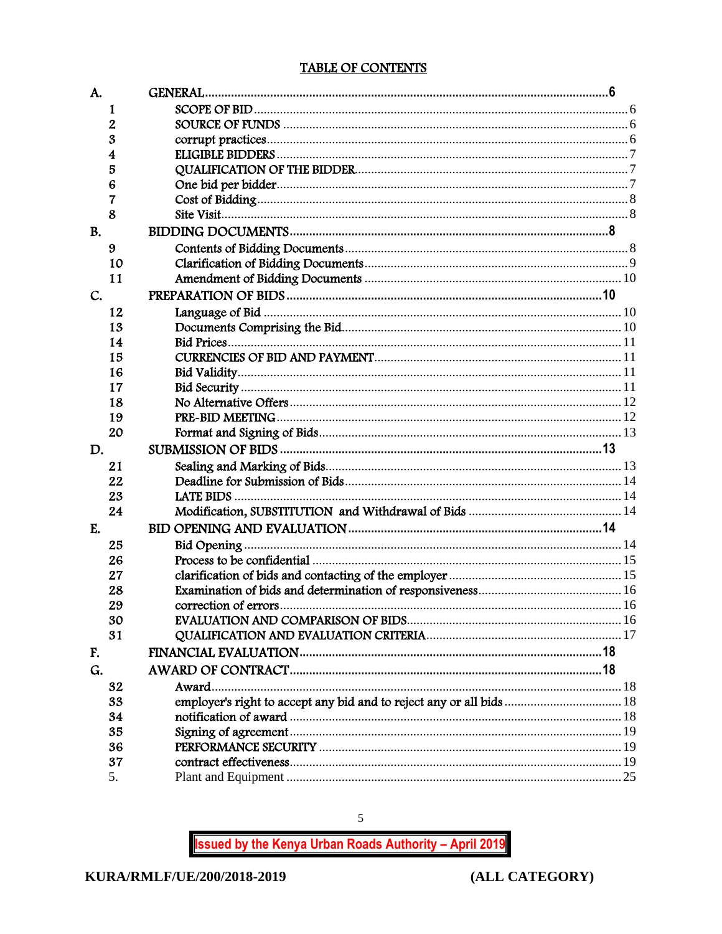## TABLE OF CONTENTS

<span id="page-5-0"></span>

| A.        |    |                                                                      |  |
|-----------|----|----------------------------------------------------------------------|--|
|           | 1  |                                                                      |  |
|           | 2  |                                                                      |  |
|           | 3  |                                                                      |  |
|           | 4  |                                                                      |  |
|           | 5  |                                                                      |  |
|           | 6  |                                                                      |  |
|           | 7  |                                                                      |  |
|           | 8  |                                                                      |  |
| <b>B.</b> |    |                                                                      |  |
|           | 9  |                                                                      |  |
|           | 10 |                                                                      |  |
|           | 11 |                                                                      |  |
| C.        |    |                                                                      |  |
|           | 12 |                                                                      |  |
|           | 13 |                                                                      |  |
|           | 14 |                                                                      |  |
|           | 15 |                                                                      |  |
|           | 16 |                                                                      |  |
|           | 17 |                                                                      |  |
|           | 18 |                                                                      |  |
|           | 19 |                                                                      |  |
|           | 20 |                                                                      |  |
| D.        |    |                                                                      |  |
|           | 21 |                                                                      |  |
|           | 22 |                                                                      |  |
|           | 23 |                                                                      |  |
|           | 24 |                                                                      |  |
| E.        |    |                                                                      |  |
|           | 25 |                                                                      |  |
|           | 26 |                                                                      |  |
|           | 27 |                                                                      |  |
|           | 28 |                                                                      |  |
|           | 29 |                                                                      |  |
|           | 30 |                                                                      |  |
|           | 31 |                                                                      |  |
| F.        |    |                                                                      |  |
| G.        |    |                                                                      |  |
|           | 32 |                                                                      |  |
|           | 33 | employer's right to accept any bid and to reject any or all bids  18 |  |
|           | 34 |                                                                      |  |
|           | 35 |                                                                      |  |
|           | 36 |                                                                      |  |
|           | 37 |                                                                      |  |
|           | 5. |                                                                      |  |

**Issued by the Kenya Urban Roads Authority - April 2019** 

 $\overline{5}$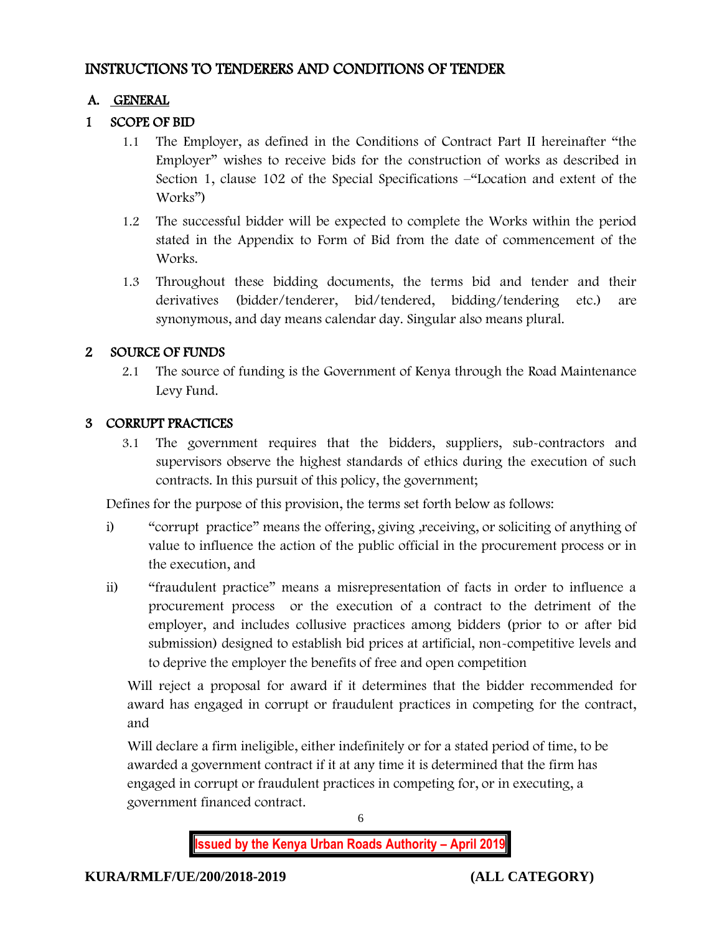# INSTRUCTIONS TO TENDERERS AND CONDITIONS OF TENDER

# A. GENERAL

# 1 SCOPE OF BID

- 1.1 The Employer, as defined in the Conditions of Contract Part II hereinafter "the Employer" wishes to receive bids for the construction of works as described in Section 1, clause 102 of the Special Specifications –"Location and extent of the Works")
- 1.2 The successful bidder will be expected to complete the Works within the period stated in the Appendix to Form of Bid from the date of commencement of the Works.
- 1.3 Throughout these bidding documents, the terms bid and tender and their derivatives (bidder/tenderer, bid/tendered, bidding/tendering etc.) are synonymous, and day means calendar day. Singular also means plural.

# 2 SOURCE OF FUNDS

2.1 The source of funding is the Government of Kenya through the Road Maintenance Levy Fund.

# 3 CORRUPT PRACTICES

3.1 The government requires that the bidders, suppliers, sub-contractors and supervisors observe the highest standards of ethics during the execution of such contracts. In this pursuit of this policy, the government;

Defines for the purpose of this provision, the terms set forth below as follows:

- i) "corrupt practice" means the offering, giving ,receiving, or soliciting of anything of value to influence the action of the public official in the procurement process or in the execution, and
- ii) "fraudulent practice" means a misrepresentation of facts in order to influence a procurement process or the execution of a contract to the detriment of the employer, and includes collusive practices among bidders (prior to or after bid submission) designed to establish bid prices at artificial, non-competitive levels and to deprive the employer the benefits of free and open competition

Will reject a proposal for award if it determines that the bidder recommended for award has engaged in corrupt or fraudulent practices in competing for the contract, and

Will declare a firm ineligible, either indefinitely or for a stated period of time, to be awarded a government contract if it at any time it is determined that the firm has engaged in corrupt or fraudulent practices in competing for, or in executing, a government financed contract.

6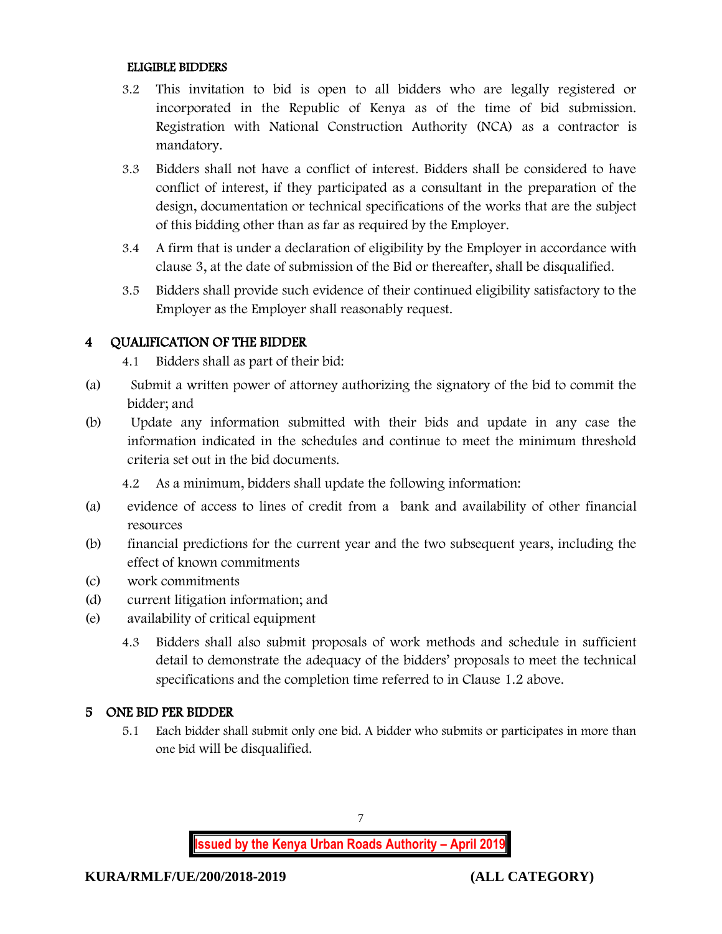#### ELIGIBLE BIDDERS

- 3.2 This invitation to bid is open to all bidders who are legally registered or incorporated in the Republic of Kenya as of the time of bid submission. Registration with National Construction Authority (NCA) as a contractor is mandatory.
- 3.3 Bidders shall not have a conflict of interest. Bidders shall be considered to have conflict of interest, if they participated as a consultant in the preparation of the design, documentation or technical specifications of the works that are the subject of this bidding other than as far as required by the Employer.
- 3.4 A firm that is under a declaration of eligibility by the Employer in accordance with clause 3, at the date of submission of the Bid or thereafter, shall be disqualified.
- 3.5 Bidders shall provide such evidence of their continued eligibility satisfactory to the Employer as the Employer shall reasonably request.

#### 4 QUALIFICATION OF THE BIDDER

- 4.1 Bidders shall as part of their bid:
- (a) Submit a written power of attorney authorizing the signatory of the bid to commit the bidder; and
- (b) Update any information submitted with their bids and update in any case the information indicated in the schedules and continue to meet the minimum threshold criteria set out in the bid documents.
	- 4.2 As a minimum, bidders shall update the following information:
- (a) evidence of access to lines of credit from a bank and availability of other financial resources
- (b) financial predictions for the current year and the two subsequent years, including the effect of known commitments
- (c) work commitments
- (d) current litigation information; and
- (e) availability of critical equipment
	- 4.3 Bidders shall also submit proposals of work methods and schedule in sufficient detail to demonstrate the adequacy of the bidders' proposals to meet the technical specifications and the completion time referred to in Clause 1.2 above.

#### 5 ONE BID PER BIDDER

5.1 Each bidder shall submit only one bid. A bidder who submits or participates in more than one bid will be disqualified.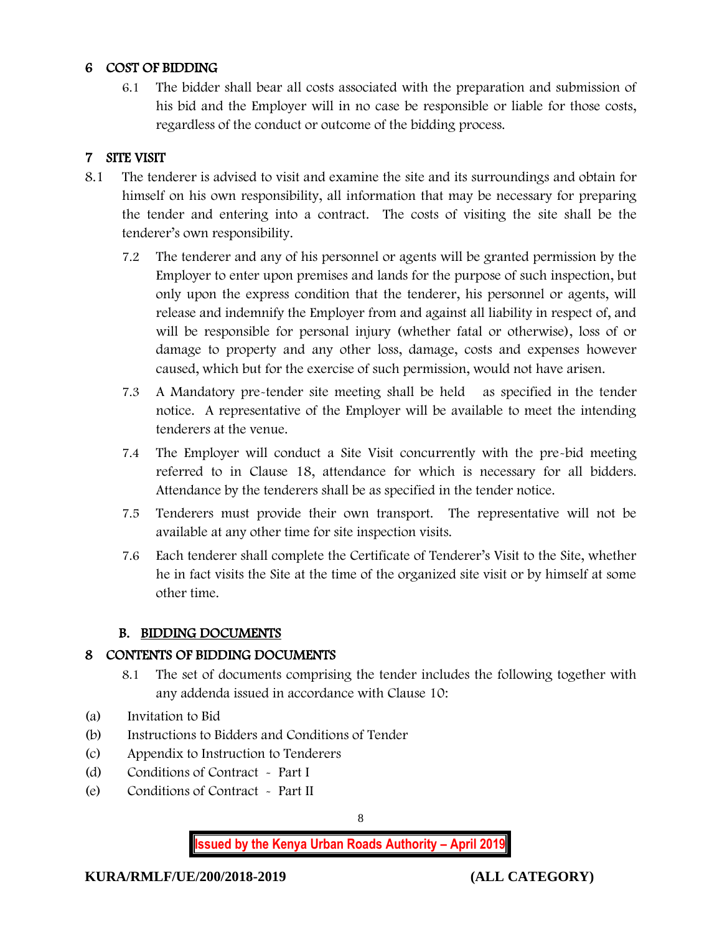#### 6 COST OF BIDDING

6.1 The bidder shall bear all costs associated with the preparation and submission of his bid and the Employer will in no case be responsible or liable for those costs, regardless of the conduct or outcome of the bidding process.

## 7 SITE VISIT

- 8.1 The tenderer is advised to visit and examine the site and its surroundings and obtain for himself on his own responsibility, all information that may be necessary for preparing the tender and entering into a contract. The costs of visiting the site shall be the tenderer's own responsibility.
	- 7.2 The tenderer and any of his personnel or agents will be granted permission by the Employer to enter upon premises and lands for the purpose of such inspection, but only upon the express condition that the tenderer, his personnel or agents, will release and indemnify the Employer from and against all liability in respect of, and will be responsible for personal injury (whether fatal or otherwise), loss of or damage to property and any other loss, damage, costs and expenses however caused, which but for the exercise of such permission, would not have arisen.
	- 7.3 A Mandatory pre-tender site meeting shall be held as specified in the tender notice. A representative of the Employer will be available to meet the intending tenderers at the venue.
	- 7.4 The Employer will conduct a Site Visit concurrently with the pre-bid meeting referred to in Clause 18, attendance for which is necessary for all bidders. Attendance by the tenderers shall be as specified in the tender notice.
	- 7.5 Tenderers must provide their own transport. The representative will not be available at any other time for site inspection visits.
	- 7.6 Each tenderer shall complete the Certificate of Tenderer's Visit to the Site, whether he in fact visits the Site at the time of the organized site visit or by himself at some other time.

#### B. BIDDING DOCUMENTS

#### 8 CONTENTS OF BIDDING DOCUMENTS

- 8.1 The set of documents comprising the tender includes the following together with any addenda issued in accordance with Clause 10:
- (a) Invitation to Bid
- (b) Instructions to Bidders and Conditions of Tender
- (c) Appendix to Instruction to Tenderers
- (d) Conditions of Contract Part I
- (e) Conditions of Contract Part II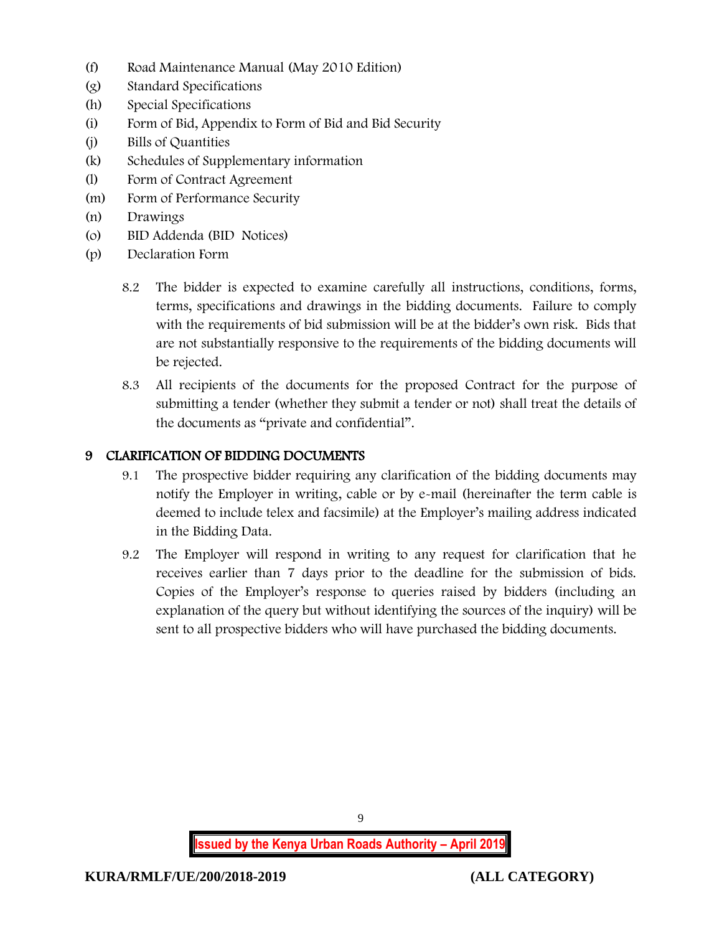- (f) Road Maintenance Manual (May 2010 Edition)
- (g) Standard Specifications
- (h) Special Specifications
- (i) Form of Bid, Appendix to Form of Bid and Bid Security
- (j) Bills of Quantities
- (k) Schedules of Supplementary information
- (l) Form of Contract Agreement
- (m) Form of Performance Security
- (n) Drawings
- (o) BID Addenda (BID Notices)
- (p) Declaration Form
	- 8.2 The bidder is expected to examine carefully all instructions, conditions, forms, terms, specifications and drawings in the bidding documents. Failure to comply with the requirements of bid submission will be at the bidder's own risk. Bids that are not substantially responsive to the requirements of the bidding documents will be rejected.
	- 8.3 All recipients of the documents for the proposed Contract for the purpose of submitting a tender (whether they submit a tender or not) shall treat the details of the documents as "private and confidential".

### 9 CLARIFICATION OF BIDDING DOCUMENTS

- 9.1 The prospective bidder requiring any clarification of the bidding documents may notify the Employer in writing, cable or by e-mail (hereinafter the term cable is deemed to include telex and facsimile) at the Employer's mailing address indicated in the Bidding Data.
- 9.2 The Employer will respond in writing to any request for clarification that he receives earlier than 7 days prior to the deadline for the submission of bids. Copies of the Employer's response to queries raised by bidders (including an explanation of the query but without identifying the sources of the inquiry) will be sent to all prospective bidders who will have purchased the bidding documents.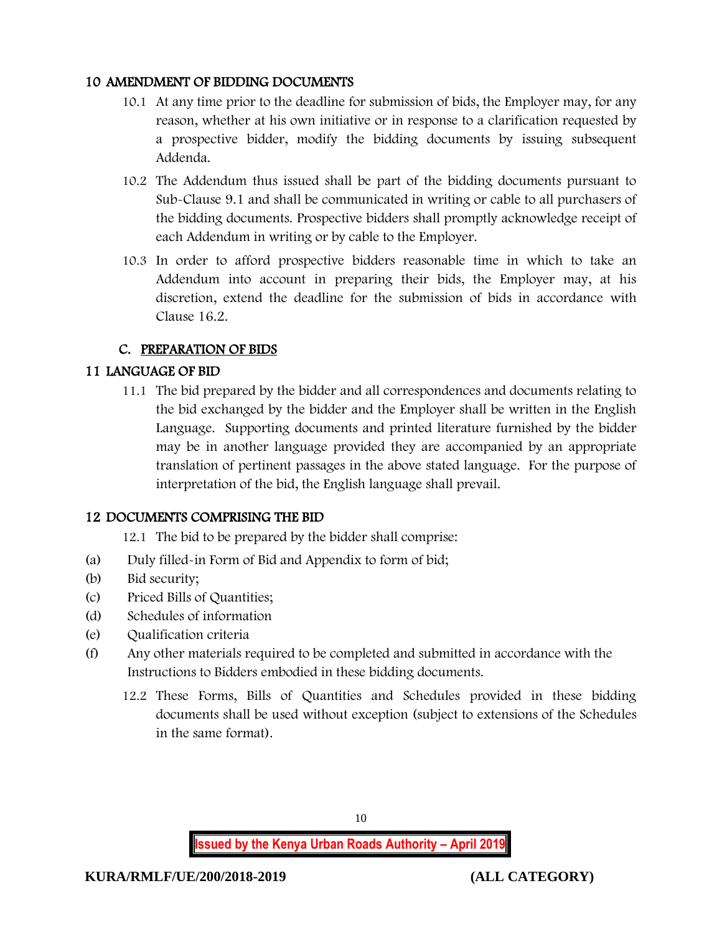#### 10 AMENDMENT OF BIDDING DOCUMENTS

- 10.1 At any time prior to the deadline for submission of bids, the Employer may, for any reason, whether at his own initiative or in response to a clarification requested by a prospective bidder, modify the bidding documents by issuing subsequent Addenda.
- 10.2 The Addendum thus issued shall be part of the bidding documents pursuant to Sub-Clause 9.1 and shall be communicated in writing or cable to all purchasers of the bidding documents. Prospective bidders shall promptly acknowledge receipt of each Addendum in writing or by cable to the Employer.
- 10.3 In order to afford prospective bidders reasonable time in which to take an Addendum into account in preparing their bids, the Employer may, at his discretion, extend the deadline for the submission of bids in accordance with Clause 16.2.

# C. PREPARATION OF BIDS

### 11 LANGUAGE OF BID

11.1 The bid prepared by the bidder and all correspondences and documents relating to the bid exchanged by the bidder and the Employer shall be written in the English Language. Supporting documents and printed literature furnished by the bidder may be in another language provided they are accompanied by an appropriate translation of pertinent passages in the above stated language. For the purpose of interpretation of the bid, the English language shall prevail.

#### 12 DOCUMENTS COMPRISING THE BID

- 12.1 The bid to be prepared by the bidder shall comprise:
- (a) Duly filled-in Form of Bid and Appendix to form of bid;
- (b) Bid security;
- (c) Priced Bills of Quantities;
- (d) Schedules of information
- (e) Qualification criteria
- (f) Any other materials required to be completed and submitted in accordance with the Instructions to Bidders embodied in these bidding documents.
	- 12.2 These Forms, Bills of Quantities and Schedules provided in these bidding documents shall be used without exception (subject to extensions of the Schedules in the same format).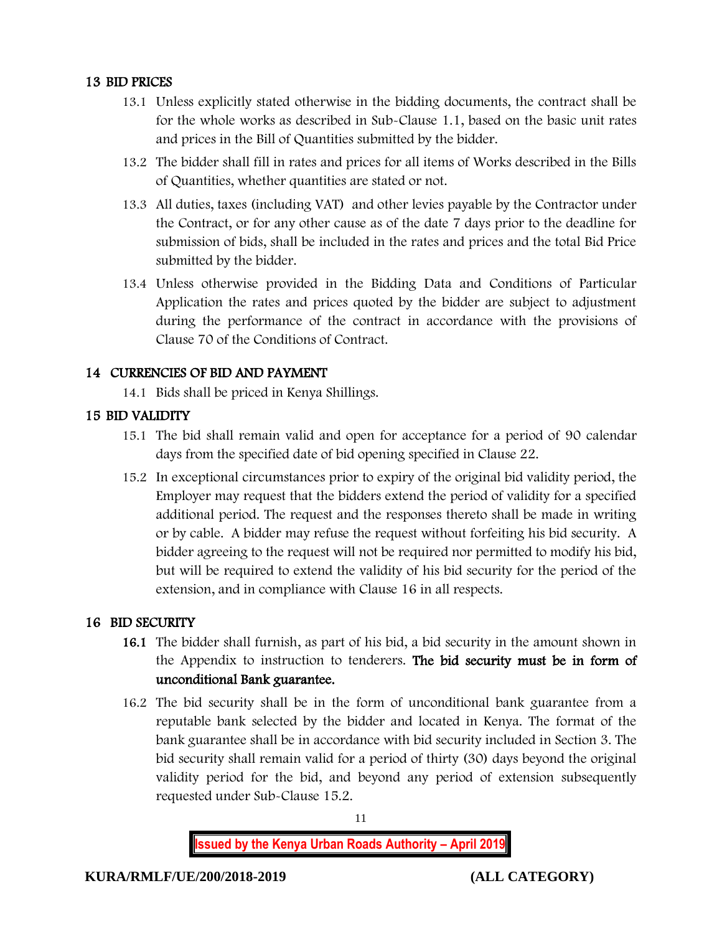#### 13 BID PRICES

- 13.1 Unless explicitly stated otherwise in the bidding documents, the contract shall be for the whole works as described in Sub-Clause 1.1, based on the basic unit rates and prices in the Bill of Quantities submitted by the bidder.
- 13.2 The bidder shall fill in rates and prices for all items of Works described in the Bills of Quantities, whether quantities are stated or not.
- 13.3 All duties, taxes (including VAT) and other levies payable by the Contractor under the Contract, or for any other cause as of the date 7 days prior to the deadline for submission of bids, shall be included in the rates and prices and the total Bid Price submitted by the bidder.
- 13.4 Unless otherwise provided in the Bidding Data and Conditions of Particular Application the rates and prices quoted by the bidder are subject to adjustment during the performance of the contract in accordance with the provisions of Clause 70 of the Conditions of Contract.

# 14 CURRENCIES OF BID AND PAYMENT

14.1 Bids shall be priced in Kenya Shillings.

# 15 BID VALIDITY

- 15.1 The bid shall remain valid and open for acceptance for a period of 90 calendar days from the specified date of bid opening specified in Clause 22.
- 15.2 In exceptional circumstances prior to expiry of the original bid validity period, the Employer may request that the bidders extend the period of validity for a specified additional period. The request and the responses thereto shall be made in writing or by cable. A bidder may refuse the request without forfeiting his bid security. A bidder agreeing to the request will not be required nor permitted to modify his bid, but will be required to extend the validity of his bid security for the period of the extension, and in compliance with Clause 16 in all respects.

# 16 BID SECURITY

- 16.1 The bidder shall furnish, as part of his bid, a bid security in the amount shown in the Appendix to instruction to tenderers. The bid security must be in form of unconditional Bank guarantee.
- 16.2 The bid security shall be in the form of unconditional bank guarantee from a reputable bank selected by the bidder and located in Kenya. The format of the bank guarantee shall be in accordance with bid security included in Section 3. The bid security shall remain valid for a period of thirty (30) days beyond the original validity period for the bid, and beyond any period of extension subsequently requested under Sub-Clause 15.2.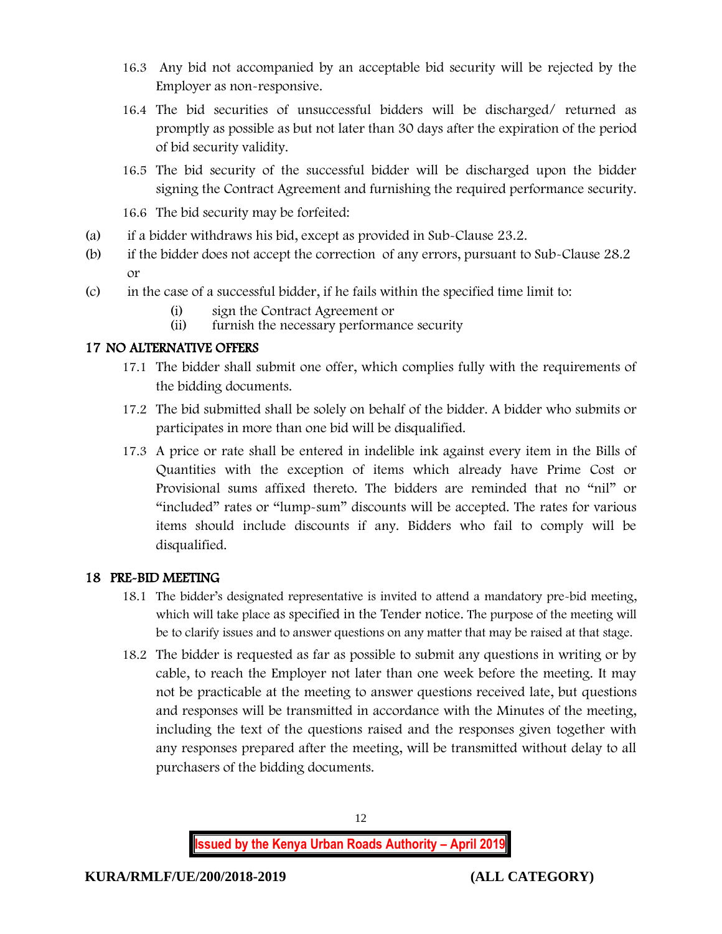- 16.3 Any bid not accompanied by an acceptable bid security will be rejected by the Employer as non-responsive.
- 16.4 The bid securities of unsuccessful bidders will be discharged/ returned as promptly as possible as but not later than 30 days after the expiration of the period of bid security validity.
- 16.5 The bid security of the successful bidder will be discharged upon the bidder signing the Contract Agreement and furnishing the required performance security.
- 16.6 The bid security may be forfeited:
- (a) if a bidder withdraws his bid, except as provided in Sub-Clause 23.2.
- (b) if the bidder does not accept the correction of any errors, pursuant to Sub-Clause 28.2 or
- (c) in the case of a successful bidder, if he fails within the specified time limit to:
	- (i) sign the Contract Agreement or<br>(ii) furnish the necessary performan
	- furnish the necessary performance security

# 17 NO ALTERNATIVE OFFERS

- 17.1 The bidder shall submit one offer, which complies fully with the requirements of the bidding documents.
- 17.2 The bid submitted shall be solely on behalf of the bidder. A bidder who submits or participates in more than one bid will be disqualified.
- 17.3 A price or rate shall be entered in indelible ink against every item in the Bills of Quantities with the exception of items which already have Prime Cost or Provisional sums affixed thereto. The bidders are reminded that no "nil" or "included" rates or "lump-sum" discounts will be accepted. The rates for various items should include discounts if any. Bidders who fail to comply will be disqualified.

# 18 PRE-BID MEETING

- 18.1 The bidder's designated representative is invited to attend a mandatory pre-bid meeting, which will take place as specified in the Tender notice. The purpose of the meeting will be to clarify issues and to answer questions on any matter that may be raised at that stage.
- 18.2 The bidder is requested as far as possible to submit any questions in writing or by cable, to reach the Employer not later than one week before the meeting. It may not be practicable at the meeting to answer questions received late, but questions and responses will be transmitted in accordance with the Minutes of the meeting, including the text of the questions raised and the responses given together with any responses prepared after the meeting, will be transmitted without delay to all purchasers of the bidding documents.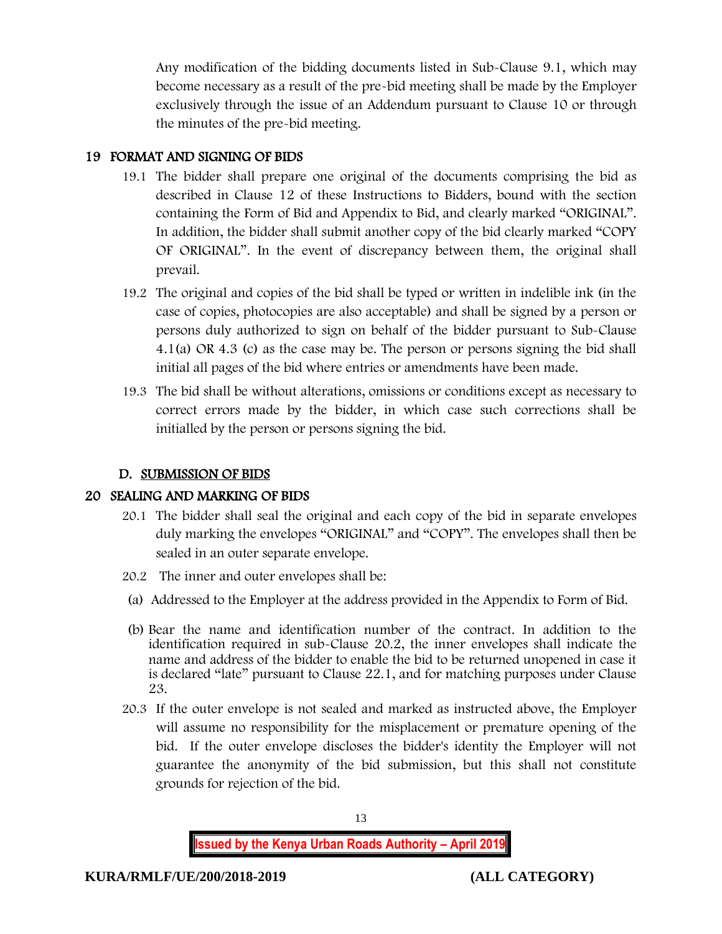Any modification of the bidding documents listed in Sub-Clause 9.1, which may become necessary as a result of the pre-bid meeting shall be made by the Employer exclusively through the issue of an Addendum pursuant to Clause 10 or through the minutes of the pre-bid meeting.

## 19 FORMAT AND SIGNING OF BIDS

- 19.1 The bidder shall prepare one original of the documents comprising the bid as described in Clause 12 of these Instructions to Bidders, bound with the section containing the Form of Bid and Appendix to Bid, and clearly marked "ORIGINAL". In addition, the bidder shall submit another copy of the bid clearly marked "COPY OF ORIGINAL". In the event of discrepancy between them, the original shall prevail.
- 19.2 The original and copies of the bid shall be typed or written in indelible ink (in the case of copies, photocopies are also acceptable) and shall be signed by a person or persons duly authorized to sign on behalf of the bidder pursuant to Sub-Clause 4.1(a) OR 4.3 (c) as the case may be. The person or persons signing the bid shall initial all pages of the bid where entries or amendments have been made.
- 19.3 The bid shall be without alterations, omissions or conditions except as necessary to correct errors made by the bidder, in which case such corrections shall be initialled by the person or persons signing the bid.

#### D. SUBMISSION OF BIDS

#### 20 SEALING AND MARKING OF BIDS

- 20.1 The bidder shall seal the original and each copy of the bid in separate envelopes duly marking the envelopes "ORIGINAL" and "COPY". The envelopes shall then be sealed in an outer separate envelope.
- 20.2 The inner and outer envelopes shall be:
- (a) Addressed to the Employer at the address provided in the Appendix to Form of Bid.
- (b) Bear the name and identification number of the contract. In addition to the identification required in sub-Clause 20.2, the inner envelopes shall indicate the name and address of the bidder to enable the bid to be returned unopened in case it is declared "late" pursuant to Clause 22.1, and for matching purposes under Clause 23.
- 20.3 If the outer envelope is not sealed and marked as instructed above, the Employer will assume no responsibility for the misplacement or premature opening of the bid. If the outer envelope discloses the bidder's identity the Employer will not guarantee the anonymity of the bid submission, but this shall not constitute grounds for rejection of the bid.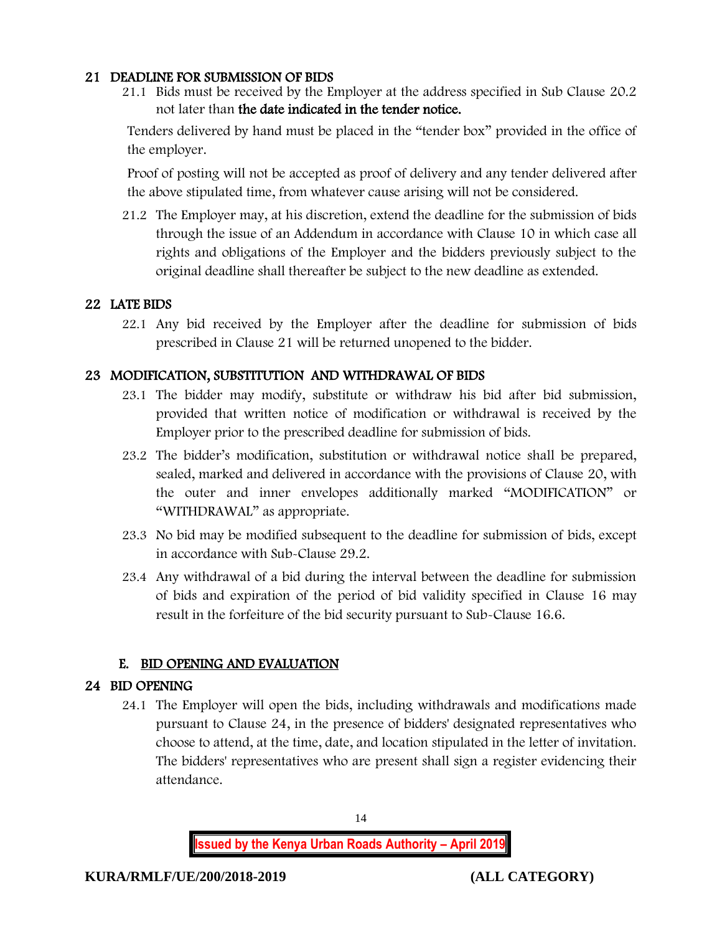#### 21 DEADLINE FOR SUBMISSION OF BIDS

21.1 Bids must be received by the Employer at the address specified in Sub Clause 20.2 not later than the date indicated in the tender notice.

Tenders delivered by hand must be placed in the "tender box" provided in the office of the employer.

Proof of posting will not be accepted as proof of delivery and any tender delivered after the above stipulated time, from whatever cause arising will not be considered.

21.2 The Employer may, at his discretion, extend the deadline for the submission of bids through the issue of an Addendum in accordance with Clause 10 in which case all rights and obligations of the Employer and the bidders previously subject to the original deadline shall thereafter be subject to the new deadline as extended.

#### 22 LATE BIDS

22.1 Any bid received by the Employer after the deadline for submission of bids prescribed in Clause 21 will be returned unopened to the bidder.

#### 23 MODIFICATION, SUBSTITUTION AND WITHDRAWAL OF BIDS

- 23.1 The bidder may modify, substitute or withdraw his bid after bid submission, provided that written notice of modification or withdrawal is received by the Employer prior to the prescribed deadline for submission of bids.
- 23.2 The bidder's modification, substitution or withdrawal notice shall be prepared, sealed, marked and delivered in accordance with the provisions of Clause 20, with the outer and inner envelopes additionally marked "MODIFICATION" or "WITHDRAWAL" as appropriate.
- 23.3 No bid may be modified subsequent to the deadline for submission of bids, except in accordance with Sub-Clause 29.2.
- 23.4 Any withdrawal of a bid during the interval between the deadline for submission of bids and expiration of the period of bid validity specified in Clause 16 may result in the forfeiture of the bid security pursuant to Sub-Clause 16.6.

# E. BID OPENING AND EVALUATION

#### 24 BID OPENING

24.1 The Employer will open the bids, including withdrawals and modifications made pursuant to Clause 24, in the presence of bidders' designated representatives who choose to attend, at the time, date, and location stipulated in the letter of invitation. The bidders' representatives who are present shall sign a register evidencing their attendance.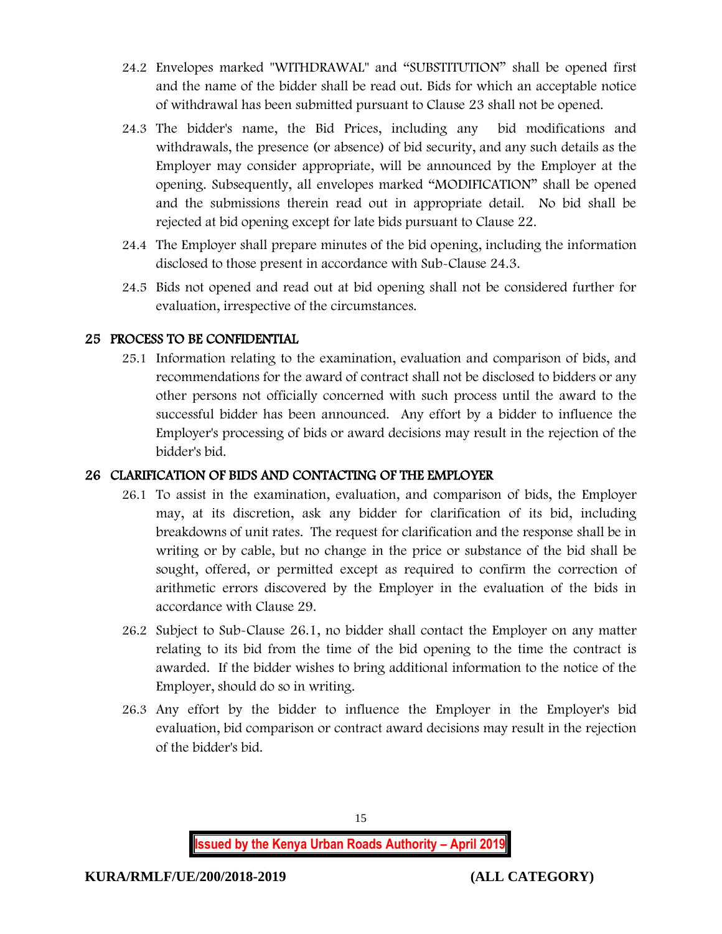- 24.2 Envelopes marked "WITHDRAWAL" and "SUBSTITUTION" shall be opened first and the name of the bidder shall be read out. Bids for which an acceptable notice of withdrawal has been submitted pursuant to Clause 23 shall not be opened.
- 24.3 The bidder's name, the Bid Prices, including any bid modifications and withdrawals, the presence (or absence) of bid security, and any such details as the Employer may consider appropriate, will be announced by the Employer at the opening. Subsequently, all envelopes marked "MODIFICATION" shall be opened and the submissions therein read out in appropriate detail. No bid shall be rejected at bid opening except for late bids pursuant to Clause 22.
- 24.4 The Employer shall prepare minutes of the bid opening, including the information disclosed to those present in accordance with Sub-Clause 24.3.
- 24.5 Bids not opened and read out at bid opening shall not be considered further for evaluation, irrespective of the circumstances.

### 25 PROCESS TO BE CONFIDENTIAL

25.1 Information relating to the examination, evaluation and comparison of bids, and recommendations for the award of contract shall not be disclosed to bidders or any other persons not officially concerned with such process until the award to the successful bidder has been announced. Any effort by a bidder to influence the Employer's processing of bids or award decisions may result in the rejection of the bidder's bid.

#### 26 CLARIFICATION OF BIDS AND CONTACTING OF THE EMPLOYER

- 26.1 To assist in the examination, evaluation, and comparison of bids, the Employer may, at its discretion, ask any bidder for clarification of its bid, including breakdowns of unit rates. The request for clarification and the response shall be in writing or by cable, but no change in the price or substance of the bid shall be sought, offered, or permitted except as required to confirm the correction of arithmetic errors discovered by the Employer in the evaluation of the bids in accordance with Clause 29.
- 26.2 Subject to Sub-Clause 26.1, no bidder shall contact the Employer on any matter relating to its bid from the time of the bid opening to the time the contract is awarded. If the bidder wishes to bring additional information to the notice of the Employer, should do so in writing.
- 26.3 Any effort by the bidder to influence the Employer in the Employer's bid evaluation, bid comparison or contract award decisions may result in the rejection of the bidder's bid.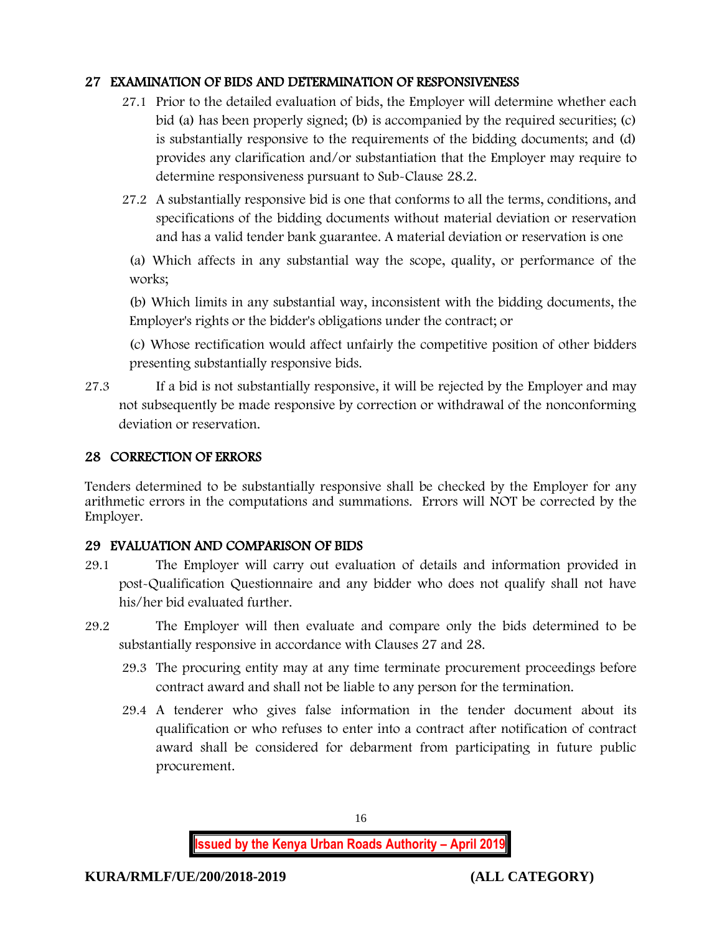#### 27 EXAMINATION OF BIDS AND DETERMINATION OF RESPONSIVENESS

- 27.1 Prior to the detailed evaluation of bids, the Employer will determine whether each bid (a) has been properly signed; (b) is accompanied by the required securities; (c) is substantially responsive to the requirements of the bidding documents; and (d) provides any clarification and/or substantiation that the Employer may require to determine responsiveness pursuant to Sub-Clause 28.2.
- 27.2 A substantially responsive bid is one that conforms to all the terms, conditions, and specifications of the bidding documents without material deviation or reservation and has a valid tender bank guarantee. A material deviation or reservation is one

(a) Which affects in any substantial way the scope, quality, or performance of the works;

(b) Which limits in any substantial way, inconsistent with the bidding documents, the Employer's rights or the bidder's obligations under the contract; or

(c) Whose rectification would affect unfairly the competitive position of other bidders presenting substantially responsive bids.

27.3 If a bid is not substantially responsive, it will be rejected by the Employer and may not subsequently be made responsive by correction or withdrawal of the nonconforming deviation or reservation.

#### 28 CORRECTION OF ERRORS

Tenders determined to be substantially responsive shall be checked by the Employer for any arithmetic errors in the computations and summations. Errors will NOT be corrected by the Employer.

# 29 EVALUATION AND COMPARISON OF BIDS

- 29.1 The Employer will carry out evaluation of details and information provided in post-Qualification Questionnaire and any bidder who does not qualify shall not have his/her bid evaluated further.
- 29.2 The Employer will then evaluate and compare only the bids determined to be substantially responsive in accordance with Clauses 27 and 28.
	- 29.3 The procuring entity may at any time terminate procurement proceedings before contract award and shall not be liable to any person for the termination.
	- 29.4 A tenderer who gives false information in the tender document about its qualification or who refuses to enter into a contract after notification of contract award shall be considered for debarment from participating in future public procurement.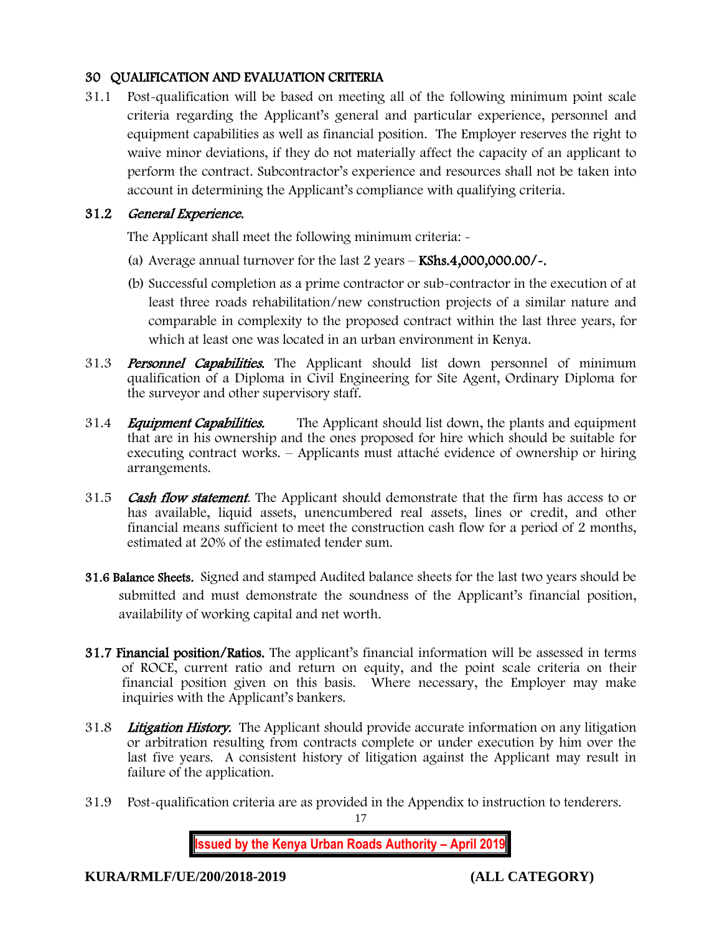### 30 QUALIFICATION AND EVALUATION CRITERIA

31.1 Post-qualification will be based on meeting all of the following minimum point scale criteria regarding the Applicant's general and particular experience, personnel and equipment capabilities as well as financial position. The Employer reserves the right to waive minor deviations, if they do not materially affect the capacity of an applicant to perform the contract. Subcontractor's experience and resources shall not be taken into account in determining the Applicant's compliance with qualifying criteria.

#### 31.2 General Experience.

The Applicant shall meet the following minimum criteria: -

- (a) Average annual turnover for the last  $2$  years  $-$  KShs.4,000,000.00/ $\sim$ .
- (b) Successful completion as a prime contractor or sub-contractor in the execution of at least three roads rehabilitation/new construction projects of a similar nature and comparable in complexity to the proposed contract within the last three years, for which at least one was located in an urban environment in Kenya.
- 31.3 **Personnel Capabilities.** The Applicant should list down personnel of minimum qualification of a Diploma in Civil Engineering for Site Agent, Ordinary Diploma for the surveyor and other supervisory staff.
- 31.4 *Equipment Capabilities.* The Applicant should list down, the plants and equipment that are in his ownership and the ones proposed for hire which should be suitable for executing contract works. – Applicants must attaché evidence of ownership or hiring arrangements.
- 31.5 **Cash flow statement**. The Applicant should demonstrate that the firm has access to or has available, liquid assets, unencumbered real assets, lines or credit, and other financial means sufficient to meet the construction cash flow for a period of 2 months, estimated at 20% of the estimated tender sum.
- 31.6 Balance Sheets. Signed and stamped Audited balance sheets for the last two years should be submitted and must demonstrate the soundness of the Applicant's financial position, availability of working capital and net worth.
- 31.7 Financial position/Ratios. The applicant's financial information will be assessed in terms of ROCE, current ratio and return on equity, and the point scale criteria on their financial position given on this basis. Where necessary, the Employer may make inquiries with the Applicant's bankers.
- 31.8 Litigation History. The Applicant should provide accurate information on any litigation or arbitration resulting from contracts complete or under execution by him over the last five years. A consistent history of litigation against the Applicant may result in failure of the application.
- 31.9 Post-qualification criteria are as provided in the Appendix to instruction to tenderers.

17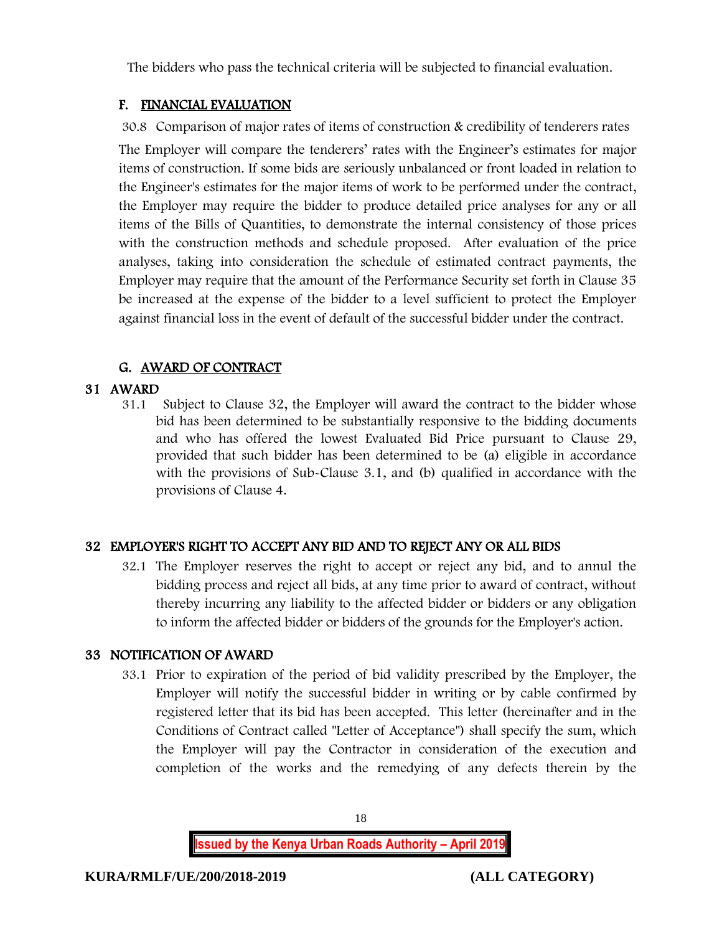The bidders who pass the technical criteria will be subjected to financial evaluation.

# F. FINANCIAL EVALUATION

30.8 Comparison of major rates of items of construction & credibility of tenderers rates The Employer will compare the tenderers' rates with the Engineer's estimates for major items of construction. If some bids are seriously unbalanced or front loaded in relation to the Engineer's estimates for the major items of work to be performed under the contract, the Employer may require the bidder to produce detailed price analyses for any or all items of the Bills of Quantities, to demonstrate the internal consistency of those prices with the construction methods and schedule proposed. After evaluation of the price analyses, taking into consideration the schedule of estimated contract payments, the Employer may require that the amount of the Performance Security set forth in Clause 35 be increased at the expense of the bidder to a level sufficient to protect the Employer against financial loss in the event of default of the successful bidder under the contract.

# G. AWARD OF CONTRACT

# 31 AWARD

31.1 Subject to Clause 32, the Employer will award the contract to the bidder whose bid has been determined to be substantially responsive to the bidding documents and who has offered the lowest Evaluated Bid Price pursuant to Clause 29, provided that such bidder has been determined to be (a) eligible in accordance with the provisions of Sub-Clause 3.1, and (b) qualified in accordance with the provisions of Clause 4.

# 32 EMPLOYER'S RIGHT TO ACCEPT ANY BID AND TO REJECT ANY OR ALL BIDS

32.1 The Employer reserves the right to accept or reject any bid, and to annul the bidding process and reject all bids, at any time prior to award of contract, without thereby incurring any liability to the affected bidder or bidders or any obligation to inform the affected bidder or bidders of the grounds for the Employer's action.

# 33 NOTIFICATION OF AWARD

33.1 Prior to expiration of the period of bid validity prescribed by the Employer, the Employer will notify the successful bidder in writing or by cable confirmed by registered letter that its bid has been accepted. This letter (hereinafter and in the Conditions of Contract called "Letter of Acceptance") shall specify the sum, which the Employer will pay the Contractor in consideration of the execution and completion of the works and the remedying of any defects therein by the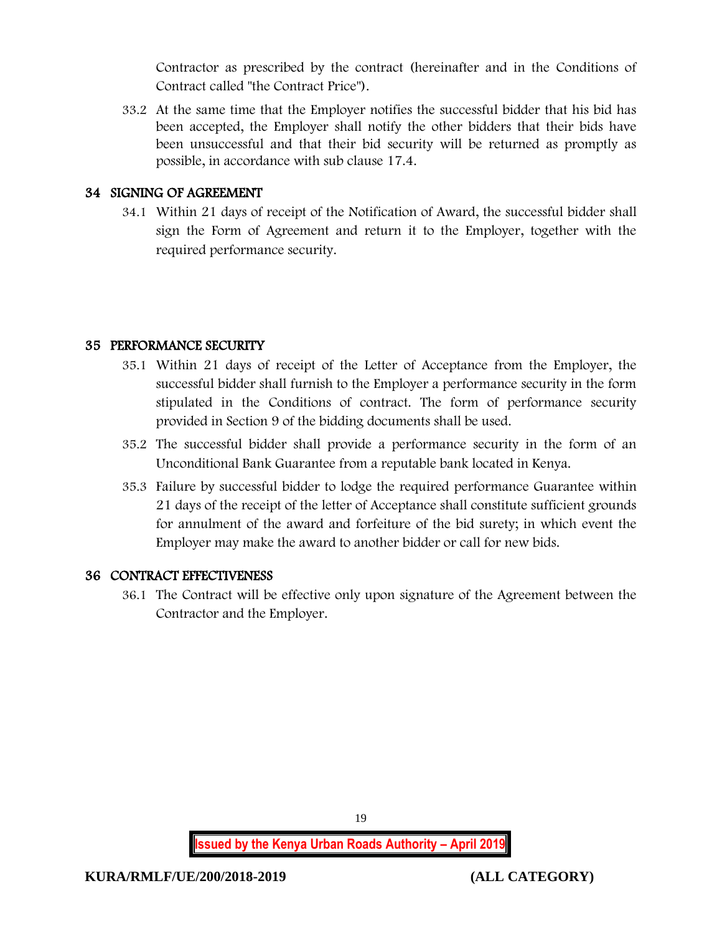Contractor as prescribed by the contract (hereinafter and in the Conditions of Contract called "the Contract Price").

33.2 At the same time that the Employer notifies the successful bidder that his bid has been accepted, the Employer shall notify the other bidders that their bids have been unsuccessful and that their bid security will be returned as promptly as possible, in accordance with sub clause 17.4.

#### 34 SIGNING OF AGREEMENT

34.1 Within 21 days of receipt of the Notification of Award, the successful bidder shall sign the Form of Agreement and return it to the Employer, together with the required performance security.

### 35 PERFORMANCE SECURITY

- 35.1 Within 21 days of receipt of the Letter of Acceptance from the Employer, the successful bidder shall furnish to the Employer a performance security in the form stipulated in the Conditions of contract. The form of performance security provided in Section 9 of the bidding documents shall be used.
- 35.2 The successful bidder shall provide a performance security in the form of an Unconditional Bank Guarantee from a reputable bank located in Kenya.
- 35.3 Failure by successful bidder to lodge the required performance Guarantee within 21 days of the receipt of the letter of Acceptance shall constitute sufficient grounds for annulment of the award and forfeiture of the bid surety; in which event the Employer may make the award to another bidder or call for new bids.

#### 36 CONTRACT EFFECTIVENESS

36.1 The Contract will be effective only upon signature of the Agreement between the Contractor and the Employer.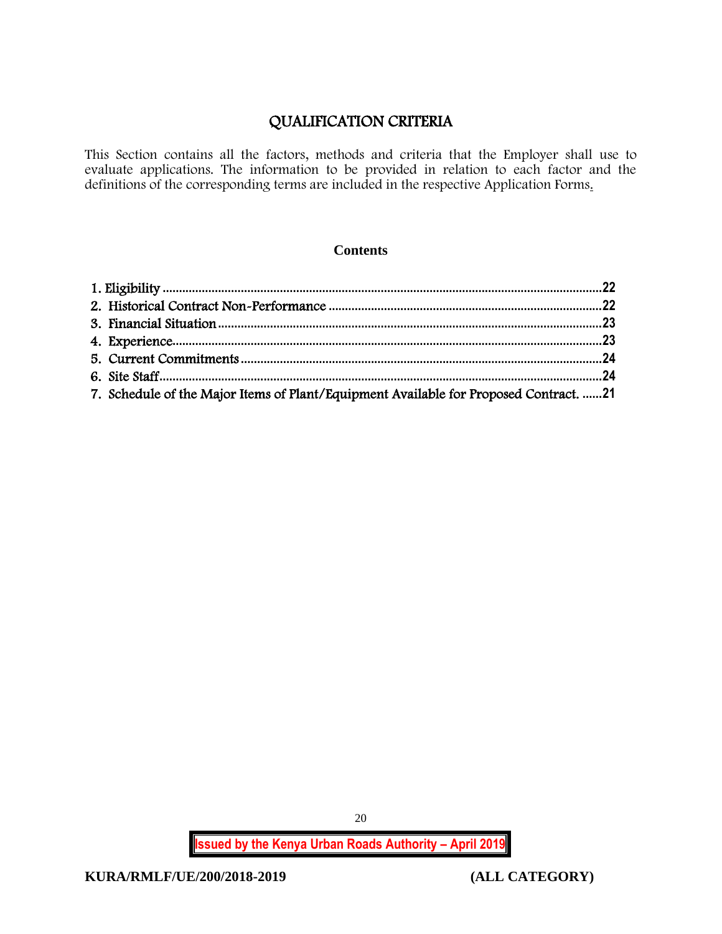# QUALIFICATION CRITERIA

This Section contains all the factors, methods and criteria that the Employer shall use to evaluate applications. The information to be provided in relation to each factor and the definitions of the corresponding terms are included in the respective Application Forms.

#### **Contents**

| 7. Schedule of the Major Items of Plant/Equipment Available for Proposed Contract. 21 |  |
|---------------------------------------------------------------------------------------|--|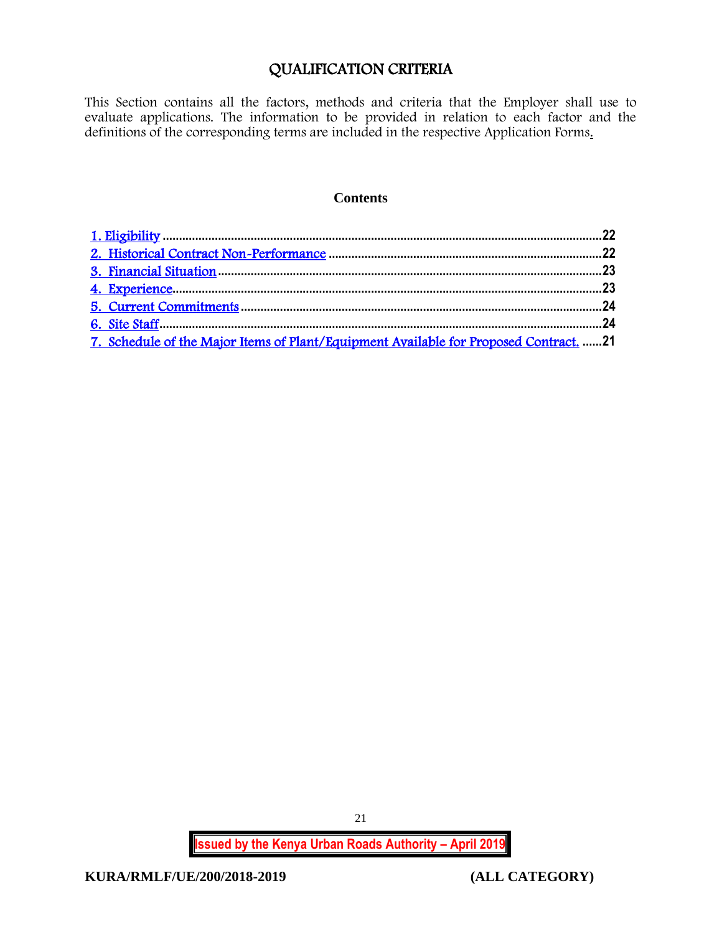# QUALIFICATION CRITERIA

<span id="page-21-0"></span>This Section contains all the factors, methods and criteria that the Employer shall use to evaluate applications. The information to be provided in relation to each factor and the definitions of the corresponding terms are included in the respective Application Forms.

#### **Contents**

| 7. Schedule of the Major Items of Plant/Equipment Available for Proposed Contract. 21 |  |
|---------------------------------------------------------------------------------------|--|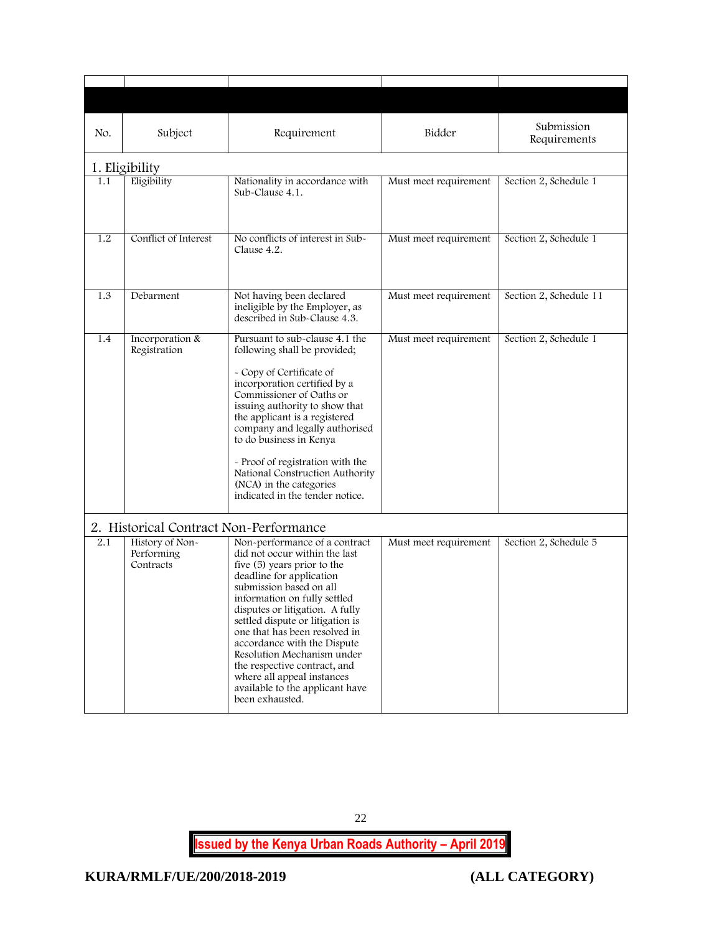<span id="page-22-1"></span><span id="page-22-0"></span>

| No. | Subject                                    | Requirement                                                                                                                                                                                                                                                                                                                                                                                                                                                                   | Bidder                | Submission<br>Requirements |
|-----|--------------------------------------------|-------------------------------------------------------------------------------------------------------------------------------------------------------------------------------------------------------------------------------------------------------------------------------------------------------------------------------------------------------------------------------------------------------------------------------------------------------------------------------|-----------------------|----------------------------|
|     | 1. Eligibility                             |                                                                                                                                                                                                                                                                                                                                                                                                                                                                               |                       |                            |
| 1.1 | Eligibility                                | Nationality in accordance with<br>Sub-Clause 4.1.                                                                                                                                                                                                                                                                                                                                                                                                                             | Must meet requirement | Section 2, Schedule 1      |
| 1.2 | Conflict of Interest                       | No conflicts of interest in Sub-<br>Clause 4.2.                                                                                                                                                                                                                                                                                                                                                                                                                               | Must meet requirement | Section 2, Schedule 1      |
| 1.3 | Debarment                                  | Not having been declared<br>ineligible by the Employer, as<br>described in Sub-Clause 4.3.                                                                                                                                                                                                                                                                                                                                                                                    | Must meet requirement | Section 2, Schedule 11     |
| 1.4 | Incorporation &<br>Registration            | Pursuant to sub-clause 4.1 the<br>following shall be provided;<br>- Copy of Certificate of<br>incorporation certified by a<br>Commissioner of Oaths or<br>issuing authority to show that<br>the applicant is a registered<br>company and legally authorised<br>to do business in Kenya<br>- Proof of registration with the<br>National Construction Authority<br>(NCA) in the categories<br>indicated in the tender notice.                                                   | Must meet requirement | Section 2, Schedule 1      |
|     | 2. Historical Contract Non-Performance     |                                                                                                                                                                                                                                                                                                                                                                                                                                                                               |                       |                            |
| 2.1 | History of Non-<br>Performing<br>Contracts | Non-performance of a contract<br>did not occur within the last<br>five (5) years prior to the<br>deadline for application<br>submission based on all<br>information on fully settled<br>disputes or litigation. A fully<br>settled dispute or litigation is<br>one that has been resolved in<br>accordance with the Dispute<br>Resolution Mechanism under<br>the respective contract, and<br>where all appeal instances<br>available to the applicant have<br>been exhausted. | Must meet requirement | Section 2, Schedule 5      |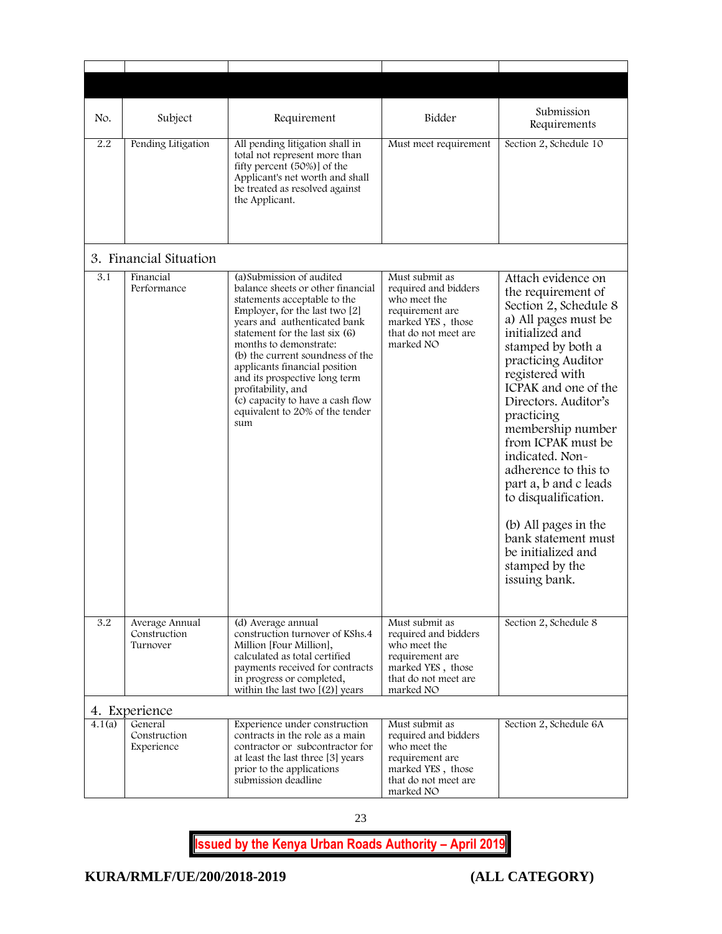<span id="page-23-1"></span><span id="page-23-0"></span>

| No.    | Subject                                    | Requirement                                                                                                                                                                                                                                                                                                                                                                                                                              | Bidder                                                                                                                              | Submission<br>Requirements                                                                                                                                                                                                                                                                                                                                                                                                                                                              |
|--------|--------------------------------------------|------------------------------------------------------------------------------------------------------------------------------------------------------------------------------------------------------------------------------------------------------------------------------------------------------------------------------------------------------------------------------------------------------------------------------------------|-------------------------------------------------------------------------------------------------------------------------------------|-----------------------------------------------------------------------------------------------------------------------------------------------------------------------------------------------------------------------------------------------------------------------------------------------------------------------------------------------------------------------------------------------------------------------------------------------------------------------------------------|
| 2.2    | Pending Litigation                         | All pending litigation shall in<br>total not represent more than<br>fifty percent (50%)] of the<br>Applicant's net worth and shall<br>be treated as resolved against<br>the Applicant.                                                                                                                                                                                                                                                   | Must meet requirement                                                                                                               | Section 2, Schedule 10                                                                                                                                                                                                                                                                                                                                                                                                                                                                  |
|        | 3. Financial Situation                     |                                                                                                                                                                                                                                                                                                                                                                                                                                          |                                                                                                                                     |                                                                                                                                                                                                                                                                                                                                                                                                                                                                                         |
| 3.1    | Financial<br>Performance                   | (a) Submission of audited<br>balance sheets or other financial<br>statements acceptable to the<br>Employer, for the last two $[2]$<br>years and authenticated bank<br>statement for the last six (6)<br>months to demonstrate:<br>(b) the current soundness of the<br>applicants financial position<br>and its prospective long term<br>profitability, and<br>(c) capacity to have a cash flow<br>equivalent to 20% of the tender<br>sum | Must submit as<br>required and bidders<br>who meet the<br>requirement are<br>marked YES, those<br>that do not meet are<br>marked NO | Attach evidence on<br>the requirement of<br>Section 2, Schedule 8<br>a) All pages must be<br>initialized and<br>stamped by both a<br>practicing Auditor<br>registered with<br>ICPAK and one of the<br>Directors. Auditor's<br>practicing<br>membership number<br>from ICPAK must be<br>indicated. Non-<br>adherence to this to<br>part a, b and c leads<br>to disqualification.<br>(b) All pages in the<br>bank statement must<br>be initialized and<br>stamped by the<br>issuing bank. |
| 3.2    | Average Annual<br>Construction<br>Turnover | (d) Average annual<br>construction turnover of KShs.4<br>Million [Four Million],<br>calculated as total certified<br>payments received for contracts<br>in progress or completed,<br>within the last two $[(2)]$ years                                                                                                                                                                                                                   | Must submit as<br>required and bidders<br>who meet the<br>requirement are<br>marked YES, those<br>that do not meet are<br>marked NO | Section 2, Schedule 8                                                                                                                                                                                                                                                                                                                                                                                                                                                                   |
|        | 4. Experience                              |                                                                                                                                                                                                                                                                                                                                                                                                                                          |                                                                                                                                     |                                                                                                                                                                                                                                                                                                                                                                                                                                                                                         |
| 4.1(a) | General<br>Construction<br>Experience      | Experience under construction<br>contracts in the role as a main<br>contractor or subcontractor for<br>at least the last three [3] years<br>prior to the applications<br>submission deadline                                                                                                                                                                                                                                             | Must submit as<br>required and bidders<br>who meet the<br>requirement are<br>marked YES, those<br>that do not meet are<br>marked NO | Section 2, Schedule 6A                                                                                                                                                                                                                                                                                                                                                                                                                                                                  |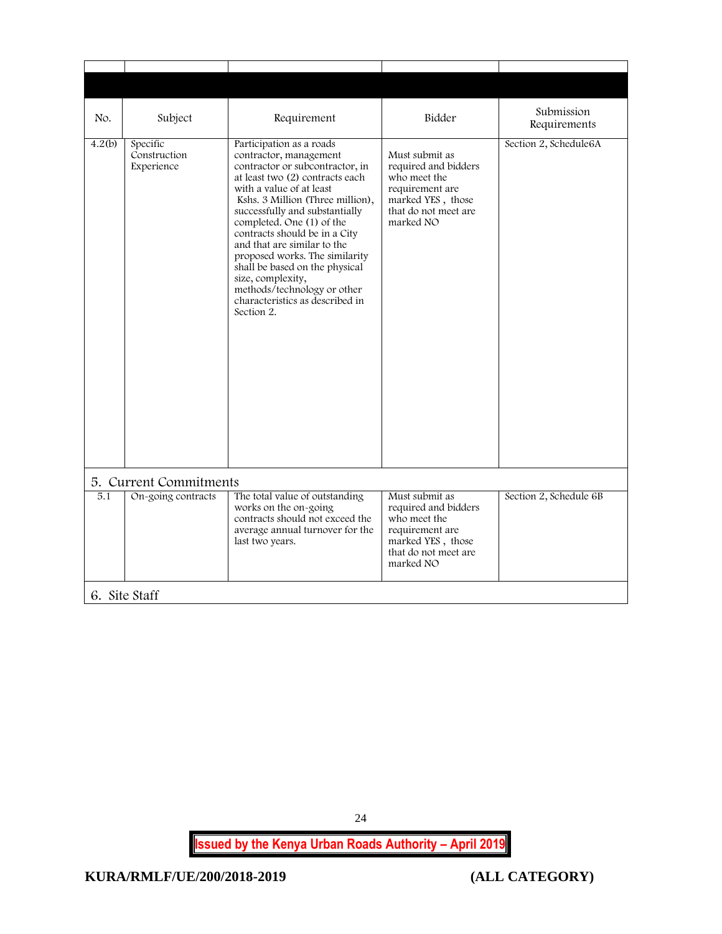<span id="page-24-1"></span><span id="page-24-0"></span>

| No.    | Subject                                | Requirement                                                                                                                                                                                                                                                                                                                                                                                                                                                                                      | Bidder                                                                                                                              | Submission<br>Requirements |
|--------|----------------------------------------|--------------------------------------------------------------------------------------------------------------------------------------------------------------------------------------------------------------------------------------------------------------------------------------------------------------------------------------------------------------------------------------------------------------------------------------------------------------------------------------------------|-------------------------------------------------------------------------------------------------------------------------------------|----------------------------|
| 4.2(b) | Specific<br>Construction<br>Experience | Participation as a roads<br>contractor, management<br>contractor or subcontractor, in<br>at least two (2) contracts each<br>with a value of at least<br>Kshs. 3 Million (Three million),<br>successfully and substantially<br>completed. One (1) of the<br>contracts should be in a City<br>and that are similar to the<br>proposed works. The similarity<br>shall be based on the physical<br>size, complexity,<br>methods/technology or other<br>characteristics as described in<br>Section 2. | Must submit as<br>required and bidders<br>who meet the<br>requirement are<br>marked YES, those<br>that do not meet are<br>marked NO | Section 2, Schedule6A      |
|        | 5. Current Commitments                 |                                                                                                                                                                                                                                                                                                                                                                                                                                                                                                  |                                                                                                                                     |                            |
| 5.1    | On-going contracts                     | The total value of outstanding<br>works on the on-going<br>contracts should not exceed the<br>average annual turnover for the<br>last two years.                                                                                                                                                                                                                                                                                                                                                 | Must submit as<br>required and bidders<br>who meet the<br>requirement are<br>marked YES, those<br>that do not meet are<br>marked NO | Section 2, Schedule 6B     |
|        | 6. Site Staff                          |                                                                                                                                                                                                                                                                                                                                                                                                                                                                                                  |                                                                                                                                     |                            |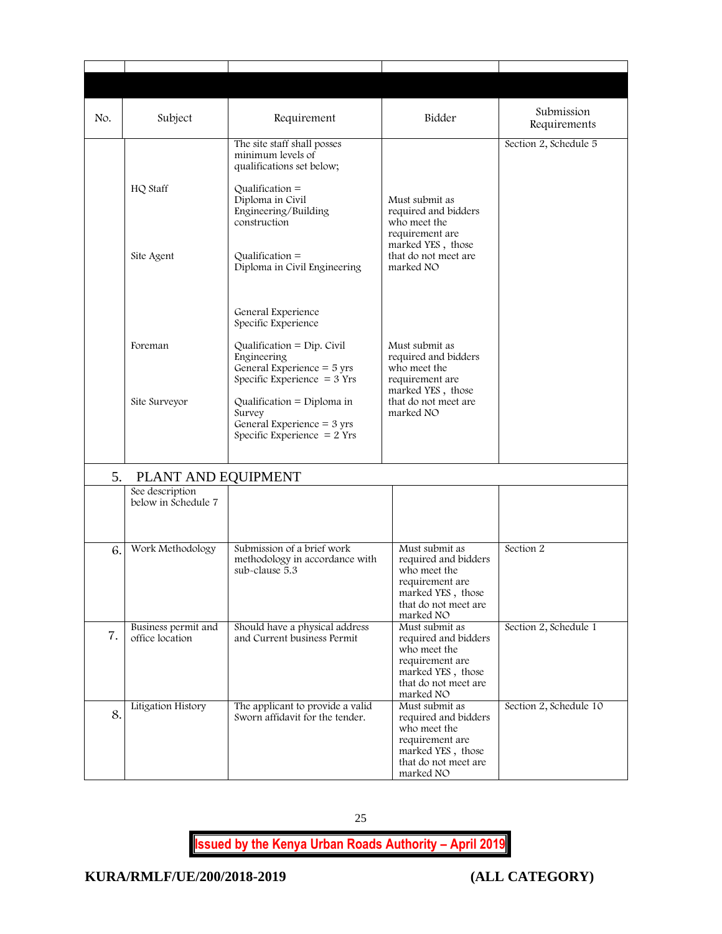| No. | Subject                                | Requirement                                                                                                 | Bidder                                                                                                                              | Submission<br>Requirements |
|-----|----------------------------------------|-------------------------------------------------------------------------------------------------------------|-------------------------------------------------------------------------------------------------------------------------------------|----------------------------|
|     | HQ Staff                               | The site staff shall posses<br>minimum levels of<br>qualifications set below;<br>$Qualification =$          |                                                                                                                                     | Section 2, Schedule 5      |
|     |                                        | Diploma in Civil<br>Engineering/Building<br>construction                                                    | Must submit as<br>required and bidders<br>who meet the<br>requirement are<br>marked YES, those                                      |                            |
|     | Site Agent                             | $Qualification =$<br>Diploma in Civil Engineering                                                           | that do not meet are<br>marked NO                                                                                                   |                            |
|     |                                        | General Experience<br>Specific Experience                                                                   |                                                                                                                                     |                            |
|     | Foreman                                | Qualification = $Dip$ . Civil<br>Engineering<br>General Experience = 5 yrs<br>Specific Experience $=$ 3 Yrs | Must submit as<br>required and bidders<br>who meet the<br>requirement are                                                           |                            |
|     | Site Surveyor                          | Qualification = $Diploma$ in<br>Survey<br>General Experience $=$ 3 yrs<br>Specific Experience $= 2$ Yrs     | marked YES, those<br>that do not meet are<br>marked NO                                                                              |                            |
| 5.  | PLANT AND EQUIPMENT                    |                                                                                                             |                                                                                                                                     |                            |
|     | See description<br>below in Schedule 7 |                                                                                                             |                                                                                                                                     |                            |
| 6.  | Work Methodology                       | Submission of a brief work<br>methodology in accordance with<br>sub-clause 5.3                              | Must submit as<br>required and bidders<br>who meet the<br>requirement are<br>marked YES, those<br>that do not meet are<br>marked NO | Section 2                  |
| 7.  | Business permit and<br>office location | Should have a physical address<br>and Current business Permit                                               | Must submit as<br>required and bidders<br>who meet the<br>requirement are<br>marked YES, those<br>that do not meet are<br>marked NO | Section 2, Schedule 1      |
| 8.  | Litigation History                     | The applicant to provide a valid<br>Sworn affidavit for the tender.                                         | Must submit as<br>required and bidders<br>who meet the<br>requirement are<br>marked YES, those<br>that do not meet are<br>marked NO | Section 2, Schedule 10     |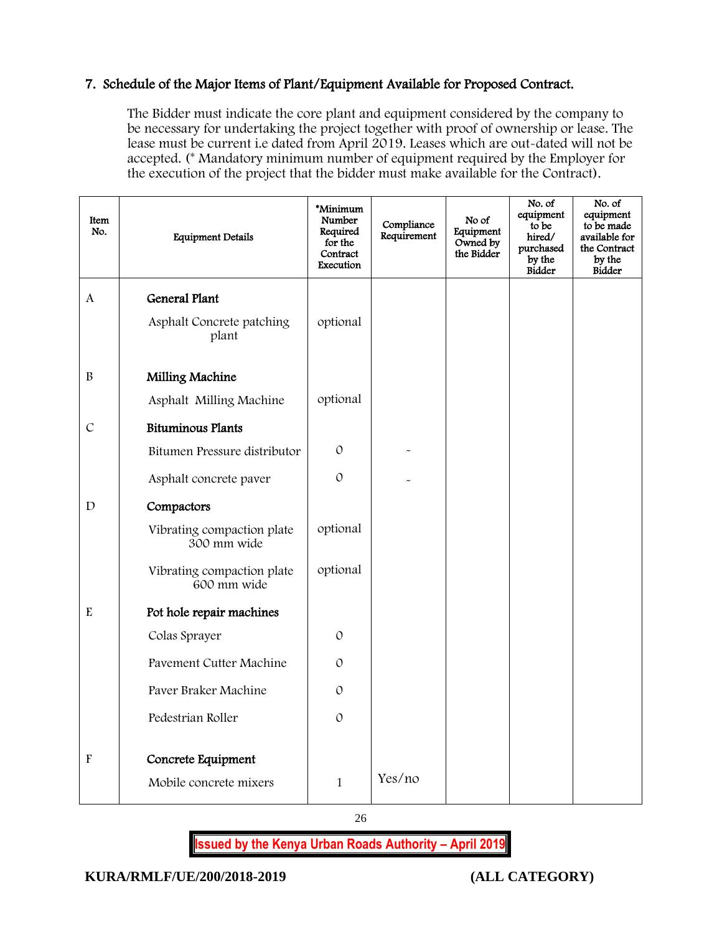#### 7. Schedule of the Major Items of Plant/Equipment Available for Proposed Contract.

The Bidder must indicate the core plant and equipment considered by the company to be necessary for undertaking the project together with proof of ownership or lease. The lease must be current i.e dated from April 2019. Leases which are out-dated will not be accepted. (\* Mandatory minimum number of equipment required by the Employer for the execution of the project that the bidder must make available for the Contract).

| Item<br>No.               | <b>Equipment Details</b>                  | *Minimum<br>Number<br>Required<br>for the<br>Contract<br>Execution | Compliance<br>Requirement | No of<br>Equipment<br>Owned by<br>the Bidder | No. of<br>equipment<br>to be<br>hired/<br>purchased<br>by the<br><b>Bidder</b> | No. of<br>equipment<br>to be made<br>available for<br>the Contract<br>by the<br><b>Bidder</b> |
|---------------------------|-------------------------------------------|--------------------------------------------------------------------|---------------------------|----------------------------------------------|--------------------------------------------------------------------------------|-----------------------------------------------------------------------------------------------|
| A                         | General Plant                             |                                                                    |                           |                                              |                                                                                |                                                                                               |
|                           | Asphalt Concrete patching<br>plant        | optional                                                           |                           |                                              |                                                                                |                                                                                               |
| $\mathbf B$               | Milling Machine                           |                                                                    |                           |                                              |                                                                                |                                                                                               |
|                           | Asphalt Milling Machine                   | optional                                                           |                           |                                              |                                                                                |                                                                                               |
| $\mathcal{C}$             | <b>Bituminous Plants</b>                  |                                                                    |                           |                                              |                                                                                |                                                                                               |
|                           | Bitumen Pressure distributor              | $\mathcal{O}$                                                      |                           |                                              |                                                                                |                                                                                               |
|                           | Asphalt concrete paver                    | $\mathcal{O}$                                                      |                           |                                              |                                                                                |                                                                                               |
| $\mathbf D$               | Compactors                                |                                                                    |                           |                                              |                                                                                |                                                                                               |
|                           | Vibrating compaction plate<br>300 mm wide | optional                                                           |                           |                                              |                                                                                |                                                                                               |
|                           | Vibrating compaction plate<br>600 mm wide | optional                                                           |                           |                                              |                                                                                |                                                                                               |
| E                         | Pot hole repair machines                  |                                                                    |                           |                                              |                                                                                |                                                                                               |
|                           | Colas Sprayer                             | $\mathcal{O}$                                                      |                           |                                              |                                                                                |                                                                                               |
|                           | Pavement Cutter Machine                   | $\mathcal{O}$                                                      |                           |                                              |                                                                                |                                                                                               |
|                           | Paver Braker Machine                      | $\mathcal{O}$                                                      |                           |                                              |                                                                                |                                                                                               |
|                           | Pedestrian Roller                         | $\mathcal{O}$                                                      |                           |                                              |                                                                                |                                                                                               |
| $\boldsymbol{\mathrm{F}}$ | Concrete Equipment                        |                                                                    |                           |                                              |                                                                                |                                                                                               |
|                           | Mobile concrete mixers                    | $\mathbf{1}$                                                       | Yes/no                    |                                              |                                                                                |                                                                                               |

26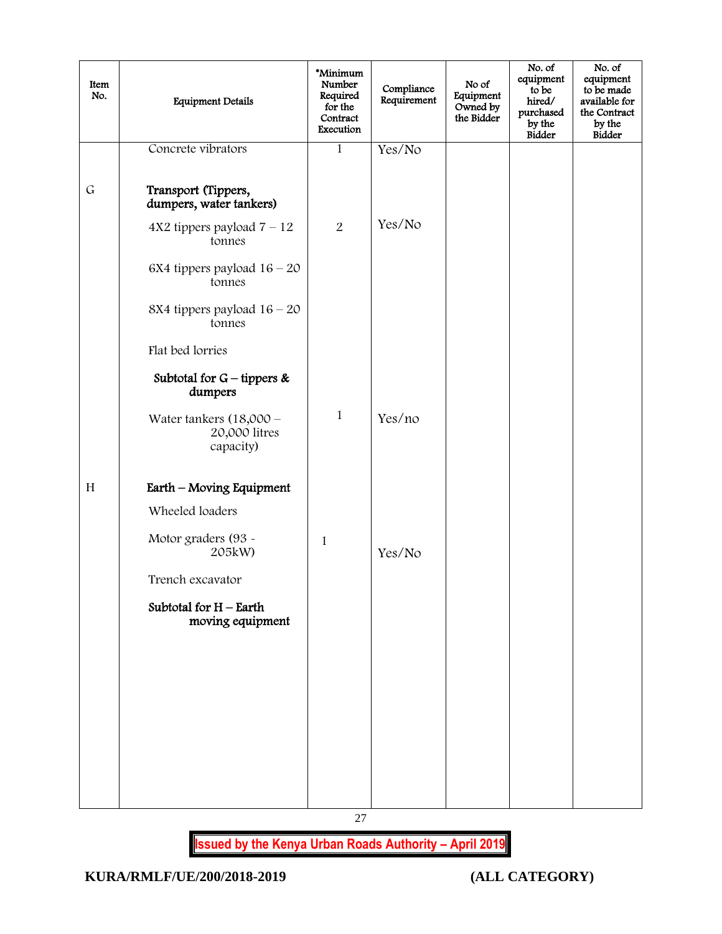| Item<br>No. | <b>Equipment Details</b>                                | *Minimum<br>Number<br>Required<br>for the<br>Contract<br>Execution | Compliance<br>Requirement | No of<br>Equipment<br>Owned by<br>the Bidder | No. of<br>equipment<br>to be<br>hired/<br>purchased<br>by the<br><b>Bidder</b> | No. of<br>equipment<br>to be made<br>available for<br>the Contract<br>by the<br>Bidder |
|-------------|---------------------------------------------------------|--------------------------------------------------------------------|---------------------------|----------------------------------------------|--------------------------------------------------------------------------------|----------------------------------------------------------------------------------------|
|             | Concrete vibrators                                      | $\mathbf{1}$                                                       | Yes/No                    |                                              |                                                                                |                                                                                        |
| $\mathsf G$ | Transport (Tippers,<br>dumpers, water tankers)          |                                                                    |                           |                                              |                                                                                |                                                                                        |
|             | $4X2$ tippers payload $7 - 12$<br>tonnes                | 2                                                                  | Yes/No                    |                                              |                                                                                |                                                                                        |
|             | 6X4 tippers payload $16 - 20$<br>tonnes                 |                                                                    |                           |                                              |                                                                                |                                                                                        |
|             | 8X4 tippers payload $16 - 20$<br>tonnes                 |                                                                    |                           |                                              |                                                                                |                                                                                        |
|             | Flat bed lorries                                        |                                                                    |                           |                                              |                                                                                |                                                                                        |
|             | Subtotal for $G$ – tippers &<br>dumpers                 |                                                                    |                           |                                              |                                                                                |                                                                                        |
|             | Water tankers $(18,000 -$<br>20,000 litres<br>capacity) | $\mathbf{1}$                                                       | Yes/no                    |                                              |                                                                                |                                                                                        |
| H           | Earth - Moving Equipment                                |                                                                    |                           |                                              |                                                                                |                                                                                        |
|             | Wheeled loaders                                         |                                                                    |                           |                                              |                                                                                |                                                                                        |
|             | Motor graders (93 -<br>205kW)                           | $\mathbf{1}$                                                       | Yes/No                    |                                              |                                                                                |                                                                                        |
|             | Trench excavator                                        |                                                                    |                           |                                              |                                                                                |                                                                                        |
|             | Subtotal for $H$ – Earth<br>moving equipment            |                                                                    |                           |                                              |                                                                                |                                                                                        |
|             |                                                         |                                                                    |                           |                                              |                                                                                |                                                                                        |
|             |                                                         |                                                                    |                           |                                              |                                                                                |                                                                                        |
|             |                                                         |                                                                    |                           |                                              |                                                                                |                                                                                        |
|             |                                                         |                                                                    |                           |                                              |                                                                                |                                                                                        |
|             |                                                         |                                                                    |                           |                                              |                                                                                |                                                                                        |
|             |                                                         |                                                                    |                           |                                              |                                                                                |                                                                                        |

27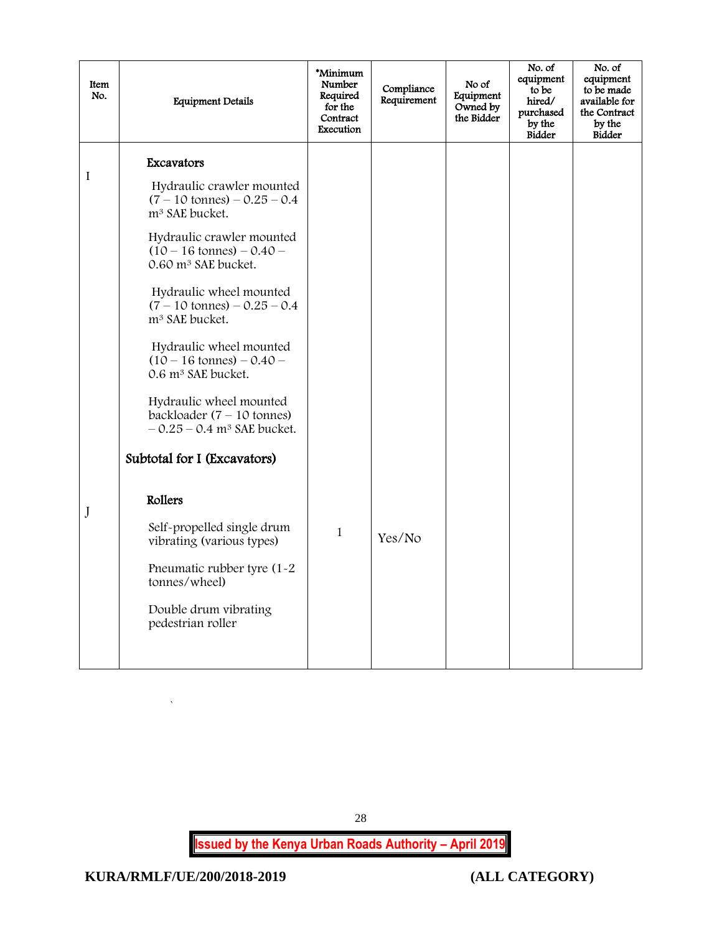| Item<br>No. | <b>Equipment Details</b>                                                                                                                                                                                                                                                                                                                                                                                                                                                                                                                                                  | *Minimum<br>Number<br>Required<br>for the<br>Contract<br>Execution | Compliance<br>Requirement | No of<br>Equipment<br>Owned by<br>the Bidder | No. of<br>equipment<br>to be<br>hired/<br>purchased<br>by the<br>Bidder | No. of<br>equipment<br>to be made<br>available for<br>the Contract<br>by the<br><b>Bidder</b> |
|-------------|---------------------------------------------------------------------------------------------------------------------------------------------------------------------------------------------------------------------------------------------------------------------------------------------------------------------------------------------------------------------------------------------------------------------------------------------------------------------------------------------------------------------------------------------------------------------------|--------------------------------------------------------------------|---------------------------|----------------------------------------------|-------------------------------------------------------------------------|-----------------------------------------------------------------------------------------------|
| I           | Excavators<br>Hydraulic crawler mounted<br>$(7 - 10 \text{ tonnes}) - 0.25 - 0.4$<br>m <sup>3</sup> SAE bucket.<br>Hydraulic crawler mounted<br>$(10 - 16 \text{ tonnes}) - 0.40$<br>0.60 m <sup>3</sup> SAE bucket.<br>Hydraulic wheel mounted<br>$(7 - 10 \text{ tonnes}) - 0.25 - 0.4$<br>m <sup>3</sup> SAE bucket.<br>Hydraulic wheel mounted<br>$(10 - 16 \text{ tonnes}) - 0.40 -$<br>0.6 m <sup>3</sup> SAE bucket.<br>Hydraulic wheel mounted<br>backloader $(7 - 10 \text{ tonnes})$<br>$-0.25 - 0.4$ m <sup>3</sup> SAE bucket.<br>Subtotal for I (Excavators) |                                                                    |                           |                                              |                                                                         |                                                                                               |
| J           | Rollers<br>Self-propelled single drum<br>vibrating (various types)<br>Pneumatic rubber tyre (1-2)<br>tonnes/wheel)<br>Double drum vibrating<br>pedestrian roller                                                                                                                                                                                                                                                                                                                                                                                                          | $\mathbf{1}$                                                       | Yes/No                    |                                              |                                                                         |                                                                                               |

<span id="page-28-0"></span>`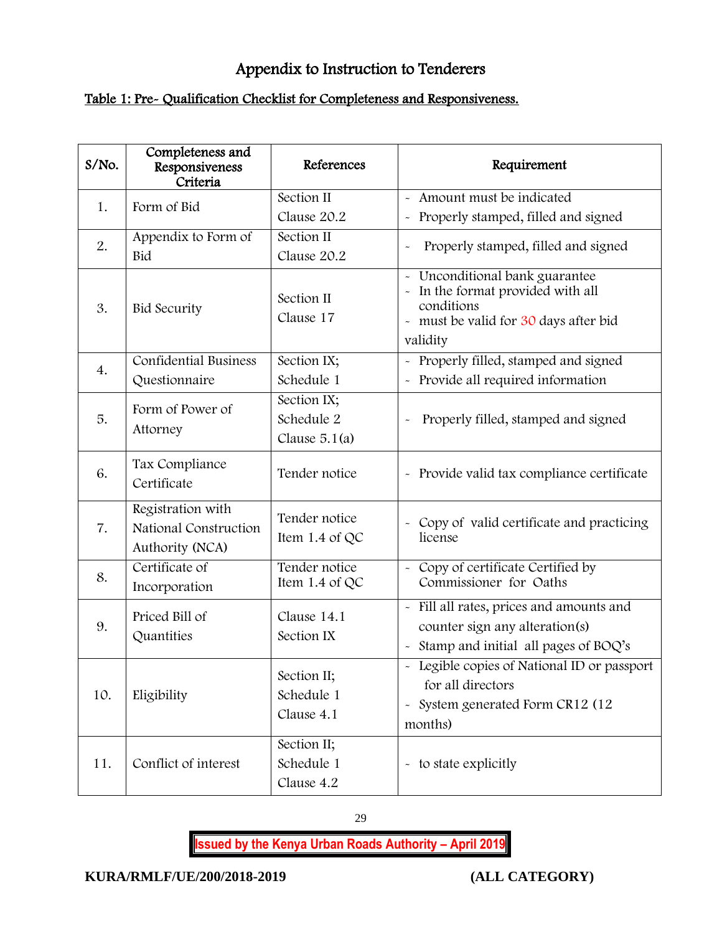# Appendix to Instruction to Tenderers

# Table 1: Pre- Qualification Checklist for Completeness and Responsiveness.

| S/No. | Completeness and<br>Responsiveness<br>Criteria                | References                                   | Requirement                                                                                                                                                       |
|-------|---------------------------------------------------------------|----------------------------------------------|-------------------------------------------------------------------------------------------------------------------------------------------------------------------|
| 1.    | Form of Bid                                                   | Section II<br>Clause 20.2                    | - Amount must be indicated<br>- Properly stamped, filled and signed                                                                                               |
| 2.    | Appendix to Form of<br>Bid                                    | Section II<br>Clause 20.2                    | Properly stamped, filled and signed                                                                                                                               |
| 3.    | <b>Bid Security</b>                                           | Section II<br>Clause 17                      | - Unconditional bank guarantee<br>In the format provided with all<br>$\widetilde{\phantom{m}}$<br>conditions<br>- must be valid for 30 days after bid<br>validity |
| 4.    | <b>Confidential Business</b><br>Questionnaire                 | Section IX;<br>Schedule 1                    | - Properly filled, stamped and signed<br>- Provide all required information                                                                                       |
| 5.    | Form of Power of<br>Attorney                                  | Section IX;<br>Schedule 2<br>Clause $5.1(a)$ | Properly filled, stamped and signed                                                                                                                               |
| 6.    | Tax Compliance<br>Certificate                                 | Tender notice                                | - Provide valid tax compliance certificate                                                                                                                        |
| 7.    | Registration with<br>National Construction<br>Authority (NCA) | Tender notice<br>Item 1.4 of QC              | - Copy of valid certificate and practicing<br>license                                                                                                             |
| 8.    | Certificate of<br>Incorporation                               | Tender notice<br>Item 1.4 of $QC$            | Copy of certificate Certified by<br>$\sim$<br>Commissioner for Oaths                                                                                              |
| 9.    | Priced Bill of<br>Quantities                                  | Clause 14.1<br>Section IX                    | - Fill all rates, prices and amounts and<br>counter sign any alteration(s)<br>- Stamp and initial all pages of BOQ's                                              |
| 10.   | Eligibility                                                   | Section II;<br>Schedule 1<br>Clause 4.1      | - Legible copies of National ID or passport<br>for all directors<br>- System generated Form CR12 (12<br>months)                                                   |
| 11.   | Conflict of interest                                          | Section II;<br>Schedule 1<br>Clause 4.2      | - to state explicitly                                                                                                                                             |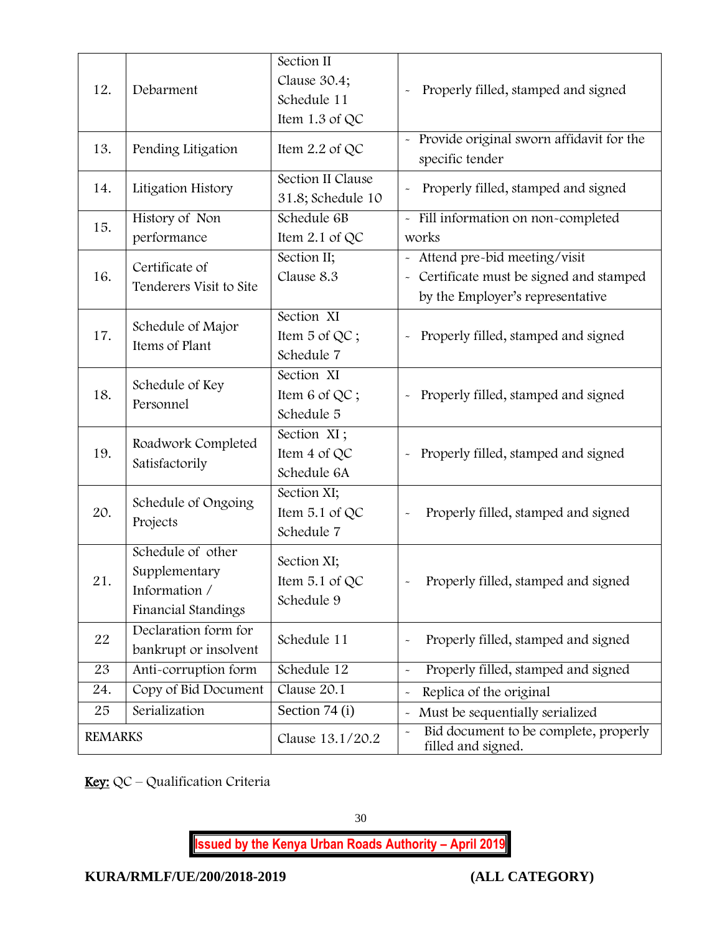| 12.            | Debarment                                                                  | Section II<br>Clause 30.4;<br>Schedule 11<br>Item 1.3 of QC | Properly filled, stamped and signed                                                                            |
|----------------|----------------------------------------------------------------------------|-------------------------------------------------------------|----------------------------------------------------------------------------------------------------------------|
|                |                                                                            |                                                             |                                                                                                                |
| 13.            | Pending Litigation                                                         | Item $2.2$ of QC                                            | - Provide original sworn affidavit for the<br>specific tender                                                  |
| 14.            | Litigation History                                                         | Section II Clause<br>31.8; Schedule 10                      | Properly filled, stamped and signed                                                                            |
| 15.            | History of Non<br>performance                                              | Schedule 6B<br>Item 2.1 of QC                               | - Fill information on non-completed<br>works                                                                   |
| 16.            | Certificate of<br>Tenderers Visit to Site                                  | Section II;<br>Clause 8.3                                   | - Attend pre-bid meeting/visit<br>- Certificate must be signed and stamped<br>by the Employer's representative |
| 17.            | Schedule of Major<br>Items of Plant                                        | Section XI<br>Item 5 of QC;<br>Schedule 7                   | Properly filled, stamped and signed<br>$\widetilde{\phantom{m}}$                                               |
| 18.            | Schedule of Key<br>Personnel                                               | Section XI<br>Item $6$ of QC;<br>Schedule 5                 | Properly filled, stamped and signed                                                                            |
| 19.            | Roadwork Completed<br>Satisfactorily                                       | Section XI;<br>Item 4 of QC<br>Schedule 6A                  | Properly filled, stamped and signed                                                                            |
| 20.            | Schedule of Ongoing<br>Projects                                            | Section XI;<br>Item 5.1 of QC<br>Schedule 7                 | Properly filled, stamped and signed                                                                            |
| 21.            | Schedule of other<br>Supplementary<br>Information /<br>Financial Standings | Section XI;<br>Item $5.1$ of QC<br>Schedule 9               | Properly filled, stamped and signed                                                                            |
| 22             | Declaration form for<br>bankrupt or insolvent                              | Schedule 11                                                 | Properly filled, stamped and signed<br>$\ddot{\phantom{0}}$                                                    |
| 23             | Anti-corruption form                                                       | Schedule 12                                                 | Properly filled, stamped and signed<br>$\tilde{\phantom{a}}$                                                   |
| 24.            | Copy of Bid Document                                                       | Clause 20.1                                                 | Replica of the original<br>$\ddot{\phantom{0}}$                                                                |
| 25             | Serialization                                                              | Section 74 (i)                                              | Must be sequentially serialized                                                                                |
| <b>REMARKS</b> |                                                                            | Clause 13.1/20.2                                            | Bid document to be complete, properly<br>$\ddot{\phantom{0}}$<br>filled and signed.                            |

Key: QC – Qualification Criteria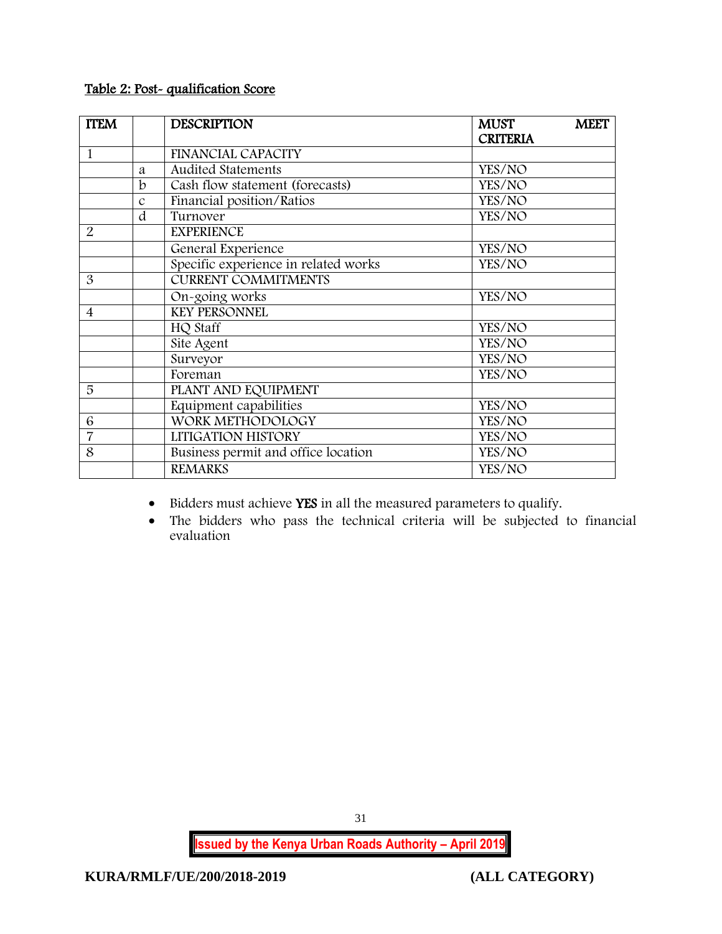# Table 2: Post- qualification Score

| <b>TTEM</b>    |               | <b>DESCRIPTION</b>                   | <b>MUST</b>     | <b>MEET</b> |
|----------------|---------------|--------------------------------------|-----------------|-------------|
|                |               |                                      | <b>CRITERIA</b> |             |
| $\mathbf{1}$   |               | FINANCIAL CAPACITY                   |                 |             |
|                | a             | <b>Audited Statements</b>            | YES/NO          |             |
|                | b             | Cash flow statement (forecasts)      | YES/NO          |             |
|                | $\mathcal{C}$ | Financial position/Ratios            | YES/NO          |             |
|                | d             | Turnover                             | YES/NO          |             |
| $\overline{2}$ |               | <b>EXPERIENCE</b>                    |                 |             |
|                |               | General Experience                   | YES/NO          |             |
|                |               | Specific experience in related works | YES/NO          |             |
| 3              |               | <b>CURRENT COMMITMENTS</b>           |                 |             |
|                |               | On-going works                       | YES/NO          |             |
| $\overline{4}$ |               | <b>KEY PERSONNEL</b>                 |                 |             |
|                |               | HQ Staff                             | YES/NO          |             |
|                |               | Site Agent                           | YES/NO          |             |
|                |               | Surveyor                             | YES/NO          |             |
|                |               | Foreman                              | YES/NO          |             |
| 5              |               | PLANT AND EQUIPMENT                  |                 |             |
|                |               | Equipment capabilities               | YES/NO          |             |
| 6              |               | WORK METHODOLOGY                     | YES/NO          |             |
| $\overline{7}$ |               | LITIGATION HISTORY                   | YES/NO          |             |
| 8              |               | Business permit and office location  | YES/NO          |             |
|                |               | <b>REMARKS</b>                       | YES/NO          |             |

• Bidders must achieve YES in all the measured parameters to qualify.

 The bidders who pass the technical criteria will be subjected to financial evaluation

31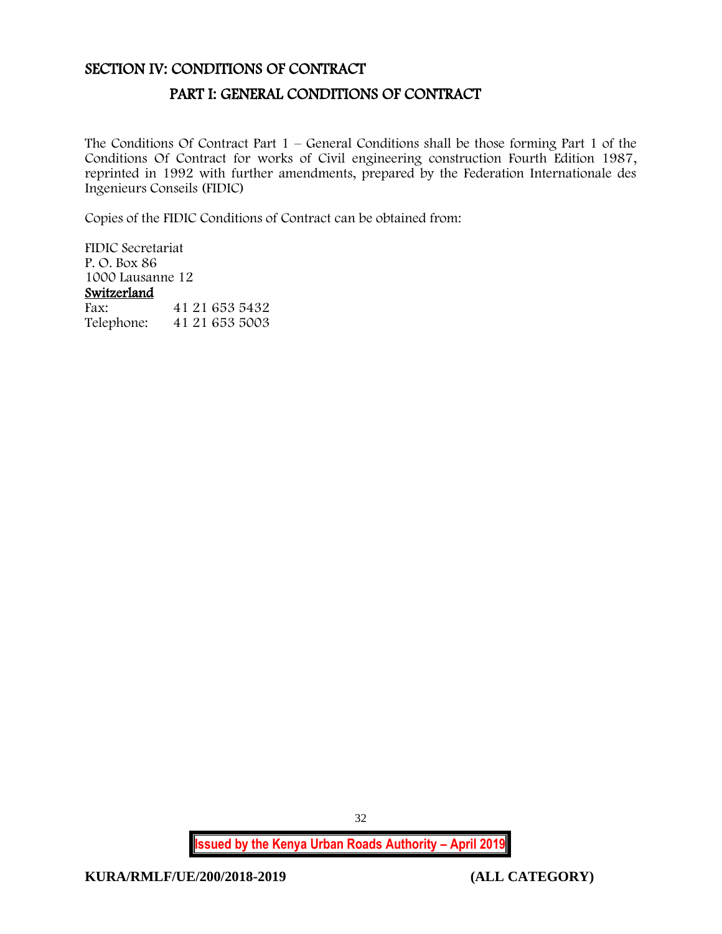### <span id="page-32-1"></span><span id="page-32-0"></span>SECTION IV: CONDITIONS OF CONTRACT

# PART I: GENERAL CONDITIONS OF CONTRACT

The Conditions Of Contract Part  $1$  – General Conditions shall be those forming Part 1 of the Conditions Of Contract for works of Civil engineering construction Fourth Edition 1987, reprinted in 1992 with further amendments, prepared by the Federation Internationale des Ingenieurs Conseils (FIDIC)

Copies of the FIDIC Conditions of Contract can be obtained from:

FIDIC Secretariat P. O. Box 86 1000 Lausanne 12 Switzerland<br>Fax: Fax: 41 21 653 5432 Telephone: 41 21 653 5003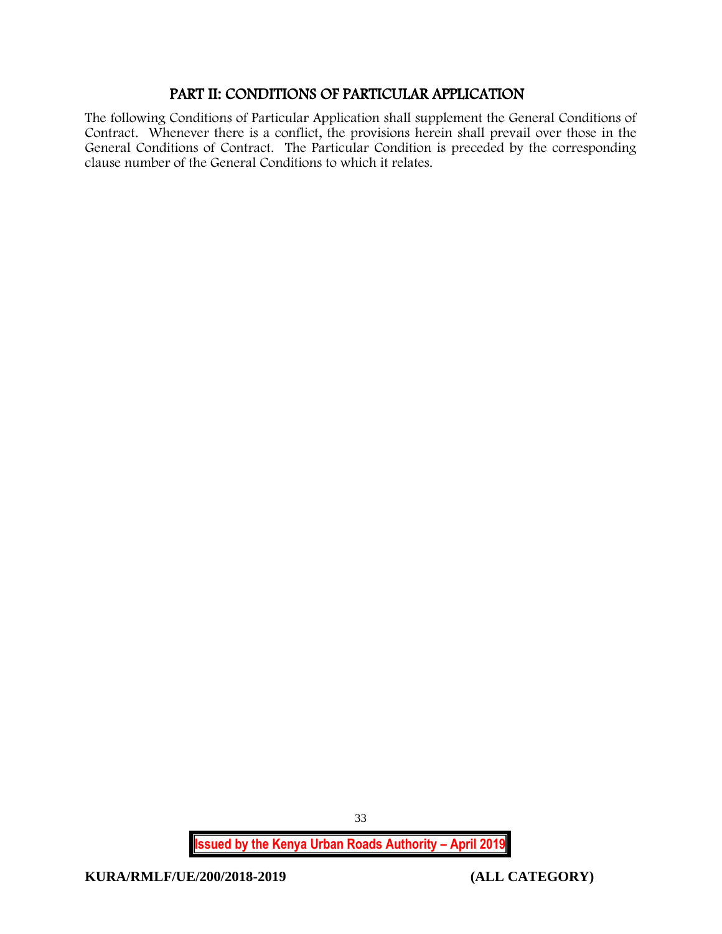# PART II: CONDITIONS OF PARTICULAR APPLICATION

<span id="page-33-0"></span>The following Conditions of Particular Application shall supplement the General Conditions of Contract. Whenever there is a conflict, the provisions herein shall prevail over those in the General Conditions of Contract. The Particular Condition is preceded by the corresponding clause number of the General Conditions to which it relates.

33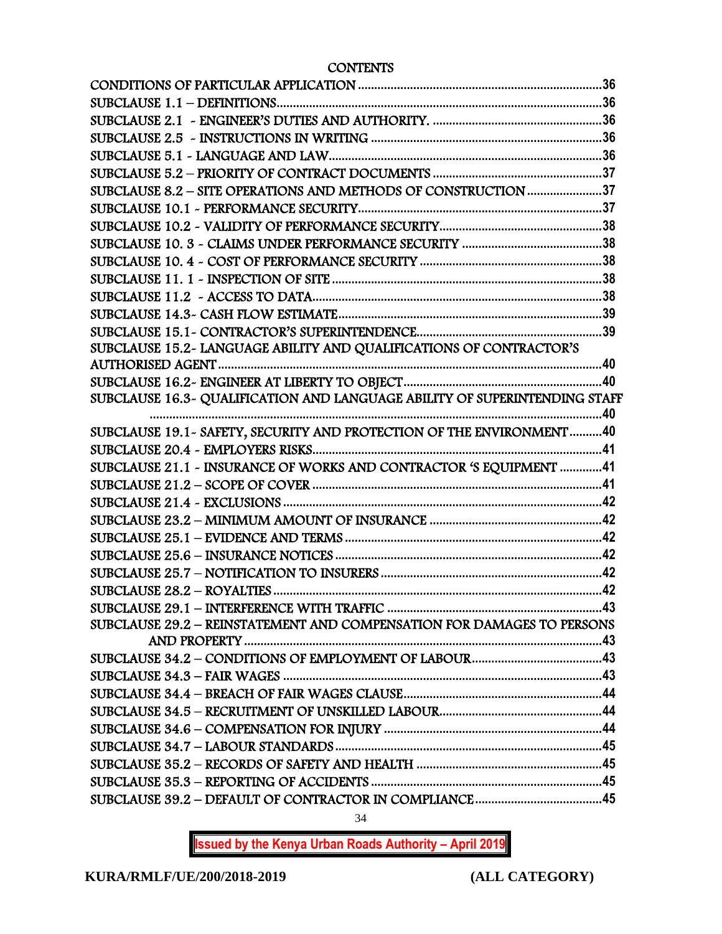**CONTENTS** 

| SUBCLAUSE 8.2 - SITE OPERATIONS AND METHODS OF CONSTRUCTION 37             |  |
|----------------------------------------------------------------------------|--|
|                                                                            |  |
|                                                                            |  |
|                                                                            |  |
|                                                                            |  |
|                                                                            |  |
|                                                                            |  |
|                                                                            |  |
|                                                                            |  |
| SUBCLAUSE 15.2- LANGUAGE ABILITY AND QUALIFICATIONS OF CONTRACTOR'S        |  |
|                                                                            |  |
|                                                                            |  |
| SUBCLAUSE 16.3~ QUALIFICATION AND LANGUAGE ABILITY OF SUPERINTENDING STAFF |  |
|                                                                            |  |
| SUBCLAUSE 19.1 - SAFETY, SECURITY AND PROTECTION OF THE ENVIRONMENT40      |  |
|                                                                            |  |
| SUBCLAUSE 21.1 - INSURANCE OF WORKS AND CONTRACTOR 'S EQUIPMENT  41        |  |
|                                                                            |  |
|                                                                            |  |
|                                                                            |  |
|                                                                            |  |
|                                                                            |  |
|                                                                            |  |
|                                                                            |  |
| SUBCLAUSE 29.2 - REINSTATEMENT AND COMPENSATION FOR DAMAGES TO PERSONS     |  |
|                                                                            |  |
|                                                                            |  |
|                                                                            |  |
|                                                                            |  |
|                                                                            |  |
|                                                                            |  |
|                                                                            |  |
|                                                                            |  |
|                                                                            |  |
|                                                                            |  |
|                                                                            |  |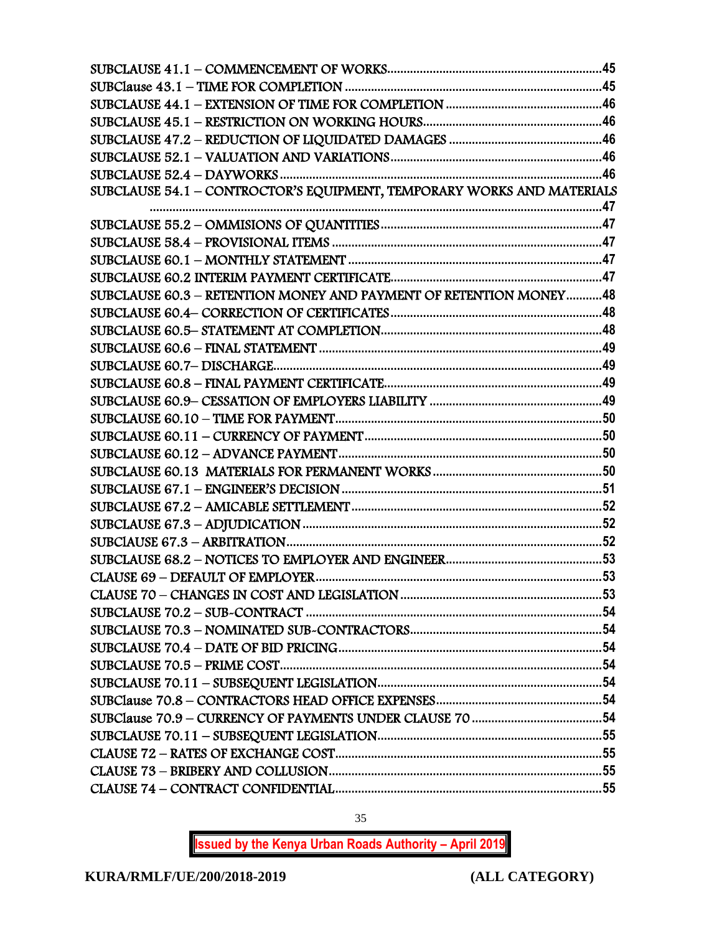| SUBCLAUSE 54.1 - CONTROCTOR'S EQUIPMENT, TEMPORARY WORKS AND MATERIALS |  |
|------------------------------------------------------------------------|--|
|                                                                        |  |
|                                                                        |  |
|                                                                        |  |
|                                                                        |  |
|                                                                        |  |
| SUBCLAUSE 60.3 - RETENTION MONEY AND PAYMENT OF RETENTION MONEY48      |  |
|                                                                        |  |
|                                                                        |  |
|                                                                        |  |
|                                                                        |  |
|                                                                        |  |
|                                                                        |  |
|                                                                        |  |
|                                                                        |  |
|                                                                        |  |
|                                                                        |  |
|                                                                        |  |
|                                                                        |  |
|                                                                        |  |
|                                                                        |  |
|                                                                        |  |
|                                                                        |  |
|                                                                        |  |
|                                                                        |  |
|                                                                        |  |
|                                                                        |  |
|                                                                        |  |
|                                                                        |  |
|                                                                        |  |
|                                                                        |  |
|                                                                        |  |
|                                                                        |  |
|                                                                        |  |
|                                                                        |  |

35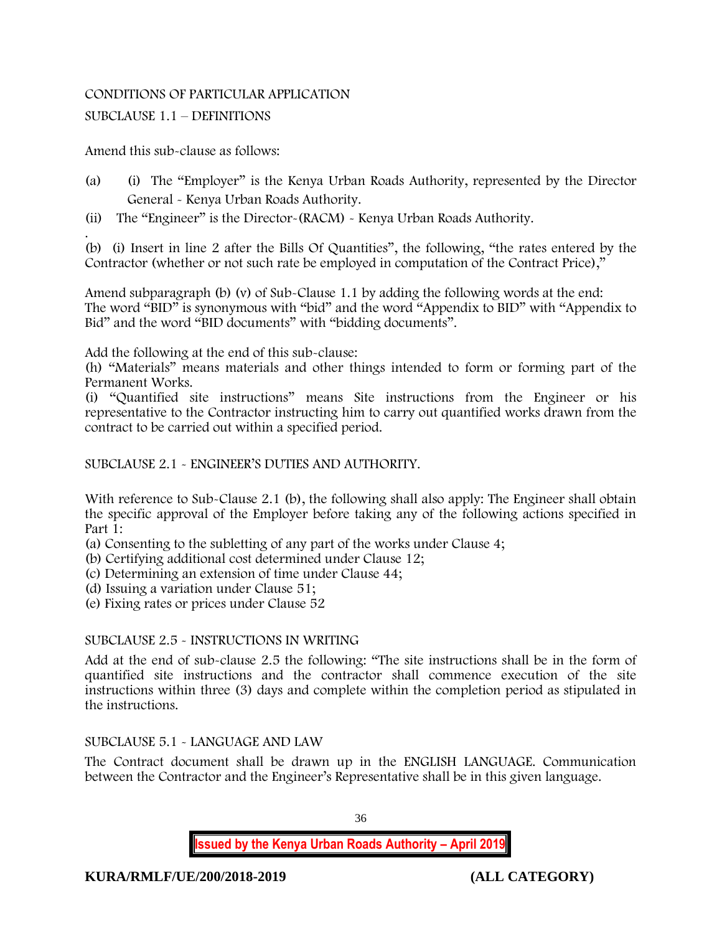# CONDITIONS OF PARTICULAR APPLICATION

# SUBCLAUSE 1.1 – DEFINITIONS

Amend this sub-clause as follows:

- (a) (i) The "Employer" is the Kenya Urban Roads Authority, represented by the Director General - Kenya Urban Roads Authority.
- (ii) The "Engineer" is the Director-(RACM) Kenya Urban Roads Authority.

. (b) (i) Insert in line 2 after the Bills Of Quantities", the following, "the rates entered by the Contractor (whether or not such rate be employed in computation of the Contract Price),"

Amend subparagraph (b) (v) of Sub-Clause 1.1 by adding the following words at the end: The word "BID" is synonymous with "bid" and the word "Appendix to BID" with "Appendix to Bid" and the word "BID documents" with "bidding documents".

Add the following at the end of this sub-clause:

(h) "Materials" means materials and other things intended to form or forming part of the Permanent Works.

(i) "Quantified site instructions" means Site instructions from the Engineer or his representative to the Contractor instructing him to carry out quantified works drawn from the contract to be carried out within a specified period.

SUBCLAUSE 2.1 - ENGINEER'S DUTIES AND AUTHORITY.

With reference to Sub-Clause 2.1 (b), the following shall also apply: The Engineer shall obtain the specific approval of the Employer before taking any of the following actions specified in Part 1:

- (a) Consenting to the subletting of any part of the works under Clause 4;
- (b) Certifying additional cost determined under Clause 12;
- (c) Determining an extension of time under Clause 44;
- (d) Issuing a variation under Clause 51;
- (e) Fixing rates or prices under Clause 52

## SUBCLAUSE 2.5 - INSTRUCTIONS IN WRITING

Add at the end of sub-clause 2.5 the following: "The site instructions shall be in the form of quantified site instructions and the contractor shall commence execution of the site instructions within three (3) days and complete within the completion period as stipulated in the instructions.

## SUBCLAUSE 5.1 - LANGUAGE AND LAW

The Contract document shall be drawn up in the ENGLISH LANGUAGE. Communication between the Contractor and the Engineer's Representative shall be in this given language.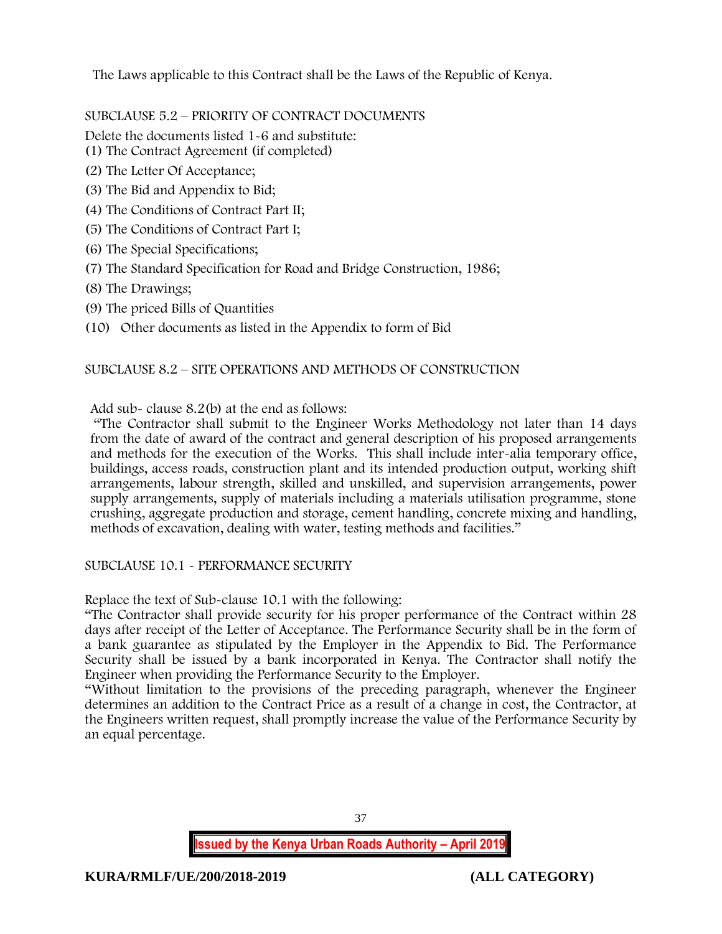The Laws applicable to this Contract shall be the Laws of the Republic of Kenya.

SUBCLAUSE 5.2 – PRIORITY OF CONTRACT DOCUMENTS

Delete the documents listed 1-6 and substitute:

- (1) The Contract Agreement (if completed)
- (2) The Letter Of Acceptance;
- (3) The Bid and Appendix to Bid;
- (4) The Conditions of Contract Part II;
- (5) The Conditions of Contract Part I;
- (6) The Special Specifications;
- (7) The Standard Specification for Road and Bridge Construction, 1986;
- (8) The Drawings;
- (9) The priced Bills of Quantities
- (10) Other documents as listed in the Appendix to form of Bid

# SUBCLAUSE 8.2 – SITE OPERATIONS AND METHODS OF CONSTRUCTION

Add sub- clause 8.2(b) at the end as follows:

"The Contractor shall submit to the Engineer Works Methodology not later than 14 days from the date of award of the contract and general description of his proposed arrangements and methods for the execution of the Works. This shall include inter-alia temporary office, buildings, access roads, construction plant and its intended production output, working shift arrangements, labour strength, skilled and unskilled, and supervision arrangements, power supply arrangements, supply of materials including a materials utilisation programme, stone crushing, aggregate production and storage, cement handling, concrete mixing and handling, methods of excavation, dealing with water, testing methods and facilities."

# SUBCLAUSE 10.1 - PERFORMANCE SECURITY

Replace the text of Sub-clause 10.1 with the following:

"The Contractor shall provide security for his proper performance of the Contract within 28 days after receipt of the Letter of Acceptance. The Performance Security shall be in the form of a bank guarantee as stipulated by the Employer in the Appendix to Bid. The Performance Security shall be issued by a bank incorporated in Kenya. The Contractor shall notify the Engineer when providing the Performance Security to the Employer.

"Without limitation to the provisions of the preceding paragraph, whenever the Engineer determines an addition to the Contract Price as a result of a change in cost, the Contractor, at the Engineers written request, shall promptly increase the value of the Performance Security by an equal percentage.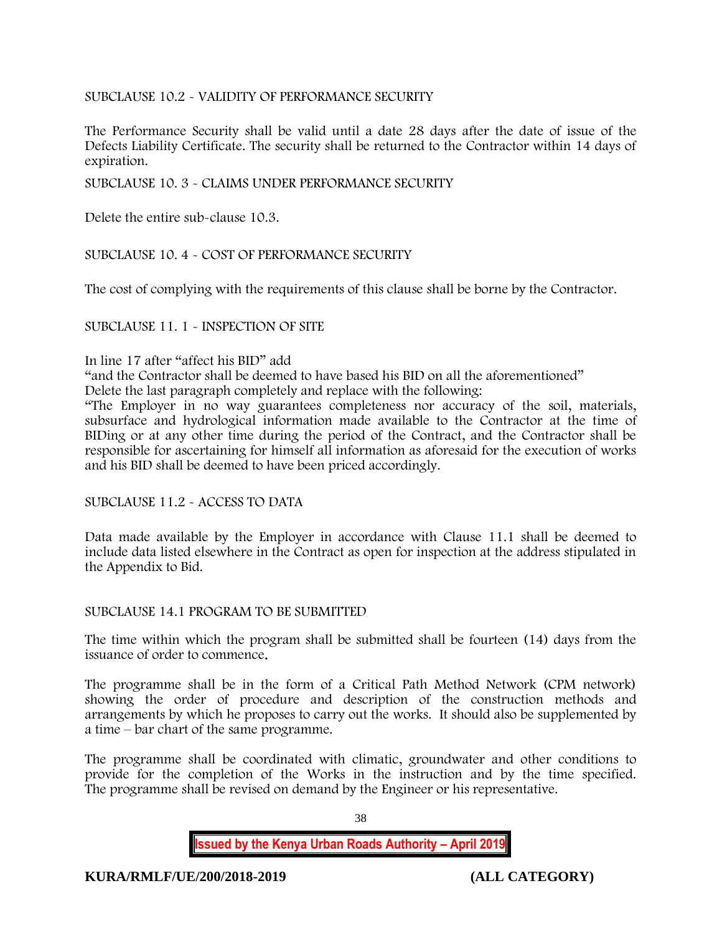# SUBCLAUSE 10.2 - VALIDITY OF PERFORMANCE SECURITY

The Performance Security shall be valid until a date 28 days after the date of issue of the Defects Liability Certificate. The security shall be returned to the Contractor within 14 days of expiration.

SUBCLAUSE 10. 3 - CLAIMS UNDER PERFORMANCE SECURITY

Delete the entire sub-clause 10.3.

SUBCLAUSE 10. 4 - COST OF PERFORMANCE SECURITY

The cost of complying with the requirements of this clause shall be borne by the Contractor.

SUBCLAUSE 11. 1 - INSPECTION OF SITE

#### In line 17 after "affect his BID" add

"and the Contractor shall be deemed to have based his BID on all the aforementioned"

Delete the last paragraph completely and replace with the following:

"The Employer in no way guarantees completeness nor accuracy of the soil, materials, subsurface and hydrological information made available to the Contractor at the time of BIDing or at any other time during the period of the Contract, and the Contractor shall be responsible for ascertaining for himself all information as aforesaid for the execution of works and his BID shall be deemed to have been priced accordingly.

SUBCLAUSE 11.2 - ACCESS TO DATA

Data made available by the Employer in accordance with Clause 11.1 shall be deemed to include data listed elsewhere in the Contract as open for inspection at the address stipulated in the Appendix to Bid.

#### SUBCLAUSE 14.1 PROGRAM TO BE SUBMITTED

The time within which the program shall be submitted shall be fourteen (14) days from the issuance of order to commence.

The programme shall be in the form of a Critical Path Method Network (CPM network) showing the order of procedure and description of the construction methods and arrangements by which he proposes to carry out the works. It should also be supplemented by a time – bar chart of the same programme.

The programme shall be coordinated with climatic, groundwater and other conditions to provide for the completion of the Works in the instruction and by the time specified. The programme shall be revised on demand by the Engineer or his representative.

38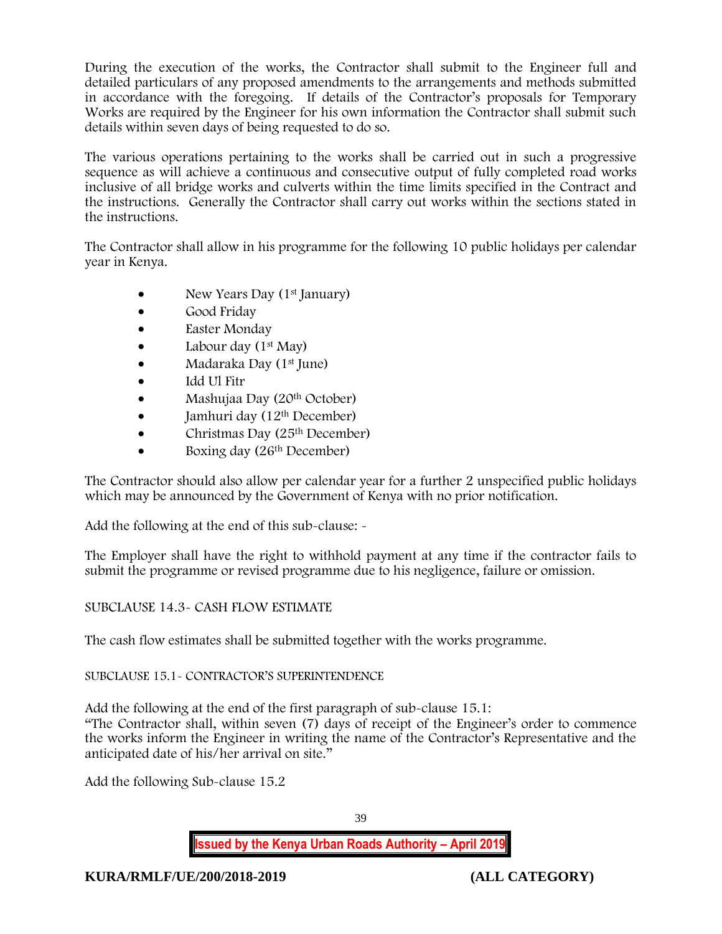During the execution of the works, the Contractor shall submit to the Engineer full and detailed particulars of any proposed amendments to the arrangements and methods submitted in accordance with the foregoing. If details of the Contractor's proposals for Temporary Works are required by the Engineer for his own information the Contractor shall submit such details within seven days of being requested to do so.

The various operations pertaining to the works shall be carried out in such a progressive sequence as will achieve a continuous and consecutive output of fully completed road works inclusive of all bridge works and culverts within the time limits specified in the Contract and the instructions. Generally the Contractor shall carry out works within the sections stated in the instructions.

The Contractor shall allow in his programme for the following 10 public holidays per calendar year in Kenya.

- New Years Day  $(1<sup>st</sup>$  January)
- Good Friday
- Easter Monday
- Labour day  $(1<sup>st</sup>$  May)
- Madaraka Day (1st June)
- Idd Ul Fitr
- Mashujaa Day (20th October)
- $\bullet$  Jamhuri day (12<sup>th</sup> December)
- Christmas Day  $(25<sup>th</sup> December)$
- Boxing day (26<sup>th</sup> December)

The Contractor should also allow per calendar year for a further 2 unspecified public holidays which may be announced by the Government of Kenya with no prior notification.

Add the following at the end of this sub-clause: -

The Employer shall have the right to withhold payment at any time if the contractor fails to submit the programme or revised programme due to his negligence, failure or omission.

## SUBCLAUSE 14.3- CASH FLOW ESTIMATE

The cash flow estimates shall be submitted together with the works programme.

## SUBCLAUSE 15.1- CONTRACTOR'S SUPERINTENDENCE

Add the following at the end of the first paragraph of sub-clause 15.1: "The Contractor shall, within seven (7) days of receipt of the Engineer's order to commence the works inform the Engineer in writing the name of the Contractor's Representative and the anticipated date of his/her arrival on site."

Add the following Sub-clause 15.2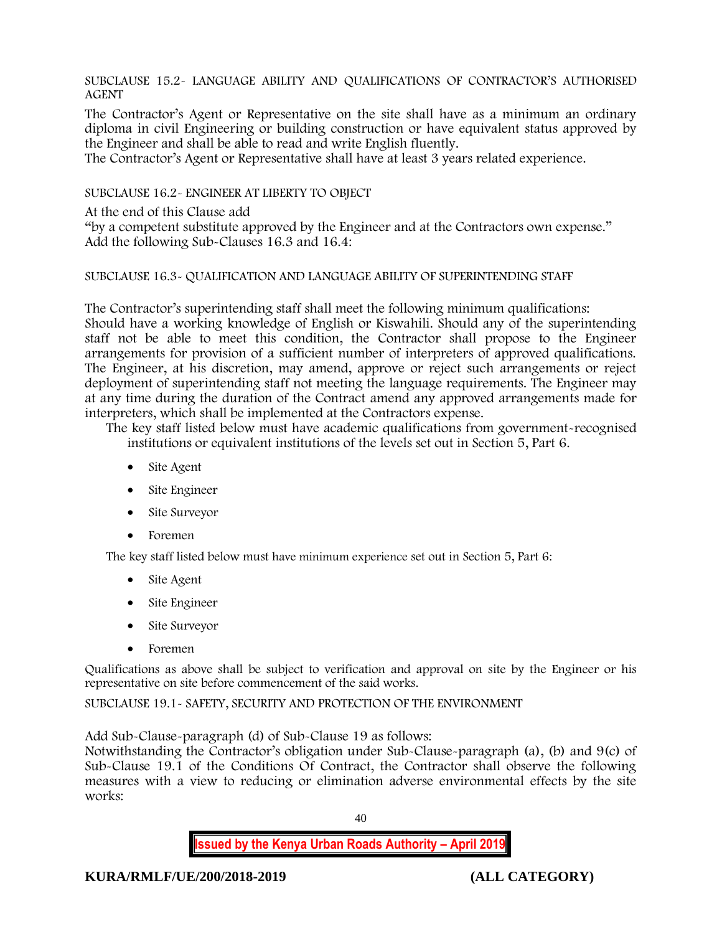SUBCLAUSE 15.2- LANGUAGE ABILITY AND QUALIFICATIONS OF CONTRACTOR'S AUTHORISED AGENT

The Contractor's Agent or Representative on the site shall have as a minimum an ordinary diploma in civil Engineering or building construction or have equivalent status approved by the Engineer and shall be able to read and write English fluently.

The Contractor's Agent or Representative shall have at least 3 years related experience.

SUBCLAUSE 16.2- ENGINEER AT LIBERTY TO OBJECT

At the end of this Clause add

"by a competent substitute approved by the Engineer and at the Contractors own expense." Add the following Sub-Clauses 16.3 and 16.4:

## SUBCLAUSE 16.3- QUALIFICATION AND LANGUAGE ABILITY OF SUPERINTENDING STAFF

The Contractor's superintending staff shall meet the following minimum qualifications: Should have a working knowledge of English or Kiswahili. Should any of the superintending staff not be able to meet this condition, the Contractor shall propose to the Engineer arrangements for provision of a sufficient number of interpreters of approved qualifications. The Engineer, at his discretion, may amend, approve or reject such arrangements or reject deployment of superintending staff not meeting the language requirements. The Engineer may at any time during the duration of the Contract amend any approved arrangements made for interpreters, which shall be implemented at the Contractors expense.

The key staff listed below must have academic qualifications from government-recognised institutions or equivalent institutions of the levels set out in Section 5, Part 6.

- Site Agent
- Site Engineer
- Site Surveyor
- Foremen

The key staff listed below must have minimum experience set out in Section 5, Part 6:

- Site Agent
- Site Engineer
- Site Surveyor
- Foremen

Qualifications as above shall be subject to verification and approval on site by the Engineer or his representative on site before commencement of the said works.

SUBCLAUSE 19.1- SAFETY, SECURITY AND PROTECTION OF THE ENVIRONMENT

Add Sub-Clause-paragraph (d) of Sub-Clause 19 as follows:

Notwithstanding the Contractor's obligation under Sub-Clause-paragraph (a), (b) and 9(c) of Sub-Clause 19.1 of the Conditions Of Contract, the Contractor shall observe the following measures with a view to reducing or elimination adverse environmental effects by the site works:

40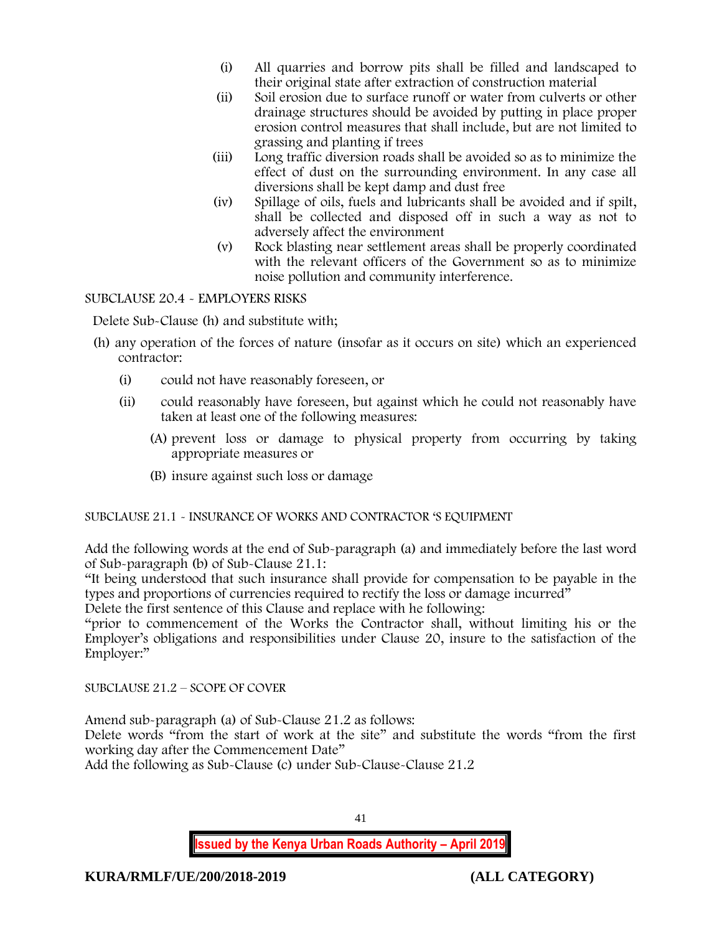- (i) All quarries and borrow pits shall be filled and landscaped to their original state after extraction of construction material
- (ii) Soil erosion due to surface runoff or water from culverts or other drainage structures should be avoided by putting in place proper erosion control measures that shall include, but are not limited to grassing and planting if trees
- (iii) Long traffic diversion roads shall be avoided so as to minimize the effect of dust on the surrounding environment. In any case all diversions shall be kept damp and dust free
- (iv) Spillage of oils, fuels and lubricants shall be avoided and if spilt, shall be collected and disposed off in such a way as not to adversely affect the environment
- (v) Rock blasting near settlement areas shall be properly coordinated with the relevant officers of the Government so as to minimize noise pollution and community interference.

SUBCLAUSE 20.4 - EMPLOYERS RISKS

Delete Sub-Clause (h) and substitute with;

- (h) any operation of the forces of nature (insofar as it occurs on site) which an experienced contractor:
	- (i) could not have reasonably foreseen, or
	- (ii) could reasonably have foreseen, but against which he could not reasonably have taken at least one of the following measures:
		- (A) prevent loss or damage to physical property from occurring by taking appropriate measures or
		- (B) insure against such loss or damage

SUBCLAUSE 21.1 - INSURANCE OF WORKS AND CONTRACTOR 'S EQUIPMENT

Add the following words at the end of Sub-paragraph (a) and immediately before the last word of Sub-paragraph (b) of Sub-Clause 21.1:

"It being understood that such insurance shall provide for compensation to be payable in the types and proportions of currencies required to rectify the loss or damage incurred"

Delete the first sentence of this Clause and replace with he following:

"prior to commencement of the Works the Contractor shall, without limiting his or the Employer's obligations and responsibilities under Clause 20, insure to the satisfaction of the Employer:"

SUBCLAUSE 21.2 – SCOPE OF COVER

Amend sub-paragraph (a) of Sub-Clause 21.2 as follows:

Delete words "from the start of work at the site" and substitute the words "from the first working day after the Commencement Date"

Add the following as Sub-Clause (c) under Sub-Clause-Clause 21.2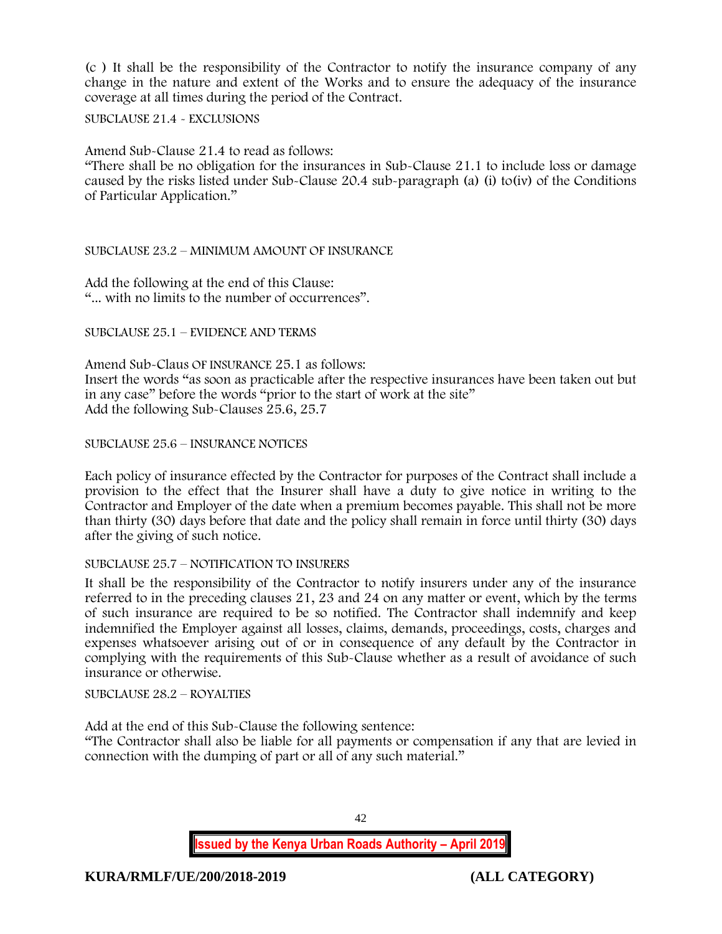(c ) It shall be the responsibility of the Contractor to notify the insurance company of any change in the nature and extent of the Works and to ensure the adequacy of the insurance coverage at all times during the period of the Contract.

SUBCLAUSE 21.4 - EXCLUSIONS

Amend Sub-Clause 21.4 to read as follows:

"There shall be no obligation for the insurances in Sub-Clause 21.1 to include loss or damage caused by the risks listed under Sub-Clause 20.4 sub-paragraph (a) (i) to(iv) of the Conditions of Particular Application."

## SUBCLAUSE 23.2 – MINIMUM AMOUNT OF INSURANCE

Add the following at the end of this Clause: "... with no limits to the number of occurrences".

SUBCLAUSE 25.1 – EVIDENCE AND TERMS

Amend Sub-Claus OF INSURANCE 25.1 as follows: Insert the words "as soon as practicable after the respective insurances have been taken out but in any case" before the words "prior to the start of work at the site" Add the following Sub-Clauses 25.6, 25.7

SUBCLAUSE 25.6 – INSURANCE NOTICES

Each policy of insurance effected by the Contractor for purposes of the Contract shall include a provision to the effect that the Insurer shall have a duty to give notice in writing to the Contractor and Employer of the date when a premium becomes payable. This shall not be more than thirty (30) days before that date and the policy shall remain in force until thirty (30) days after the giving of such notice.

#### SUBCLAUSE 25.7 – NOTIFICATION TO INSURERS

It shall be the responsibility of the Contractor to notify insurers under any of the insurance referred to in the preceding clauses 21, 23 and 24 on any matter or event, which by the terms of such insurance are required to be so notified. The Contractor shall indemnify and keep indemnified the Employer against all losses, claims, demands, proceedings, costs, charges and expenses whatsoever arising out of or in consequence of any default by the Contractor in complying with the requirements of this Sub-Clause whether as a result of avoidance of such insurance or otherwise.

SUBCLAUSE 28.2 – ROYALTIES

Add at the end of this Sub-Clause the following sentence:

"The Contractor shall also be liable for all payments or compensation if any that are levied in connection with the dumping of part or all of any such material."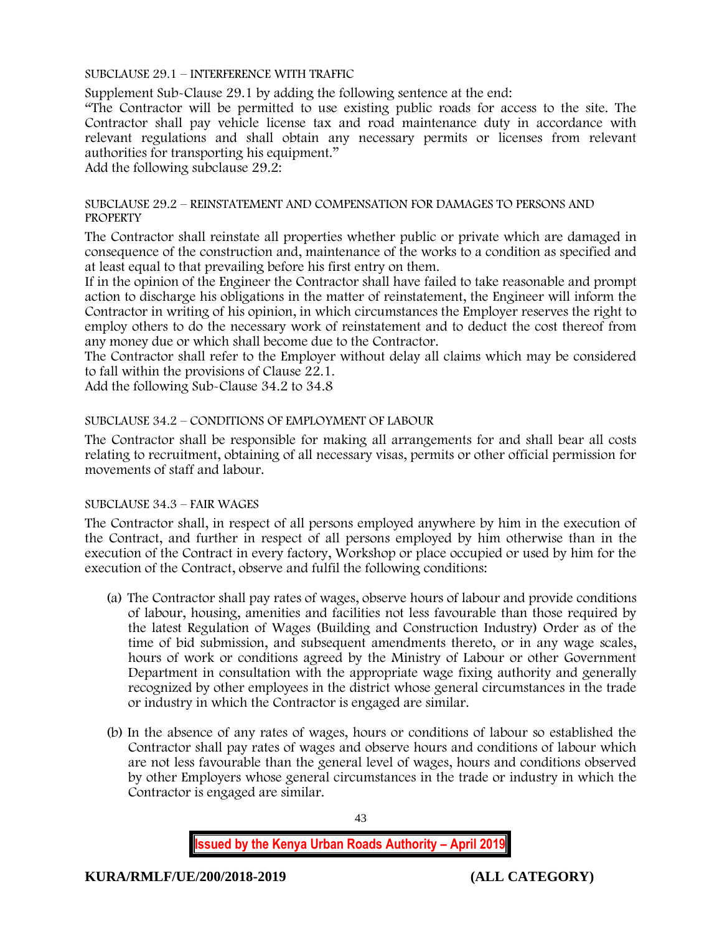SUBCLAUSE 29.1 – INTERFERENCE WITH TRAFFIC

Supplement Sub-Clause 29.1 by adding the following sentence at the end:

"The Contractor will be permitted to use existing public roads for access to the site. The Contractor shall pay vehicle license tax and road maintenance duty in accordance with relevant regulations and shall obtain any necessary permits or licenses from relevant authorities for transporting his equipment."

Add the following subclause 29.2:

#### SUBCLAUSE 29.2 – REINSTATEMENT AND COMPENSATION FOR DAMAGES TO PERSONS AND **PROPERTY**

The Contractor shall reinstate all properties whether public or private which are damaged in consequence of the construction and, maintenance of the works to a condition as specified and at least equal to that prevailing before his first entry on them.

If in the opinion of the Engineer the Contractor shall have failed to take reasonable and prompt action to discharge his obligations in the matter of reinstatement, the Engineer will inform the Contractor in writing of his opinion, in which circumstances the Employer reserves the right to employ others to do the necessary work of reinstatement and to deduct the cost thereof from any money due or which shall become due to the Contractor.

The Contractor shall refer to the Employer without delay all claims which may be considered to fall within the provisions of Clause 22.1.

Add the following Sub-Clause 34.2 to 34.8

## SUBCLAUSE 34.2 – CONDITIONS OF EMPLOYMENT OF LABOUR

The Contractor shall be responsible for making all arrangements for and shall bear all costs relating to recruitment, obtaining of all necessary visas, permits or other official permission for movements of staff and labour.

#### SUBCLAUSE 34.3 – FAIR WAGES

The Contractor shall, in respect of all persons employed anywhere by him in the execution of the Contract, and further in respect of all persons employed by him otherwise than in the execution of the Contract in every factory, Workshop or place occupied or used by him for the execution of the Contract, observe and fulfil the following conditions:

- (a) The Contractor shall pay rates of wages, observe hours of labour and provide conditions of labour, housing, amenities and facilities not less favourable than those required by the latest Regulation of Wages (Building and Construction Industry) Order as of the time of bid submission, and subsequent amendments thereto, or in any wage scales, hours of work or conditions agreed by the Ministry of Labour or other Government Department in consultation with the appropriate wage fixing authority and generally recognized by other employees in the district whose general circumstances in the trade or industry in which the Contractor is engaged are similar.
- (b) In the absence of any rates of wages, hours or conditions of labour so established the Contractor shall pay rates of wages and observe hours and conditions of labour which are not less favourable than the general level of wages, hours and conditions observed by other Employers whose general circumstances in the trade or industry in which the Contractor is engaged are similar.

43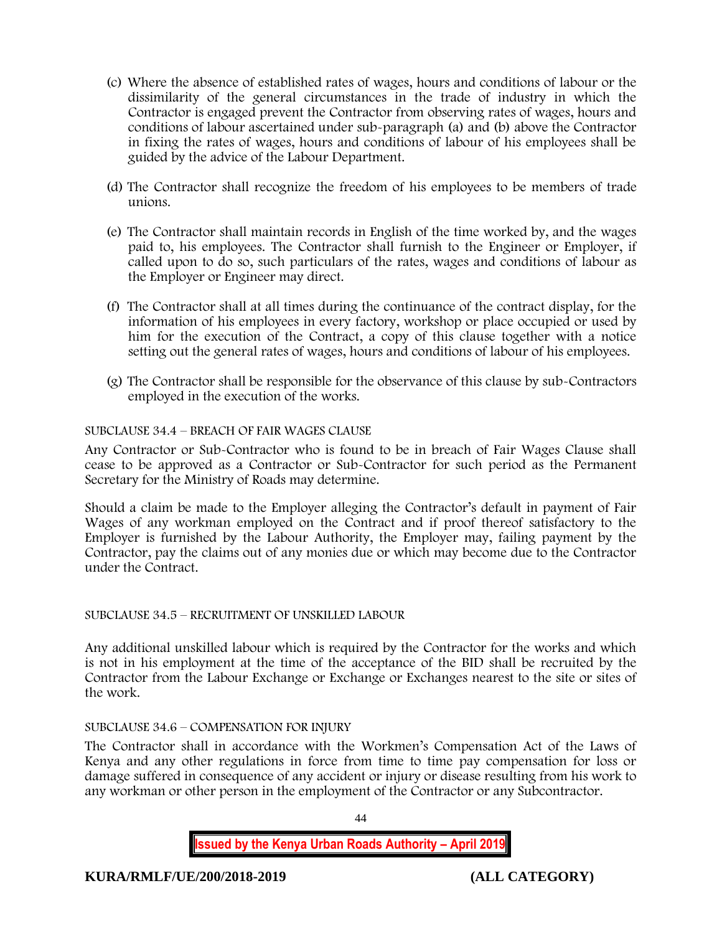- (c) Where the absence of established rates of wages, hours and conditions of labour or the dissimilarity of the general circumstances in the trade of industry in which the Contractor is engaged prevent the Contractor from observing rates of wages, hours and conditions of labour ascertained under sub-paragraph (a) and (b) above the Contractor in fixing the rates of wages, hours and conditions of labour of his employees shall be guided by the advice of the Labour Department.
- (d) The Contractor shall recognize the freedom of his employees to be members of trade unions.
- (e) The Contractor shall maintain records in English of the time worked by, and the wages paid to, his employees. The Contractor shall furnish to the Engineer or Employer, if called upon to do so, such particulars of the rates, wages and conditions of labour as the Employer or Engineer may direct.
- (f) The Contractor shall at all times during the continuance of the contract display, for the information of his employees in every factory, workshop or place occupied or used by him for the execution of the Contract, a copy of this clause together with a notice setting out the general rates of wages, hours and conditions of labour of his employees.
- (g) The Contractor shall be responsible for the observance of this clause by sub-Contractors employed in the execution of the works.

## SUBCLAUSE 34.4 – BREACH OF FAIR WAGES CLAUSE

Any Contractor or Sub-Contractor who is found to be in breach of Fair Wages Clause shall cease to be approved as a Contractor or Sub-Contractor for such period as the Permanent Secretary for the Ministry of Roads may determine.

Should a claim be made to the Employer alleging the Contractor's default in payment of Fair Wages of any workman employed on the Contract and if proof thereof satisfactory to the Employer is furnished by the Labour Authority, the Employer may, failing payment by the Contractor, pay the claims out of any monies due or which may become due to the Contractor under the Contract.

#### SUBCLAUSE 34.5 – RECRUITMENT OF UNSKILLED LABOUR

Any additional unskilled labour which is required by the Contractor for the works and which is not in his employment at the time of the acceptance of the BID shall be recruited by the Contractor from the Labour Exchange or Exchange or Exchanges nearest to the site or sites of the work.

## SUBCLAUSE 34.6 – COMPENSATION FOR INJURY

The Contractor shall in accordance with the Workmen's Compensation Act of the Laws of Kenya and any other regulations in force from time to time pay compensation for loss or damage suffered in consequence of any accident or injury or disease resulting from his work to any workman or other person in the employment of the Contractor or any Subcontractor.

44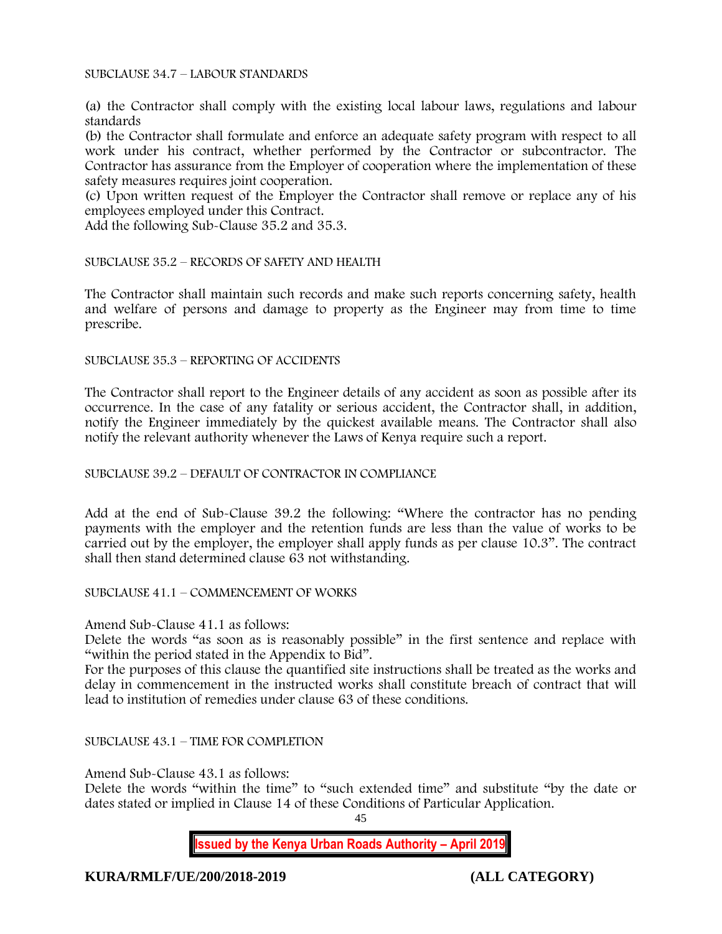SUBCLAUSE 34.7 – LABOUR STANDARDS

(a) the Contractor shall comply with the existing local labour laws, regulations and labour standards

(b) the Contractor shall formulate and enforce an adequate safety program with respect to all work under his contract, whether performed by the Contractor or subcontractor. The Contractor has assurance from the Employer of cooperation where the implementation of these safety measures requires joint cooperation.

(c) Upon written request of the Employer the Contractor shall remove or replace any of his employees employed under this Contract.

Add the following Sub-Clause 35.2 and 35.3.

SUBCLAUSE 35.2 – RECORDS OF SAFETY AND HEALTH

The Contractor shall maintain such records and make such reports concerning safety, health and welfare of persons and damage to property as the Engineer may from time to time prescribe.

SUBCLAUSE 35.3 – REPORTING OF ACCIDENTS

The Contractor shall report to the Engineer details of any accident as soon as possible after its occurrence. In the case of any fatality or serious accident, the Contractor shall, in addition, notify the Engineer immediately by the quickest available means. The Contractor shall also notify the relevant authority whenever the Laws of Kenya require such a report.

#### SUBCLAUSE 39.2 – DEFAULT OF CONTRACTOR IN COMPLIANCE

Add at the end of Sub-Clause 39.2 the following: "Where the contractor has no pending payments with the employer and the retention funds are less than the value of works to be carried out by the employer, the employer shall apply funds as per clause 10.3". The contract shall then stand determined clause 63 not withstanding.

SUBCLAUSE 41.1 – COMMENCEMENT OF WORKS

Amend Sub-Clause 41.1 as follows:

Delete the words "as soon as is reasonably possible" in the first sentence and replace with "within the period stated in the Appendix to Bid".

For the purposes of this clause the quantified site instructions shall be treated as the works and delay in commencement in the instructed works shall constitute breach of contract that will lead to institution of remedies under clause 63 of these conditions.

SUBCLAUSE 43.1 – TIME FOR COMPLETION

Amend Sub-Clause 43.1 as follows:

Delete the words "within the time" to "such extended time" and substitute "by the date or dates stated or implied in Clause 14 of these Conditions of Particular Application.

45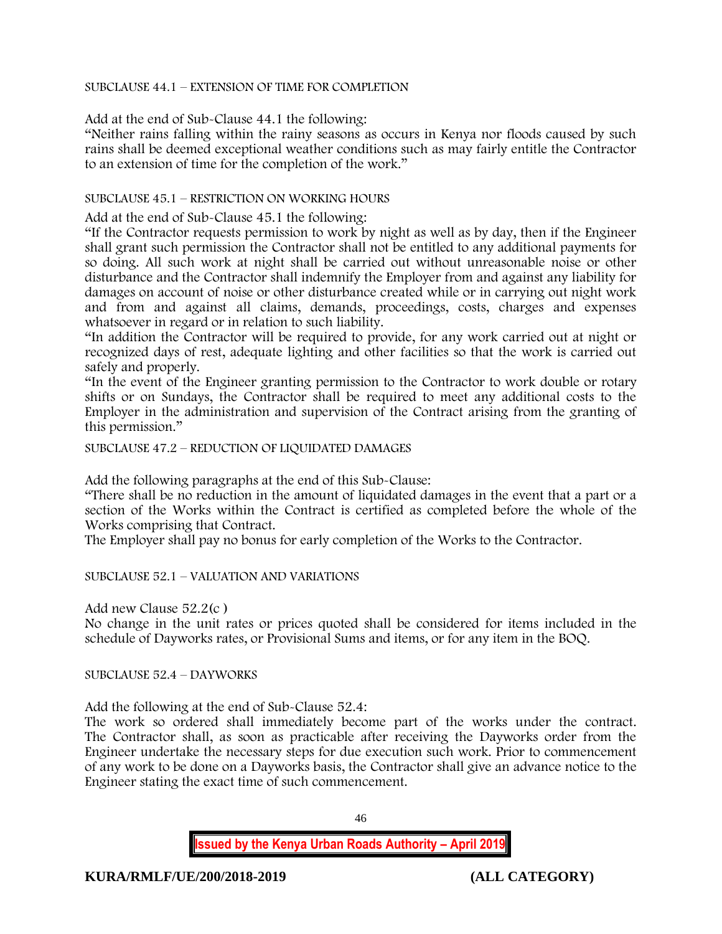## SUBCLAUSE 44.1 – EXTENSION OF TIME FOR COMPLETION

Add at the end of Sub-Clause 44.1 the following:

"Neither rains falling within the rainy seasons as occurs in Kenya nor floods caused by such rains shall be deemed exceptional weather conditions such as may fairly entitle the Contractor to an extension of time for the completion of the work."

## SUBCLAUSE 45.1 – RESTRICTION ON WORKING HOURS

Add at the end of Sub-Clause 45.1 the following:

"If the Contractor requests permission to work by night as well as by day, then if the Engineer shall grant such permission the Contractor shall not be entitled to any additional payments for so doing. All such work at night shall be carried out without unreasonable noise or other disturbance and the Contractor shall indemnify the Employer from and against any liability for damages on account of noise or other disturbance created while or in carrying out night work and from and against all claims, demands, proceedings, costs, charges and expenses whatsoever in regard or in relation to such liability.

"In addition the Contractor will be required to provide, for any work carried out at night or recognized days of rest, adequate lighting and other facilities so that the work is carried out safely and properly.

"In the event of the Engineer granting permission to the Contractor to work double or rotary shifts or on Sundays, the Contractor shall be required to meet any additional costs to the Employer in the administration and supervision of the Contract arising from the granting of this permission."

SUBCLAUSE 47.2 – REDUCTION OF LIQUIDATED DAMAGES

Add the following paragraphs at the end of this Sub-Clause:

"There shall be no reduction in the amount of liquidated damages in the event that a part or a section of the Works within the Contract is certified as completed before the whole of the Works comprising that Contract.

The Employer shall pay no bonus for early completion of the Works to the Contractor.

SUBCLAUSE 52.1 – VALUATION AND VARIATIONS

Add new Clause 52.2(c )

No change in the unit rates or prices quoted shall be considered for items included in the schedule of Dayworks rates, or Provisional Sums and items, or for any item in the BOQ.

SUBCLAUSE 52.4 – DAYWORKS

Add the following at the end of Sub-Clause 52.4:

The work so ordered shall immediately become part of the works under the contract. The Contractor shall, as soon as practicable after receiving the Dayworks order from the Engineer undertake the necessary steps for due execution such work. Prior to commencement of any work to be done on a Dayworks basis, the Contractor shall give an advance notice to the Engineer stating the exact time of such commencement.

46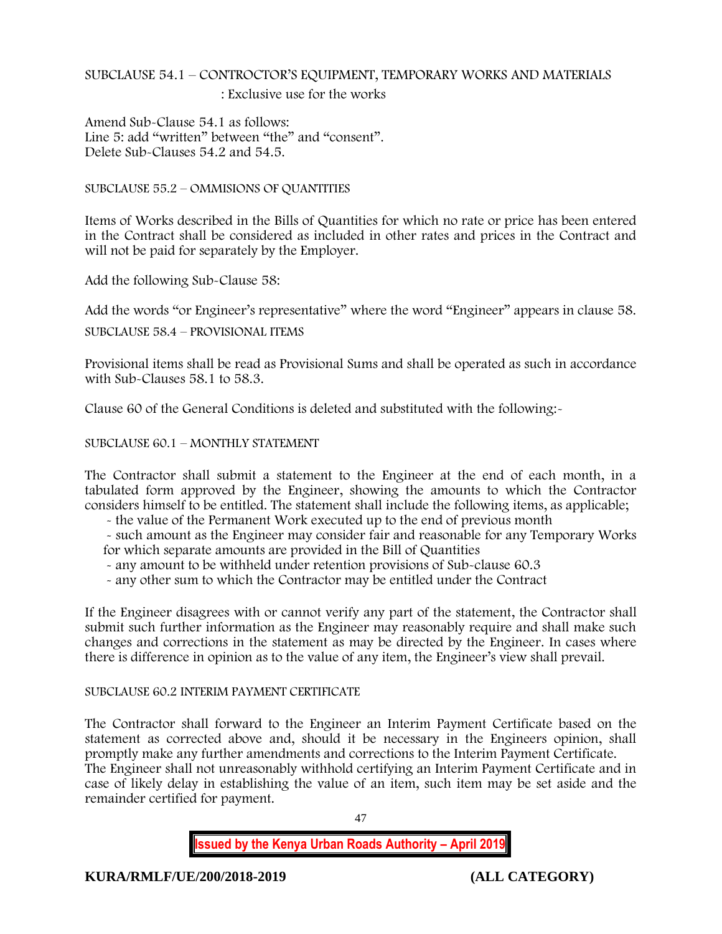# SUBCLAUSE 54.1 – CONTROCTOR'S EQUIPMENT, TEMPORARY WORKS AND MATERIALS

: Exclusive use for the works

Amend Sub-Clause 54.1 as follows: Line 5: add "written" between "the" and "consent". Delete Sub-Clauses 54.2 and 54.5.

SUBCLAUSE 55.2 – OMMISIONS OF QUANTITIES

Items of Works described in the Bills of Quantities for which no rate or price has been entered in the Contract shall be considered as included in other rates and prices in the Contract and will not be paid for separately by the Employer.

Add the following Sub-Clause 58:

Add the words "or Engineer's representative" where the word "Engineer" appears in clause 58.

SUBCLAUSE 58.4 – PROVISIONAL ITEMS

Provisional items shall be read as Provisional Sums and shall be operated as such in accordance with Sub-Clauses 58.1 to 58.3.

Clause 60 of the General Conditions is deleted and substituted with the following:-

SUBCLAUSE 60.1 – MONTHLY STATEMENT

The Contractor shall submit a statement to the Engineer at the end of each month, in a tabulated form approved by the Engineer, showing the amounts to which the Contractor considers himself to be entitled. The statement shall include the following items, as applicable;

- the value of the Permanent Work executed up to the end of previous month

- such amount as the Engineer may consider fair and reasonable for any Temporary Works for which separate amounts are provided in the Bill of Quantities

- any amount to be withheld under retention provisions of Sub-clause 60.3

- any other sum to which the Contractor may be entitled under the Contract

If the Engineer disagrees with or cannot verify any part of the statement, the Contractor shall submit such further information as the Engineer may reasonably require and shall make such changes and corrections in the statement as may be directed by the Engineer. In cases where there is difference in opinion as to the value of any item, the Engineer's view shall prevail.

#### SUBCLAUSE 60.2 INTERIM PAYMENT CERTIFICATE

The Contractor shall forward to the Engineer an Interim Payment Certificate based on the statement as corrected above and, should it be necessary in the Engineers opinion, shall promptly make any further amendments and corrections to the Interim Payment Certificate. The Engineer shall not unreasonably withhold certifying an Interim Payment Certificate and in case of likely delay in establishing the value of an item, such item may be set aside and the remainder certified for payment.

47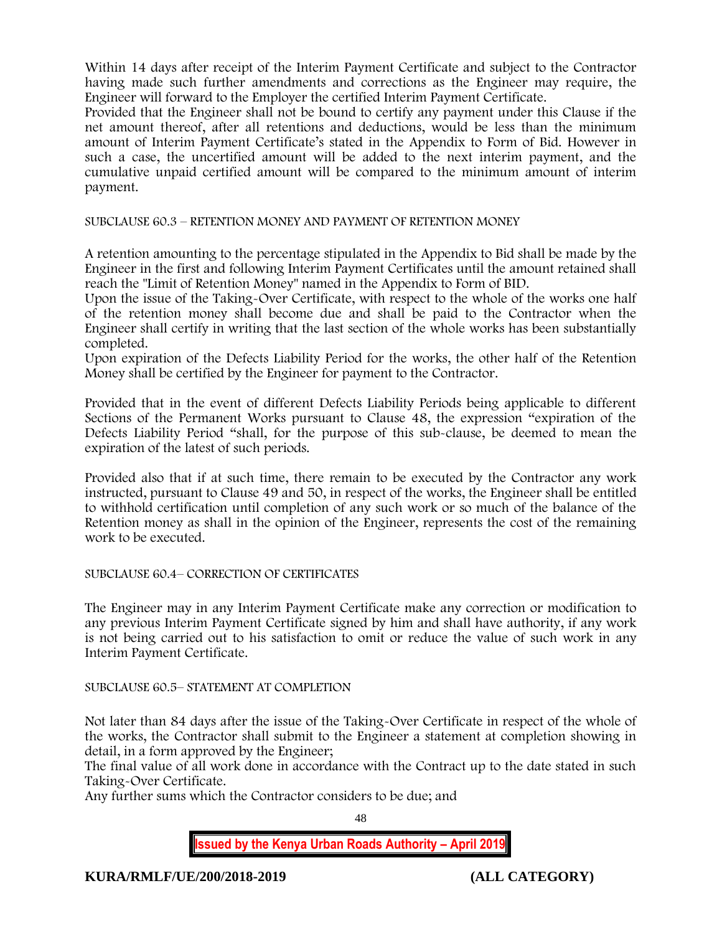Within 14 days after receipt of the Interim Payment Certificate and subject to the Contractor having made such further amendments and corrections as the Engineer may require, the Engineer will forward to the Employer the certified Interim Payment Certificate.

Provided that the Engineer shall not be bound to certify any payment under this Clause if the net amount thereof, after all retentions and deductions, would be less than the minimum amount of Interim Payment Certificate's stated in the Appendix to Form of Bid. However in such a case, the uncertified amount will be added to the next interim payment, and the cumulative unpaid certified amount will be compared to the minimum amount of interim payment.

SUBCLAUSE 60.3 – RETENTION MONEY AND PAYMENT OF RETENTION MONEY

A retention amounting to the percentage stipulated in the Appendix to Bid shall be made by the Engineer in the first and following Interim Payment Certificates until the amount retained shall reach the "Limit of Retention Money" named in the Appendix to Form of BID.

Upon the issue of the Taking-Over Certificate, with respect to the whole of the works one half of the retention money shall become due and shall be paid to the Contractor when the Engineer shall certify in writing that the last section of the whole works has been substantially completed.

Upon expiration of the Defects Liability Period for the works, the other half of the Retention Money shall be certified by the Engineer for payment to the Contractor.

Provided that in the event of different Defects Liability Periods being applicable to different Sections of the Permanent Works pursuant to Clause 48, the expression "expiration of the Defects Liability Period "shall, for the purpose of this sub-clause, be deemed to mean the expiration of the latest of such periods.

Provided also that if at such time, there remain to be executed by the Contractor any work instructed, pursuant to Clause 49 and 50, in respect of the works, the Engineer shall be entitled to withhold certification until completion of any such work or so much of the balance of the Retention money as shall in the opinion of the Engineer, represents the cost of the remaining work to be executed.

## SUBCLAUSE 60.4– CORRECTION OF CERTIFICATES

The Engineer may in any Interim Payment Certificate make any correction or modification to any previous Interim Payment Certificate signed by him and shall have authority, if any work is not being carried out to his satisfaction to omit or reduce the value of such work in any Interim Payment Certificate.

## SUBCLAUSE 60.5– STATEMENT AT COMPLETION

Not later than 84 days after the issue of the Taking-Over Certificate in respect of the whole of the works, the Contractor shall submit to the Engineer a statement at completion showing in detail, in a form approved by the Engineer;

The final value of all work done in accordance with the Contract up to the date stated in such Taking-Over Certificate.

Any further sums which the Contractor considers to be due; and

48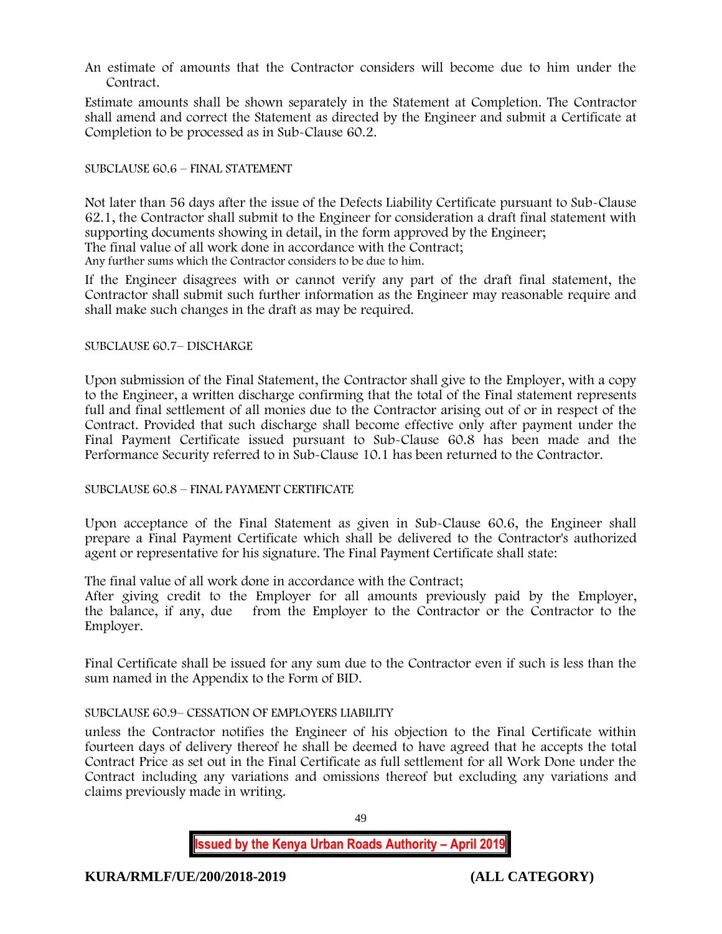An estimate of amounts that the Contractor considers will become due to him under the Contract.

Estimate amounts shall be shown separately in the Statement at Completion. The Contractor shall amend and correct the Statement as directed by the Engineer and submit a Certificate at Completion to be processed as in Sub-Clause 60.2.

## SUBCLAUSE 60.6 – FINAL STATEMENT

Not later than 56 days after the issue of the Defects Liability Certificate pursuant to Sub-Clause 62.1, the Contractor shall submit to the Engineer for consideration a draft final statement with supporting documents showing in detail, in the form approved by the Engineer; The final value of all work done in accordance with the Contract;

Any further sums which the Contractor considers to be due to him.

If the Engineer disagrees with or cannot verify any part of the draft final statement, the Contractor shall submit such further information as the Engineer may reasonable require and shall make such changes in the draft as may be required.

#### SUBCLAUSE 60.7– DISCHARGE

Upon submission of the Final Statement, the Contractor shall give to the Employer, with a copy to the Engineer, a written discharge confirming that the total of the Final statement represents full and final settlement of all monies due to the Contractor arising out of or in respect of the Contract. Provided that such discharge shall become effective only after payment under the Final Payment Certificate issued pursuant to Sub-Clause 60.8 has been made and the Performance Security referred to in Sub-Clause 10.1 has been returned to the Contractor.

#### SUBCLAUSE 60.8 – FINAL PAYMENT CERTIFICATE

Upon acceptance of the Final Statement as given in Sub-Clause 60.6, the Engineer shall prepare a Final Payment Certificate which shall be delivered to the Contractor's authorized agent or representative for his signature. The Final Payment Certificate shall state:

The final value of all work done in accordance with the Contract;

After giving credit to the Employer for all amounts previously paid by the Employer, the balance, if any, due from the Employer to the Contractor or the Contractor to the Employer.

Final Certificate shall be issued for any sum due to the Contractor even if such is less than the sum named in the Appendix to the Form of BID.

#### SUBCLAUSE 60.9– CESSATION OF EMPLOYERS LIABILITY

unless the Contractor notifies the Engineer of his objection to the Final Certificate within fourteen days of delivery thereof he shall be deemed to have agreed that he accepts the total Contract Price as set out in the Final Certificate as full settlement for all Work Done under the Contract including any variations and omissions thereof but excluding any variations and claims previously made in writing.

49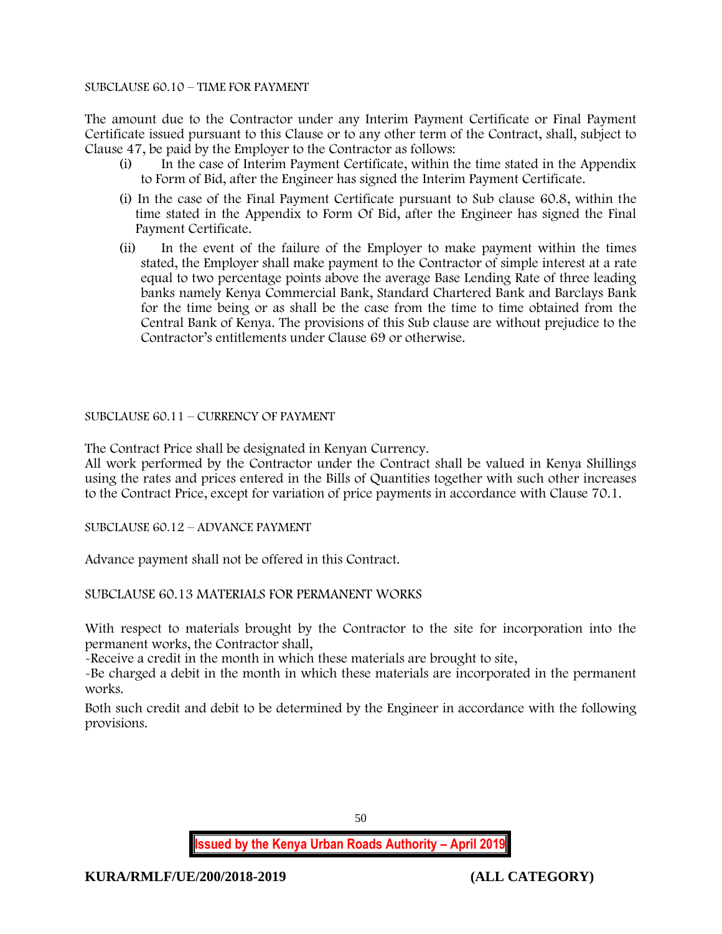#### SUBCLAUSE 60.10 – TIME FOR PAYMENT

The amount due to the Contractor under any Interim Payment Certificate or Final Payment Certificate issued pursuant to this Clause or to any other term of the Contract, shall, subject to Clause 47, be paid by the Employer to the Contractor as follows:

- (i) In the case of Interim Payment Certificate, within the time stated in the Appendix to Form of Bid, after the Engineer has signed the Interim Payment Certificate.
- (i) In the case of the Final Payment Certificate pursuant to Sub clause 60.8, within the time stated in the Appendix to Form Of Bid, after the Engineer has signed the Final Payment Certificate.
- (ii) In the event of the failure of the Employer to make payment within the times stated, the Employer shall make payment to the Contractor of simple interest at a rate equal to two percentage points above the average Base Lending Rate of three leading banks namely Kenya Commercial Bank, Standard Chartered Bank and Barclays Bank for the time being or as shall be the case from the time to time obtained from the Central Bank of Kenya. The provisions of this Sub clause are without prejudice to the Contractor's entitlements under Clause 69 or otherwise.

#### SUBCLAUSE 60.11 – CURRENCY OF PAYMENT

The Contract Price shall be designated in Kenyan Currency.

All work performed by the Contractor under the Contract shall be valued in Kenya Shillings using the rates and prices entered in the Bills of Quantities together with such other increases to the Contract Price, except for variation of price payments in accordance with Clause 70.1.

SUBCLAUSE 60.12 – ADVANCE PAYMENT

Advance payment shall not be offered in this Contract.

SUBCLAUSE 60.13 MATERIALS FOR PERMANENT WORKS

With respect to materials brought by the Contractor to the site for incorporation into the permanent works, the Contractor shall,

-Receive a credit in the month in which these materials are brought to site,

-Be charged a debit in the month in which these materials are incorporated in the permanent works.

Both such credit and debit to be determined by the Engineer in accordance with the following provisions.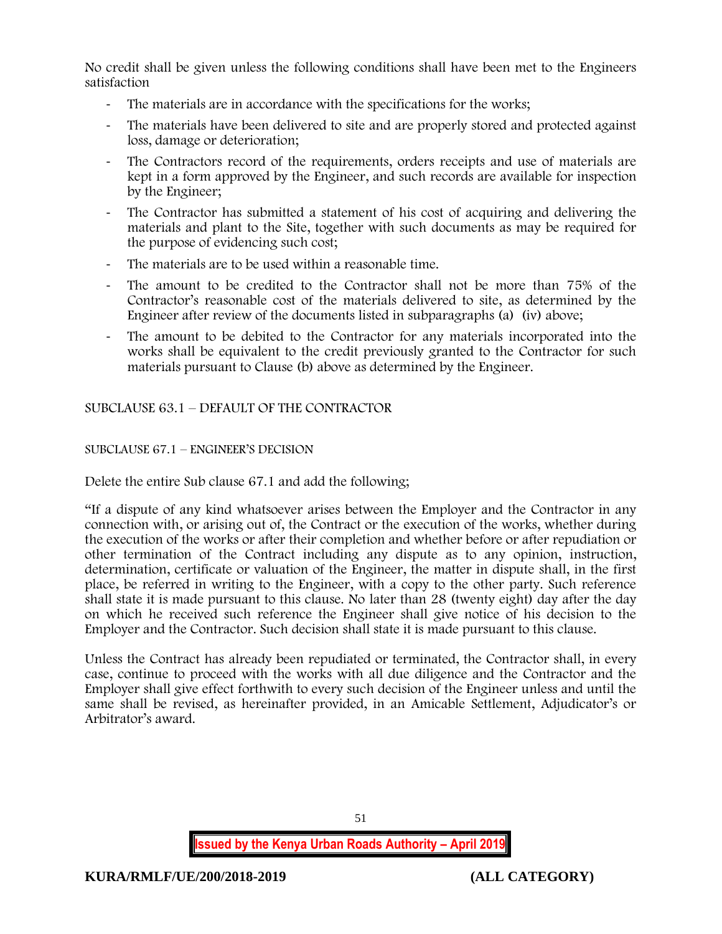No credit shall be given unless the following conditions shall have been met to the Engineers satisfaction

- The materials are in accordance with the specifications for the works;
- The materials have been delivered to site and are properly stored and protected against loss, damage or deterioration;
- The Contractors record of the requirements, orders receipts and use of materials are kept in a form approved by the Engineer, and such records are available for inspection by the Engineer;
- The Contractor has submitted a statement of his cost of acquiring and delivering the materials and plant to the Site, together with such documents as may be required for the purpose of evidencing such cost;
- The materials are to be used within a reasonable time.
- The amount to be credited to the Contractor shall not be more than 75% of the Contractor's reasonable cost of the materials delivered to site, as determined by the Engineer after review of the documents listed in subparagraphs (a) (iv) above;
- The amount to be debited to the Contractor for any materials incorporated into the works shall be equivalent to the credit previously granted to the Contractor for such materials pursuant to Clause (b) above as determined by the Engineer.

SUBCLAUSE 63.1 – DEFAULT OF THE CONTRACTOR

## SUBCLAUSE 67.1 – ENGINEER'S DECISION

Delete the entire Sub clause 67.1 and add the following;

"If a dispute of any kind whatsoever arises between the Employer and the Contractor in any connection with, or arising out of, the Contract or the execution of the works, whether during the execution of the works or after their completion and whether before or after repudiation or other termination of the Contract including any dispute as to any opinion, instruction, determination, certificate or valuation of the Engineer, the matter in dispute shall, in the first place, be referred in writing to the Engineer, with a copy to the other party. Such reference shall state it is made pursuant to this clause. No later than 28 (twenty eight) day after the day on which he received such reference the Engineer shall give notice of his decision to the Employer and the Contractor. Such decision shall state it is made pursuant to this clause.

Unless the Contract has already been repudiated or terminated, the Contractor shall, in every case, continue to proceed with the works with all due diligence and the Contractor and the Employer shall give effect forthwith to every such decision of the Engineer unless and until the same shall be revised, as hereinafter provided, in an Amicable Settlement, Adjudicator's or Arbitrator's award.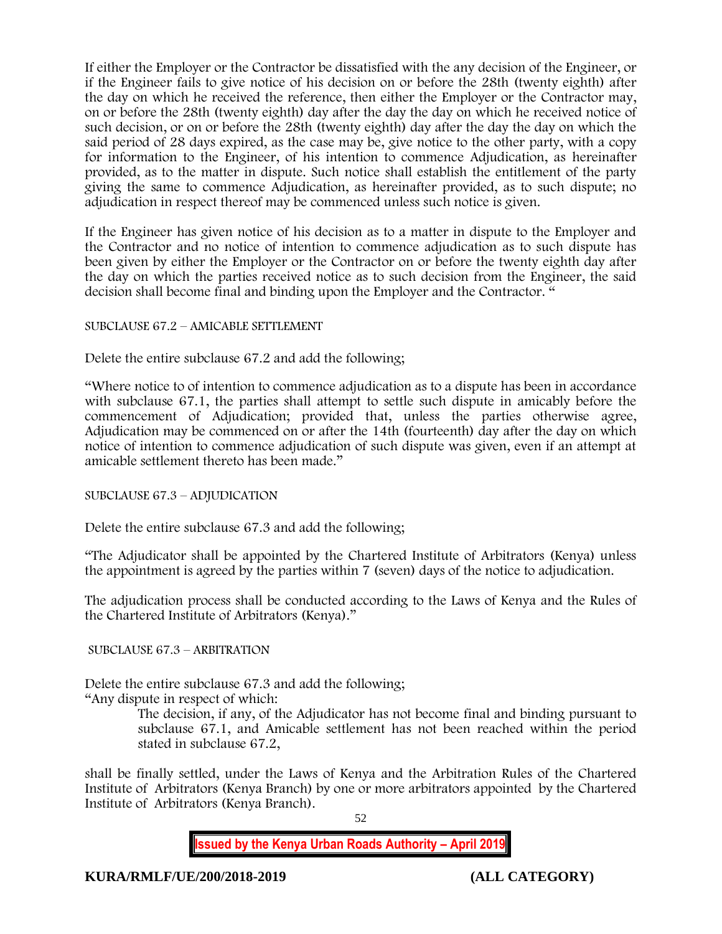If either the Employer or the Contractor be dissatisfied with the any decision of the Engineer, or if the Engineer fails to give notice of his decision on or before the 28th (twenty eighth) after the day on which he received the reference, then either the Employer or the Contractor may, on or before the 28th (twenty eighth) day after the day the day on which he received notice of such decision, or on or before the 28th (twenty eighth) day after the day the day on which the said period of 28 days expired, as the case may be, give notice to the other party, with a copy for information to the Engineer, of his intention to commence Adjudication, as hereinafter provided, as to the matter in dispute. Such notice shall establish the entitlement of the party giving the same to commence Adjudication, as hereinafter provided, as to such dispute; no adjudication in respect thereof may be commenced unless such notice is given.

If the Engineer has given notice of his decision as to a matter in dispute to the Employer and the Contractor and no notice of intention to commence adjudication as to such dispute has been given by either the Employer or the Contractor on or before the twenty eighth day after the day on which the parties received notice as to such decision from the Engineer, the said decision shall become final and binding upon the Employer and the Contractor. "

## SUBCLAUSE 67.2 – AMICABLE SETTLEMENT

Delete the entire subclause 67.2 and add the following;

"Where notice to of intention to commence adjudication as to a dispute has been in accordance with subclause 67.1, the parties shall attempt to settle such dispute in amicably before the commencement of Adjudication; provided that, unless the parties otherwise agree, Adjudication may be commenced on or after the 14th (fourteenth) day after the day on which notice of intention to commence adjudication of such dispute was given, even if an attempt at amicable settlement thereto has been made."

#### SUBCLAUSE 67.3 – ADJUDICATION

Delete the entire subclause 67.3 and add the following;

"The Adjudicator shall be appointed by the Chartered Institute of Arbitrators (Kenya) unless the appointment is agreed by the parties within 7 (seven) days of the notice to adjudication.

The adjudication process shall be conducted according to the Laws of Kenya and the Rules of the Chartered Institute of Arbitrators (Kenya)."

#### SUBCLAUSE 67.3 – ARBITRATION

Delete the entire subclause 67.3 and add the following; "Any dispute in respect of which:

> The decision, if any, of the Adjudicator has not become final and binding pursuant to subclause 67.1, and Amicable settlement has not been reached within the period stated in subclause 67.2,

shall be finally settled, under the Laws of Kenya and the Arbitration Rules of the Chartered Institute of Arbitrators (Kenya Branch) by one or more arbitrators appointed by the Chartered Institute of Arbitrators (Kenya Branch).

52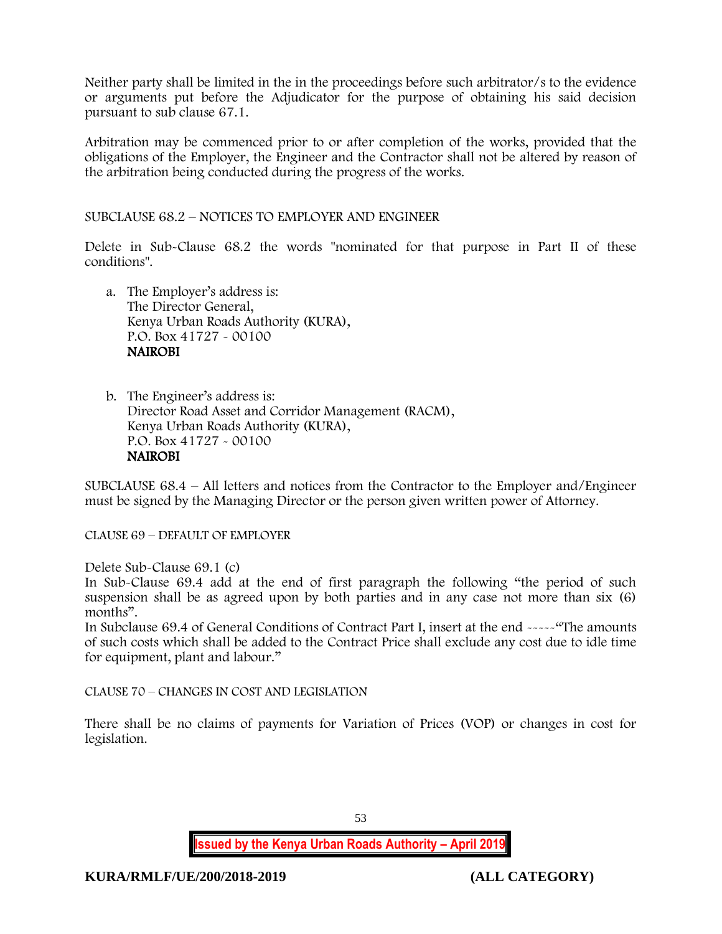Neither party shall be limited in the in the proceedings before such arbitrator/s to the evidence or arguments put before the Adjudicator for the purpose of obtaining his said decision pursuant to sub clause 67.1.

Arbitration may be commenced prior to or after completion of the works, provided that the obligations of the Employer, the Engineer and the Contractor shall not be altered by reason of the arbitration being conducted during the progress of the works.

SUBCLAUSE 68.2 – NOTICES TO EMPLOYER AND ENGINEER

Delete in Sub-Clause 68.2 the words "nominated for that purpose in Part II of these conditions".

- a. The Employer's address is: The Director General, Kenya Urban Roads Authority (KURA), P.O. Box 41727 - 00100 NAIROBI
- b. The Engineer's address is: Director Road Asset and Corridor Management (RACM), Kenya Urban Roads Authority (KURA), P.O. Box 41727 - 00100 NAIROBI

SUBCLAUSE 68.4 – All letters and notices from the Contractor to the Employer and/Engineer must be signed by the Managing Director or the person given written power of Attorney.

CLAUSE 69 – DEFAULT OF EMPLOYER

Delete Sub-Clause 69.1 (c)

In Sub-Clause 69.4 add at the end of first paragraph the following "the period of such suspension shall be as agreed upon by both parties and in any case not more than six (6) months".

In Subclause 69.4 of General Conditions of Contract Part I, insert at the end -----"The amounts of such costs which shall be added to the Contract Price shall exclude any cost due to idle time for equipment, plant and labour."

CLAUSE 70 – CHANGES IN COST AND LEGISLATION

There shall be no claims of payments for Variation of Prices (VOP) or changes in cost for legislation.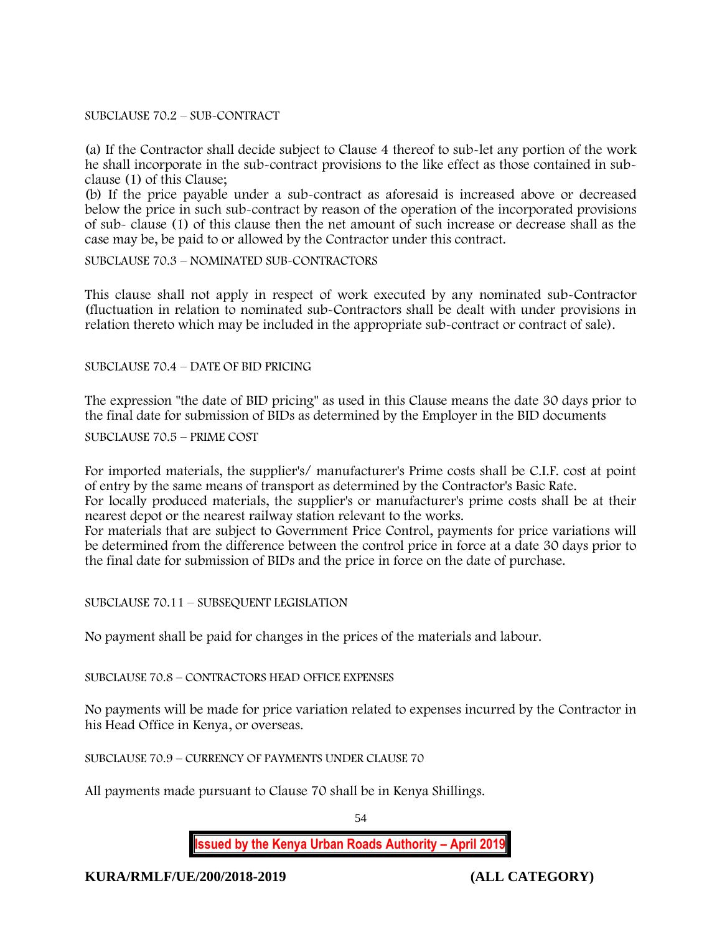#### SUBCLAUSE 70.2 – SUB-CONTRACT

(a) If the Contractor shall decide subject to Clause 4 thereof to sub-let any portion of the work he shall incorporate in the sub-contract provisions to the like effect as those contained in subclause (1) of this Clause;

(b) If the price payable under a sub-contract as aforesaid is increased above or decreased below the price in such sub-contract by reason of the operation of the incorporated provisions of sub- clause (1) of this clause then the net amount of such increase or decrease shall as the case may be, be paid to or allowed by the Contractor under this contract.

## SUBCLAUSE 70.3 – NOMINATED SUB-CONTRACTORS

This clause shall not apply in respect of work executed by any nominated sub-Contractor (fluctuation in relation to nominated sub-Contractors shall be dealt with under provisions in relation thereto which may be included in the appropriate sub-contract or contract of sale).

SUBCLAUSE 70.4 – DATE OF BID PRICING

The expression "the date of BID pricing" as used in this Clause means the date 30 days prior to the final date for submission of BIDs as determined by the Employer in the BID documents

#### SUBCLAUSE 70.5 – PRIME COST

For imported materials, the supplier's/ manufacturer's Prime costs shall be C.I.F. cost at point of entry by the same means of transport as determined by the Contractor's Basic Rate. For locally produced materials, the supplier's or manufacturer's prime costs shall be at their nearest depot or the nearest railway station relevant to the works. For materials that are subject to Government Price Control, payments for price variations will be determined from the difference between the control price in force at a date 30 days prior to the final date for submission of BIDs and the price in force on the date of purchase.

## SUBCLAUSE 70.11 – SUBSEQUENT LEGISLATION

No payment shall be paid for changes in the prices of the materials and labour.

#### SUBCLAUSE 70.8 – CONTRACTORS HEAD OFFICE EXPENSES

No payments will be made for price variation related to expenses incurred by the Contractor in his Head Office in Kenya, or overseas.

## SUBCLAUSE 70.9 – CURRENCY OF PAYMENTS UNDER CLAUSE 70

All payments made pursuant to Clause 70 shall be in Kenya Shillings.

54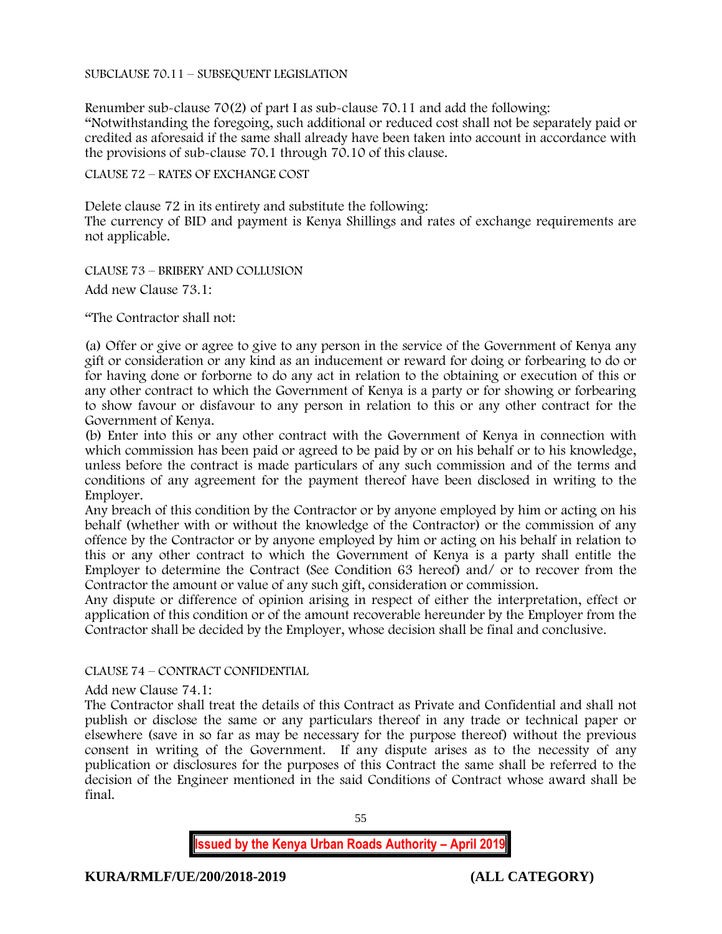#### SUBCLAUSE 70.11 – SUBSEQUENT LEGISLATION

Renumber sub-clause 70(2) of part I as sub-clause 70.11 and add the following: "Notwithstanding the foregoing, such additional or reduced cost shall not be separately paid or credited as aforesaid if the same shall already have been taken into account in accordance with the provisions of sub-clause 70.1 through 70.10 of this clause.

#### CLAUSE 72 – RATES OF EXCHANGE COST

Delete clause 72 in its entirety and substitute the following: The currency of BID and payment is Kenya Shillings and rates of exchange requirements are not applicable.

CLAUSE 73 – BRIBERY AND COLLUSION Add new Clause 73.1:

"The Contractor shall not:

(a) Offer or give or agree to give to any person in the service of the Government of Kenya any gift or consideration or any kind as an inducement or reward for doing or forbearing to do or for having done or forborne to do any act in relation to the obtaining or execution of this or any other contract to which the Government of Kenya is a party or for showing or forbearing to show favour or disfavour to any person in relation to this or any other contract for the Government of Kenya.

(b) Enter into this or any other contract with the Government of Kenya in connection with which commission has been paid or agreed to be paid by or on his behalf or to his knowledge, unless before the contract is made particulars of any such commission and of the terms and conditions of any agreement for the payment thereof have been disclosed in writing to the Employer.

Any breach of this condition by the Contractor or by anyone employed by him or acting on his behalf (whether with or without the knowledge of the Contractor) or the commission of any offence by the Contractor or by anyone employed by him or acting on his behalf in relation to this or any other contract to which the Government of Kenya is a party shall entitle the Employer to determine the Contract (See Condition 63 hereof) and/ or to recover from the Contractor the amount or value of any such gift, consideration or commission.

Any dispute or difference of opinion arising in respect of either the interpretation, effect or application of this condition or of the amount recoverable hereunder by the Employer from the Contractor shall be decided by the Employer, whose decision shall be final and conclusive.

#### CLAUSE 74 – CONTRACT CONFIDENTIAL

Add new Clause 74.1:

The Contractor shall treat the details of this Contract as Private and Confidential and shall not publish or disclose the same or any particulars thereof in any trade or technical paper or elsewhere (save in so far as may be necessary for the purpose thereof) without the previous consent in writing of the Government. If any dispute arises as to the necessity of any publication or disclosures for the purposes of this Contract the same shall be referred to the decision of the Engineer mentioned in the said Conditions of Contract whose award shall be final.

55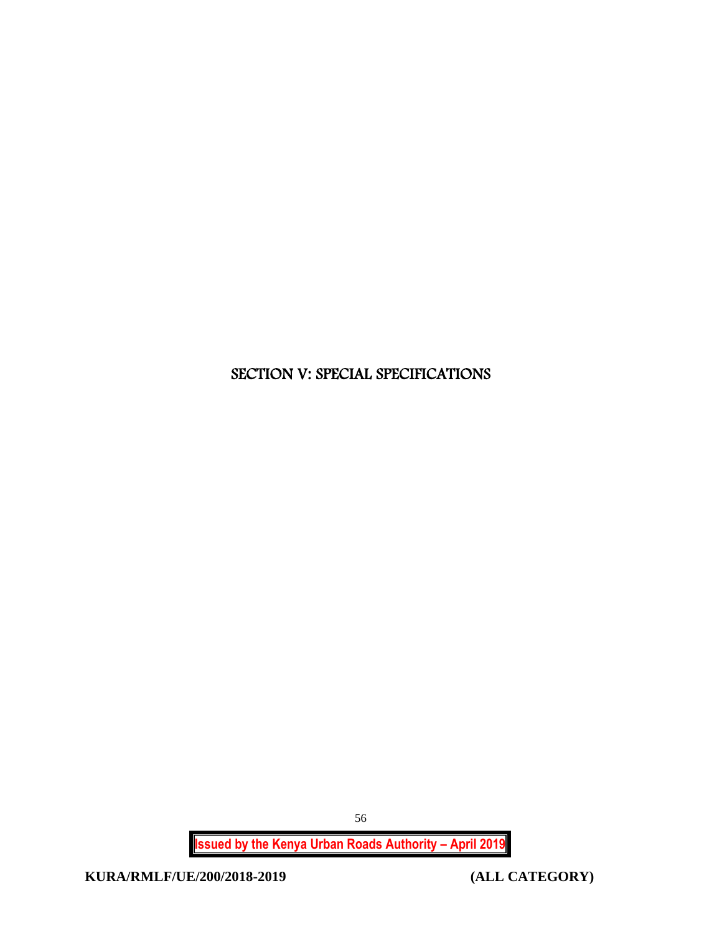# SECTION V: SPECIAL SPECIFICATIONS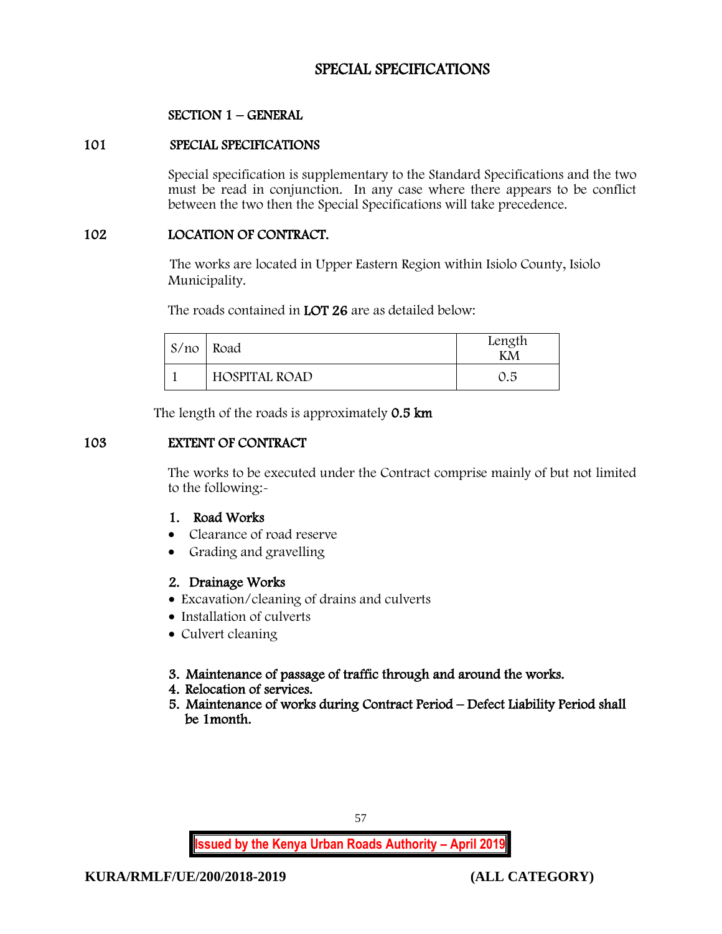# SPECIAL SPECIFICATIONS

# SECTION 1 – GENERAL

## 101 SPECIAL SPECIFICATIONS

Special specification is supplementary to the Standard Specifications and the two must be read in conjunction. In any case where there appears to be conflict between the two then the Special Specifications will take precedence.

## 102 LOCATION OF CONTRACT.

The works are located in Upper Eastern Region within Isiolo County, Isiolo Municipality.

The roads contained in **LOT 26** are as detailed below:

| $S/no$ Road |                      | Length<br>KМ |
|-------------|----------------------|--------------|
|             | <b>HOSPITAL ROAD</b> | 0.5          |

The length of the roads is approximately 0.5 km

## 103 EXTENT OF CONTRACT

The works to be executed under the Contract comprise mainly of but not limited to the following:-

## 1. Road Works

- Clearance of road reserve
- Grading and gravelling

## 2. Drainage Works

- Excavation/cleaning of drains and culverts
- Installation of culverts
- Culvert cleaning
- 3. Maintenance of passage of traffic through and around the works.
- 4. Relocation of services.
- 5. Maintenance of works during Contract Period Defect Liability Period shall be 1month.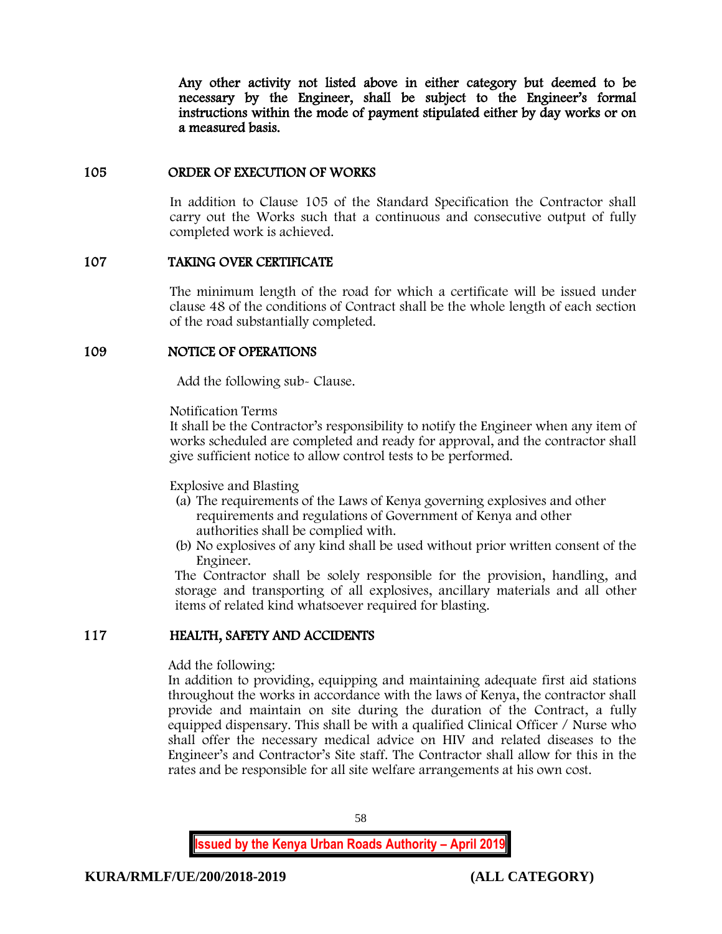Any other activity not listed above in either category but deemed to be necessary by the Engineer, shall be subject to the Engineer's formal instructions within the mode of payment stipulated either by day works or on a measured basis.

## 105 ORDER OF EXECUTION OF WORKS

In addition to Clause 105 of the Standard Specification the Contractor shall carry out the Works such that a continuous and consecutive output of fully completed work is achieved.

## 107 TAKING OVER CERTIFICATE

The minimum length of the road for which a certificate will be issued under clause 48 of the conditions of Contract shall be the whole length of each section of the road substantially completed.

## 109 NOTICE OF OPERATIONS

Add the following sub- Clause.

Notification Terms

It shall be the Contractor's responsibility to notify the Engineer when any item of works scheduled are completed and ready for approval, and the contractor shall give sufficient notice to allow control tests to be performed.

Explosive and Blasting

- (a) The requirements of the Laws of Kenya governing explosives and other requirements and regulations of Government of Kenya and other authorities shall be complied with.
- (b) No explosives of any kind shall be used without prior written consent of the Engineer.

The Contractor shall be solely responsible for the provision, handling, and storage and transporting of all explosives, ancillary materials and all other items of related kind whatsoever required for blasting.

## 117 HEALTH, SAFETY AND ACCIDENTS

Add the following:

In addition to providing, equipping and maintaining adequate first aid stations throughout the works in accordance with the laws of Kenya, the contractor shall provide and maintain on site during the duration of the Contract, a fully equipped dispensary. This shall be with a qualified Clinical Officer / Nurse who shall offer the necessary medical advice on HIV and related diseases to the Engineer's and Contractor's Site staff. The Contractor shall allow for this in the rates and be responsible for all site welfare arrangements at his own cost.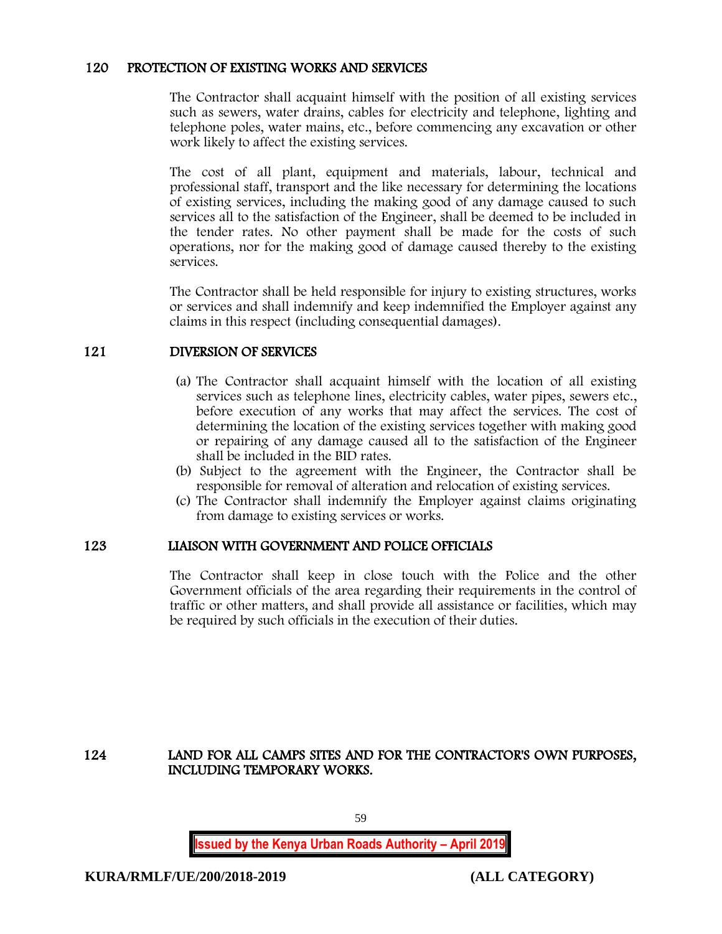## 120 PROTECTION OF EXISTING WORKS AND SERVICES

The Contractor shall acquaint himself with the position of all existing services such as sewers, water drains, cables for electricity and telephone, lighting and telephone poles, water mains, etc., before commencing any excavation or other work likely to affect the existing services.

The cost of all plant, equipment and materials, labour, technical and professional staff, transport and the like necessary for determining the locations of existing services, including the making good of any damage caused to such services all to the satisfaction of the Engineer, shall be deemed to be included in the tender rates. No other payment shall be made for the costs of such operations, nor for the making good of damage caused thereby to the existing services.

The Contractor shall be held responsible for injury to existing structures, works or services and shall indemnify and keep indemnified the Employer against any claims in this respect (including consequential damages).

## 121 DIVERSION OF SERVICES

- (a) The Contractor shall acquaint himself with the location of all existing services such as telephone lines, electricity cables, water pipes, sewers etc., before execution of any works that may affect the services. The cost of determining the location of the existing services together with making good or repairing of any damage caused all to the satisfaction of the Engineer shall be included in the BID rates.
- (b) Subject to the agreement with the Engineer, the Contractor shall be responsible for removal of alteration and relocation of existing services.
- (c) The Contractor shall indemnify the Employer against claims originating from damage to existing services or works.

## 123 LIAISON WITH GOVERNMENT AND POLICE OFFICIALS

The Contractor shall keep in close touch with the Police and the other Government officials of the area regarding their requirements in the control of traffic or other matters, and shall provide all assistance or facilities, which may be required by such officials in the execution of their duties.

## 124 LAND FOR ALL CAMPS SITES AND FOR THE CONTRACTOR'S OWN PURPOSES, INCLUDING TEMPORARY WORKS.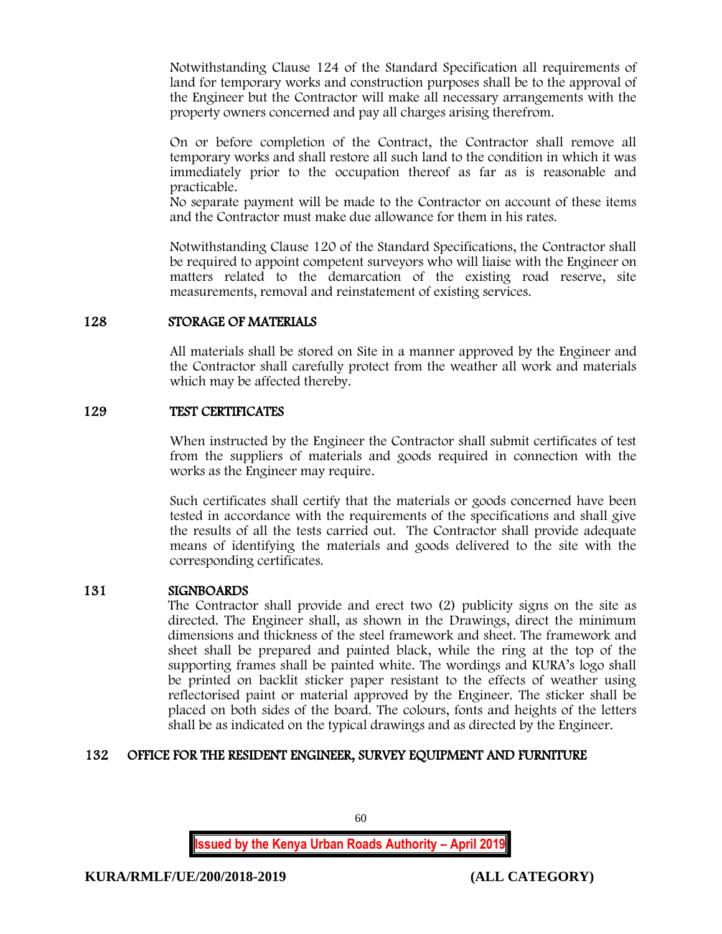Notwithstanding Clause 124 of the Standard Specification all requirements of land for temporary works and construction purposes shall be to the approval of the Engineer but the Contractor will make all necessary arrangements with the property owners concerned and pay all charges arising therefrom.

On or before completion of the Contract, the Contractor shall remove all temporary works and shall restore all such land to the condition in which it was immediately prior to the occupation thereof as far as is reasonable and practicable.

No separate payment will be made to the Contractor on account of these items and the Contractor must make due allowance for them in his rates.

Notwithstanding Clause 120 of the Standard Specifications, the Contractor shall be required to appoint competent surveyors who will liaise with the Engineer on matters related to the demarcation of the existing road reserve, site measurements, removal and reinstatement of existing services.

## 128 STORAGE OF MATERIALS

All materials shall be stored on Site in a manner approved by the Engineer and the Contractor shall carefully protect from the weather all work and materials which may be affected thereby.

## 129 TEST CERTIFICATES

When instructed by the Engineer the Contractor shall submit certificates of test from the suppliers of materials and goods required in connection with the works as the Engineer may require.

Such certificates shall certify that the materials or goods concerned have been tested in accordance with the requirements of the specifications and shall give the results of all the tests carried out. The Contractor shall provide adequate means of identifying the materials and goods delivered to the site with the corresponding certificates.

## 131 SIGNBOARDS

The Contractor shall provide and erect two (2) publicity signs on the site as directed. The Engineer shall, as shown in the Drawings, direct the minimum dimensions and thickness of the steel framework and sheet. The framework and sheet shall be prepared and painted black, while the ring at the top of the supporting frames shall be painted white. The wordings and KURA's logo shall be printed on backlit sticker paper resistant to the effects of weather using reflectorised paint or material approved by the Engineer. The sticker shall be placed on both sides of the board. The colours, fonts and heights of the letters shall be as indicated on the typical drawings and as directed by the Engineer.

## 132 OFFICE FOR THE RESIDENT ENGINEER, SURVEY EQUIPMENT AND FURNITURE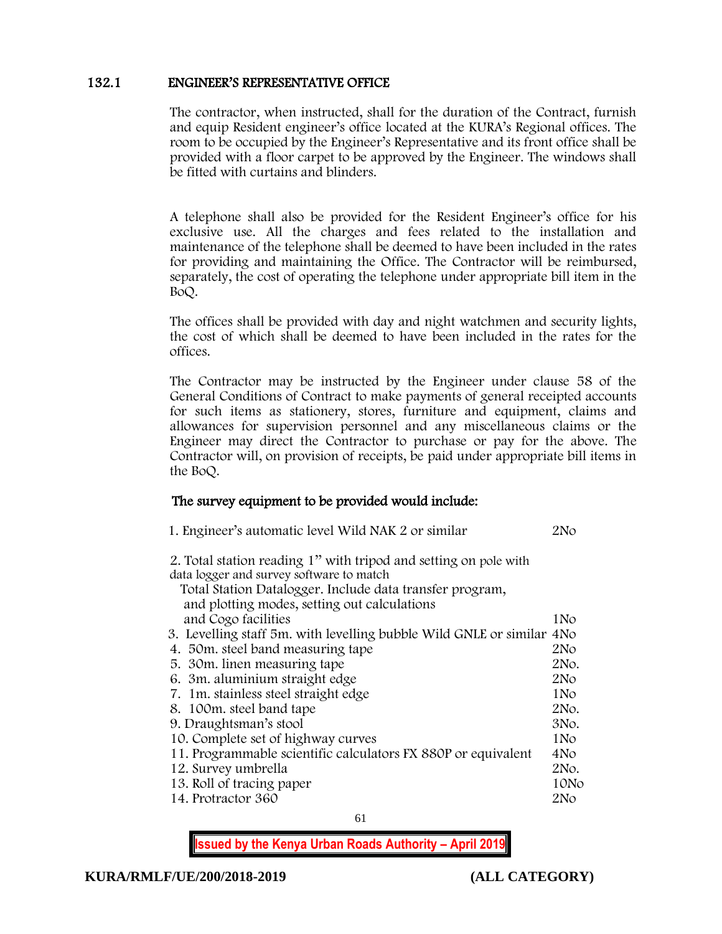## 132.1 ENGINEER'S REPRESENTATIVE OFFICE

The contractor, when instructed, shall for the duration of the Contract, furnish and equip Resident engineer's office located at the KURA's Regional offices. The room to be occupied by the Engineer's Representative and its front office shall be provided with a floor carpet to be approved by the Engineer. The windows shall be fitted with curtains and blinders.

A telephone shall also be provided for the Resident Engineer's office for his exclusive use. All the charges and fees related to the installation and maintenance of the telephone shall be deemed to have been included in the rates for providing and maintaining the Office. The Contractor will be reimbursed, separately, the cost of operating the telephone under appropriate bill item in the BoQ.

The offices shall be provided with day and night watchmen and security lights, the cost of which shall be deemed to have been included in the rates for the offices.

The Contractor may be instructed by the Engineer under clause 58 of the General Conditions of Contract to make payments of general receipted accounts for such items as stationery, stores, furniture and equipment, claims and allowances for supervision personnel and any miscellaneous claims or the Engineer may direct the Contractor to purchase or pay for the above. The Contractor will, on provision of receipts, be paid under appropriate bill items in the BoQ.

## The survey equipment to be provided would include:

| 1. Engineer's automatic level Wild NAK 2 or similar | 2No |
|-----------------------------------------------------|-----|
|-----------------------------------------------------|-----|

2. Total station reading 1'' with tripod and setting on pole with data logger and survey software to match

| Total Station Datalogger. Include data transfer program,              |                 |
|-----------------------------------------------------------------------|-----------------|
| and plotting modes, setting out calculations                          |                 |
| and Cogo facilities                                                   | 1No             |
| 3. Levelling staff 5m. with levelling bubble Wild GNLE or similar 4No |                 |
| 4. 50 m. steel band measuring tape                                    | 2No             |
| 5. 30 m. linen measuring tape                                         | 2No.            |
| 6. 3m. aluminium straight edge                                        | 2N <sub>O</sub> |
| 7. 1m. stainless steel straight edge                                  | 1No             |
| 8. 100m. steel band tape                                              | 2No.            |
| 9. Draughtsman's stool                                                | 3No.            |
| 10. Complete set of highway curves                                    | 1No             |
| 11. Programmable scientific calculators FX 880P or equivalent         | 4No             |
| 12. Survey umbrella                                                   | 2No.            |
| 13. Roll of tracing paper                                             | 10No            |
| 14. Protractor 360                                                    | 2N <sub>O</sub> |
|                                                                       |                 |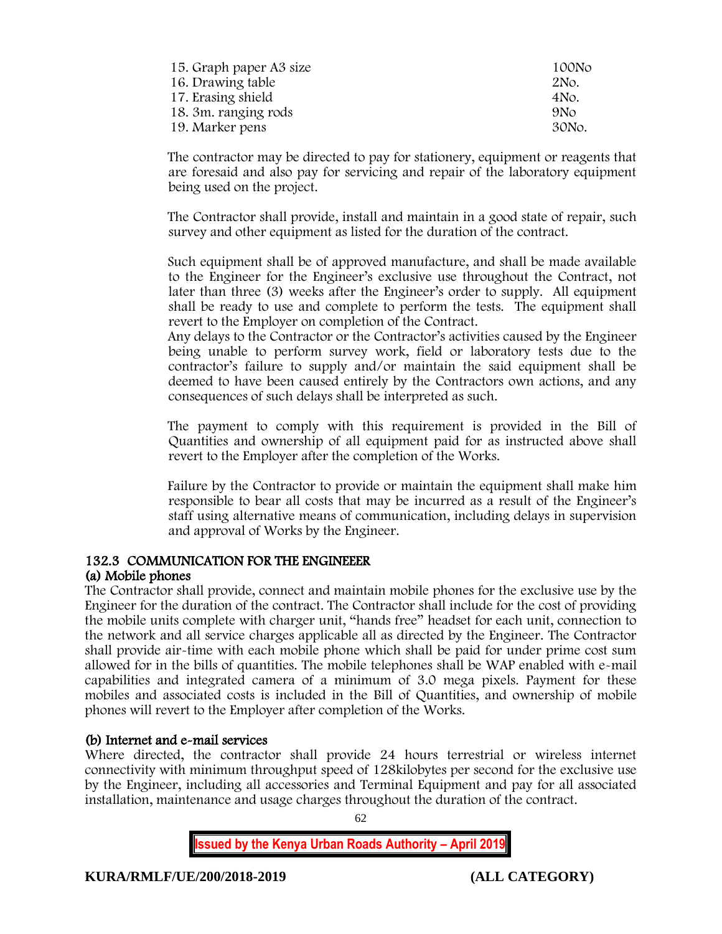| 15. Graph paper A3 size | 100No           |
|-------------------------|-----------------|
| 16. Drawing table       | 2No.            |
| 17. Erasing shield      | 4 No.           |
| 18. 3m. ranging rods    | 9N <sub>O</sub> |
| 19. Marker pens         | 30No.           |

The contractor may be directed to pay for stationery, equipment or reagents that are foresaid and also pay for servicing and repair of the laboratory equipment being used on the project.

The Contractor shall provide, install and maintain in a good state of repair, such survey and other equipment as listed for the duration of the contract.

Such equipment shall be of approved manufacture, and shall be made available to the Engineer for the Engineer's exclusive use throughout the Contract, not later than three (3) weeks after the Engineer's order to supply. All equipment shall be ready to use and complete to perform the tests. The equipment shall revert to the Employer on completion of the Contract.

Any delays to the Contractor or the Contractor's activities caused by the Engineer being unable to perform survey work, field or laboratory tests due to the contractor's failure to supply and/or maintain the said equipment shall be deemed to have been caused entirely by the Contractors own actions, and any consequences of such delays shall be interpreted as such.

The payment to comply with this requirement is provided in the Bill of Quantities and ownership of all equipment paid for as instructed above shall revert to the Employer after the completion of the Works.

Failure by the Contractor to provide or maintain the equipment shall make him responsible to bear all costs that may be incurred as a result of the Engineer's staff using alternative means of communication, including delays in supervision and approval of Works by the Engineer.

# 132.3 COMMUNICATION FOR THE ENGINEEER

# (a) Mobile phones

The Contractor shall provide, connect and maintain mobile phones for the exclusive use by the Engineer for the duration of the contract. The Contractor shall include for the cost of providing the mobile units complete with charger unit, "hands free" headset for each unit, connection to the network and all service charges applicable all as directed by the Engineer. The Contractor shall provide air-time with each mobile phone which shall be paid for under prime cost sum allowed for in the bills of quantities. The mobile telephones shall be WAP enabled with e-mail capabilities and integrated camera of a minimum of 3.0 mega pixels. Payment for these mobiles and associated costs is included in the Bill of Quantities, and ownership of mobile phones will revert to the Employer after completion of the Works.

# (b) Internet and e-mail services

Where directed, the contractor shall provide 24 hours terrestrial or wireless internet connectivity with minimum throughput speed of 128kilobytes per second for the exclusive use by the Engineer, including all accessories and Terminal Equipment and pay for all associated installation, maintenance and usage charges throughout the duration of the contract.

62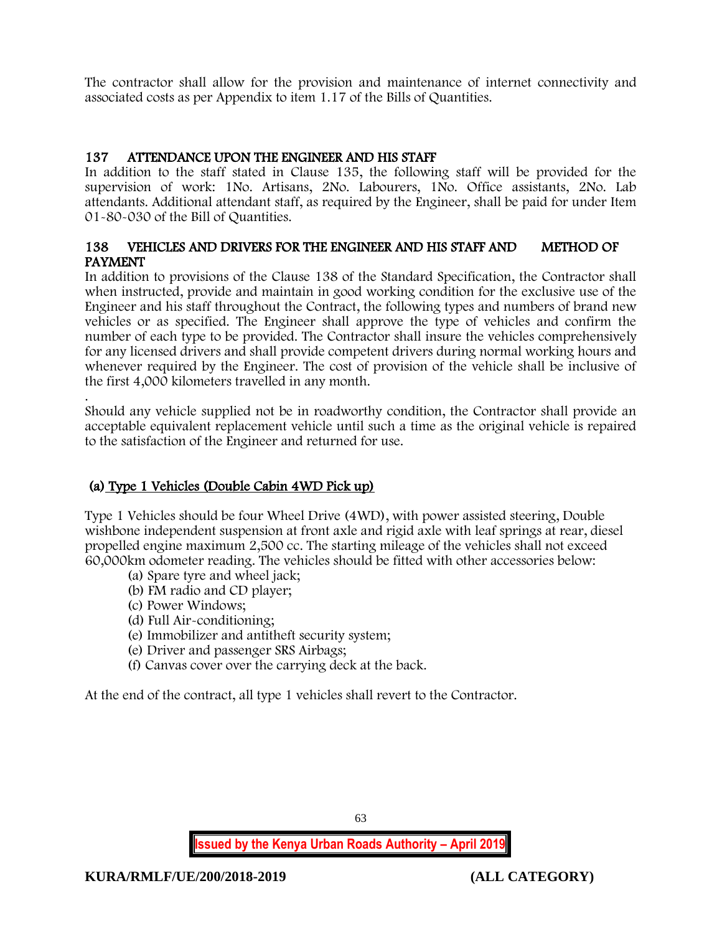The contractor shall allow for the provision and maintenance of internet connectivity and associated costs as per Appendix to item 1.17 of the Bills of Quantities.

# 137 ATTENDANCE UPON THE ENGINEER AND HIS STAFF

In addition to the staff stated in Clause 135, the following staff will be provided for the supervision of work: 1No. Artisans, 2No. Labourers, 1No. Office assistants, 2No. Lab attendants. Additional attendant staff, as required by the Engineer, shall be paid for under Item 01-80-030 of the Bill of Quantities.

# 138 VEHICLES AND DRIVERS FOR THE ENGINEER AND HIS STAFF AND METHOD OF PAYMENT

In addition to provisions of the Clause 138 of the Standard Specification, the Contractor shall when instructed, provide and maintain in good working condition for the exclusive use of the Engineer and his staff throughout the Contract, the following types and numbers of brand new vehicles or as specified. The Engineer shall approve the type of vehicles and confirm the number of each type to be provided. The Contractor shall insure the vehicles comprehensively for any licensed drivers and shall provide competent drivers during normal working hours and whenever required by the Engineer. The cost of provision of the vehicle shall be inclusive of the first 4,000 kilometers travelled in any month.

. Should any vehicle supplied not be in roadworthy condition, the Contractor shall provide an acceptable equivalent replacement vehicle until such a time as the original vehicle is repaired to the satisfaction of the Engineer and returned for use.

# (a) Type 1 Vehicles (Double Cabin 4WD Pick up)

Type 1 Vehicles should be four Wheel Drive (4WD), with power assisted steering, Double wishbone independent suspension at front axle and rigid axle with leaf springs at rear, diesel propelled engine maximum 2,500 cc. The starting mileage of the vehicles shall not exceed 60,000km odometer reading. The vehicles should be fitted with other accessories below:

- (a) Spare tyre and wheel jack;
- (b) FM radio and CD player;
- (c) Power Windows;
- (d) Full Air-conditioning;
- (e) Immobilizer and antitheft security system;
- (e) Driver and passenger SRS Airbags;
- (f) Canvas cover over the carrying deck at the back.

At the end of the contract, all type 1 vehicles shall revert to the Contractor.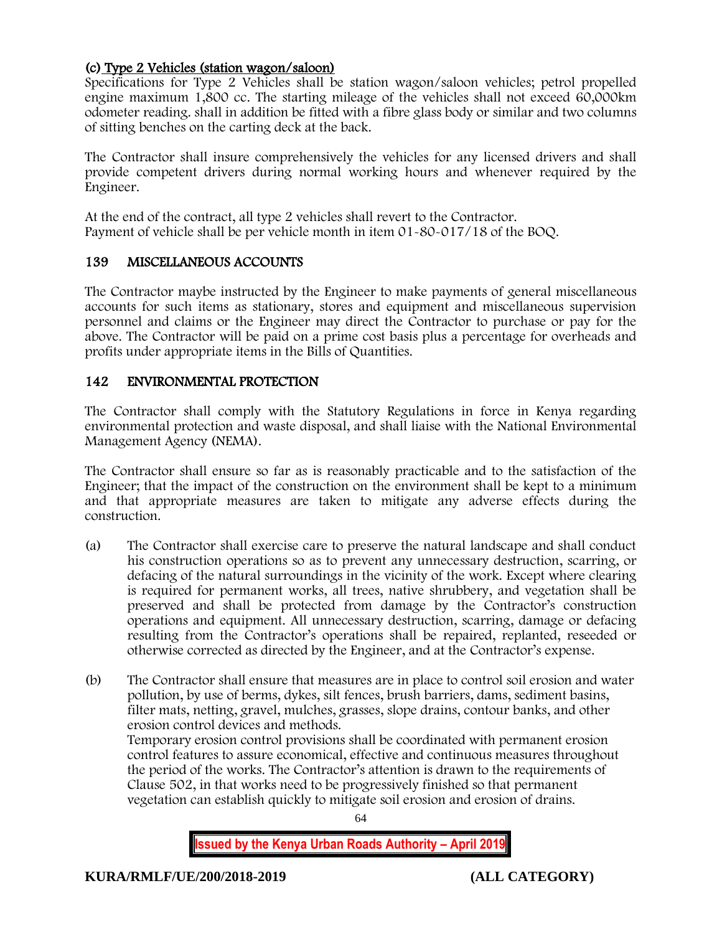# (c) Type 2 Vehicles (station wagon/saloon)

Specifications for Type 2 Vehicles shall be station wagon/saloon vehicles; petrol propelled engine maximum 1,800 cc. The starting mileage of the vehicles shall not exceed 60,000km odometer reading. shall in addition be fitted with a fibre glass body or similar and two columns of sitting benches on the carting deck at the back.

The Contractor shall insure comprehensively the vehicles for any licensed drivers and shall provide competent drivers during normal working hours and whenever required by the Engineer.

At the end of the contract, all type 2 vehicles shall revert to the Contractor. Payment of vehicle shall be per vehicle month in item 01-80-017/18 of the BOQ.

## 139 MISCELLANEOUS ACCOUNTS

The Contractor maybe instructed by the Engineer to make payments of general miscellaneous accounts for such items as stationary, stores and equipment and miscellaneous supervision personnel and claims or the Engineer may direct the Contractor to purchase or pay for the above. The Contractor will be paid on a prime cost basis plus a percentage for overheads and profits under appropriate items in the Bills of Quantities.

# 142 ENVIRONMENTAL PROTECTION

The Contractor shall comply with the Statutory Regulations in force in Kenya regarding environmental protection and waste disposal, and shall liaise with the National Environmental Management Agency (NEMA).

The Contractor shall ensure so far as is reasonably practicable and to the satisfaction of the Engineer; that the impact of the construction on the environment shall be kept to a minimum and that appropriate measures are taken to mitigate any adverse effects during the construction.

- (a) The Contractor shall exercise care to preserve the natural landscape and shall conduct his construction operations so as to prevent any unnecessary destruction, scarring, or defacing of the natural surroundings in the vicinity of the work. Except where clearing is required for permanent works, all trees, native shrubbery, and vegetation shall be preserved and shall be protected from damage by the Contractor's construction operations and equipment. All unnecessary destruction, scarring, damage or defacing resulting from the Contractor's operations shall be repaired, replanted, reseeded or otherwise corrected as directed by the Engineer, and at the Contractor's expense.
- (b) The Contractor shall ensure that measures are in place to control soil erosion and water pollution, by use of berms, dykes, silt fences, brush barriers, dams, sediment basins, filter mats, netting, gravel, mulches, grasses, slope drains, contour banks, and other erosion control devices and methods. Temporary erosion control provisions shall be coordinated with permanent erosion control features to assure economical, effective and continuous measures throughout the period of the works. The Contractor's attention is drawn to the requirements of Clause 502, in that works need to be progressively finished so that permanent

vegetation can establish quickly to mitigate soil erosion and erosion of drains.

64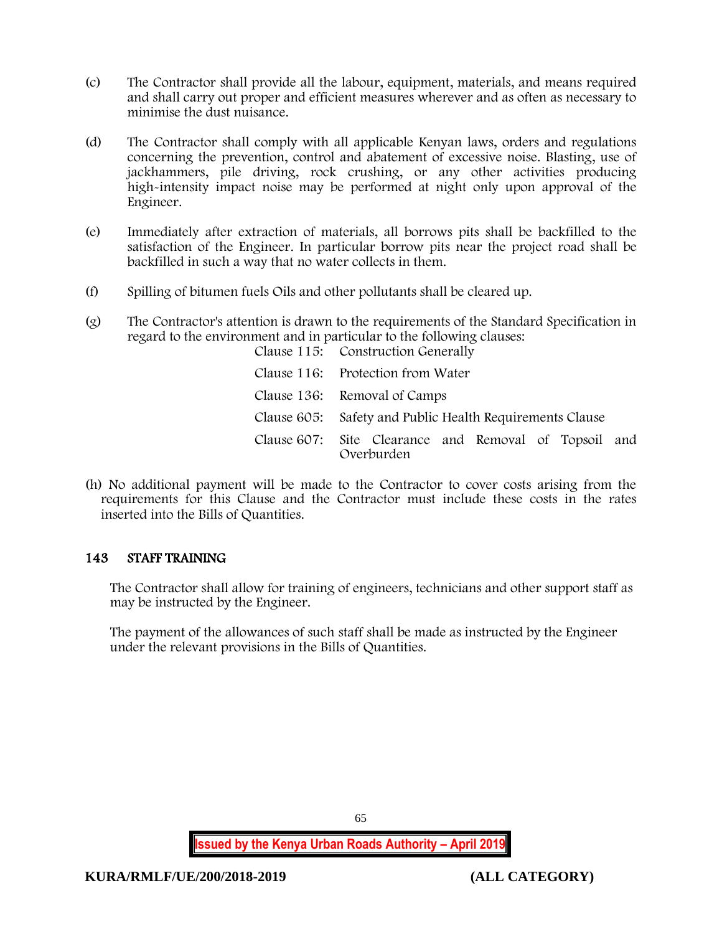- (c) The Contractor shall provide all the labour, equipment, materials, and means required and shall carry out proper and efficient measures wherever and as often as necessary to minimise the dust nuisance.
- (d) The Contractor shall comply with all applicable Kenyan laws, orders and regulations concerning the prevention, control and abatement of excessive noise. Blasting, use of jackhammers, pile driving, rock crushing, or any other activities producing high-intensity impact noise may be performed at night only upon approval of the Engineer.
- (e) Immediately after extraction of materials, all borrows pits shall be backfilled to the satisfaction of the Engineer. In particular borrow pits near the project road shall be backfilled in such a way that no water collects in them.
- (f) Spilling of bitumen fuels Oils and other pollutants shall be cleared up.
- (g) The Contractor's attention is drawn to the requirements of the Standard Specification in regard to the environment and in particular to the following clauses:

| Clause 115: Construction Generally                                  |  |  |  |  |
|---------------------------------------------------------------------|--|--|--|--|
| Clause 116: Protection from Water                                   |  |  |  |  |
| Clause 136: Removal of Camps                                        |  |  |  |  |
| Clause 605: Safety and Public Health Requirements Clause            |  |  |  |  |
| Clause 607: Site Clearance and Removal of Topsoil and<br>Overburden |  |  |  |  |

(h) No additional payment will be made to the Contractor to cover costs arising from the requirements for this Clause and the Contractor must include these costs in the rates inserted into the Bills of Quantities.

# 143 STAFF TRAINING

The Contractor shall allow for training of engineers, technicians and other support staff as may be instructed by the Engineer.

The payment of the allowances of such staff shall be made as instructed by the Engineer under the relevant provisions in the Bills of Quantities.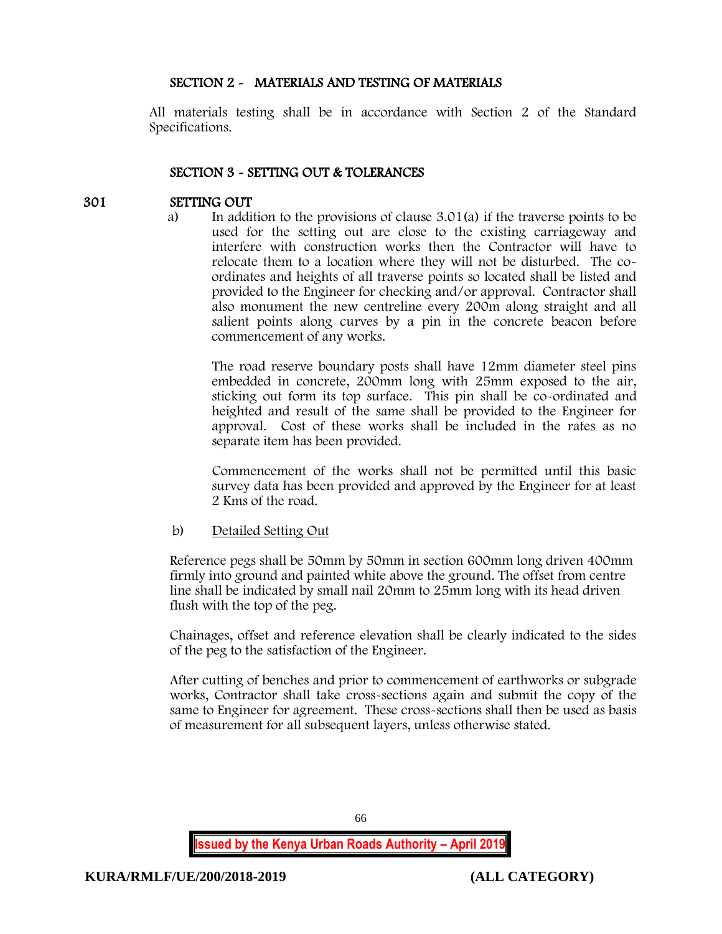## SECTION 2 - MATERIALS AND TESTING OF MATERIALS

All materials testing shall be in accordance with Section 2 of the Standard Specifications.

## SECTION 3 - SETTING OUT & TOLERANCES

## 301 SETTING OUT

a) In addition to the provisions of clause 3.01(a) if the traverse points to be used for the setting out are close to the existing carriageway and interfere with construction works then the Contractor will have to relocate them to a location where they will not be disturbed. The coordinates and heights of all traverse points so located shall be listed and provided to the Engineer for checking and/or approval. Contractor shall also monument the new centreline every 200m along straight and all salient points along curves by a pin in the concrete beacon before commencement of any works.

The road reserve boundary posts shall have 12mm diameter steel pins embedded in concrete, 200mm long with 25mm exposed to the air, sticking out form its top surface. This pin shall be co-ordinated and heighted and result of the same shall be provided to the Engineer for approval. Cost of these works shall be included in the rates as no separate item has been provided.

Commencement of the works shall not be permitted until this basic survey data has been provided and approved by the Engineer for at least 2 Kms of the road.

#### b) Detailed Setting Out

Reference pegs shall be 50mm by 50mm in section 600mm long driven 400mm firmly into ground and painted white above the ground. The offset from centre line shall be indicated by small nail 20mm to 25mm long with its head driven flush with the top of the peg.

Chainages, offset and reference elevation shall be clearly indicated to the sides of the peg to the satisfaction of the Engineer.

After cutting of benches and prior to commencement of earthworks or subgrade works, Contractor shall take cross-sections again and submit the copy of the same to Engineer for agreement. These cross-sections shall then be used as basis of measurement for all subsequent layers, unless otherwise stated.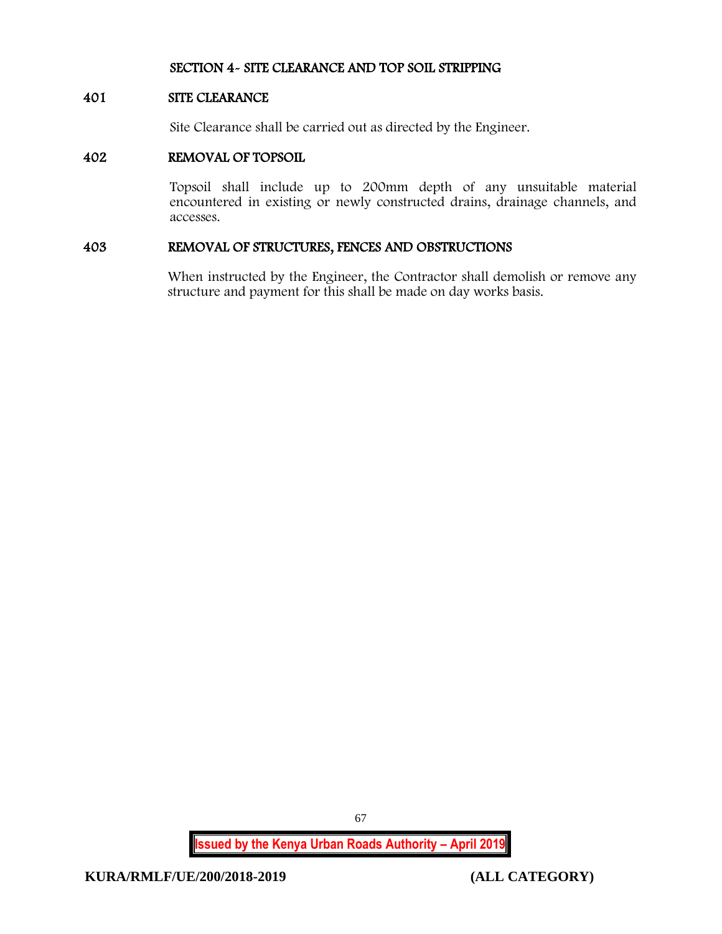## SECTION 4- SITE CLEARANCE AND TOP SOIL STRIPPING

#### 401 SITE CLEARANCE

Site Clearance shall be carried out as directed by the Engineer.

## 402 REMOVAL OF TOPSOIL

Topsoil shall include up to 200mm depth of any unsuitable material encountered in existing or newly constructed drains, drainage channels, and accesses.

#### 403 REMOVAL OF STRUCTURES, FENCES AND OBSTRUCTIONS

When instructed by the Engineer, the Contractor shall demolish or remove any structure and payment for this shall be made on day works basis.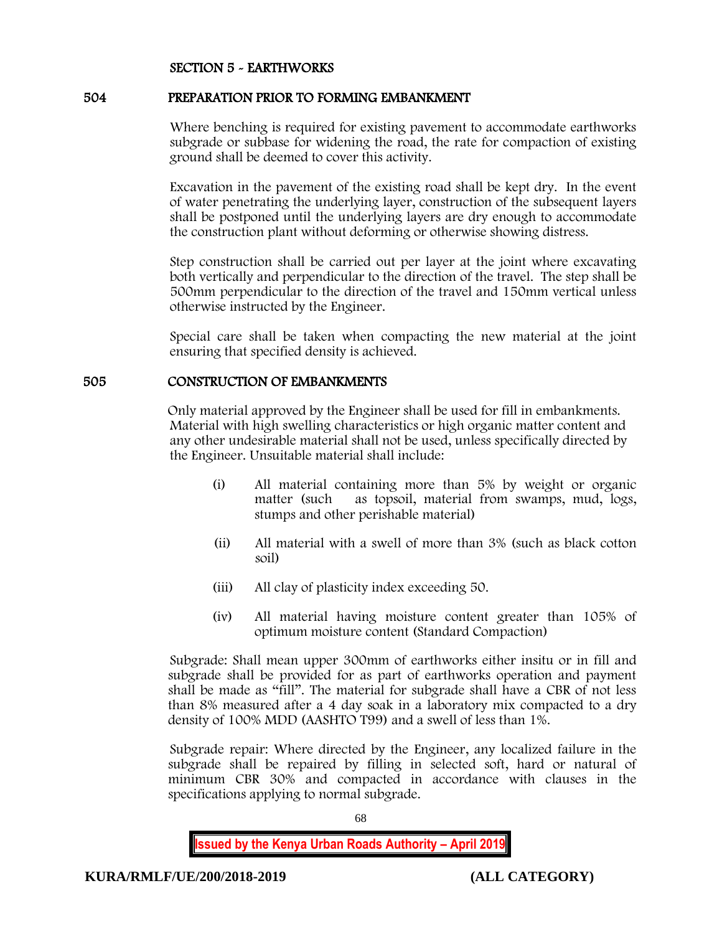## SECTION 5 - EARTHWORKS

### 504 PREPARATION PRIOR TO FORMING EMBANKMENT

Where benching is required for existing pavement to accommodate earthworks subgrade or subbase for widening the road, the rate for compaction of existing ground shall be deemed to cover this activity.

Excavation in the pavement of the existing road shall be kept dry. In the event of water penetrating the underlying layer, construction of the subsequent layers shall be postponed until the underlying layers are dry enough to accommodate the construction plant without deforming or otherwise showing distress.

Step construction shall be carried out per layer at the joint where excavating both vertically and perpendicular to the direction of the travel. The step shall be 500mm perpendicular to the direction of the travel and 150mm vertical unless otherwise instructed by the Engineer.

Special care shall be taken when compacting the new material at the joint ensuring that specified density is achieved.

## 505 CONSTRUCTION OF EMBANKMENTS

Only material approved by the Engineer shall be used for fill in embankments. Material with high swelling characteristics or high organic matter content and any other undesirable material shall not be used, unless specifically directed by the Engineer. Unsuitable material shall include:

- (i) All material containing more than 5% by weight or organic matter (such as topsoil, material from swamps, mud, logs, stumps and other perishable material)
- (ii) All material with a swell of more than 3% (such as black cotton soil)
- (iii) All clay of plasticity index exceeding 50.
- (iv) All material having moisture content greater than 105% of optimum moisture content (Standard Compaction)

Subgrade: Shall mean upper 300mm of earthworks either insitu or in fill and subgrade shall be provided for as part of earthworks operation and payment shall be made as "fill". The material for subgrade shall have a CBR of not less than 8% measured after a 4 day soak in a laboratory mix compacted to a dry density of 100% MDD (AASHTO T99) and a swell of less than 1%.

Subgrade repair: Where directed by the Engineer, any localized failure in the subgrade shall be repaired by filling in selected soft, hard or natural of minimum CBR 30% and compacted in accordance with clauses in the specifications applying to normal subgrade.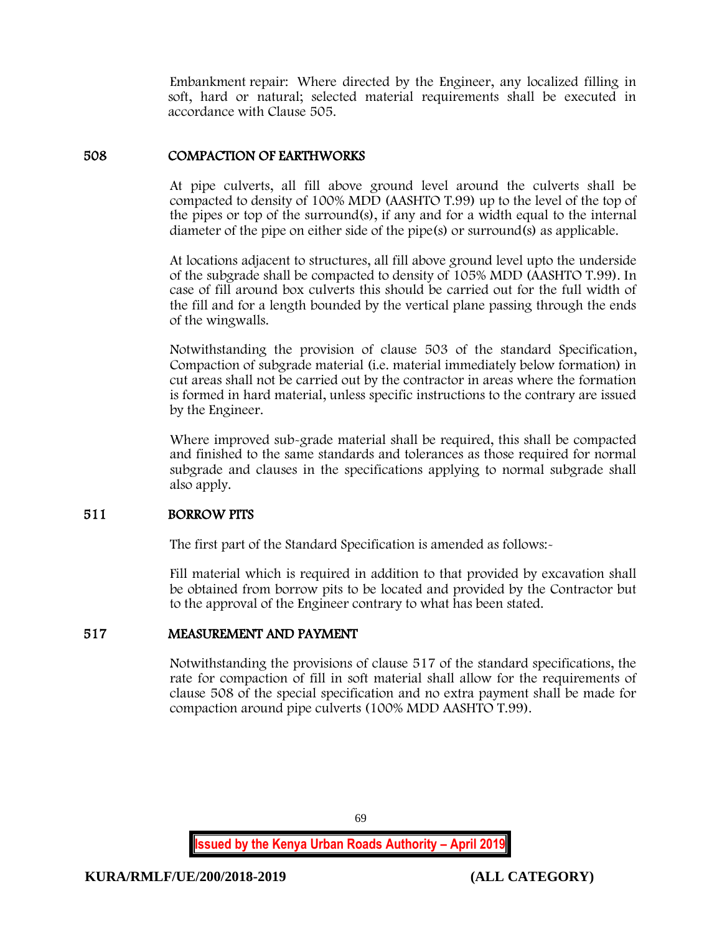Embankment repair: Where directed by the Engineer, any localized filling in soft, hard or natural; selected material requirements shall be executed in accordance with Clause 505.

## 508 COMPACTION OF EARTHWORKS

At pipe culverts, all fill above ground level around the culverts shall be compacted to density of 100% MDD (AASHTO T.99) up to the level of the top of the pipes or top of the surround(s), if any and for a width equal to the internal diameter of the pipe on either side of the pipe(s) or surround(s) as applicable.

At locations adjacent to structures, all fill above ground level upto the underside of the subgrade shall be compacted to density of 105% MDD (AASHTO T.99). In case of fill around box culverts this should be carried out for the full width of the fill and for a length bounded by the vertical plane passing through the ends of the wingwalls.

Notwithstanding the provision of clause 503 of the standard Specification, Compaction of subgrade material (i.e. material immediately below formation) in cut areas shall not be carried out by the contractor in areas where the formation is formed in hard material, unless specific instructions to the contrary are issued by the Engineer.

Where improved sub-grade material shall be required, this shall be compacted and finished to the same standards and tolerances as those required for normal subgrade and clauses in the specifications applying to normal subgrade shall also apply.

#### 511 BORROW PITS

The first part of the Standard Specification is amended as follows:-

Fill material which is required in addition to that provided by excavation shall be obtained from borrow pits to be located and provided by the Contractor but to the approval of the Engineer contrary to what has been stated.

#### 517 MEASUREMENT AND PAYMENT

Notwithstanding the provisions of clause 517 of the standard specifications, the rate for compaction of fill in soft material shall allow for the requirements of clause 508 of the special specification and no extra payment shall be made for compaction around pipe culverts (100% MDD AASHTO T.99).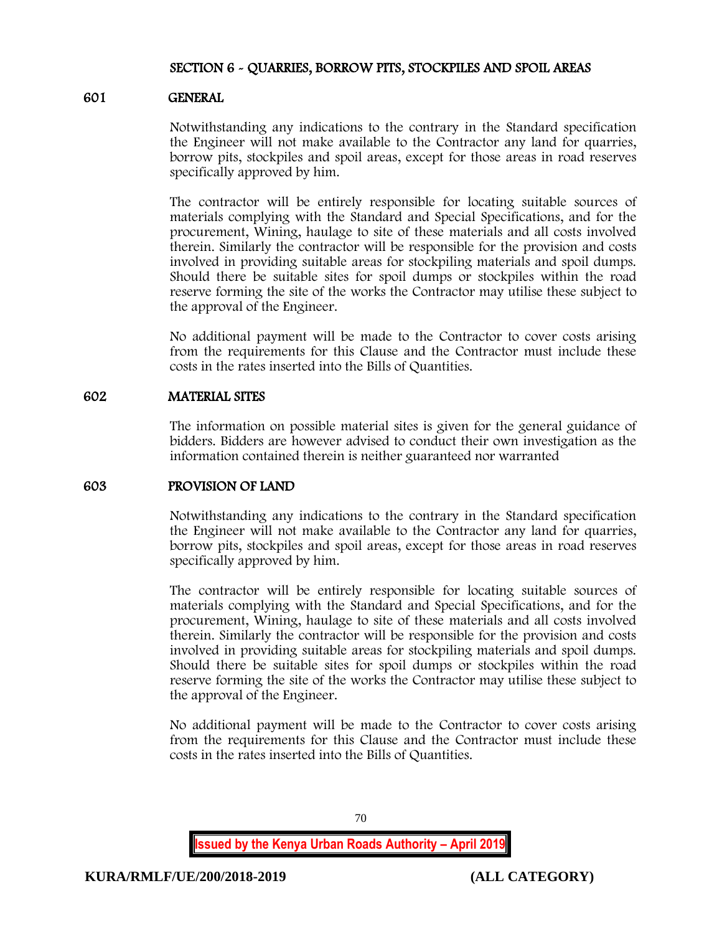## SECTION 6 - QUARRIES, BORROW PITS, STOCKPILES AND SPOIL AREAS

#### 601 GENERAL

Notwithstanding any indications to the contrary in the Standard specification the Engineer will not make available to the Contractor any land for quarries, borrow pits, stockpiles and spoil areas, except for those areas in road reserves specifically approved by him.

The contractor will be entirely responsible for locating suitable sources of materials complying with the Standard and Special Specifications, and for the procurement, Wining, haulage to site of these materials and all costs involved therein. Similarly the contractor will be responsible for the provision and costs involved in providing suitable areas for stockpiling materials and spoil dumps. Should there be suitable sites for spoil dumps or stockpiles within the road reserve forming the site of the works the Contractor may utilise these subject to the approval of the Engineer.

No additional payment will be made to the Contractor to cover costs arising from the requirements for this Clause and the Contractor must include these costs in the rates inserted into the Bills of Quantities.

## 602 MATERIAL SITES

The information on possible material sites is given for the general guidance of bidders. Bidders are however advised to conduct their own investigation as the information contained therein is neither guaranteed nor warranted

## 603 PROVISION OF LAND

Notwithstanding any indications to the contrary in the Standard specification the Engineer will not make available to the Contractor any land for quarries, borrow pits, stockpiles and spoil areas, except for those areas in road reserves specifically approved by him.

The contractor will be entirely responsible for locating suitable sources of materials complying with the Standard and Special Specifications, and for the procurement, Wining, haulage to site of these materials and all costs involved therein. Similarly the contractor will be responsible for the provision and costs involved in providing suitable areas for stockpiling materials and spoil dumps. Should there be suitable sites for spoil dumps or stockpiles within the road reserve forming the site of the works the Contractor may utilise these subject to the approval of the Engineer.

No additional payment will be made to the Contractor to cover costs arising from the requirements for this Clause and the Contractor must include these costs in the rates inserted into the Bills of Quantities.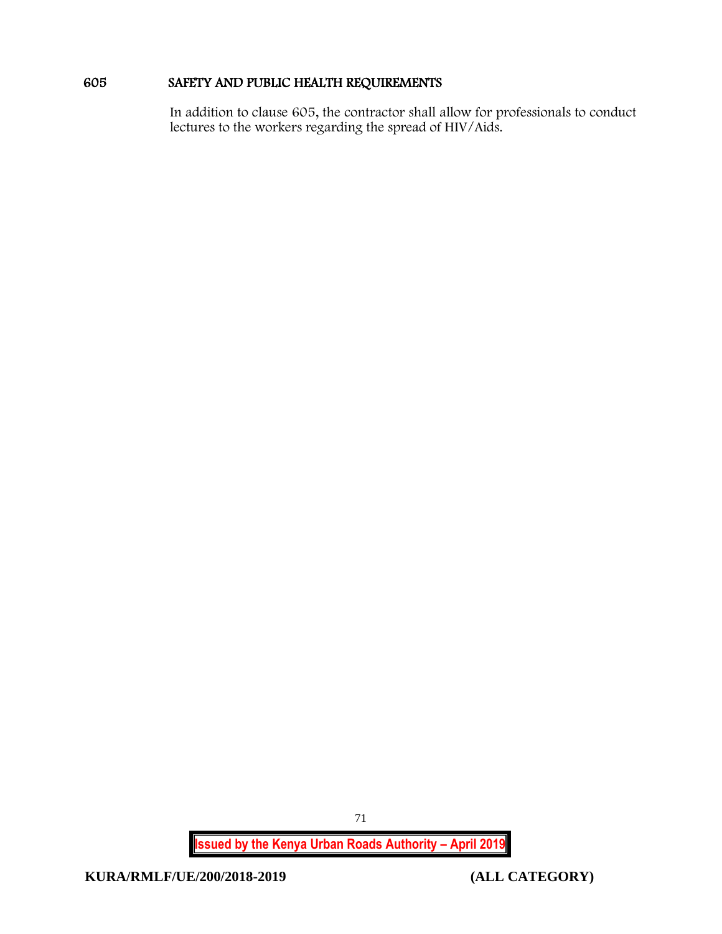# 605 SAFETY AND PUBLIC HEALTH REQUIREMENTS

In addition to clause 605, the contractor shall allow for professionals to conduct lectures to the workers regarding the spread of HIV/Aids.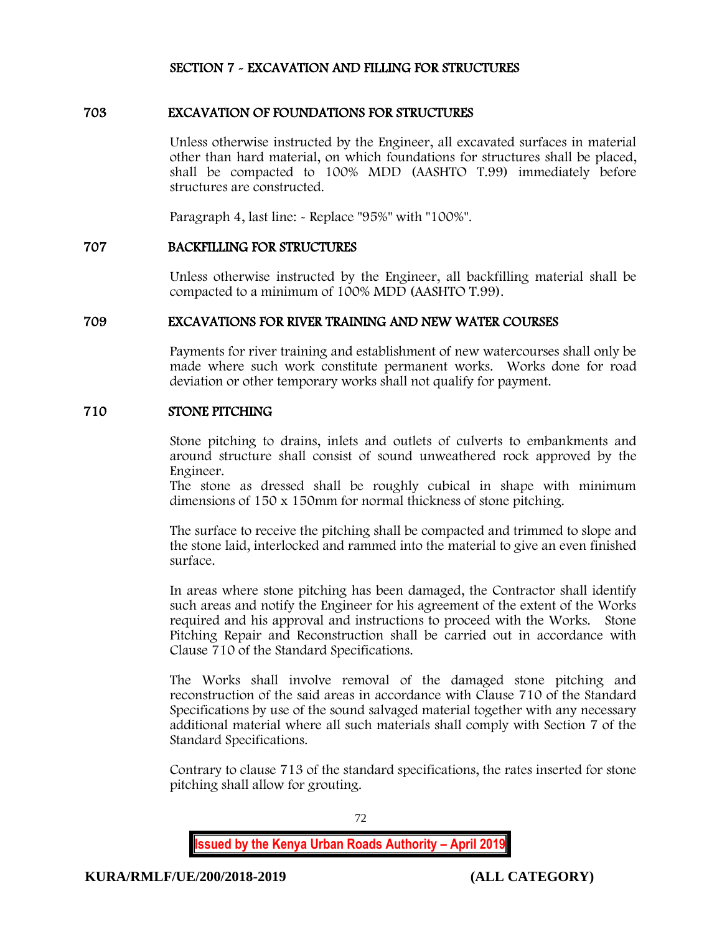# SECTION 7 - EXCAVATION AND FILLING FOR STRUCTURES

## 703 EXCAVATION OF FOUNDATIONS FOR STRUCTURES

Unless otherwise instructed by the Engineer, all excavated surfaces in material other than hard material, on which foundations for structures shall be placed, shall be compacted to 100% MDD (AASHTO T.99) immediately before structures are constructed.

Paragraph 4, last line: - Replace "95%" with "100%".

### 707 BACKFILLING FOR STRUCTURES

Unless otherwise instructed by the Engineer, all backfilling material shall be compacted to a minimum of 100% MDD (AASHTO T.99).

### 709 EXCAVATIONS FOR RIVER TRAINING AND NEW WATER COURSES

Payments for river training and establishment of new watercourses shall only be made where such work constitute permanent works. Works done for road deviation or other temporary works shall not qualify for payment.

#### 710 STONE PITCHING

Stone pitching to drains, inlets and outlets of culverts to embankments and around structure shall consist of sound unweathered rock approved by the Engineer.

The stone as dressed shall be roughly cubical in shape with minimum dimensions of 150 x 150mm for normal thickness of stone pitching.

The surface to receive the pitching shall be compacted and trimmed to slope and the stone laid, interlocked and rammed into the material to give an even finished surface.

In areas where stone pitching has been damaged, the Contractor shall identify such areas and notify the Engineer for his agreement of the extent of the Works required and his approval and instructions to proceed with the Works. Stone Pitching Repair and Reconstruction shall be carried out in accordance with Clause 710 of the Standard Specifications.

The Works shall involve removal of the damaged stone pitching and reconstruction of the said areas in accordance with Clause 710 of the Standard Specifications by use of the sound salvaged material together with any necessary additional material where all such materials shall comply with Section 7 of the Standard Specifications.

Contrary to clause 713 of the standard specifications, the rates inserted for stone pitching shall allow for grouting.

72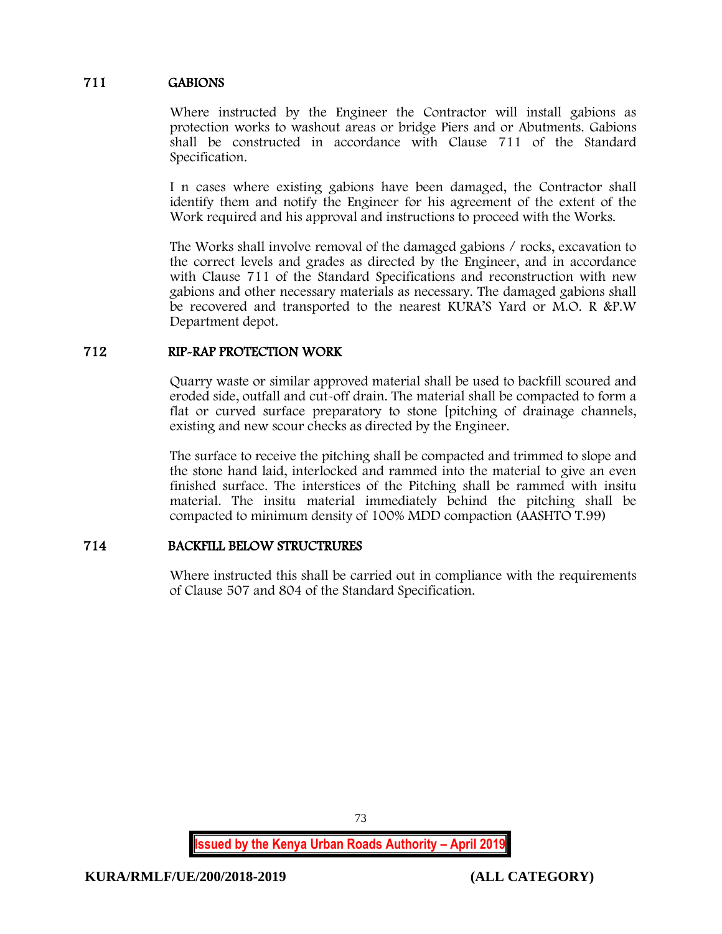## 711 GABIONS

Where instructed by the Engineer the Contractor will install gabions as protection works to washout areas or bridge Piers and or Abutments. Gabions shall be constructed in accordance with Clause 711 of the Standard Specification.

I n cases where existing gabions have been damaged, the Contractor shall identify them and notify the Engineer for his agreement of the extent of the Work required and his approval and instructions to proceed with the Works.

The Works shall involve removal of the damaged gabions / rocks, excavation to the correct levels and grades as directed by the Engineer, and in accordance with Clause 711 of the Standard Specifications and reconstruction with new gabions and other necessary materials as necessary. The damaged gabions shall be recovered and transported to the nearest KURA'S Yard or M.O. R &P.W Department depot.

## 712 RIP-RAP PROTECTION WORK

Quarry waste or similar approved material shall be used to backfill scoured and eroded side, outfall and cut-off drain. The material shall be compacted to form a flat or curved surface preparatory to stone [pitching of drainage channels, existing and new scour checks as directed by the Engineer.

The surface to receive the pitching shall be compacted and trimmed to slope and the stone hand laid, interlocked and rammed into the material to give an even finished surface. The interstices of the Pitching shall be rammed with insitu material. The insitu material immediately behind the pitching shall be compacted to minimum density of 100% MDD compaction (AASHTO T.99)

# 714 BACKFILL BELOW STRUCTRURES

Where instructed this shall be carried out in compliance with the requirements of Clause 507 and 804 of the Standard Specification.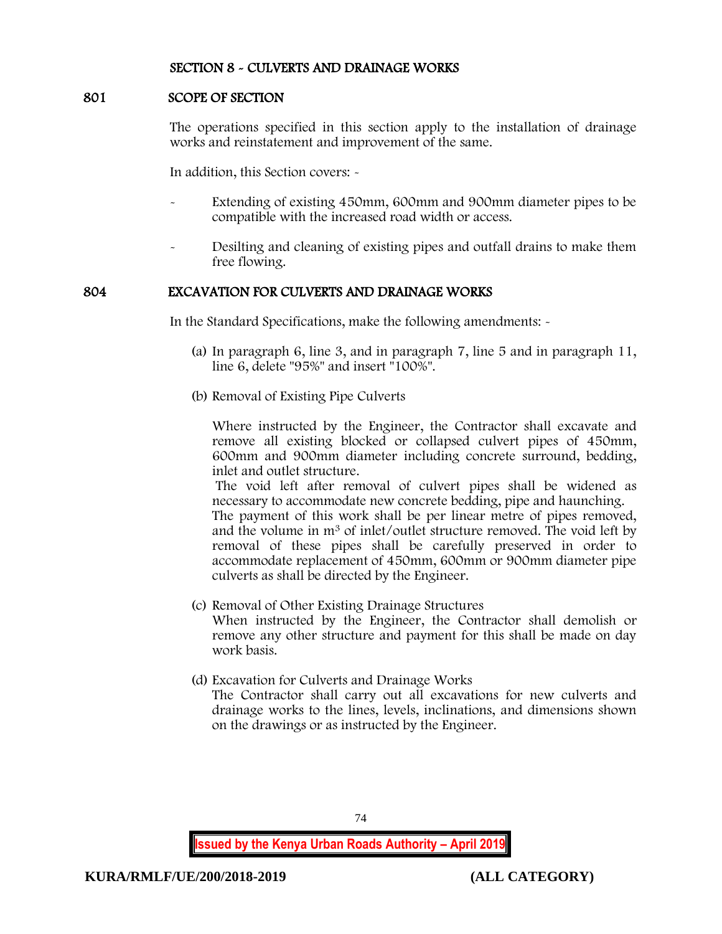### SECTION 8 - CULVERTS AND DRAINAGE WORKS

#### 801 SCOPE OF SECTION

The operations specified in this section apply to the installation of drainage works and reinstatement and improvement of the same.

In addition, this Section covers: -

- Extending of existing 450mm, 600mm and 900mm diameter pipes to be compatible with the increased road width or access.
- Desilting and cleaning of existing pipes and outfall drains to make them free flowing.

## 804 EXCAVATION FOR CULVERTS AND DRAINAGE WORKS

In the Standard Specifications, make the following amendments: -

- (a) In paragraph 6, line 3, and in paragraph 7, line 5 and in paragraph 11, line 6, delete "95%" and insert "100%".
- (b) Removal of Existing Pipe Culverts

Where instructed by the Engineer, the Contractor shall excavate and remove all existing blocked or collapsed culvert pipes of 450mm, 600mm and 900mm diameter including concrete surround, bedding, inlet and outlet structure.

The void left after removal of culvert pipes shall be widened as necessary to accommodate new concrete bedding, pipe and haunching.

The payment of this work shall be per linear metre of pipes removed, and the volume in m<sup>3</sup> of inlet/outlet structure removed. The void left by removal of these pipes shall be carefully preserved in order to accommodate replacement of 450mm, 600mm or 900mm diameter pipe culverts as shall be directed by the Engineer.

- (c) Removal of Other Existing Drainage Structures When instructed by the Engineer, the Contractor shall demolish or remove any other structure and payment for this shall be made on day work basis.
- (d) Excavation for Culverts and Drainage Works
	- The Contractor shall carry out all excavations for new culverts and drainage works to the lines, levels, inclinations, and dimensions shown on the drawings or as instructed by the Engineer.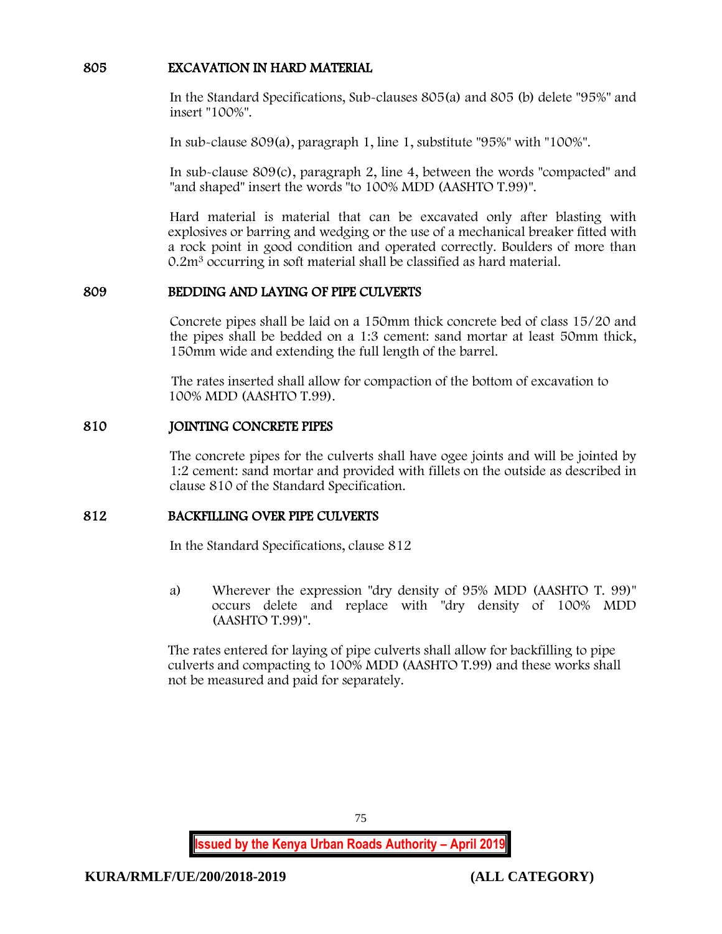## 805 EXCAVATION IN HARD MATERIAL

In the Standard Specifications, Sub-clauses 805(a) and 805 (b) delete "95%" and insert "100%".

In sub-clause 809(a), paragraph 1, line 1, substitute "95%" with "100%".

In sub-clause 809(c), paragraph 2, line 4, between the words "compacted" and "and shaped" insert the words "to 100% MDD (AASHTO T.99)".

Hard material is material that can be excavated only after blasting with explosives or barring and wedging or the use of a mechanical breaker fitted with a rock point in good condition and operated correctly. Boulders of more than 0.2m<sup>3</sup> occurring in soft material shall be classified as hard material.

## 809 BEDDING AND LAYING OF PIPE CULVERTS

Concrete pipes shall be laid on a 150mm thick concrete bed of class 15/20 and the pipes shall be bedded on a 1:3 cement: sand mortar at least 50mm thick, 150mm wide and extending the full length of the barrel.

The rates inserted shall allow for compaction of the bottom of excavation to 100% MDD (AASHTO T.99).

## 810 JOINTING CONCRETE PIPES

The concrete pipes for the culverts shall have ogee joints and will be jointed by 1:2 cement: sand mortar and provided with fillets on the outside as described in clause 810 of the Standard Specification.

## 812 BACKFILLING OVER PIPE CULVERTS

In the Standard Specifications, clause 812

a) Wherever the expression "dry density of 95% MDD (AASHTO T. 99)" occurs delete and replace with "dry density of 100% MDD (AASHTO T.99)".

The rates entered for laying of pipe culverts shall allow for backfilling to pipe culverts and compacting to 100% MDD (AASHTO T.99) and these works shall not be measured and paid for separately.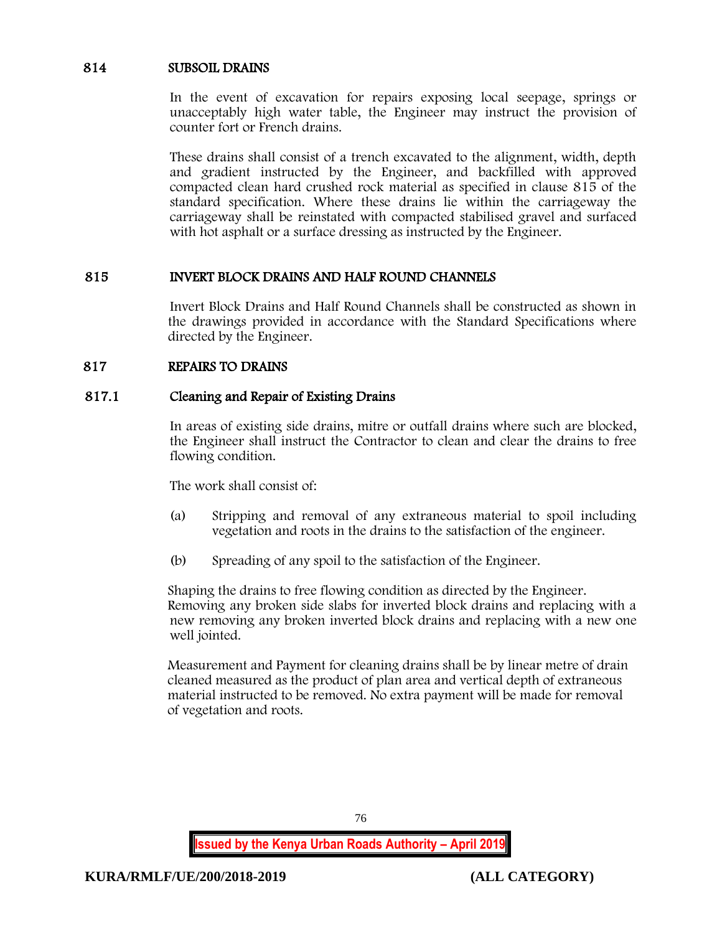### 814 SUBSOIL DRAINS

In the event of excavation for repairs exposing local seepage, springs or unacceptably high water table, the Engineer may instruct the provision of counter fort or French drains.

These drains shall consist of a trench excavated to the alignment, width, depth and gradient instructed by the Engineer, and backfilled with approved compacted clean hard crushed rock material as specified in clause 815 of the standard specification. Where these drains lie within the carriageway the carriageway shall be reinstated with compacted stabilised gravel and surfaced with hot asphalt or a surface dressing as instructed by the Engineer.

### 815 INVERT BLOCK DRAINS AND HALF ROUND CHANNELS

Invert Block Drains and Half Round Channels shall be constructed as shown in the drawings provided in accordance with the Standard Specifications where directed by the Engineer.

### 817 REPAIRS TO DRAINS

### 817.1 Cleaning and Repair of Existing Drains

In areas of existing side drains, mitre or outfall drains where such are blocked, the Engineer shall instruct the Contractor to clean and clear the drains to free flowing condition.

The work shall consist of:

- (a) Stripping and removal of any extraneous material to spoil including vegetation and roots in the drains to the satisfaction of the engineer.
- (b) Spreading of any spoil to the satisfaction of the Engineer.

Shaping the drains to free flowing condition as directed by the Engineer. Removing any broken side slabs for inverted block drains and replacing with a new removing any broken inverted block drains and replacing with a new one well jointed.

Measurement and Payment for cleaning drains shall be by linear metre of drain cleaned measured as the product of plan area and vertical depth of extraneous material instructed to be removed. No extra payment will be made for removal of vegetation and roots.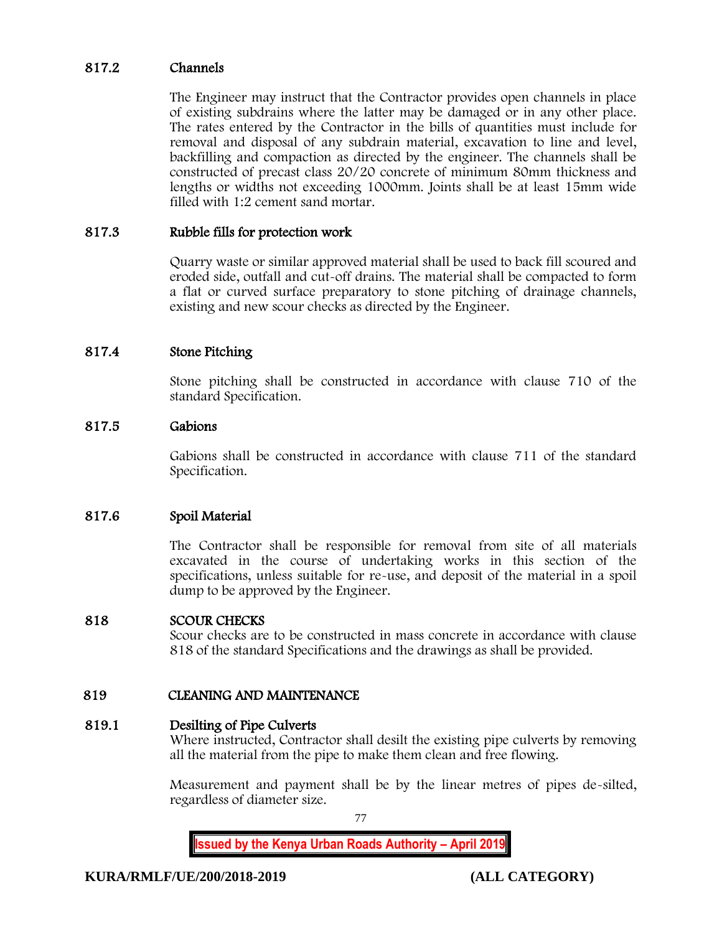## 817.2 Channels

The Engineer may instruct that the Contractor provides open channels in place of existing subdrains where the latter may be damaged or in any other place. The rates entered by the Contractor in the bills of quantities must include for removal and disposal of any subdrain material, excavation to line and level, backfilling and compaction as directed by the engineer. The channels shall be constructed of precast class 20/20 concrete of minimum 80mm thickness and lengths or widths not exceeding 1000mm. Joints shall be at least 15mm wide filled with 1:2 cement sand mortar.

### 817.3 Rubble fills for protection work

Quarry waste or similar approved material shall be used to back fill scoured and eroded side, outfall and cut-off drains. The material shall be compacted to form a flat or curved surface preparatory to stone pitching of drainage channels, existing and new scour checks as directed by the Engineer.

### 817.4 Stone Pitching

Stone pitching shall be constructed in accordance with clause 710 of the standard Specification.

### 817.5 Gabions

Gabions shall be constructed in accordance with clause 711 of the standard Specification.

## 817.6 Spoil Material

The Contractor shall be responsible for removal from site of all materials excavated in the course of undertaking works in this section of the specifications, unless suitable for re-use, and deposit of the material in a spoil dump to be approved by the Engineer.

#### 818 SCOUR CHECKS

Scour checks are to be constructed in mass concrete in accordance with clause 818 of the standard Specifications and the drawings as shall be provided.

## 819 CLEANING AND MAINTENANCE

#### 819.1 Desilting of Pipe Culverts

Where instructed, Contractor shall desilt the existing pipe culverts by removing all the material from the pipe to make them clean and free flowing.

Measurement and payment shall be by the linear metres of pipes de-silted, regardless of diameter size.

77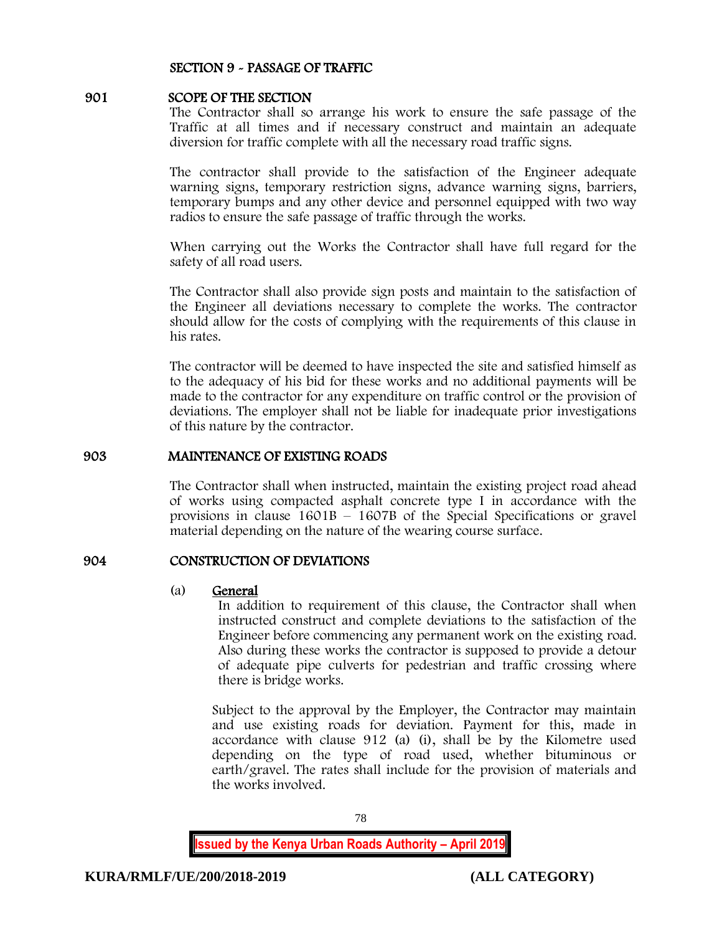### SECTION 9 - PASSAGE OF TRAFFIC

#### 901 SCOPE OF THE SECTION

The Contractor shall so arrange his work to ensure the safe passage of the Traffic at all times and if necessary construct and maintain an adequate diversion for traffic complete with all the necessary road traffic signs.

The contractor shall provide to the satisfaction of the Engineer adequate warning signs, temporary restriction signs, advance warning signs, barriers, temporary bumps and any other device and personnel equipped with two way radios to ensure the safe passage of traffic through the works.

When carrying out the Works the Contractor shall have full regard for the safety of all road users.

The Contractor shall also provide sign posts and maintain to the satisfaction of the Engineer all deviations necessary to complete the works. The contractor should allow for the costs of complying with the requirements of this clause in his rates.

The contractor will be deemed to have inspected the site and satisfied himself as to the adequacy of his bid for these works and no additional payments will be made to the contractor for any expenditure on traffic control or the provision of deviations. The employer shall not be liable for inadequate prior investigations of this nature by the contractor.

#### 903 MAINTENANCE OF EXISTING ROADS

The Contractor shall when instructed, maintain the existing project road ahead of works using compacted asphalt concrete type I in accordance with the provisions in clause 1601B – 1607B of the Special Specifications or gravel material depending on the nature of the wearing course surface.

## 904 CONSTRUCTION OF DEVIATIONS

#### (a) General

In addition to requirement of this clause, the Contractor shall when instructed construct and complete deviations to the satisfaction of the Engineer before commencing any permanent work on the existing road. Also during these works the contractor is supposed to provide a detour of adequate pipe culverts for pedestrian and traffic crossing where there is bridge works.

Subject to the approval by the Employer, the Contractor may maintain and use existing roads for deviation. Payment for this, made in accordance with clause 912 (a) (i), shall be by the Kilometre used depending on the type of road used, whether bituminous or earth/gravel. The rates shall include for the provision of materials and the works involved.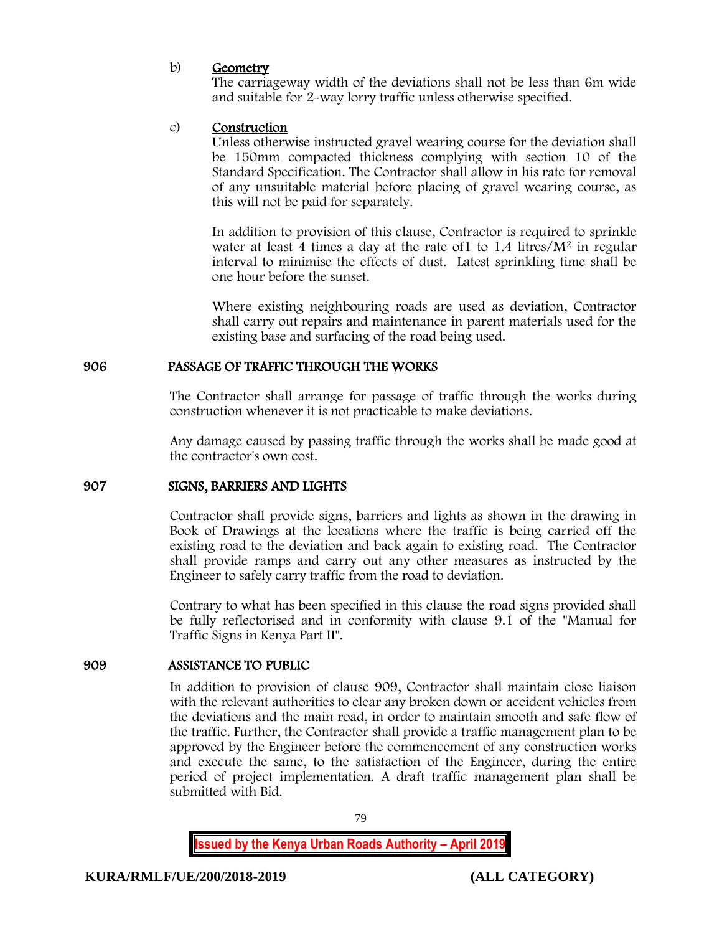## b) Geometry

The carriageway width of the deviations shall not be less than 6m wide and suitable for 2-way lorry traffic unless otherwise specified.

### c) Construction

Unless otherwise instructed gravel wearing course for the deviation shall be 150mm compacted thickness complying with section 10 of the Standard Specification. The Contractor shall allow in his rate for removal of any unsuitable material before placing of gravel wearing course, as this will not be paid for separately.

In addition to provision of this clause, Contractor is required to sprinkle water at least 4 times a day at the rate of  $1$  to  $1.4$  litres/ $M<sup>2</sup>$  in regular interval to minimise the effects of dust. Latest sprinkling time shall be one hour before the sunset.

Where existing neighbouring roads are used as deviation, Contractor shall carry out repairs and maintenance in parent materials used for the existing base and surfacing of the road being used.

## 906 PASSAGE OF TRAFFIC THROUGH THE WORKS

The Contractor shall arrange for passage of traffic through the works during construction whenever it is not practicable to make deviations.

Any damage caused by passing traffic through the works shall be made good at the contractor's own cost.

#### 907 SIGNS, BARRIERS AND LIGHTS

Contractor shall provide signs, barriers and lights as shown in the drawing in Book of Drawings at the locations where the traffic is being carried off the existing road to the deviation and back again to existing road. The Contractor shall provide ramps and carry out any other measures as instructed by the Engineer to safely carry traffic from the road to deviation.

Contrary to what has been specified in this clause the road signs provided shall be fully reflectorised and in conformity with clause 9.1 of the "Manual for Traffic Signs in Kenya Part II".

#### 909 ASSISTANCE TO PUBLIC

In addition to provision of clause 909, Contractor shall maintain close liaison with the relevant authorities to clear any broken down or accident vehicles from the deviations and the main road, in order to maintain smooth and safe flow of the traffic. Further, the Contractor shall provide a traffic management plan to be approved by the Engineer before the commencement of any construction works and execute the same, to the satisfaction of the Engineer, during the entire period of project implementation. A draft traffic management plan shall be submitted with Bid.

79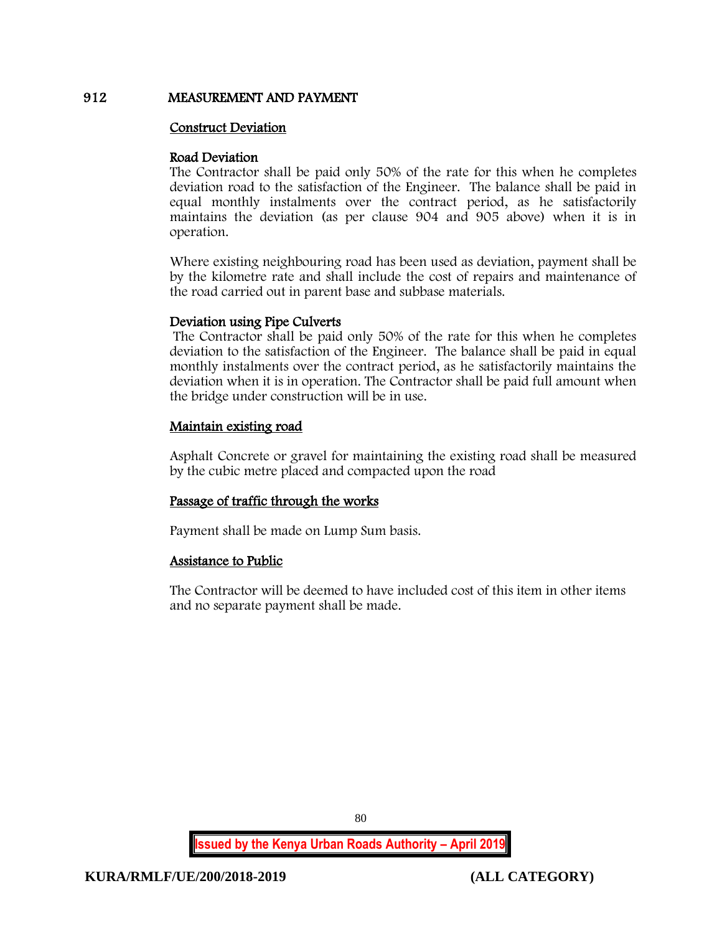## 912 MEASUREMENT AND PAYMENT

### Construct Deviation

#### Road Deviation

The Contractor shall be paid only 50% of the rate for this when he completes deviation road to the satisfaction of the Engineer. The balance shall be paid in equal monthly instalments over the contract period, as he satisfactorily maintains the deviation (as per clause 904 and 905 above) when it is in operation.

Where existing neighbouring road has been used as deviation, payment shall be by the kilometre rate and shall include the cost of repairs and maintenance of the road carried out in parent base and subbase materials.

### Deviation using Pipe Culverts

The Contractor shall be paid only 50% of the rate for this when he completes deviation to the satisfaction of the Engineer. The balance shall be paid in equal monthly instalments over the contract period, as he satisfactorily maintains the deviation when it is in operation. The Contractor shall be paid full amount when the bridge under construction will be in use.

## Maintain existing road

Asphalt Concrete or gravel for maintaining the existing road shall be measured by the cubic metre placed and compacted upon the road

## Passage of traffic through the works

Payment shall be made on Lump Sum basis.

## Assistance to Public

The Contractor will be deemed to have included cost of this item in other items and no separate payment shall be made.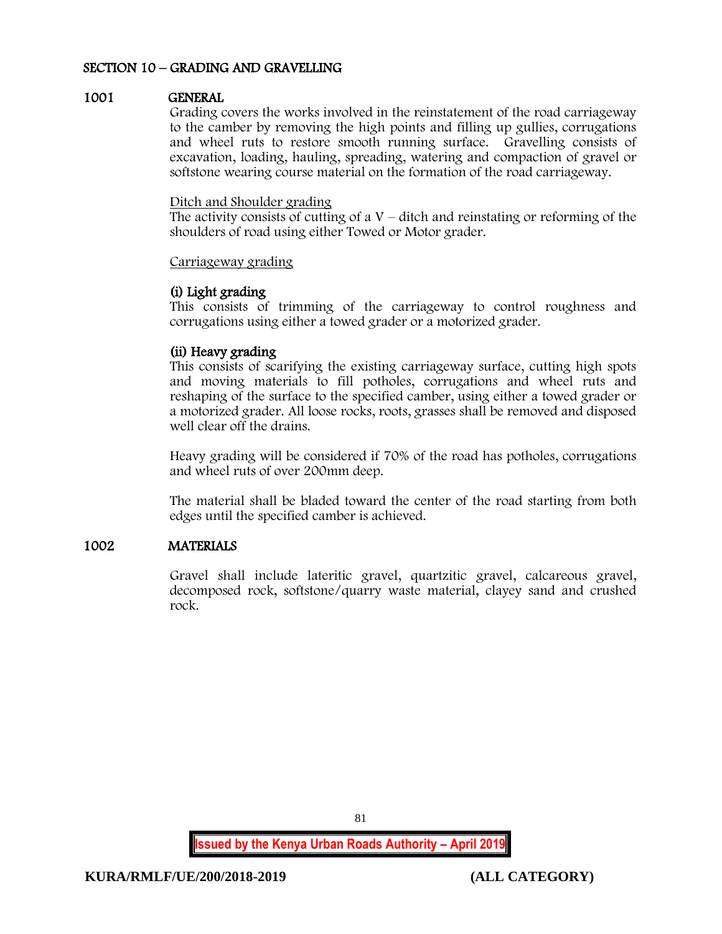### SECTION 10 – GRADING AND GRAVELLING

### 1001 GENERAL

Grading covers the works involved in the reinstatement of the road carriageway to the camber by removing the high points and filling up gullies, corrugations and wheel ruts to restore smooth running surface. Gravelling consists of excavation, loading, hauling, spreading, watering and compaction of gravel or softstone wearing course material on the formation of the road carriageway.

#### Ditch and Shoulder grading

The activity consists of cutting of a  $V$  – ditch and reinstating or reforming of the shoulders of road using either Towed or Motor grader.

#### Carriageway grading

### (i) Light grading

This consists of trimming of the carriageway to control roughness and corrugations using either a towed grader or a motorized grader.

### (ii) Heavy grading

This consists of scarifying the existing carriageway surface, cutting high spots and moving materials to fill potholes, corrugations and wheel ruts and reshaping of the surface to the specified camber, using either a towed grader or a motorized grader. All loose rocks, roots, grasses shall be removed and disposed well clear off the drains.

Heavy grading will be considered if 70% of the road has potholes, corrugations and wheel ruts of over 200mm deep.

The material shall be bladed toward the center of the road starting from both edges until the specified camber is achieved.

## 1002 MATERIALS

Gravel shall include lateritic gravel, quartzitic gravel, calcareous gravel, decomposed rock, softstone/quarry waste material, clayey sand and crushed rock.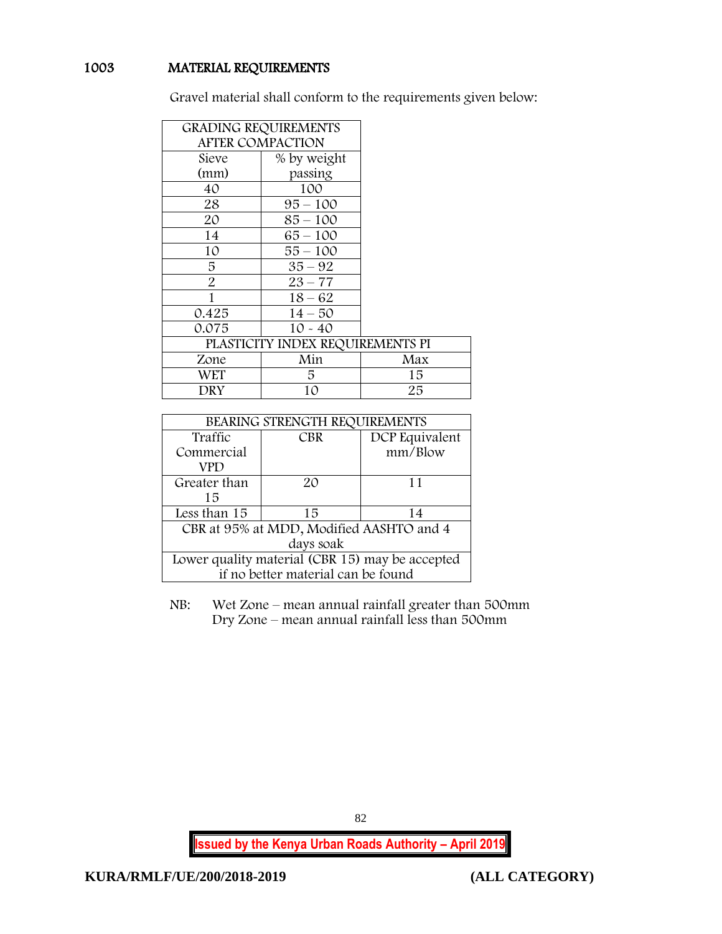# 1003 MATERIAL REQUIREMENTS

Gravel material shall conform to the requirements given below:

| <b>GRADING REQUIREMENTS</b> |                                  |     |
|-----------------------------|----------------------------------|-----|
| <b>AFTER COMPACTION</b>     |                                  |     |
| Sieve                       | % by weight                      |     |
| (mm)                        | passing                          |     |
| 40                          | 100                              |     |
| 28                          | $95 - 100$                       |     |
| 20                          | $85 - 100$                       |     |
| 14                          | 65 – 100                         |     |
| 10                          | 55 – 100                         |     |
| 5                           | $35 - 92$                        |     |
| $\overline{2}$              | $23 - 77$                        |     |
| 1                           | $18 - 62$                        |     |
| 0.425                       | $14 - 50$                        |     |
| 0.075                       | $10 - 40$                        |     |
|                             | PLASTICITY INDEX REQUIREMENTS PI |     |
| Zone                        | Min                              | Max |
| WET                         | 5.                               | 15  |
| DRY                         | 10                               | 25  |

| BEARING STRENGTH REQUIREMENTS                   |            |                |  |  |
|-------------------------------------------------|------------|----------------|--|--|
| Traffic                                         | <b>CBR</b> | DCP Equivalent |  |  |
| Commercial                                      |            | mm/Blow        |  |  |
| VPD                                             |            |                |  |  |
| Greater than                                    | 20         | 11             |  |  |
| 15                                              |            |                |  |  |
| Less than 15                                    | 15         | 14             |  |  |
| CBR at 95% at MDD, Modified AASHTO and 4        |            |                |  |  |
| days soak                                       |            |                |  |  |
| Lower quality material (CBR 15) may be accepted |            |                |  |  |
| if no better material can be found              |            |                |  |  |

NB: Wet Zone – mean annual rainfall greater than 500mm Dry Zone – mean annual rainfall less than 500mm

**Issued by the Kenya Urban Roads Authority – April 2019**

82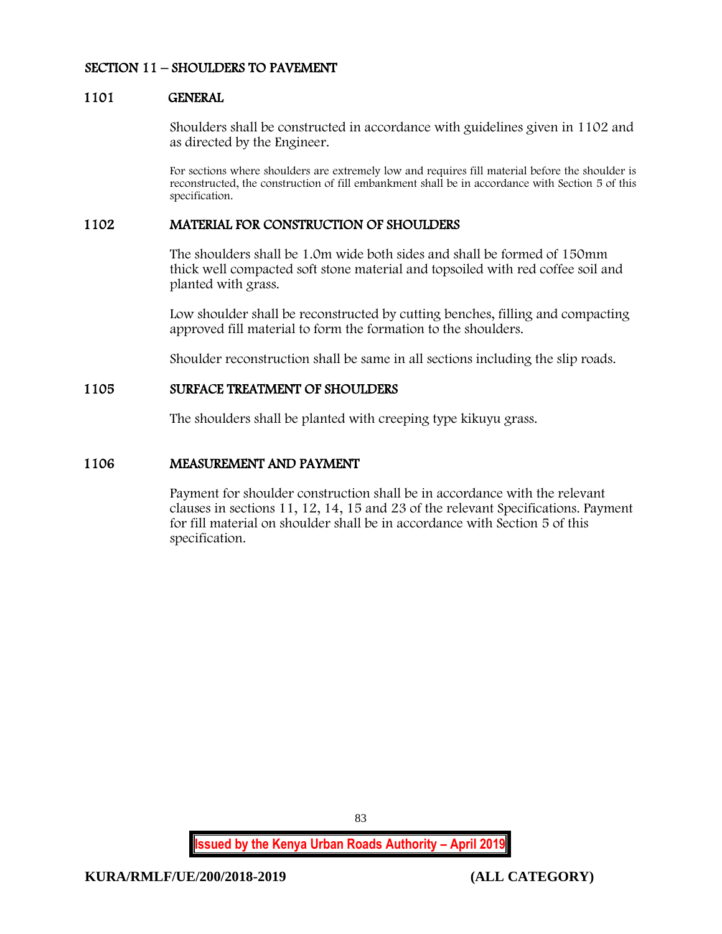## SECTION 11 – SHOULDERS TO PAVEMENT

#### 1101 GENERAL

Shoulders shall be constructed in accordance with guidelines given in 1102 and as directed by the Engineer.

For sections where shoulders are extremely low and requires fill material before the shoulder is reconstructed, the construction of fill embankment shall be in accordance with Section 5 of this specification.

### 1102 MATERIAL FOR CONSTRUCTION OF SHOULDERS

The shoulders shall be 1.0m wide both sides and shall be formed of 150mm thick well compacted soft stone material and topsoiled with red coffee soil and planted with grass.

Low shoulder shall be reconstructed by cutting benches, filling and compacting approved fill material to form the formation to the shoulders.

Shoulder reconstruction shall be same in all sections including the slip roads.

## 1105 SURFACE TREATMENT OF SHOULDERS

The shoulders shall be planted with creeping type kikuyu grass.

### 1106 MEASUREMENT AND PAYMENT

Payment for shoulder construction shall be in accordance with the relevant clauses in sections 11, 12, 14, 15 and 23 of the relevant Specifications. Payment for fill material on shoulder shall be in accordance with Section 5 of this specification.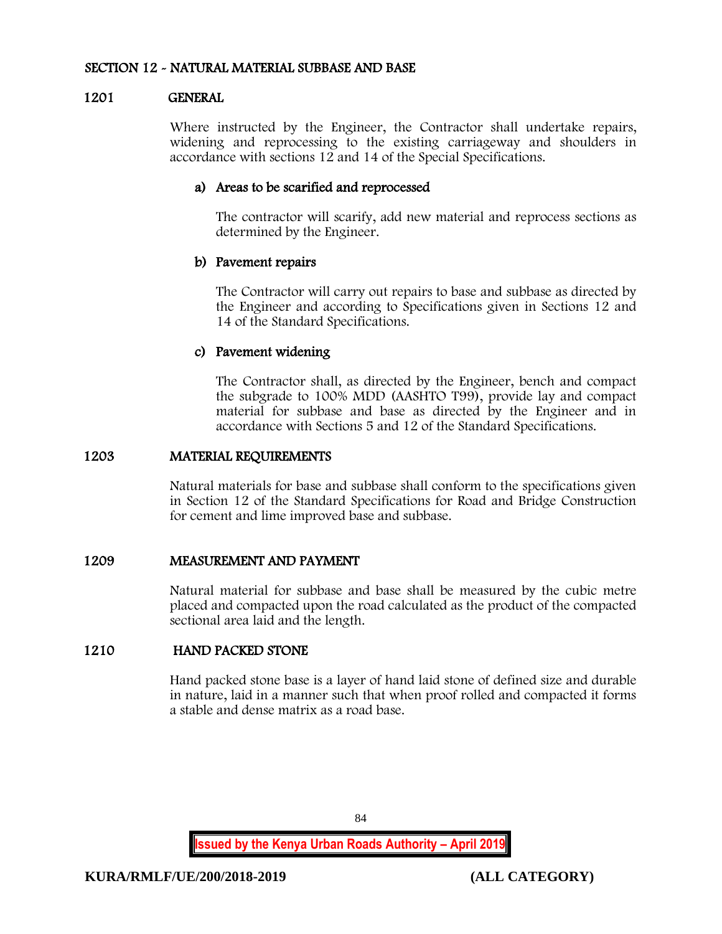### SECTION 12 - NATURAL MATERIAL SUBBASE AND BASE

### 1201 GENERAL

Where instructed by the Engineer, the Contractor shall undertake repairs, widening and reprocessing to the existing carriageway and shoulders in accordance with sections 12 and 14 of the Special Specifications.

### a) Areas to be scarified and reprocessed

The contractor will scarify, add new material and reprocess sections as determined by the Engineer.

### b) Pavement repairs

The Contractor will carry out repairs to base and subbase as directed by the Engineer and according to Specifications given in Sections 12 and 14 of the Standard Specifications.

### c) Pavement widening

The Contractor shall, as directed by the Engineer, bench and compact the subgrade to 100% MDD (AASHTO T99), provide lay and compact material for subbase and base as directed by the Engineer and in accordance with Sections 5 and 12 of the Standard Specifications.

### 1203 MATERIAL REQUIREMENTS

Natural materials for base and subbase shall conform to the specifications given in Section 12 of the Standard Specifications for Road and Bridge Construction for cement and lime improved base and subbase.

## 1209 MEASUREMENT AND PAYMENT

Natural material for subbase and base shall be measured by the cubic metre placed and compacted upon the road calculated as the product of the compacted sectional area laid and the length.

# 1210 HAND PACKED STONE

Hand packed stone base is a layer of hand laid stone of defined size and durable in nature, laid in a manner such that when proof rolled and compacted it forms a stable and dense matrix as a road base.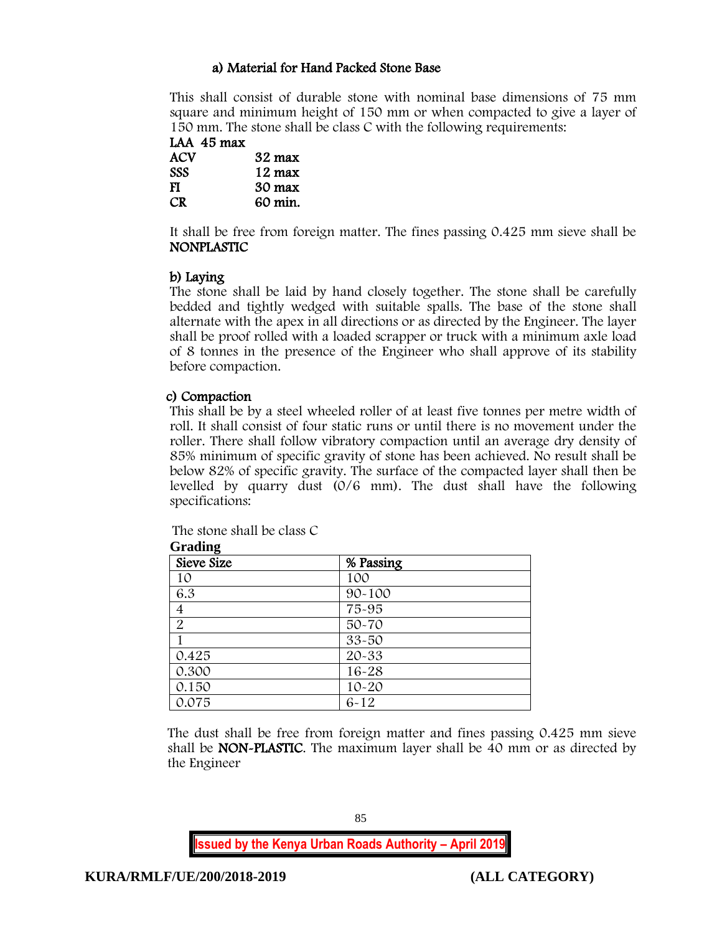# a) Material for Hand Packed Stone Base

This shall consist of durable stone with nominal base dimensions of 75 mm square and minimum height of 150 mm or when compacted to give a layer of 150 mm. The stone shall be class C with the following requirements:

LAA 45 max

| ACV        | 32 max           |
|------------|------------------|
| <b>SSS</b> | $12 \text{ max}$ |
| FI         | $30 \text{ max}$ |
| CR.        | 60 min.          |

It shall be free from foreign matter. The fines passing 0.425 mm sieve shall be NONPLASTIC

# b) Laying

The stone shall be laid by hand closely together. The stone shall be carefully bedded and tightly wedged with suitable spalls. The base of the stone shall alternate with the apex in all directions or as directed by the Engineer. The layer shall be proof rolled with a loaded scrapper or truck with a minimum axle load of 8 tonnes in the presence of the Engineer who shall approve of its stability before compaction.

# c) Compaction

This shall be by a steel wheeled roller of at least five tonnes per metre width of roll. It shall consist of four static runs or until there is no movement under the roller. There shall follow vibratory compaction until an average dry density of 85% minimum of specific gravity of stone has been achieved. No result shall be below 82% of specific gravity. The surface of the compacted layer shall then be levelled by quarry dust (0/6 mm). The dust shall have the following specifications:

| <b>Grading</b> |            |  |
|----------------|------------|--|
| Sieve Size     | % Passing  |  |
| 10             | 100        |  |
| 6.3            | $90 - 100$ |  |
| 4              | 75-95      |  |
| $\overline{2}$ | $50 - 70$  |  |
|                | $33 - 50$  |  |
| 0.425          | 20-33      |  |
| 0.300          | $16 - 28$  |  |
| 0.150          | $10 - 20$  |  |
| 0.075          | $6 - 12$   |  |

The stone shall be class C  $G_{\text{max}}$ **Jing** 

The dust shall be free from foreign matter and fines passing 0.425 mm sieve shall be NON-PLASTIC. The maximum layer shall be 40 mm or as directed by the Engineer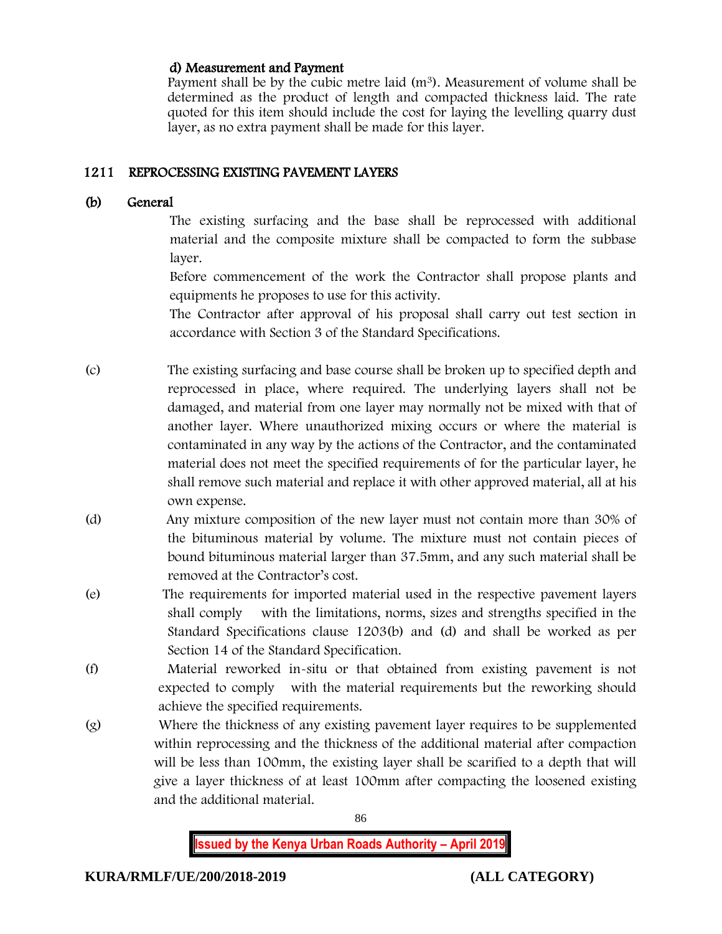# d) Measurement and Payment

Payment shall be by the cubic metre laid  $(m<sup>3</sup>)$ . Measurement of volume shall be determined as the product of length and compacted thickness laid. The rate quoted for this item should include the cost for laying the levelling quarry dust layer, as no extra payment shall be made for this layer.

# 1211 REPROCESSING EXISTING PAVEMENT LAYERS

## (b) General

The existing surfacing and the base shall be reprocessed with additional material and the composite mixture shall be compacted to form the subbase layer.

Before commencement of the work the Contractor shall propose plants and equipments he proposes to use for this activity.

The Contractor after approval of his proposal shall carry out test section in accordance with Section 3 of the Standard Specifications.

- (c) The existing surfacing and base course shall be broken up to specified depth and reprocessed in place, where required. The underlying layers shall not be damaged, and material from one layer may normally not be mixed with that of another layer. Where unauthorized mixing occurs or where the material is contaminated in any way by the actions of the Contractor, and the contaminated material does not meet the specified requirements of for the particular layer, he shall remove such material and replace it with other approved material, all at his own expense.
- (d) Any mixture composition of the new layer must not contain more than 30% of the bituminous material by volume. The mixture must not contain pieces of bound bituminous material larger than 37.5mm, and any such material shall be removed at the Contractor's cost.
- (e) The requirements for imported material used in the respective pavement layers shall comply with the limitations, norms, sizes and strengths specified in the Standard Specifications clause 1203(b) and (d) and shall be worked as per Section 14 of the Standard Specification.
- (f) Material reworked in-situ or that obtained from existing pavement is not expected to comply with the material requirements but the reworking should achieve the specified requirements.
- (g) Where the thickness of any existing pavement layer requires to be supplemented within reprocessing and the thickness of the additional material after compaction will be less than 100mm, the existing layer shall be scarified to a depth that will give a layer thickness of at least 100mm after compacting the loosened existing and the additional material.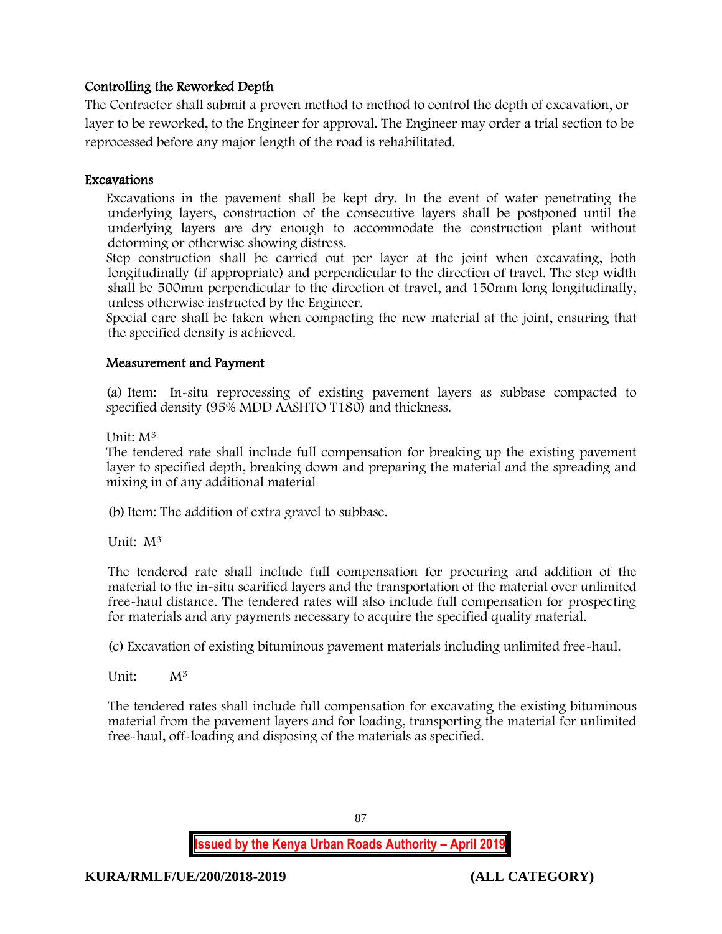# Controlling the Reworked Depth

The Contractor shall submit a proven method to method to control the depth of excavation, or layer to be reworked, to the Engineer for approval. The Engineer may order a trial section to be reprocessed before any major length of the road is rehabilitated.

# Excavations

Excavations in the pavement shall be kept dry. In the event of water penetrating the underlying layers, construction of the consecutive layers shall be postponed until the underlying layers are dry enough to accommodate the construction plant without deforming or otherwise showing distress.

Step construction shall be carried out per layer at the joint when excavating, both longitudinally (if appropriate) and perpendicular to the direction of travel. The step width shall be 500mm perpendicular to the direction of travel, and 150mm long longitudinally, unless otherwise instructed by the Engineer.

Special care shall be taken when compacting the new material at the joint, ensuring that the specified density is achieved.

# Measurement and Payment

(a) Item: In-situ reprocessing of existing pavement layers as subbase compacted to specified density (95% MDD AASHTO T180) and thickness.

Unit: M<sup>3</sup>

The tendered rate shall include full compensation for breaking up the existing pavement layer to specified depth, breaking down and preparing the material and the spreading and mixing in of any additional material

(b)Item: The addition of extra gravel to subbase.

Unit: M<sup>3</sup>

The tendered rate shall include full compensation for procuring and addition of the material to the in-situ scarified layers and the transportation of the material over unlimited free-haul distance. The tendered rates will also include full compensation for prospecting for materials and any payments necessary to acquire the specified quality material.

# (c) Excavation of existing bituminous pavement materials including unlimited free-haul.

Unit: M<sup>3</sup>

The tendered rates shall include full compensation for excavating the existing bituminous material from the pavement layers and for loading, transporting the material for unlimited free-haul, off-loading and disposing of the materials as specified.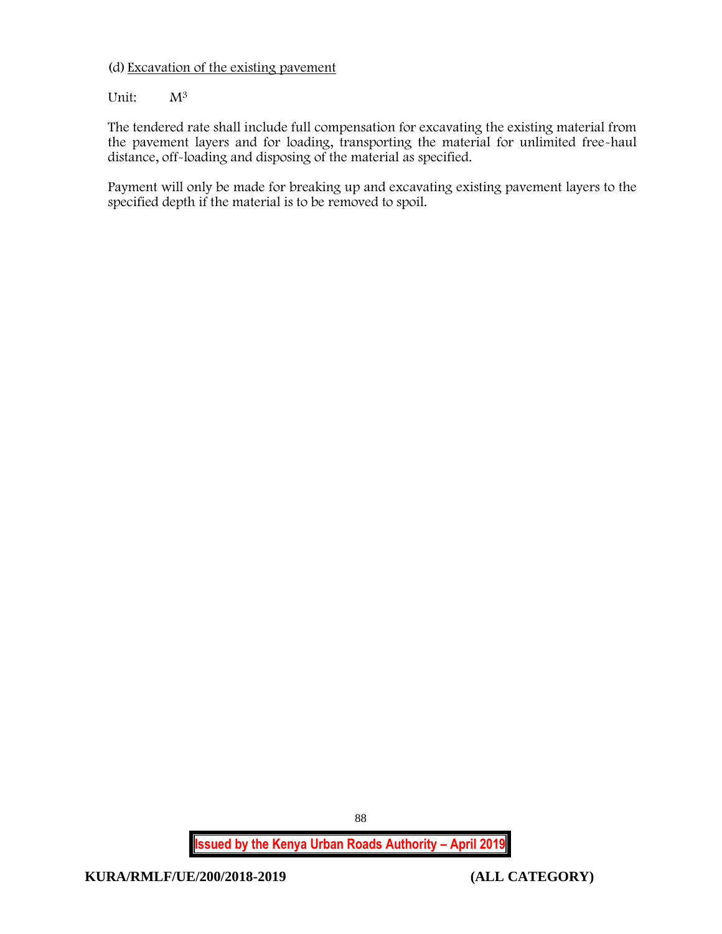(d) Excavation of the existing pavement

Unit:  $M^3$ 

The tendered rate shall include full compensation for excavating the existing material from the pavement layers and for loading, transporting the material for unlimited free-haul distance, off-loading and disposing of the material as specified.

Payment will only be made for breaking up and excavating existing pavement layers to the specified depth if the material is to be removed to spoil.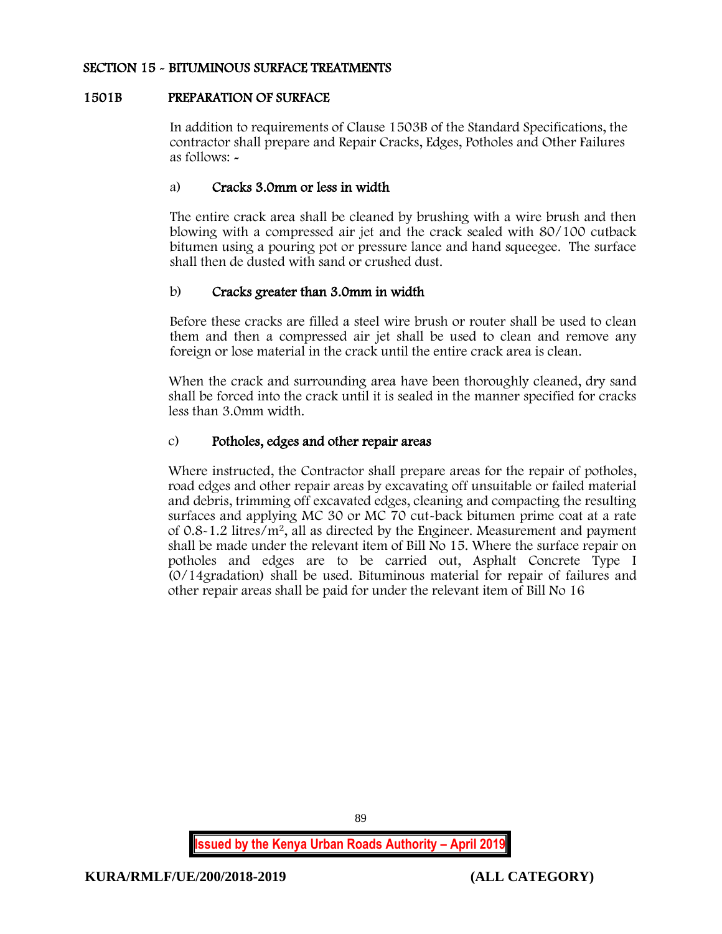### SECTION 15 - BITUMINOUS SURFACE TREATMENTS

### 1501B PREPARATION OF SURFACE

In addition to requirements of Clause 1503B of the Standard Specifications, the contractor shall prepare and Repair Cracks, Edges, Potholes and Other Failures as follows: -

### a) Cracks 3.0mm or less in width

The entire crack area shall be cleaned by brushing with a wire brush and then blowing with a compressed air jet and the crack sealed with 80/100 cutback bitumen using a pouring pot or pressure lance and hand squeegee. The surface shall then de dusted with sand or crushed dust.

## b) Cracks greater than 3.0mm in width

Before these cracks are filled a steel wire brush or router shall be used to clean them and then a compressed air jet shall be used to clean and remove any foreign or lose material in the crack until the entire crack area is clean.

When the crack and surrounding area have been thoroughly cleaned, dry sand shall be forced into the crack until it is sealed in the manner specified for cracks less than 3.0mm width.

### c) Potholes, edges and other repair areas

Where instructed, the Contractor shall prepare areas for the repair of potholes, road edges and other repair areas by excavating off unsuitable or failed material and debris, trimming off excavated edges, cleaning and compacting the resulting surfaces and applying MC 30 or MC 70 cut-back bitumen prime coat at a rate of 0.8-1.2 litres/m<sup>2</sup>, all as directed by the Engineer. Measurement and payment shall be made under the relevant item of Bill No 15. Where the surface repair on potholes and edges are to be carried out, Asphalt Concrete Type I (0/14gradation) shall be used. Bituminous material for repair of failures and other repair areas shall be paid for under the relevant item of Bill No 16

89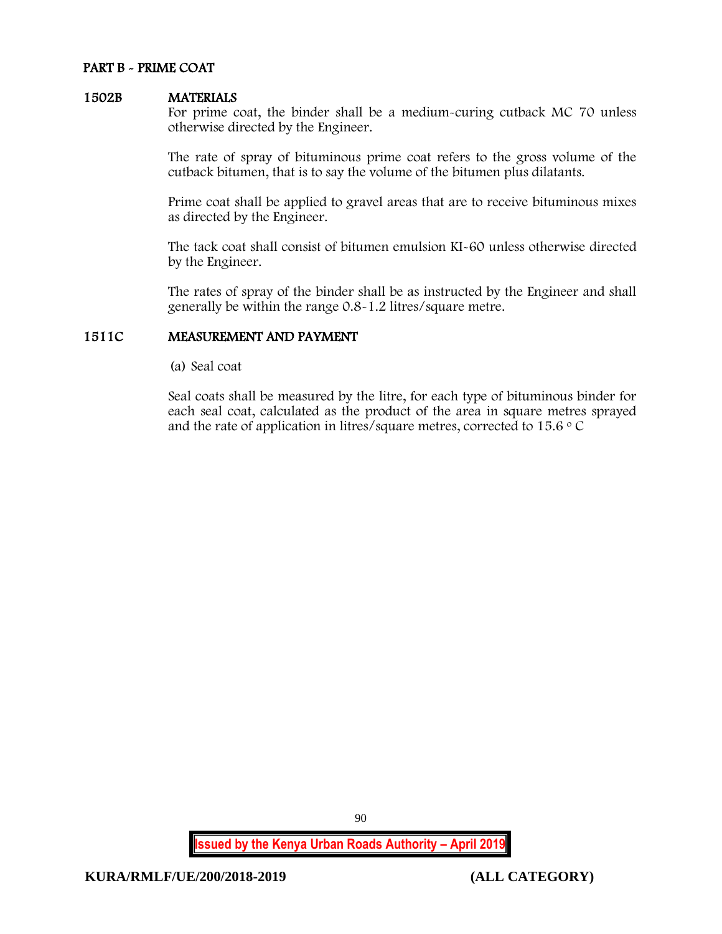#### PART B - PRIME COAT

#### 1502B MATERIALS

For prime coat, the binder shall be a medium-curing cutback MC 70 unless otherwise directed by the Engineer.

The rate of spray of bituminous prime coat refers to the gross volume of the cutback bitumen, that is to say the volume of the bitumen plus dilatants.

Prime coat shall be applied to gravel areas that are to receive bituminous mixes as directed by the Engineer.

The tack coat shall consist of bitumen emulsion KI-60 unless otherwise directed by the Engineer.

The rates of spray of the binder shall be as instructed by the Engineer and shall generally be within the range 0.8-1.2 litres/square metre.

#### 1511C MEASUREMENT AND PAYMENT

(a) Seal coat

Seal coats shall be measured by the litre, for each type of bituminous binder for each seal coat, calculated as the product of the area in square metres sprayed and the rate of application in litres/square metres, corrected to  $15.6 \degree$  C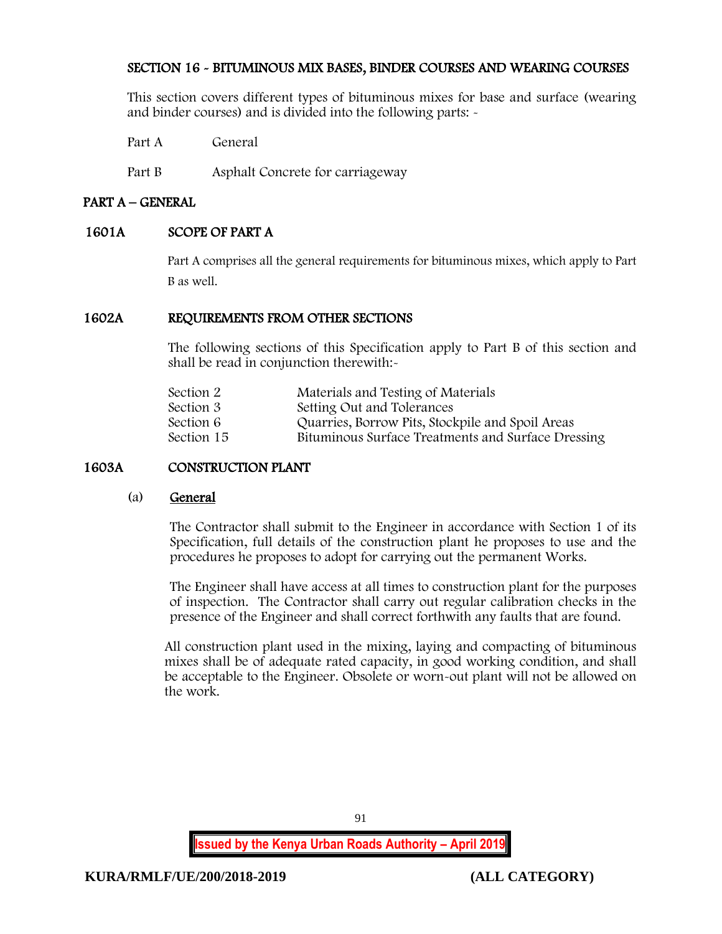# SECTION 16 - BITUMINOUS MIX BASES, BINDER COURSES AND WEARING COURSES

This section covers different types of bituminous mixes for base and surface (wearing and binder courses) and is divided into the following parts: -

Part A General

Part B Asphalt Concrete for carriageway

## PART A – GENERAL

## 1601A SCOPE OF PART A

Part A comprises all the general requirements for bituminous mixes, which apply to Part B as well.

## 1602A REQUIREMENTS FROM OTHER SECTIONS

The following sections of this Specification apply to Part B of this section and shall be read in conjunction therewith:-

| Section 2  | Materials and Testing of Materials                 |
|------------|----------------------------------------------------|
| Section 3  | Setting Out and Tolerances                         |
| Section 6  | Quarries, Borrow Pits, Stockpile and Spoil Areas   |
| Section 15 | Bituminous Surface Treatments and Surface Dressing |
|            |                                                    |

# 1603A CONSTRUCTION PLANT

#### (a) General

The Contractor shall submit to the Engineer in accordance with Section 1 of its Specification, full details of the construction plant he proposes to use and the procedures he proposes to adopt for carrying out the permanent Works.

The Engineer shall have access at all times to construction plant for the purposes of inspection. The Contractor shall carry out regular calibration checks in the presence of the Engineer and shall correct forthwith any faults that are found.

All construction plant used in the mixing, laying and compacting of bituminous mixes shall be of adequate rated capacity, in good working condition, and shall be acceptable to the Engineer. Obsolete or worn-out plant will not be allowed on the work.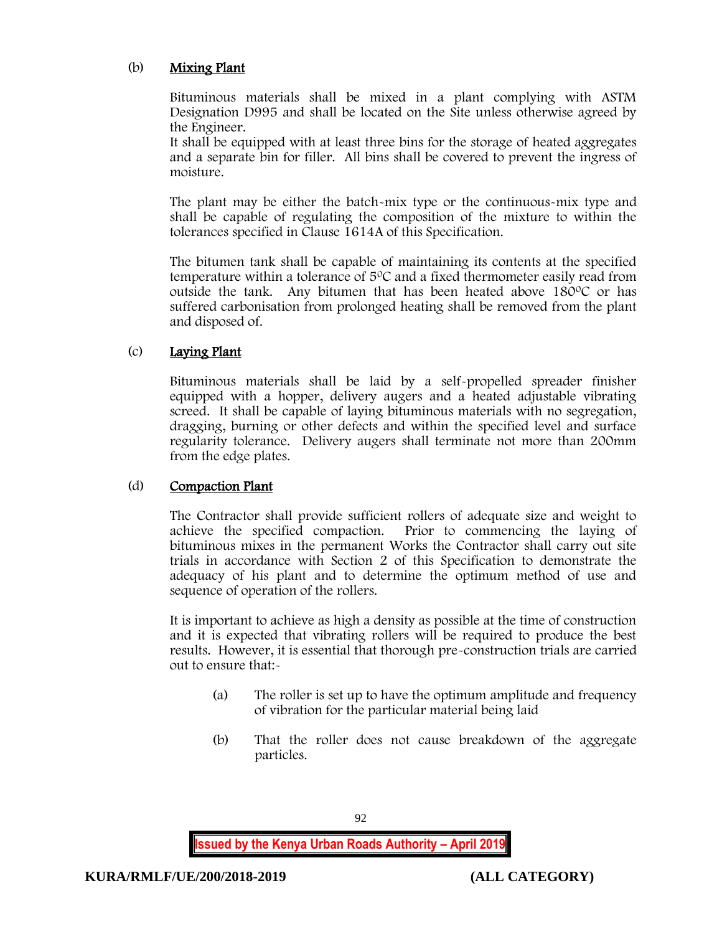# (b) Mixing Plant

Bituminous materials shall be mixed in a plant complying with ASTM Designation D995 and shall be located on the Site unless otherwise agreed by the Engineer.

It shall be equipped with at least three bins for the storage of heated aggregates and a separate bin for filler. All bins shall be covered to prevent the ingress of moisture.

The plant may be either the batch-mix type or the continuous-mix type and shall be capable of regulating the composition of the mixture to within the tolerances specified in Clause 1614A of this Specification.

The bitumen tank shall be capable of maintaining its contents at the specified temperature within a tolerance of  $5^{\circ}$ C and a fixed thermometer easily read from outside the tank. Any bitumen that has been heated above  $180^{\circ}$ C or has suffered carbonisation from prolonged heating shall be removed from the plant and disposed of.

# (c) Laying Plant

Bituminous materials shall be laid by a self-propelled spreader finisher equipped with a hopper, delivery augers and a heated adjustable vibrating screed. It shall be capable of laying bituminous materials with no segregation, dragging, burning or other defects and within the specified level and surface regularity tolerance. Delivery augers shall terminate not more than 200mm from the edge plates.

## (d) Compaction Plant

The Contractor shall provide sufficient rollers of adequate size and weight to achieve the specified compaction. Prior to commencing the laying of bituminous mixes in the permanent Works the Contractor shall carry out site trials in accordance with Section 2 of this Specification to demonstrate the adequacy of his plant and to determine the optimum method of use and sequence of operation of the rollers.

It is important to achieve as high a density as possible at the time of construction and it is expected that vibrating rollers will be required to produce the best results. However, it is essential that thorough pre-construction trials are carried out to ensure that:-

- (a) The roller is set up to have the optimum amplitude and frequency of vibration for the particular material being laid
- (b) That the roller does not cause breakdown of the aggregate particles.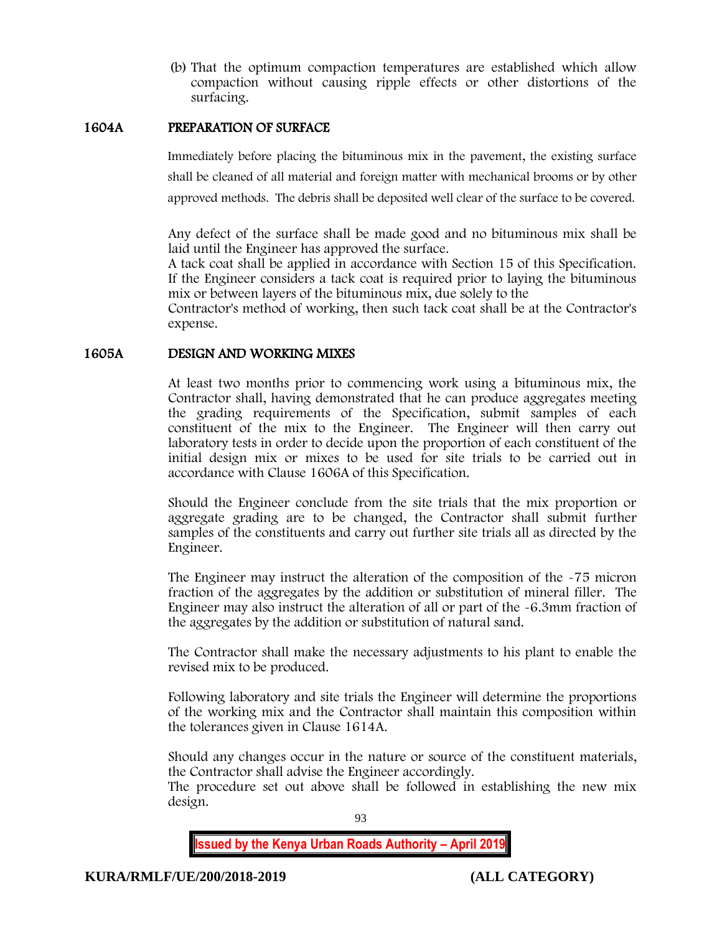(b) That the optimum compaction temperatures are established which allow compaction without causing ripple effects or other distortions of the surfacing.

### 1604A PREPARATION OF SURFACE

Immediately before placing the bituminous mix in the pavement, the existing surface shall be cleaned of all material and foreign matter with mechanical brooms or by other approved methods. The debris shall be deposited well clear of the surface to be covered.

Any defect of the surface shall be made good and no bituminous mix shall be laid until the Engineer has approved the surface.

A tack coat shall be applied in accordance with Section 15 of this Specification. If the Engineer considers a tack coat is required prior to laying the bituminous mix or between layers of the bituminous mix, due solely to the

Contractor's method of working, then such tack coat shall be at the Contractor's expense.

### 1605A DESIGN AND WORKING MIXES

At least two months prior to commencing work using a bituminous mix, the Contractor shall, having demonstrated that he can produce aggregates meeting the grading requirements of the Specification, submit samples of each constituent of the mix to the Engineer. The Engineer will then carry out laboratory tests in order to decide upon the proportion of each constituent of the initial design mix or mixes to be used for site trials to be carried out in accordance with Clause 1606A of this Specification.

Should the Engineer conclude from the site trials that the mix proportion or aggregate grading are to be changed, the Contractor shall submit further samples of the constituents and carry out further site trials all as directed by the Engineer.

The Engineer may instruct the alteration of the composition of the -75 micron fraction of the aggregates by the addition or substitution of mineral filler. The Engineer may also instruct the alteration of all or part of the -6.3mm fraction of the aggregates by the addition or substitution of natural sand.

The Contractor shall make the necessary adjustments to his plant to enable the revised mix to be produced.

Following laboratory and site trials the Engineer will determine the proportions of the working mix and the Contractor shall maintain this composition within the tolerances given in Clause 1614A.

Should any changes occur in the nature or source of the constituent materials, the Contractor shall advise the Engineer accordingly.

The procedure set out above shall be followed in establishing the new mix design.

93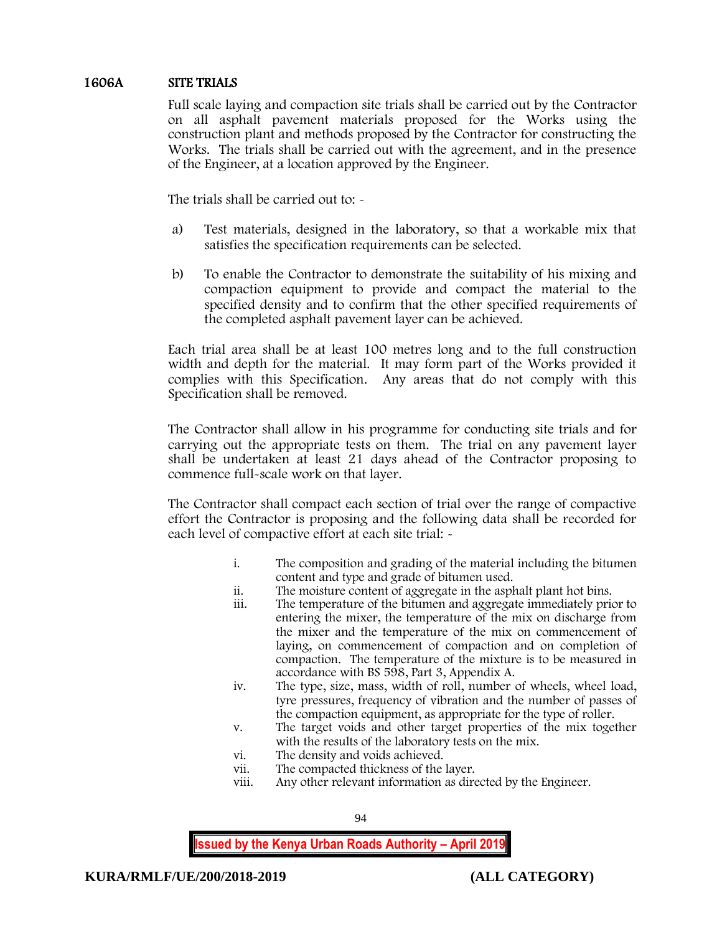# 1606A SITE TRIALS

Full scale laying and compaction site trials shall be carried out by the Contractor on all asphalt pavement materials proposed for the Works using the construction plant and methods proposed by the Contractor for constructing the Works. The trials shall be carried out with the agreement, and in the presence of the Engineer, at a location approved by the Engineer.

The trials shall be carried out to:  $\sim$ 

- a) Test materials, designed in the laboratory, so that a workable mix that satisfies the specification requirements can be selected.
- b) To enable the Contractor to demonstrate the suitability of his mixing and compaction equipment to provide and compact the material to the specified density and to confirm that the other specified requirements of the completed asphalt pavement layer can be achieved.

Each trial area shall be at least 100 metres long and to the full construction width and depth for the material. It may form part of the Works provided it complies with this Specification. Any areas that do not comply with this Specification shall be removed.

The Contractor shall allow in his programme for conducting site trials and for carrying out the appropriate tests on them. The trial on any pavement layer shall be undertaken at least 21 days ahead of the Contractor proposing to commence full-scale work on that layer.

The Contractor shall compact each section of trial over the range of compactive effort the Contractor is proposing and the following data shall be recorded for each level of compactive effort at each site trial: -

- i. The composition and grading of the material including the bitumen content and type and grade of bitumen used.
- ii. The moisture content of aggregate in the asphalt plant hot bins.
- The temperature of the bitumen and aggregate immediately prior to entering the mixer, the temperature of the mix on discharge from the mixer and the temperature of the mix on commencement of laying, on commencement of compaction and on completion of compaction. The temperature of the mixture is to be measured in accordance with BS 598, Part 3, Appendix A.
- iv. The type, size, mass, width of roll, number of wheels, wheel load, tyre pressures, frequency of vibration and the number of passes of the compaction equipment, as appropriate for the type of roller.
- v. The target voids and other target properties of the mix together with the results of the laboratory tests on the mix.
- vi. The density and voids achieved.
- vii. The compacted thickness of the layer.
- viii. Any other relevant information as directed by the Engineer.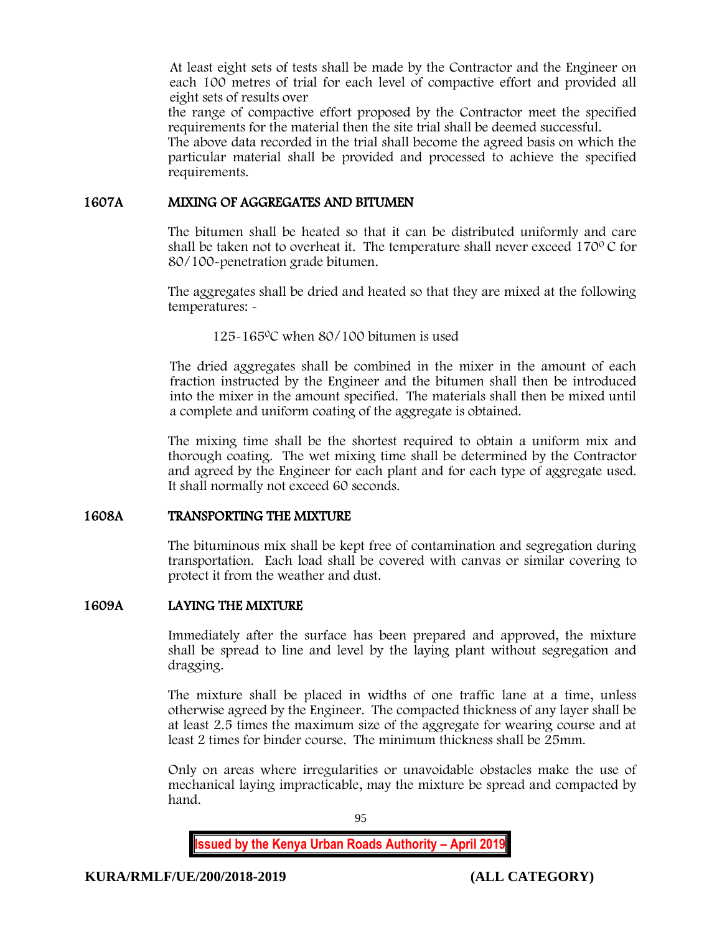At least eight sets of tests shall be made by the Contractor and the Engineer on each 100 metres of trial for each level of compactive effort and provided all eight sets of results over

the range of compactive effort proposed by the Contractor meet the specified requirements for the material then the site trial shall be deemed successful.

The above data recorded in the trial shall become the agreed basis on which the particular material shall be provided and processed to achieve the specified requirements.

#### 1607A MIXING OF AGGREGATES AND BITUMEN

The bitumen shall be heated so that it can be distributed uniformly and care shall be taken not to overheat it. The temperature shall never exceed  $170^{\circ}$ C for 80/100-penetration grade bitumen.

The aggregates shall be dried and heated so that they are mixed at the following temperatures: -

125-165<sup>0</sup>C when 80/100 bitumen is used

The dried aggregates shall be combined in the mixer in the amount of each fraction instructed by the Engineer and the bitumen shall then be introduced into the mixer in the amount specified. The materials shall then be mixed until a complete and uniform coating of the aggregate is obtained.

The mixing time shall be the shortest required to obtain a uniform mix and thorough coating. The wet mixing time shall be determined by the Contractor and agreed by the Engineer for each plant and for each type of aggregate used. It shall normally not exceed 60 seconds.

## 1608A TRANSPORTING THE MIXTURE

The bituminous mix shall be kept free of contamination and segregation during transportation. Each load shall be covered with canvas or similar covering to protect it from the weather and dust.

## 1609A LAYING THE MIXTURE

Immediately after the surface has been prepared and approved, the mixture shall be spread to line and level by the laying plant without segregation and dragging.

The mixture shall be placed in widths of one traffic lane at a time, unless otherwise agreed by the Engineer. The compacted thickness of any layer shall be at least 2.5 times the maximum size of the aggregate for wearing course and at least 2 times for binder course. The minimum thickness shall be 25mm.

Only on areas where irregularities or unavoidable obstacles make the use of mechanical laying impracticable, may the mixture be spread and compacted by hand.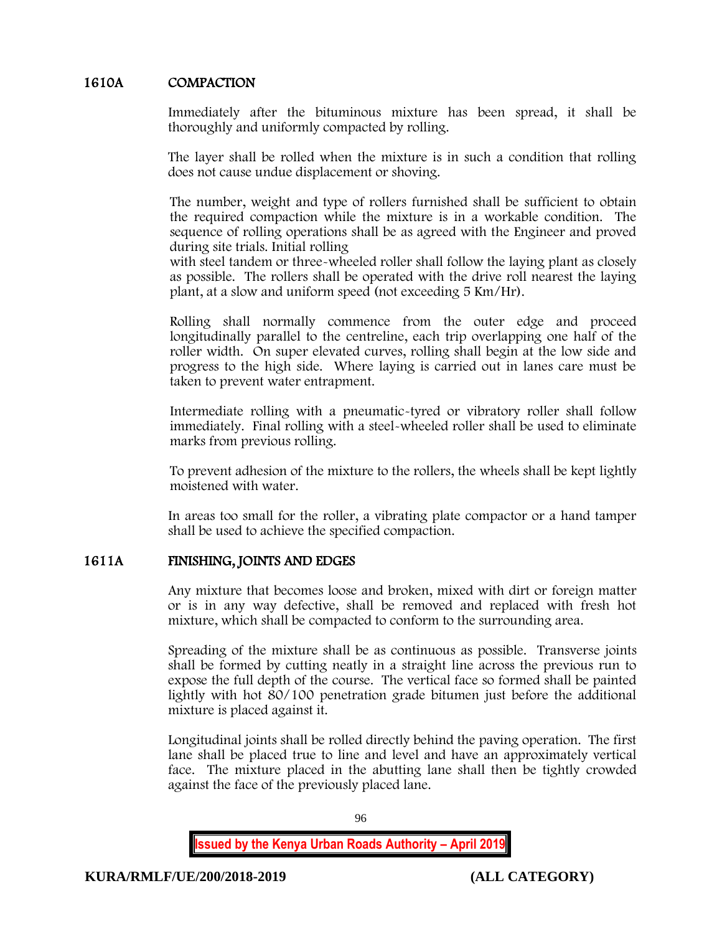# 1610A COMPACTION

Immediately after the bituminous mixture has been spread, it shall be thoroughly and uniformly compacted by rolling.

The layer shall be rolled when the mixture is in such a condition that rolling does not cause undue displacement or shoving.

The number, weight and type of rollers furnished shall be sufficient to obtain the required compaction while the mixture is in a workable condition. The sequence of rolling operations shall be as agreed with the Engineer and proved during site trials. Initial rolling

with steel tandem or three-wheeled roller shall follow the laying plant as closely as possible. The rollers shall be operated with the drive roll nearest the laying plant, at a slow and uniform speed (not exceeding 5 Km/Hr).

Rolling shall normally commence from the outer edge and proceed longitudinally parallel to the centreline, each trip overlapping one half of the roller width. On super elevated curves, rolling shall begin at the low side and progress to the high side. Where laying is carried out in lanes care must be taken to prevent water entrapment.

Intermediate rolling with a pneumatic-tyred or vibratory roller shall follow immediately. Final rolling with a steel-wheeled roller shall be used to eliminate marks from previous rolling.

To prevent adhesion of the mixture to the rollers, the wheels shall be kept lightly moistened with water.

In areas too small for the roller, a vibrating plate compactor or a hand tamper shall be used to achieve the specified compaction.

## 1611A FINISHING, JOINTS AND EDGES

Any mixture that becomes loose and broken, mixed with dirt or foreign matter or is in any way defective, shall be removed and replaced with fresh hot mixture, which shall be compacted to conform to the surrounding area.

Spreading of the mixture shall be as continuous as possible. Transverse joints shall be formed by cutting neatly in a straight line across the previous run to expose the full depth of the course. The vertical face so formed shall be painted lightly with hot 80/100 penetration grade bitumen just before the additional mixture is placed against it.

Longitudinal joints shall be rolled directly behind the paving operation. The first lane shall be placed true to line and level and have an approximately vertical face. The mixture placed in the abutting lane shall then be tightly crowded against the face of the previously placed lane.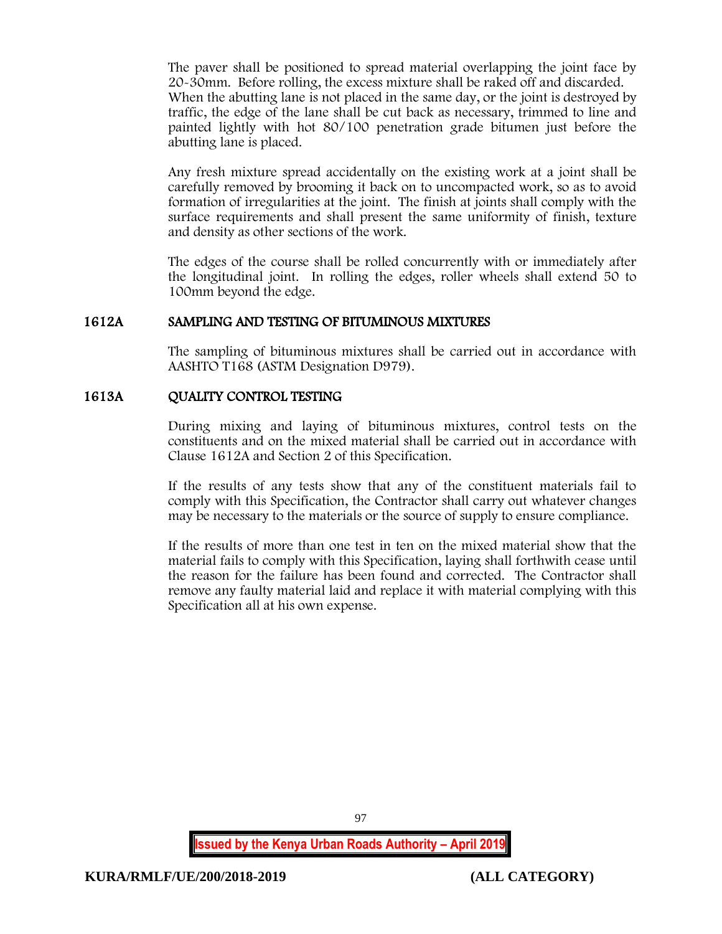The paver shall be positioned to spread material overlapping the joint face by 20-30mm. Before rolling, the excess mixture shall be raked off and discarded. When the abutting lane is not placed in the same day, or the joint is destroyed by traffic, the edge of the lane shall be cut back as necessary, trimmed to line and painted lightly with hot 80/100 penetration grade bitumen just before the abutting lane is placed.

Any fresh mixture spread accidentally on the existing work at a joint shall be carefully removed by brooming it back on to uncompacted work, so as to avoid formation of irregularities at the joint. The finish at joints shall comply with the surface requirements and shall present the same uniformity of finish, texture and density as other sections of the work.

The edges of the course shall be rolled concurrently with or immediately after the longitudinal joint. In rolling the edges, roller wheels shall extend 50 to 100mm beyond the edge.

### 1612A SAMPLING AND TESTING OF BITUMINOUS MIXTURES

The sampling of bituminous mixtures shall be carried out in accordance with AASHTO T168 (ASTM Designation D979).

### 1613A QUALITY CONTROL TESTING

During mixing and laying of bituminous mixtures, control tests on the constituents and on the mixed material shall be carried out in accordance with Clause 1612A and Section 2 of this Specification.

If the results of any tests show that any of the constituent materials fail to comply with this Specification, the Contractor shall carry out whatever changes may be necessary to the materials or the source of supply to ensure compliance.

If the results of more than one test in ten on the mixed material show that the material fails to comply with this Specification, laying shall forthwith cease until the reason for the failure has been found and corrected. The Contractor shall remove any faulty material laid and replace it with material complying with this Specification all at his own expense.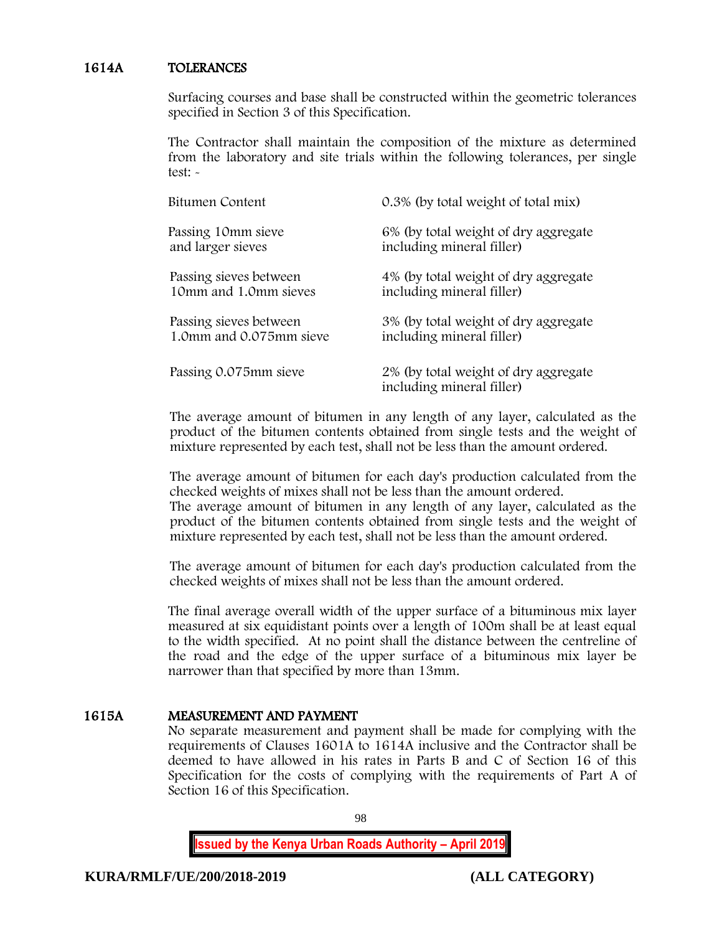### 1614A TOLERANCES

Surfacing courses and base shall be constructed within the geometric tolerances specified in Section 3 of this Specification.

The Contractor shall maintain the composition of the mixture as determined from the laboratory and site trials within the following tolerances, per single test: -

| Bitumen Content         | 0.3% (by total weight of total mix)                               |
|-------------------------|-------------------------------------------------------------------|
| Passing 10mm sieve      | 6% (by total weight of dry aggregate                              |
| and larger sieves       | including mineral filler)                                         |
| Passing sieves between  | 4% (by total weight of dry aggregate                              |
| 10mm and 1.0mm sieves   | including mineral filler)                                         |
| Passing sieves between  | 3% (by total weight of dry aggregate                              |
| 1.0mm and 0.075mm sieve | including mineral filler)                                         |
| Passing 0.075mm sieve   | 2% (by total weight of dry aggregate<br>including mineral filler) |

The average amount of bitumen in any length of any layer, calculated as the product of the bitumen contents obtained from single tests and the weight of mixture represented by each test, shall not be less than the amount ordered.

The average amount of bitumen for each day's production calculated from the checked weights of mixes shall not be less than the amount ordered. The average amount of bitumen in any length of any layer, calculated as the product of the bitumen contents obtained from single tests and the weight of mixture represented by each test, shall not be less than the amount ordered.

The average amount of bitumen for each day's production calculated from the checked weights of mixes shall not be less than the amount ordered.

The final average overall width of the upper surface of a bituminous mix layer measured at six equidistant points over a length of 100m shall be at least equal to the width specified. At no point shall the distance between the centreline of the road and the edge of the upper surface of a bituminous mix layer be narrower than that specified by more than 13mm.

#### 1615A MEASUREMENT AND PAYMENT

No separate measurement and payment shall be made for complying with the requirements of Clauses 1601A to 1614A inclusive and the Contractor shall be deemed to have allowed in his rates in Parts B and C of Section 16 of this Specification for the costs of complying with the requirements of Part A of Section 16 of this Specification.

98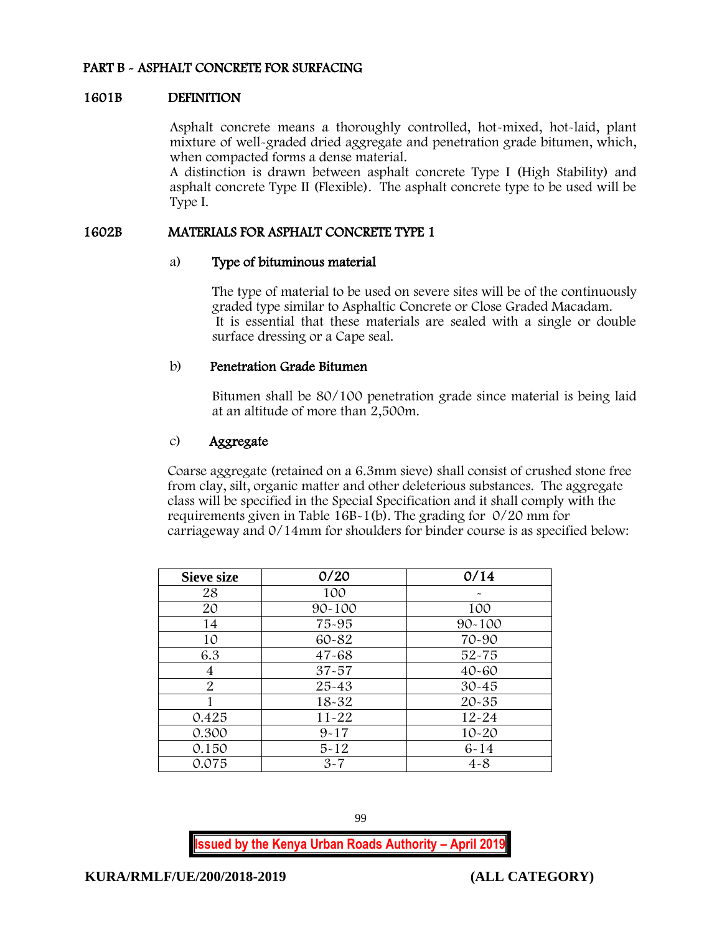## PART B - ASPHALT CONCRETE FOR SURFACING

#### 1601B DEFINITION

Asphalt concrete means a thoroughly controlled, hot-mixed, hot-laid, plant mixture of well-graded dried aggregate and penetration grade bitumen, which, when compacted forms a dense material.

A distinction is drawn between asphalt concrete Type I (High Stability) and asphalt concrete Type II (Flexible). The asphalt concrete type to be used will be Type I.

#### 1602B MATERIALS FOR ASPHALT CONCRETE TYPE 1

#### a) Type of bituminous material

The type of material to be used on severe sites will be of the continuously graded type similar to Asphaltic Concrete or Close Graded Macadam. It is essential that these materials are sealed with a single or double surface dressing or a Cape seal.

#### b) Penetration Grade Bitumen

Bitumen shall be 80/100 penetration grade since material is being laid at an altitude of more than 2,500m.

### c) Aggregate

Coarse aggregate (retained on a 6.3mm sieve) shall consist of crushed stone free from clay, silt, organic matter and other deleterious substances. The aggregate class will be specified in the Special Specification and it shall comply with the requirements given in Table 16B-1(b). The grading for 0/20 mm for carriageway and 0/14mm for shoulders for binder course is as specified below:

| Sieve size     | 0/20       | 0/14       |
|----------------|------------|------------|
| 28             | 100        |            |
| 20             | $90 - 100$ | 100        |
| 14             | 75-95      | $90 - 100$ |
| 10             | 60-82      | 70-90      |
| 6.3            | $47 - 68$  | $52 - 75$  |
| 4              | $37 - 57$  | $40 - 60$  |
| $\overline{2}$ | 25-43      | $30 - 45$  |
|                | $18 - 32$  | $20 - 35$  |
| 0.425          | $11 - 22$  | $12 - 24$  |
| 0.300          | $9 - 17$   | $10 - 20$  |
| 0.150          | $5 - 12$   | $6 - 14$   |
| 0.075          | $3 - 7$    | $4 - 8$    |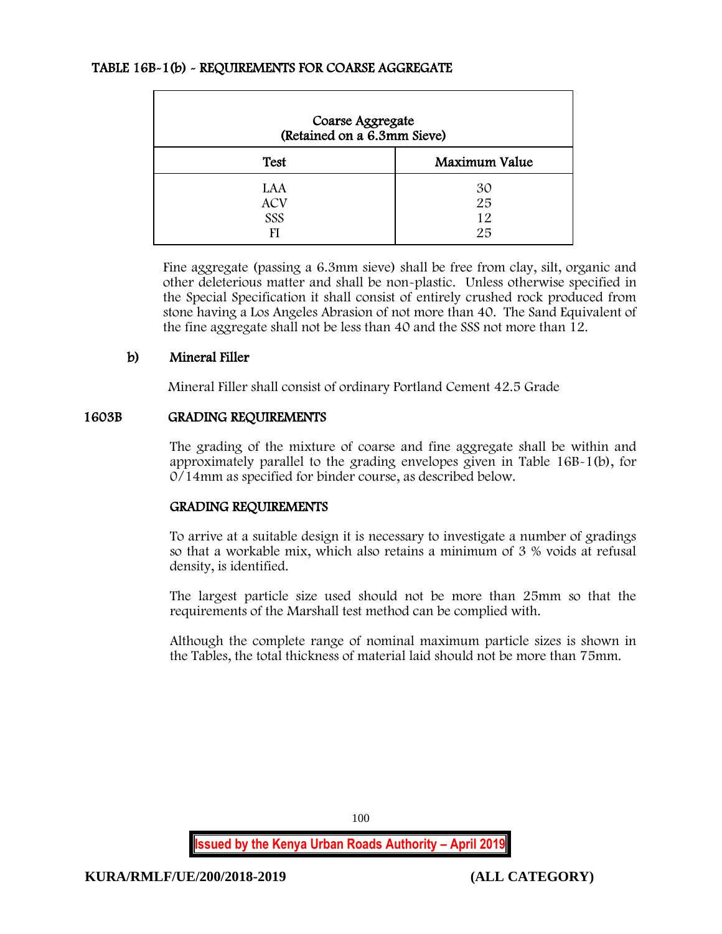### TABLE 16B-1(b) - REQUIREMENTS FOR COARSE AGGREGATE

| Coarse Aggregate<br>(Retained on a 6.3mm Sieve) |                      |  |  |
|-------------------------------------------------|----------------------|--|--|
| <b>Test</b>                                     | Maximum Value        |  |  |
| LAA<br><b>ACV</b><br>SSS<br>FI                  | 30<br>25<br>12<br>25 |  |  |

Fine aggregate (passing a 6.3mm sieve) shall be free from clay, silt, organic and other deleterious matter and shall be non-plastic. Unless otherwise specified in the Special Specification it shall consist of entirely crushed rock produced from stone having a Los Angeles Abrasion of not more than 40. The Sand Equivalent of the fine aggregate shall not be less than 40 and the SSS not more than 12.

### b) Mineral Filler

Mineral Filler shall consist of ordinary Portland Cement 42.5 Grade

#### 1603B GRADING REQUIREMENTS

The grading of the mixture of coarse and fine aggregate shall be within and approximately parallel to the grading envelopes given in Table 16B-1(b), for 0/14mm as specified for binder course, as described below.

## GRADING REQUIREMENTS

To arrive at a suitable design it is necessary to investigate a number of gradings so that a workable mix, which also retains a minimum of 3 % voids at refusal density, is identified.

The largest particle size used should not be more than 25mm so that the requirements of the Marshall test method can be complied with.

Although the complete range of nominal maximum particle sizes is shown in the Tables, the total thickness of material laid should not be more than 75mm.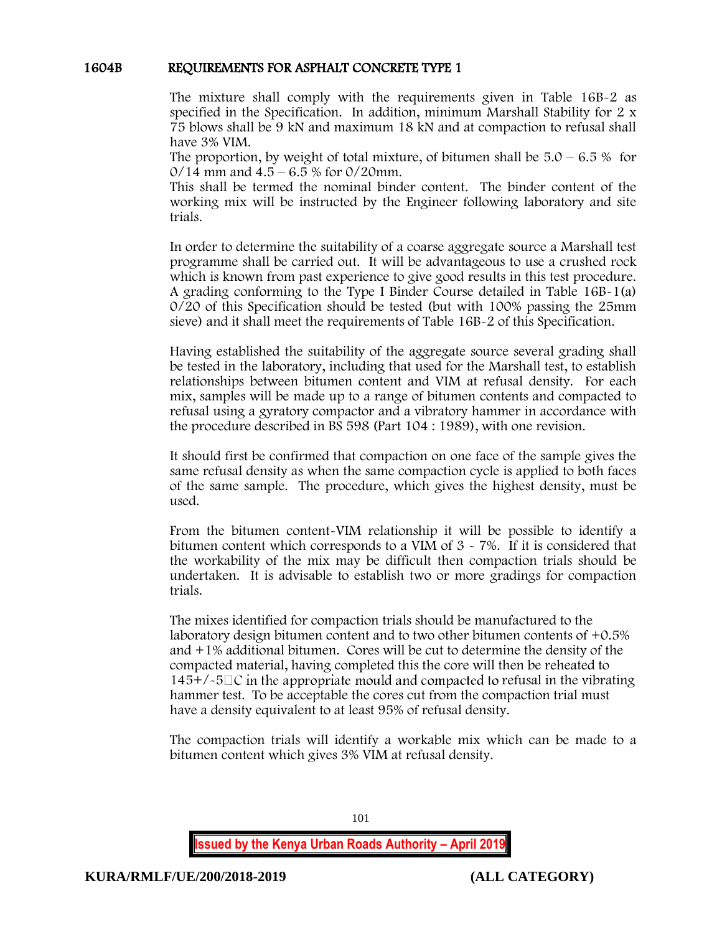### 1604B REQUIREMENTS FOR ASPHALT CONCRETE TYPE 1

The mixture shall comply with the requirements given in Table 16B-2 as specified in the Specification. In addition, minimum Marshall Stability for 2 x 75 blows shall be 9 kN and maximum 18 kN and at compaction to refusal shall have 3% VIM.

The proportion, by weight of total mixture, of bitumen shall be  $5.0 - 6.5\%$  for  $0/14$  mm and  $4.5 - 6.5$  % for  $0/20$ mm.

This shall be termed the nominal binder content. The binder content of the working mix will be instructed by the Engineer following laboratory and site trials.

In order to determine the suitability of a coarse aggregate source a Marshall test programme shall be carried out. It will be advantageous to use a crushed rock which is known from past experience to give good results in this test procedure. A grading conforming to the Type I Binder Course detailed in Table 16B-1(a) 0/20 of this Specification should be tested (but with 100% passing the 25mm sieve) and it shall meet the requirements of Table 16B-2 of this Specification.

Having established the suitability of the aggregate source several grading shall be tested in the laboratory, including that used for the Marshall test, to establish relationships between bitumen content and VIM at refusal density. For each mix, samples will be made up to a range of bitumen contents and compacted to refusal using a gyratory compactor and a vibratory hammer in accordance with the procedure described in BS 598 (Part 104 : 1989), with one revision.

It should first be confirmed that compaction on one face of the sample gives the same refusal density as when the same compaction cycle is applied to both faces of the same sample. The procedure, which gives the highest density, must be used.

From the bitumen content-VIM relationship it will be possible to identify a bitumen content which corresponds to a VIM of 3 - 7%. If it is considered that the workability of the mix may be difficult then compaction trials should be undertaken. It is advisable to establish two or more gradings for compaction trials.

The mixes identified for compaction trials should be manufactured to the laboratory design bitumen content and to two other bitumen contents of +0.5% and +1% additional bitumen. Cores will be cut to determine the density of the compacted material, having completed this the core will then be reheated to  $145+/-5\degree$  in the appropriate mould and compacted to refusal in the vibrating hammer test. To be acceptable the cores cut from the compaction trial must have a density equivalent to at least 95% of refusal density.

The compaction trials will identify a workable mix which can be made to a bitumen content which gives 3% VIM at refusal density.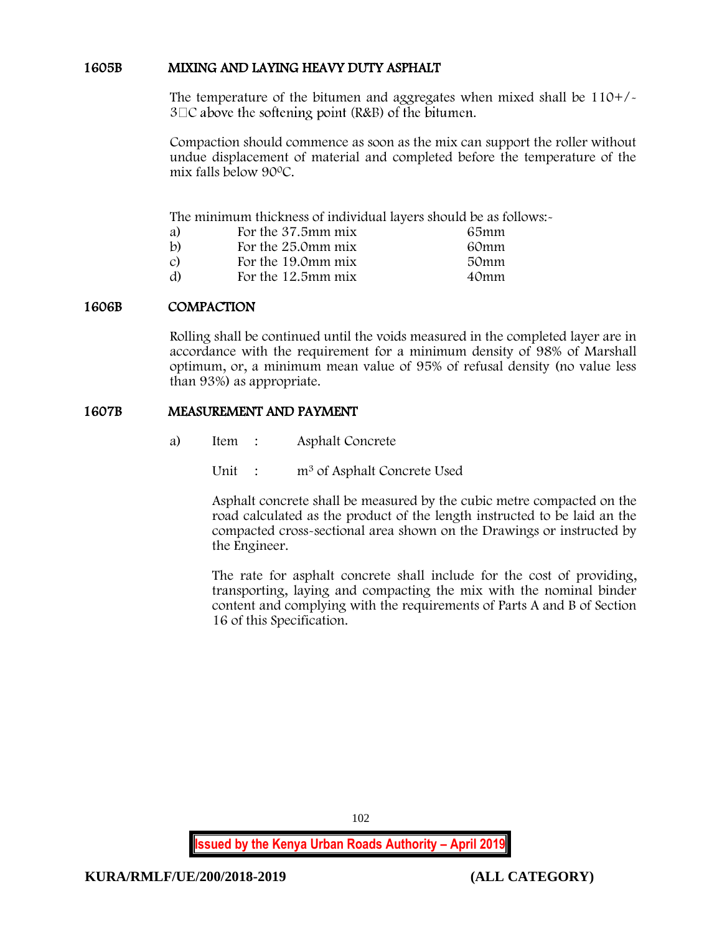### 1605B MIXING AND LAYING HEAVY DUTY ASPHALT

The temperature of the bitumen and aggregates when mixed shall be 110+/-  $3\Box C$  above the softening point (R&B) of the bitumen.

Compaction should commence as soon as the mix can support the roller without undue displacement of material and completed before the temperature of the mix falls below 90<sup>0</sup>C.

The minimum thickness of individual layers should be as follows:-

| a) | For the 37.5mm mix | 65mm |
|----|--------------------|------|
| b) | For the 25.0mm mix | 60mm |
| C) | For the 19.0mm mix | 50mm |
| d) | For the 12.5mm mix | 40mm |

### 1606B COMPACTION

Rolling shall be continued until the voids measured in the completed layer are in accordance with the requirement for a minimum density of 98% of Marshall optimum, or, a minimum mean value of 95% of refusal density (no value less than 93%) as appropriate.

### 1607B MEASUREMENT AND PAYMENT

- a) Item : Asphalt Concrete
	- Unit : m<sup>3</sup> of Asphalt Concrete Used

Asphalt concrete shall be measured by the cubic metre compacted on the road calculated as the product of the length instructed to be laid an the compacted cross-sectional area shown on the Drawings or instructed by the Engineer.

The rate for asphalt concrete shall include for the cost of providing, transporting, laying and compacting the mix with the nominal binder content and complying with the requirements of Parts A and B of Section 16 of this Specification.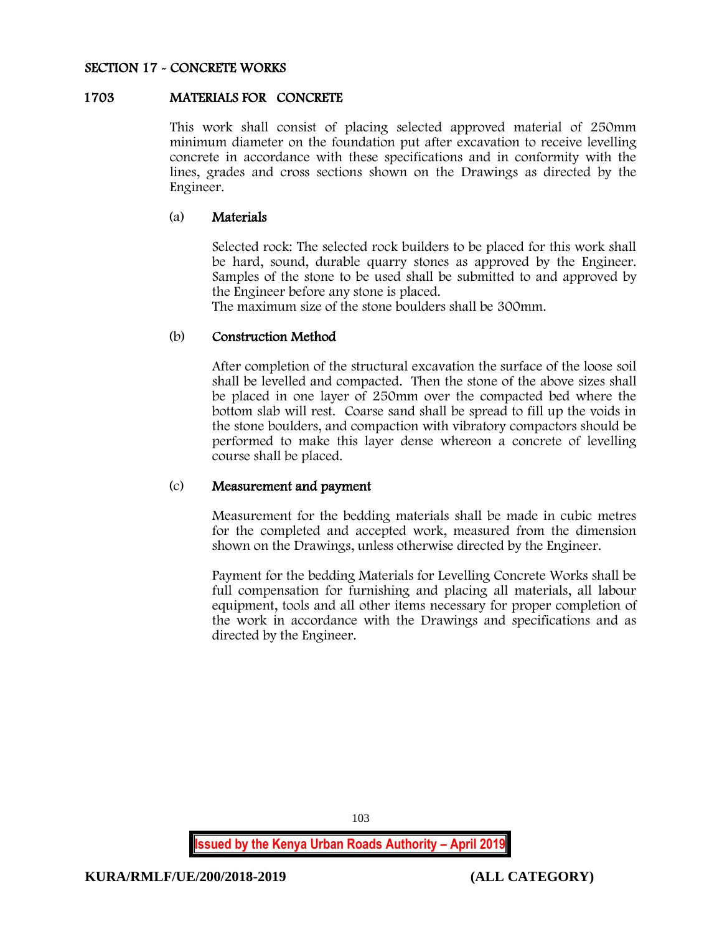#### SECTION 17 - CONCRETE WORKS

#### 1703 MATERIALS FOR CONCRETE

This work shall consist of placing selected approved material of 250mm minimum diameter on the foundation put after excavation to receive levelling concrete in accordance with these specifications and in conformity with the lines, grades and cross sections shown on the Drawings as directed by the Engineer.

#### (a) Materials

Selected rock: The selected rock builders to be placed for this work shall be hard, sound, durable quarry stones as approved by the Engineer. Samples of the stone to be used shall be submitted to and approved by the Engineer before any stone is placed.

The maximum size of the stone boulders shall be 300mm.

#### (b) Construction Method

After completion of the structural excavation the surface of the loose soil shall be levelled and compacted. Then the stone of the above sizes shall be placed in one layer of 250mm over the compacted bed where the bottom slab will rest. Coarse sand shall be spread to fill up the voids in the stone boulders, and compaction with vibratory compactors should be performed to make this layer dense whereon a concrete of levelling course shall be placed.

#### (c) Measurement and payment

Measurement for the bedding materials shall be made in cubic metres for the completed and accepted work, measured from the dimension shown on the Drawings, unless otherwise directed by the Engineer.

Payment for the bedding Materials for Levelling Concrete Works shall be full compensation for furnishing and placing all materials, all labour equipment, tools and all other items necessary for proper completion of the work in accordance with the Drawings and specifications and as directed by the Engineer.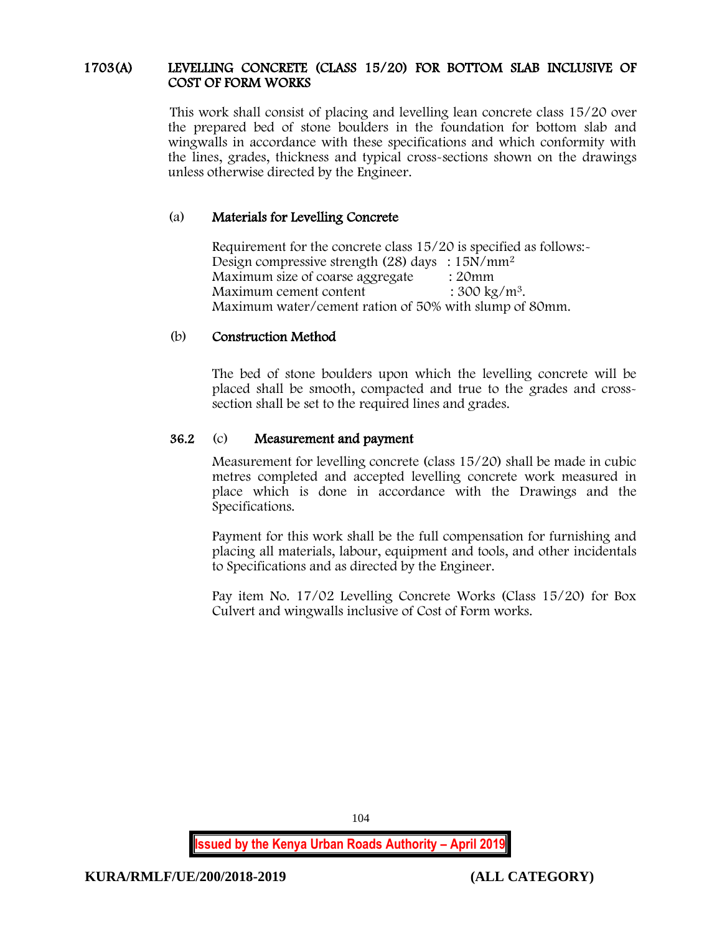### 1703(A) LEVELLING CONCRETE (CLASS 15/20) FOR BOTTOM SLAB INCLUSIVE OF COST OF FORM WORKS

This work shall consist of placing and levelling lean concrete class 15/20 over the prepared bed of stone boulders in the foundation for bottom slab and wingwalls in accordance with these specifications and which conformity with the lines, grades, thickness and typical cross-sections shown on the drawings unless otherwise directed by the Engineer.

# (a) Materials for Levelling Concrete

Requirement for the concrete class 15/20 is specified as follows:- Design compressive strength (28) days :  $15N/mm^2$ Maximum size of coarse aggregate : 20mm Maximum cement content  $: 300 \text{ kg/m}^3$ . Maximum water/cement ration of 50% with slump of 80mm.

## (b) Construction Method

The bed of stone boulders upon which the levelling concrete will be placed shall be smooth, compacted and true to the grades and crosssection shall be set to the required lines and grades.

## 36.2 (c) Measurement and payment

Measurement for levelling concrete (class 15/20) shall be made in cubic metres completed and accepted levelling concrete work measured in place which is done in accordance with the Drawings and the Specifications.

Payment for this work shall be the full compensation for furnishing and placing all materials, labour, equipment and tools, and other incidentals to Specifications and as directed by the Engineer.

Pay item No. 17/02 Levelling Concrete Works (Class 15/20) for Box Culvert and wingwalls inclusive of Cost of Form works.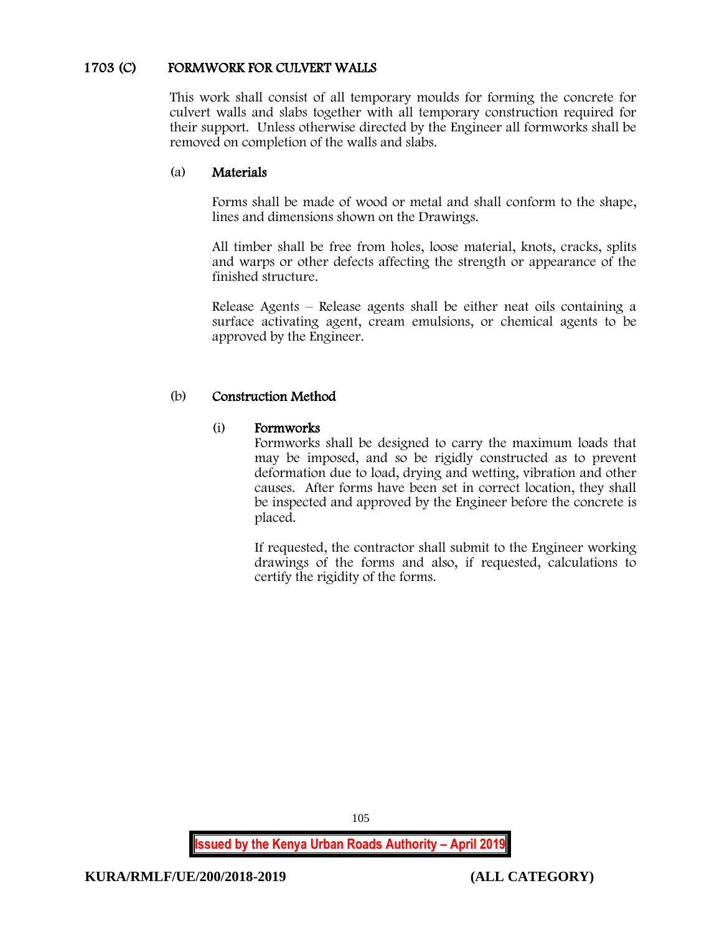# 1703 (C) FORMWORK FOR CULVERT WALLS

This work shall consist of all temporary moulds for forming the concrete for culvert walls and slabs together with all temporary construction required for their support. Unless otherwise directed by the Engineer all formworks shall be removed on completion of the walls and slabs.

## (a) Materials

Forms shall be made of wood or metal and shall conform to the shape, lines and dimensions shown on the Drawings.

All timber shall be free from holes, loose material, knots, cracks, splits and warps or other defects affecting the strength or appearance of the finished structure.

Release Agents – Release agents shall be either neat oils containing a surface activating agent, cream emulsions, or chemical agents to be approved by the Engineer.

## (b) Construction Method

## (i) Formworks

Formworks shall be designed to carry the maximum loads that may be imposed, and so be rigidly constructed as to prevent deformation due to load, drying and wetting, vibration and other causes. After forms have been set in correct location, they shall be inspected and approved by the Engineer before the concrete is placed.

If requested, the contractor shall submit to the Engineer working drawings of the forms and also, if requested, calculations to certify the rigidity of the forms.

**Issued by the Kenya Urban Roads Authority – April 2019**

105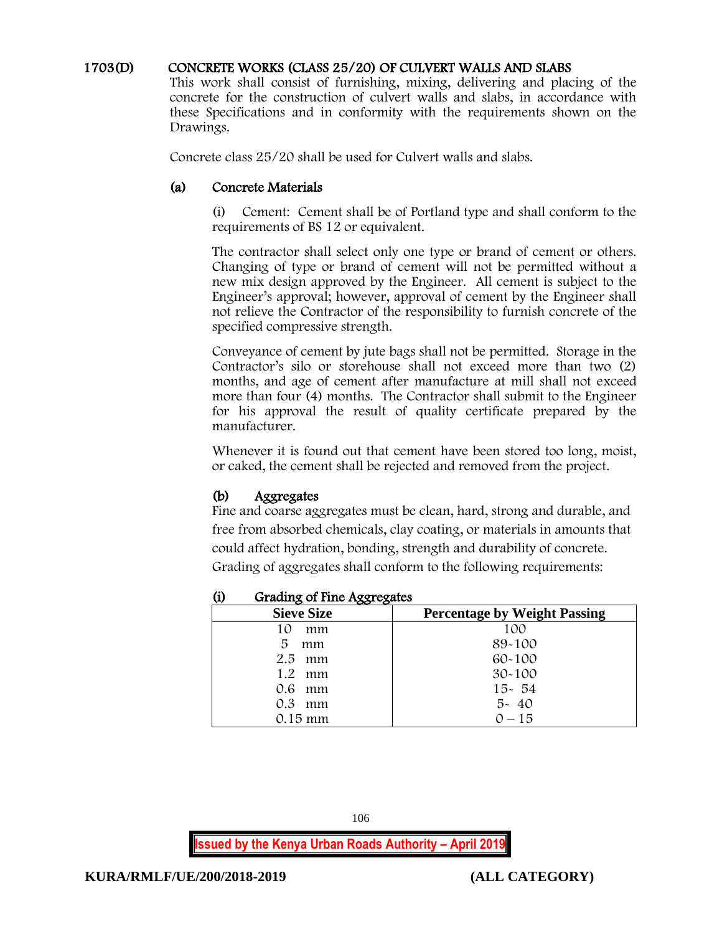### 1703(D) CONCRETE WORKS (CLASS 25/20) OF CULVERT WALLS AND SLABS

This work shall consist of furnishing, mixing, delivering and placing of the concrete for the construction of culvert walls and slabs, in accordance with these Specifications and in conformity with the requirements shown on the Drawings.

Concrete class 25/20 shall be used for Culvert walls and slabs.

#### (a) Concrete Materials

(i) Cement: Cement shall be of Portland type and shall conform to the requirements of BS 12 or equivalent.

The contractor shall select only one type or brand of cement or others. Changing of type or brand of cement will not be permitted without a new mix design approved by the Engineer. All cement is subject to the Engineer's approval; however, approval of cement by the Engineer shall not relieve the Contractor of the responsibility to furnish concrete of the specified compressive strength.

Conveyance of cement by jute bags shall not be permitted. Storage in the Contractor's silo or storehouse shall not exceed more than two (2) months, and age of cement after manufacture at mill shall not exceed more than four (4) months. The Contractor shall submit to the Engineer for his approval the result of quality certificate prepared by the manufacturer.

Whenever it is found out that cement have been stored too long, moist, or caked, the cement shall be rejected and removed from the project.

## (b) Aggregates

Fine and coarse aggregates must be clean, hard, strong and durable, and free from absorbed chemicals, clay coating, or materials in amounts that could affect hydration, bonding, strength and durability of concrete. Grading of aggregates shall conform to the following requirements:

| (i) | Grading of Fine Aggregates |  |
|-----|----------------------------|--|
|     |                            |  |

| <b>Sieve Size</b> | <b>Percentage by Weight Passing</b> |
|-------------------|-------------------------------------|
| 10<br>mm          | 100                                 |
| 5<br>mm           | 89-100                              |
| $2.5$ mm          | $60 - 100$                          |
| $1.2 \cdot mm$    | $30 - 100$                          |
| 0.6 mm            | $15 - 54$                           |
| 0.3<br>mm         | $5 - 40$                            |
| 0.15 mm           | $0 - 15$                            |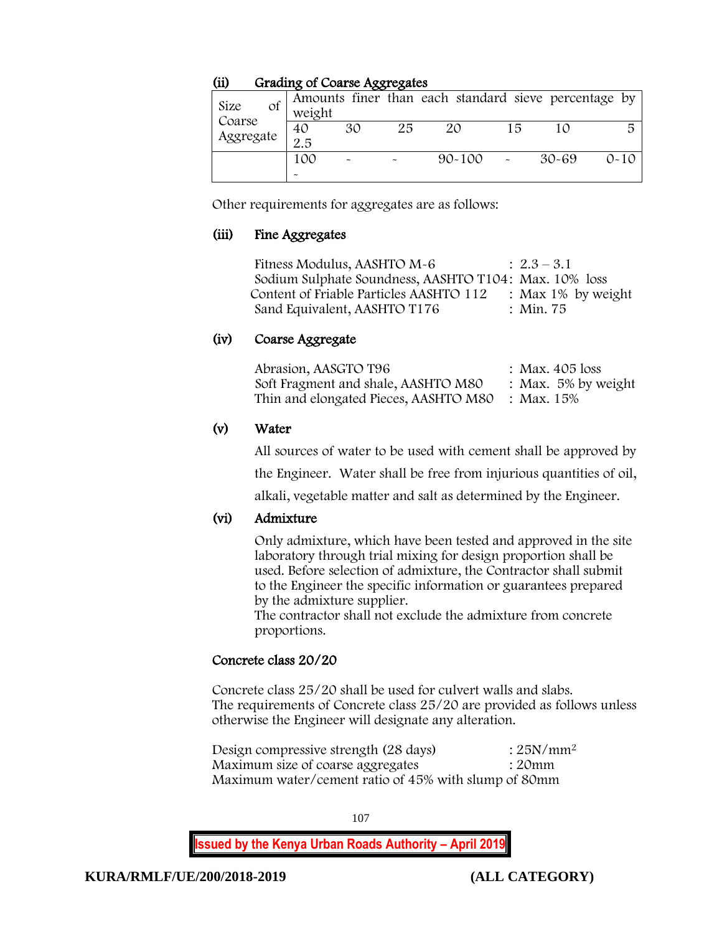## (ii) Grading of Coarse Aggregates

| Size<br>Οf<br>Coarse | weight    |    | .  | Amounts finer than each standard sieve percentage by |     |           |          |
|----------------------|-----------|----|----|------------------------------------------------------|-----|-----------|----------|
| Aggregate            | 40<br>2.5 | 30 | 25 | 20                                                   | 1 ឆ |           | 局        |
|                      | 100       |    |    | $90 - 100$                                           |     | $30 - 69$ | $0 - 10$ |

Other requirements for aggregates are as follows:

## (iii) Fine Aggregates

Fitness Modulus, AASHTO  $M-6$  :  $2.3-3.1$ Sodium Sulphate Soundness, AASHTO T104: Max. 10% loss Content of Friable Particles AASHTO 112 : Max 1% by weight<br>
Sand Equivalent, AASHTO T176 : Min. 75 Sand Equivalent, AASHTO T176

# (iv) Coarse Aggregate

| Abrasion, AASGTO T96                             | : Max. $405$ loss      |
|--------------------------------------------------|------------------------|
| Soft Fragment and shale, AASHTO M80              | : Max. $5\%$ by weight |
| Thin and elongated Pieces, AASHTO M80 : Max. 15% |                        |

# (v) Water

All sources of water to be used with cement shall be approved by

the Engineer. Water shall be free from injurious quantities of oil,

alkali, vegetable matter and salt as determined by the Engineer.

## (vi) Admixture

Only admixture, which have been tested and approved in the site laboratory through trial mixing for design proportion shall be used. Before selection of admixture, the Contractor shall submit to the Engineer the specific information or guarantees prepared by the admixture supplier.

The contractor shall not exclude the admixture from concrete proportions.

# Concrete class 20/20

Concrete class 25/20 shall be used for culvert walls and slabs. The requirements of Concrete class 25/20 are provided as follows unless otherwise the Engineer will designate any alteration.

Design compressive strength  $(28 \text{ days})$  :  $25N/mm^2$ Maximum size of coarse aggregates : 20mm Maximum water/cement ratio of 45% with slump of 80mm

107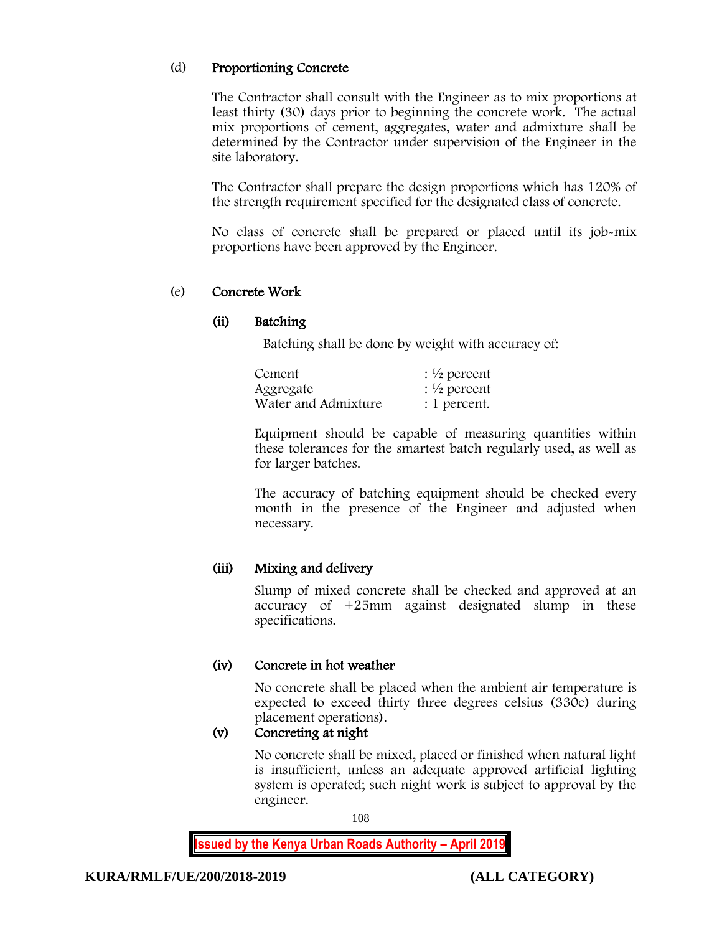# (d) Proportioning Concrete

The Contractor shall consult with the Engineer as to mix proportions at least thirty (30) days prior to beginning the concrete work. The actual mix proportions of cement, aggregates, water and admixture shall be determined by the Contractor under supervision of the Engineer in the site laboratory.

The Contractor shall prepare the design proportions which has 120% of the strength requirement specified for the designated class of concrete.

No class of concrete shall be prepared or placed until its job-mix proportions have been approved by the Engineer.

# (e) Concrete Work

# (ii) Batching

Batching shall be done by weight with accuracy of:

| Cement              | : $\frac{1}{2}$ percent |
|---------------------|-------------------------|
| Aggregate           | : $\frac{1}{2}$ percent |
| Water and Admixture | : 1 percent.            |

Equipment should be capable of measuring quantities within these tolerances for the smartest batch regularly used, as well as for larger batches.

The accuracy of batching equipment should be checked every month in the presence of the Engineer and adjusted when necessary.

# (iii) Mixing and delivery

Slump of mixed concrete shall be checked and approved at an accuracy of +25mm against designated slump in these specifications.

# (iv) Concrete in hot weather

No concrete shall be placed when the ambient air temperature is expected to exceed thirty three degrees celsius (330c) during placement operations).

# (v) Concreting at night

No concrete shall be mixed, placed or finished when natural light is insufficient, unless an adequate approved artificial lighting system is operated; such night work is subject to approval by the engineer.

108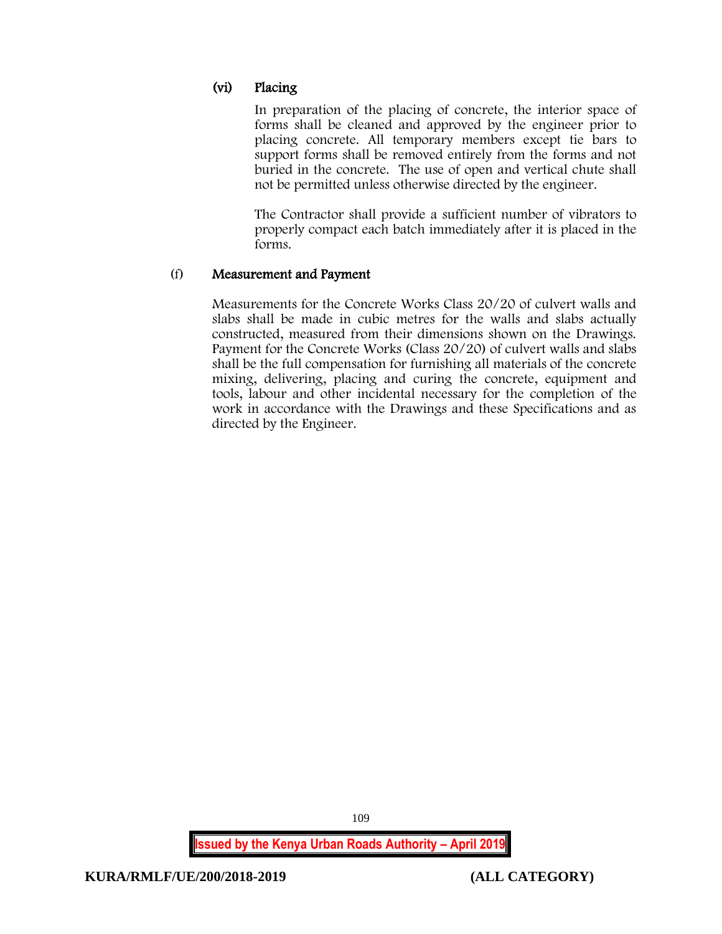# (vi) Placing

In preparation of the placing of concrete, the interior space of forms shall be cleaned and approved by the engineer prior to placing concrete. All temporary members except tie bars to support forms shall be removed entirely from the forms and not buried in the concrete. The use of open and vertical chute shall not be permitted unless otherwise directed by the engineer.

The Contractor shall provide a sufficient number of vibrators to properly compact each batch immediately after it is placed in the forms.

# (f) Measurement and Payment

Measurements for the Concrete Works Class 20/20 of culvert walls and slabs shall be made in cubic metres for the walls and slabs actually constructed, measured from their dimensions shown on the Drawings. Payment for the Concrete Works (Class 20/20) of culvert walls and slabs shall be the full compensation for furnishing all materials of the concrete mixing, delivering, placing and curing the concrete, equipment and tools, labour and other incidental necessary for the completion of the work in accordance with the Drawings and these Specifications and as directed by the Engineer.

**Issued by the Kenya Urban Roads Authority – April 2019**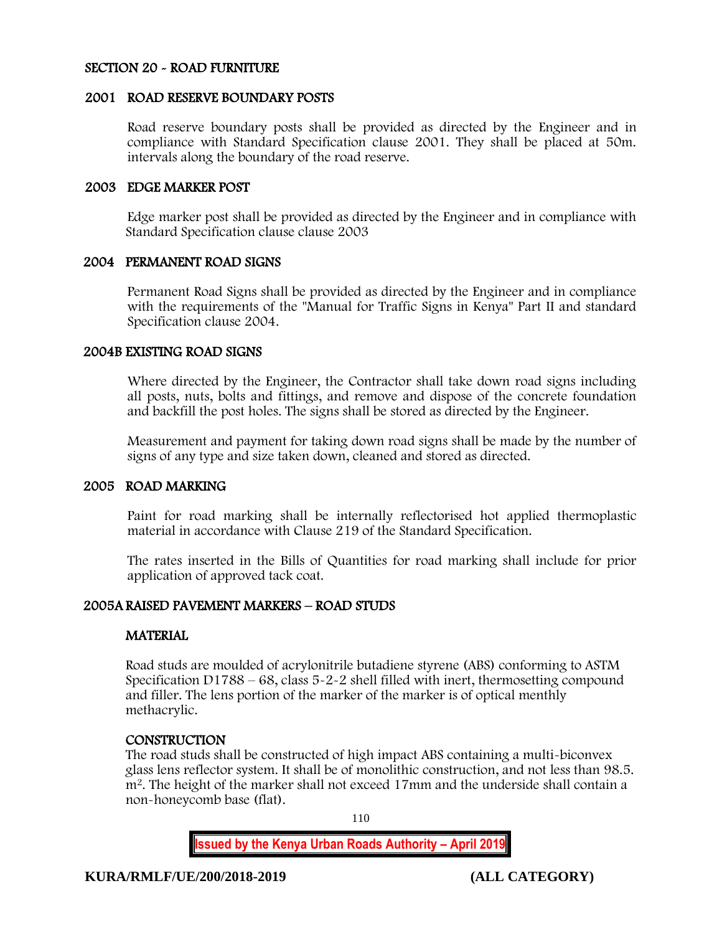#### SECTION 20 - ROAD FURNITURE

#### 2001 ROAD RESERVE BOUNDARY POSTS

Road reserve boundary posts shall be provided as directed by the Engineer and in compliance with Standard Specification clause 2001. They shall be placed at 50m. intervals along the boundary of the road reserve.

#### 2003 EDGE MARKER POST

Edge marker post shall be provided as directed by the Engineer and in compliance with Standard Specification clause clause 2003

#### 2004 PERMANENT ROAD SIGNS

Permanent Road Signs shall be provided as directed by the Engineer and in compliance with the requirements of the "Manual for Traffic Signs in Kenya" Part II and standard Specification clause 2004.

#### 2004B EXISTING ROAD SIGNS

Where directed by the Engineer, the Contractor shall take down road signs including all posts, nuts, bolts and fittings, and remove and dispose of the concrete foundation and backfill the post holes. The signs shall be stored as directed by the Engineer.

Measurement and payment for taking down road signs shall be made by the number of signs of any type and size taken down, cleaned and stored as directed.

#### 2005 ROAD MARKING

Paint for road marking shall be internally reflectorised hot applied thermoplastic material in accordance with Clause 219 of the Standard Specification.

The rates inserted in the Bills of Quantities for road marking shall include for prior application of approved tack coat.

## 2005A RAISED PAVEMENT MARKERS – ROAD STUDS

#### **MATERIAL**

Road studs are moulded of acrylonitrile butadiene styrene (ABS) conforming to ASTM Specification D1788 – 68, class 5-2-2 shell filled with inert, thermosetting compound and filler. The lens portion of the marker of the marker is of optical menthly methacrylic.

#### **CONSTRUCTION**

The road studs shall be constructed of high impact ABS containing a multi-biconvex glass lens reflector system. It shall be of monolithic construction, and not less than 98.5. m<sup>2</sup>. The height of the marker shall not exceed 17mm and the underside shall contain a non-honeycomb base (flat).

110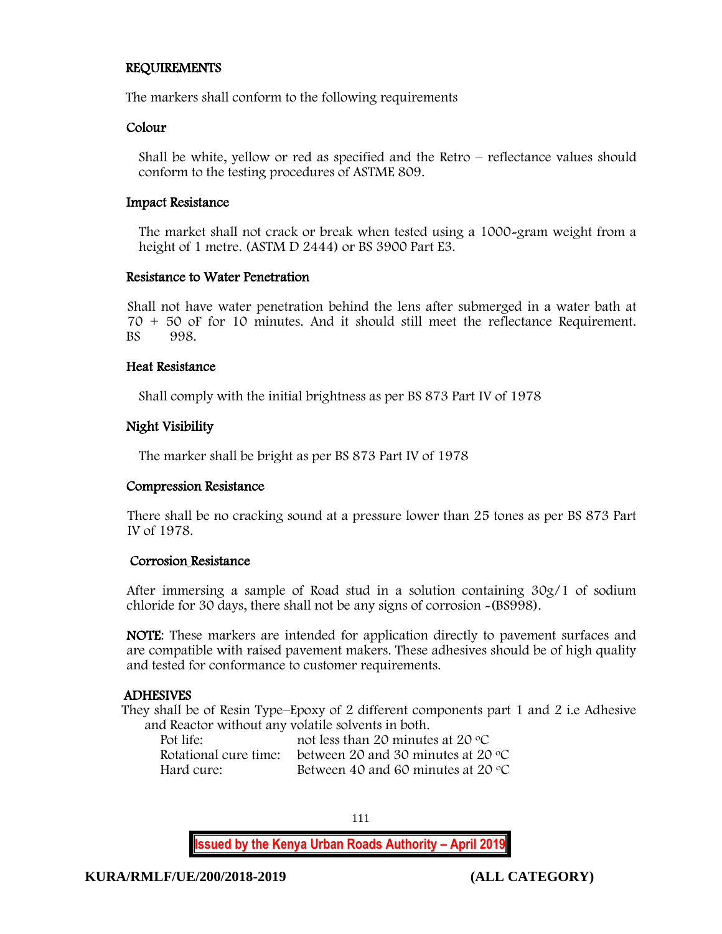## REQUIREMENTS

The markers shall conform to the following requirements

#### Colour

Shall be white, yellow or red as specified and the Retro – reflectance values should conform to the testing procedures of ASTME 809.

#### Impact Resistance

The market shall not crack or break when tested using a 1000-gram weight from a height of 1 metre. (ASTM D 2444) or BS 3900 Part E3.

## Resistance to Water Penetration

Shall not have water penetration behind the lens after submerged in a water bath at 70 + 50 oF for 10 minutes. And it should still meet the reflectance Requirement. BS 998.

## Heat Resistance

Shall comply with the initial brightness as per BS 873 Part IV of 1978

# Night Visibility

The marker shall be bright as per BS 873 Part IV of 1978

#### Compression Resistance

There shall be no cracking sound at a pressure lower than 25 tones as per BS 873 Part IV of 1978.

#### Corrosion Resistance

After immersing a sample of Road stud in a solution containing 30g/1 of sodium chloride for 30 days, there shall not be any signs of corrosion -(BS998).

NOTE: These markers are intended for application directly to pavement surfaces and are compatible with raised pavement makers. These adhesives should be of high quality and tested for conformance to customer requirements.

#### ADHESIVES

They shall be of Resin Type–Epoxy of 2 different components part 1 and 2 i.e Adhesive and Reactor without any volatile solvents in both.

| Pot life:             | not less than 20 minutes at 20 $\rm{^{\circ}C}$ |
|-----------------------|-------------------------------------------------|
| Rotational cure time: | between 20 and 30 minutes at 20 $\degree$ C     |
| Hard cure:            | Between 40 and 60 minutes at 20 $\degree$ C     |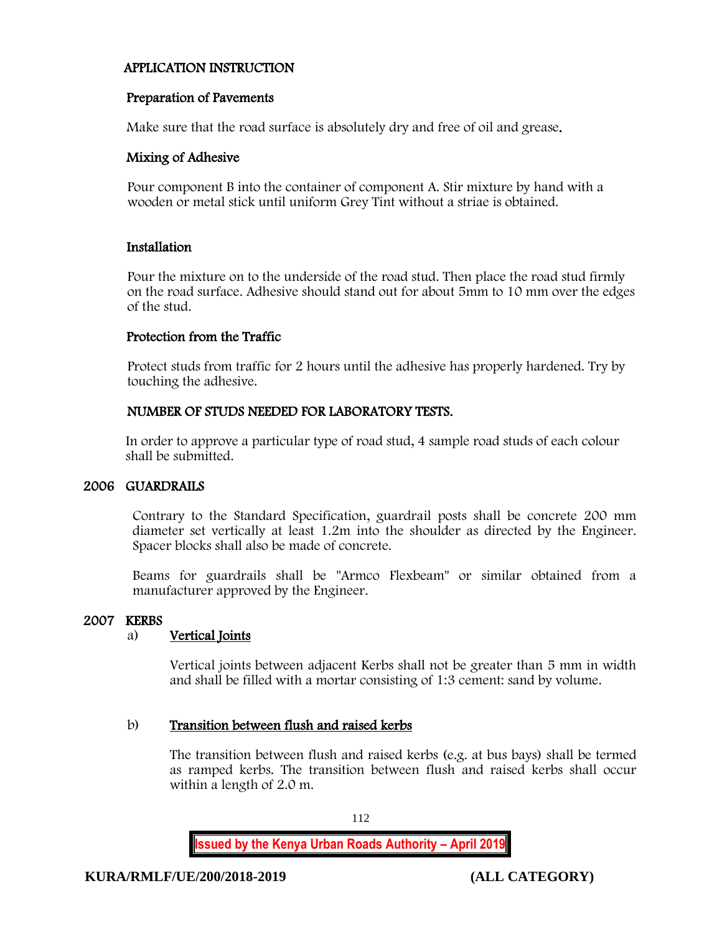# APPLICATION INSTRUCTION

# Preparation of Pavements

Make sure that the road surface is absolutely dry and free of oil and grease.

#### Mixing of Adhesive

Pour component B into the container of component A. Stir mixture by hand with a wooden or metal stick until uniform Grey Tint without a striae is obtained.

## Installation

Pour the mixture on to the underside of the road stud. Then place the road stud firmly on the road surface. Adhesive should stand out for about 5mm to 10 mm over the edges of the stud.

## Protection from the Traffic

Protect studs from traffic for 2 hours until the adhesive has properly hardened. Try by touching the adhesive.

# NUMBER OF STUDS NEEDED FOR LABORATORY TESTS.

In order to approve a particular type of road stud, 4 sample road studs of each colour shall be submitted.

# 2006 GUARDRAILS

Contrary to the Standard Specification, guardrail posts shall be concrete 200 mm diameter set vertically at least 1.2m into the shoulder as directed by the Engineer. Spacer blocks shall also be made of concrete.

Beams for guardrails shall be "Armco Flexbeam" or similar obtained from a manufacturer approved by the Engineer.

#### 2007 KERBS

# a) Vertical Joints

Vertical joints between adjacent Kerbs shall not be greater than 5 mm in width and shall be filled with a mortar consisting of 1:3 cement: sand by volume.

# b) Transition between flush and raised kerbs

The transition between flush and raised kerbs (e.g. at bus bays) shall be termed as ramped kerbs. The transition between flush and raised kerbs shall occur within a length of 2.0 m.

112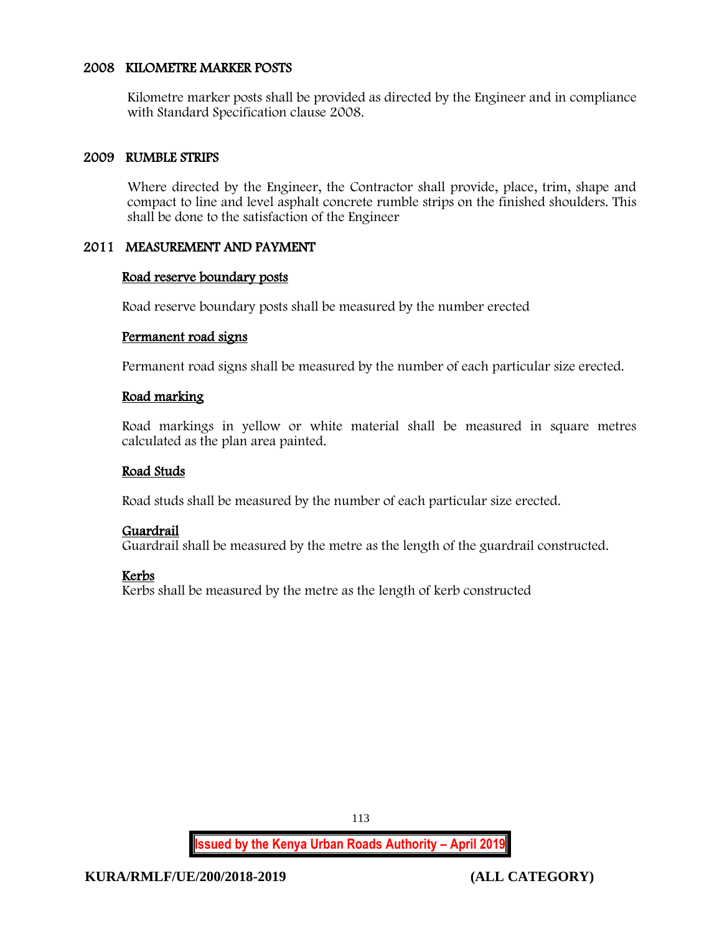# 2008 KILOMETRE MARKER POSTS

Kilometre marker posts shall be provided as directed by the Engineer and in compliance with Standard Specification clause 2008.

## 2009 RUMBLE STRIPS

Where directed by the Engineer, the Contractor shall provide, place, trim, shape and compact to line and level asphalt concrete rumble strips on the finished shoulders. This shall be done to the satisfaction of the Engineer

## 2011 MEASUREMENT AND PAYMENT

#### Road reserve boundary posts

Road reserve boundary posts shall be measured by the number erected

#### Permanent road signs

Permanent road signs shall be measured by the number of each particular size erected.

## Road marking

Road markings in yellow or white material shall be measured in square metres calculated as the plan area painted.

#### Road Studs

Road studs shall be measured by the number of each particular size erected.

#### Guardrail

Guardrail shall be measured by the metre as the length of the guardrail constructed.

# Kerbs

Kerbs shall be measured by the metre as the length of kerb constructed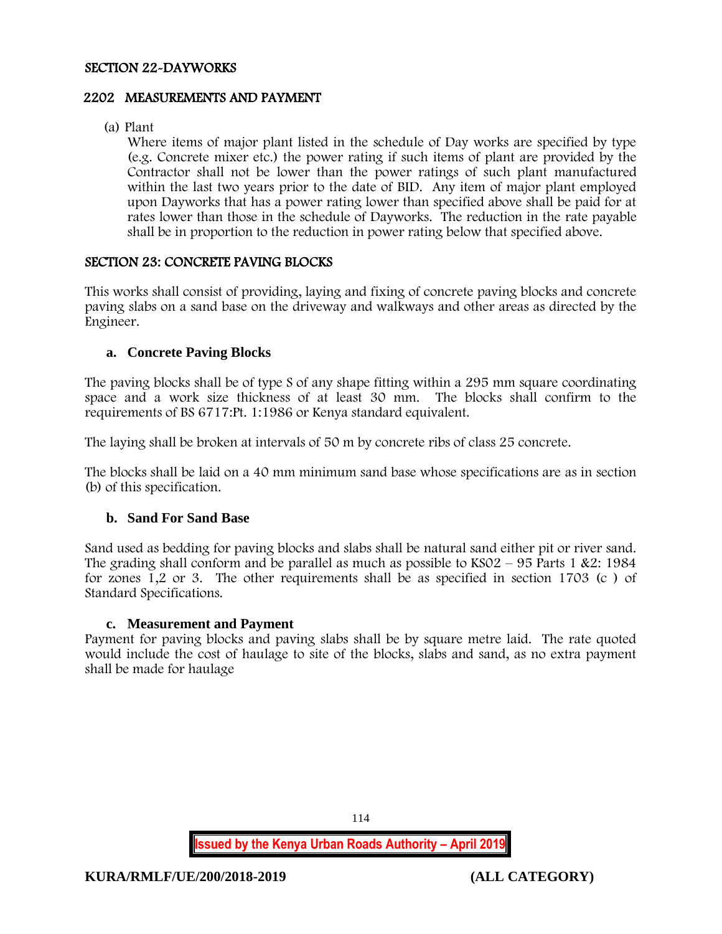#### SECTION 22-DAYWORKS

## 2202 MEASUREMENTS AND PAYMENT

(a) Plant

Where items of major plant listed in the schedule of Day works are specified by type (e.g. Concrete mixer etc.) the power rating if such items of plant are provided by the Contractor shall not be lower than the power ratings of such plant manufactured within the last two years prior to the date of BID. Any item of major plant employed upon Dayworks that has a power rating lower than specified above shall be paid for at rates lower than those in the schedule of Dayworks. The reduction in the rate payable shall be in proportion to the reduction in power rating below that specified above.

# SECTION 23: CONCRETE PAVING BLOCKS

This works shall consist of providing, laying and fixing of concrete paving blocks and concrete paving slabs on a sand base on the driveway and walkways and other areas as directed by the Engineer.

## **a. Concrete Paving Blocks**

The paving blocks shall be of type S of any shape fitting within a 295 mm square coordinating space and a work size thickness of at least 30 mm. The blocks shall confirm to the requirements of BS 6717:Pt. 1:1986 or Kenya standard equivalent.

The laying shall be broken at intervals of 50 m by concrete ribs of class 25 concrete.

The blocks shall be laid on a 40 mm minimum sand base whose specifications are as in section (b) of this specification.

# **b. Sand For Sand Base**

Sand used as bedding for paving blocks and slabs shall be natural sand either pit or river sand. The grading shall conform and be parallel as much as possible to  $KSO2 - 95$  Parts 1 &2: 1984 for zones 1,2 or 3. The other requirements shall be as specified in section 1703 (c ) of Standard Specifications.

#### **c. Measurement and Payment**

Payment for paving blocks and paving slabs shall be by square metre laid. The rate quoted would include the cost of haulage to site of the blocks, slabs and sand, as no extra payment shall be made for haulage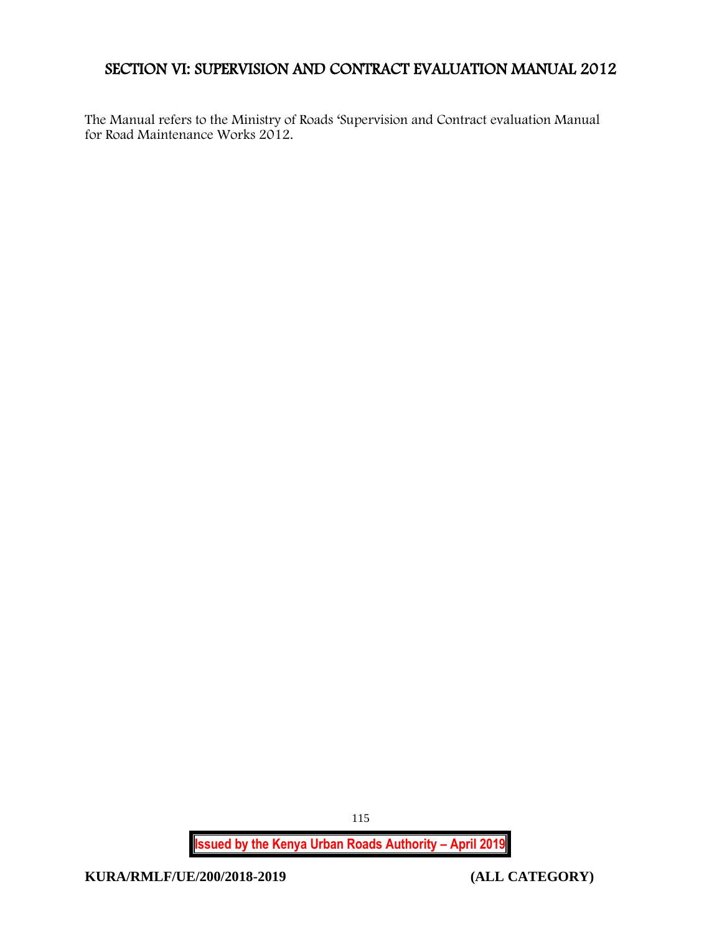# SECTION VI: SUPERVISION AND CONTRACT EVALUATION MANUAL 2012

The Manual refers to the Ministry of Roads 'Supervision and Contract evaluation Manual for Road Maintenance Works 2012.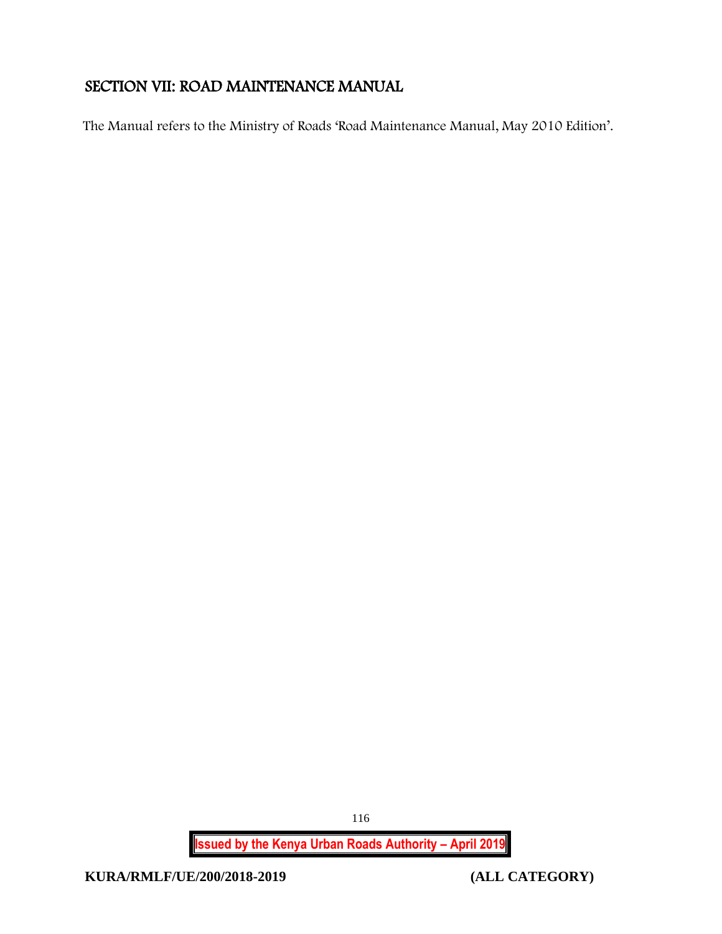# SECTION VII: ROAD MAINTENANCE MANUAL

The Manual refers to the Ministry of Roads 'Road Maintenance Manual, May 2010 Edition'.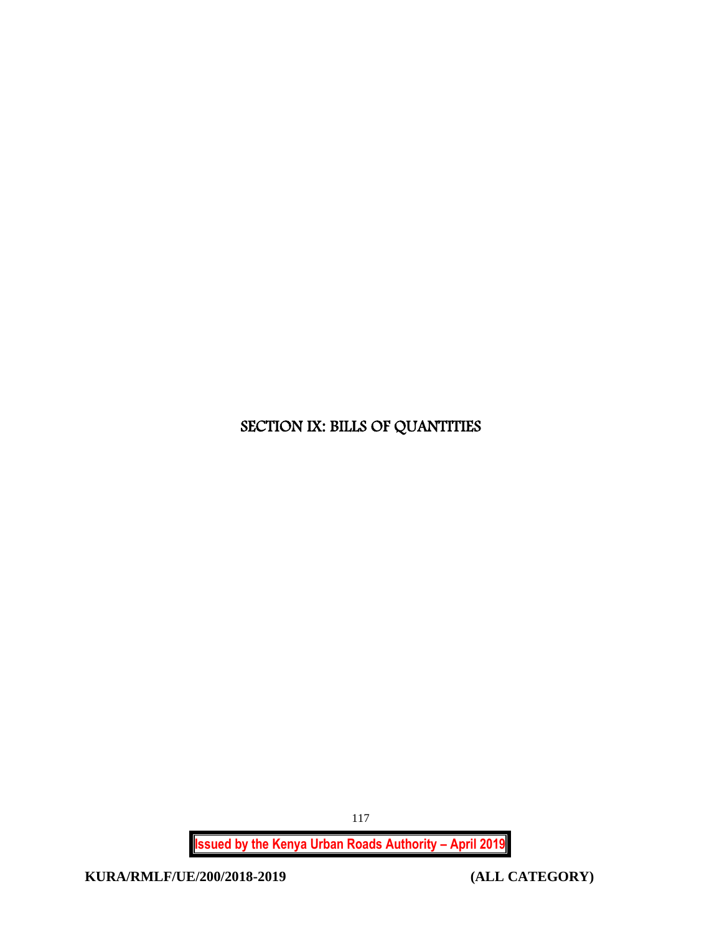# SECTION IX: BILLS OF QUANTITIES

**Issued by the Kenya Urban Roads Authority – April 2019**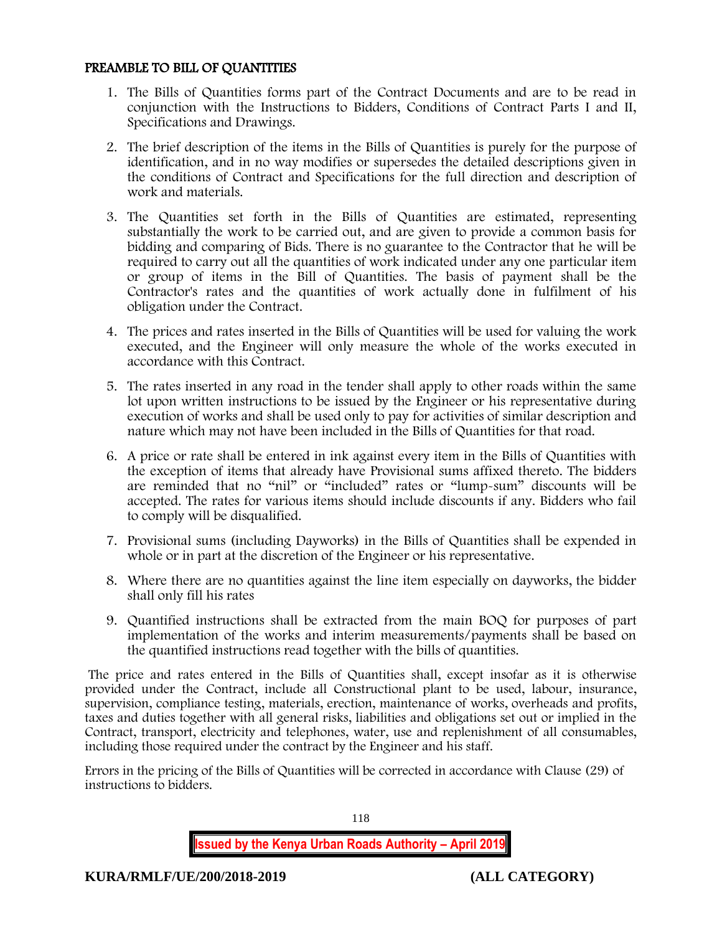## PREAMBLE TO BILL OF QUANTITIES

- 1. The Bills of Quantities forms part of the Contract Documents and are to be read in conjunction with the Instructions to Bidders, Conditions of Contract Parts I and II, Specifications and Drawings.
- 2. The brief description of the items in the Bills of Quantities is purely for the purpose of identification, and in no way modifies or supersedes the detailed descriptions given in the conditions of Contract and Specifications for the full direction and description of work and materials.
- 3. The Quantities set forth in the Bills of Quantities are estimated, representing substantially the work to be carried out, and are given to provide a common basis for bidding and comparing of Bids. There is no guarantee to the Contractor that he will be required to carry out all the quantities of work indicated under any one particular item or group of items in the Bill of Quantities. The basis of payment shall be the Contractor's rates and the quantities of work actually done in fulfilment of his obligation under the Contract.
- 4. The prices and rates inserted in the Bills of Quantities will be used for valuing the work executed, and the Engineer will only measure the whole of the works executed in accordance with this Contract.
- 5. The rates inserted in any road in the tender shall apply to other roads within the same lot upon written instructions to be issued by the Engineer or his representative during execution of works and shall be used only to pay for activities of similar description and nature which may not have been included in the Bills of Quantities for that road.
- 6. A price or rate shall be entered in ink against every item in the Bills of Quantities with the exception of items that already have Provisional sums affixed thereto. The bidders are reminded that no "nil" or "included" rates or "lump-sum" discounts will be accepted. The rates for various items should include discounts if any. Bidders who fail to comply will be disqualified.
- 7. Provisional sums (including Dayworks) in the Bills of Quantities shall be expended in whole or in part at the discretion of the Engineer or his representative.
- 8. Where there are no quantities against the line item especially on dayworks, the bidder shall only fill his rates
- 9. Quantified instructions shall be extracted from the main BOQ for purposes of part implementation of the works and interim measurements/payments shall be based on the quantified instructions read together with the bills of quantities.

The price and rates entered in the Bills of Quantities shall, except insofar as it is otherwise provided under the Contract, include all Constructional plant to be used, labour, insurance, supervision, compliance testing, materials, erection, maintenance of works, overheads and profits, taxes and duties together with all general risks, liabilities and obligations set out or implied in the Contract, transport, electricity and telephones, water, use and replenishment of all consumables, including those required under the contract by the Engineer and his staff.

Errors in the pricing of the Bills of Quantities will be corrected in accordance with Clause (29) of instructions to bidders.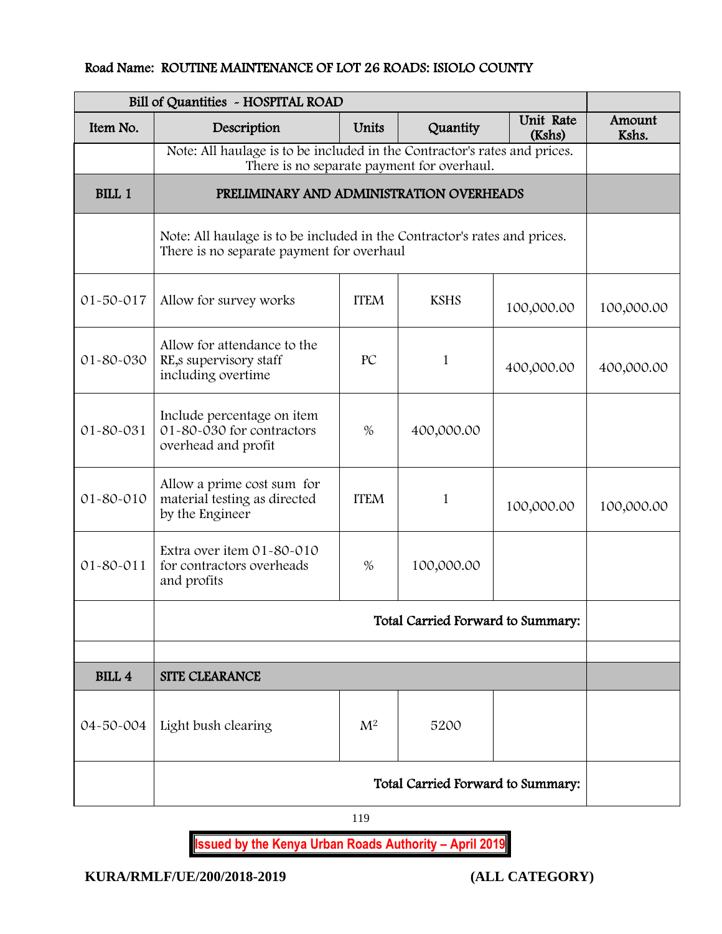# Road Name: ROUTINE MAINTENANCE OF LOT 26 ROADS: ISIOLO COUNTY

| Bill of Quantities ~ HOSPITAL ROAD |                                                                                                                        |                 |                                            |            |            |
|------------------------------------|------------------------------------------------------------------------------------------------------------------------|-----------------|--------------------------------------------|------------|------------|
| Item No.                           | Description                                                                                                            | Amount<br>Kshs. |                                            |            |            |
|                                    | Note: All haulage is to be included in the Contractor's rates and prices.                                              |                 | There is no separate payment for overhaul. |            |            |
| <b>BILL 1</b>                      | PRELIMINARY AND ADMINISTRATION OVERHEADS                                                                               |                 |                                            |            |            |
|                                    | Note: All haulage is to be included in the Contractor's rates and prices.<br>There is no separate payment for overhaul |                 |                                            |            |            |
| 01-50-017                          | Allow for survey works                                                                                                 | <b>ITEM</b>     | <b>KSHS</b>                                | 100,000.00 | 100,000.00 |
| 01-80-030                          | Allow for attendance to the<br>RE, s supervisory staff<br>including overtime                                           | PC              | $\mathbf{1}$                               | 400,000.00 | 400,000.00 |
| 01-80-031                          | Include percentage on item<br>01-80-030 for contractors<br>overhead and profit                                         | $\%$            | 400,000.00                                 |            |            |
| 01-80-010                          | Allow a prime cost sum for<br>material testing as directed<br>by the Engineer                                          | <b>ITEM</b>     | $\mathbf{1}$                               | 100,000.00 | 100,000.00 |
| $01 - 80 - 011$                    | Extra over item 01-80-010<br>for contractors overheads<br>and profits                                                  | $\%$            | 100,000.00                                 |            |            |
|                                    | Total Carried Forward to Summary:                                                                                      |                 |                                            |            |            |
|                                    |                                                                                                                        |                 |                                            |            |            |
| <b>BILL 4</b>                      | <b>SITE CLEARANCE</b>                                                                                                  |                 |                                            |            |            |
|                                    | 04-50-004   Light bush clearing                                                                                        | M <sup>2</sup>  | 5200                                       |            |            |
|                                    | Total Carried Forward to Summary:                                                                                      |                 |                                            |            |            |

119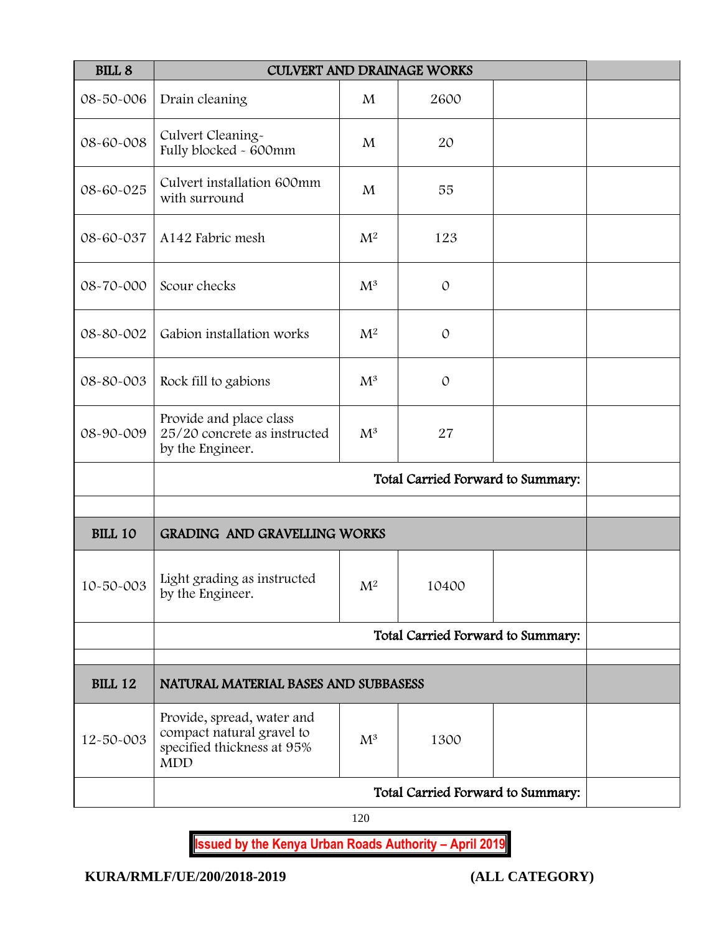| <b>BILL 8</b>  | <b>CULVERT AND DRAINAGE WORKS</b>                                                                   |                |               |  |  |
|----------------|-----------------------------------------------------------------------------------------------------|----------------|---------------|--|--|
| 08-50-006      | Drain cleaning                                                                                      | M              | 2600          |  |  |
| 08-60-008      | Culvert Cleaning-<br>Fully blocked - 600mm                                                          | M              | 20            |  |  |
| 08-60-025      | Culvert installation 600mm<br>with surround                                                         | M              | 55            |  |  |
| 08-60-037      | A142 Fabric mesh                                                                                    | $\mathbf{M}^2$ | 123           |  |  |
| 08-70-000      | Scour checks                                                                                        | $\mathrm{M}^3$ | $\mathcal{O}$ |  |  |
| 08-80-002      | Gabion installation works                                                                           | M <sup>2</sup> | $\mathcal{O}$ |  |  |
| 08-80-003      | Rock fill to gabions                                                                                | $M^3$          | $\mathcal{O}$ |  |  |
| 08-90-009      | Provide and place class<br>25/20 concrete as instructed<br>by the Engineer.                         | $M^3$          | 27            |  |  |
|                | Total Carried Forward to Summary:                                                                   |                |               |  |  |
| <b>BILL 10</b> | <b>GRADING AND GRAVELLING WORKS</b>                                                                 |                |               |  |  |
|                |                                                                                                     |                |               |  |  |
| 10-50-003      | Light grading as instructed<br>by the Engineer.                                                     | $\mathrm{M}^2$ | 10400         |  |  |
|                | Total Carried Forward to Summary:                                                                   |                |               |  |  |
| <b>BILL 12</b> | NATURAL MATERIAL BASES AND SUBBASESS                                                                |                |               |  |  |
| 12-50-003      | Provide, spread, water and<br>compact natural gravel to<br>specified thickness at 95%<br><b>MDD</b> | $\mathrm{M}^3$ | 1300          |  |  |
|                | Total Carried Forward to Summary:                                                                   |                |               |  |  |

120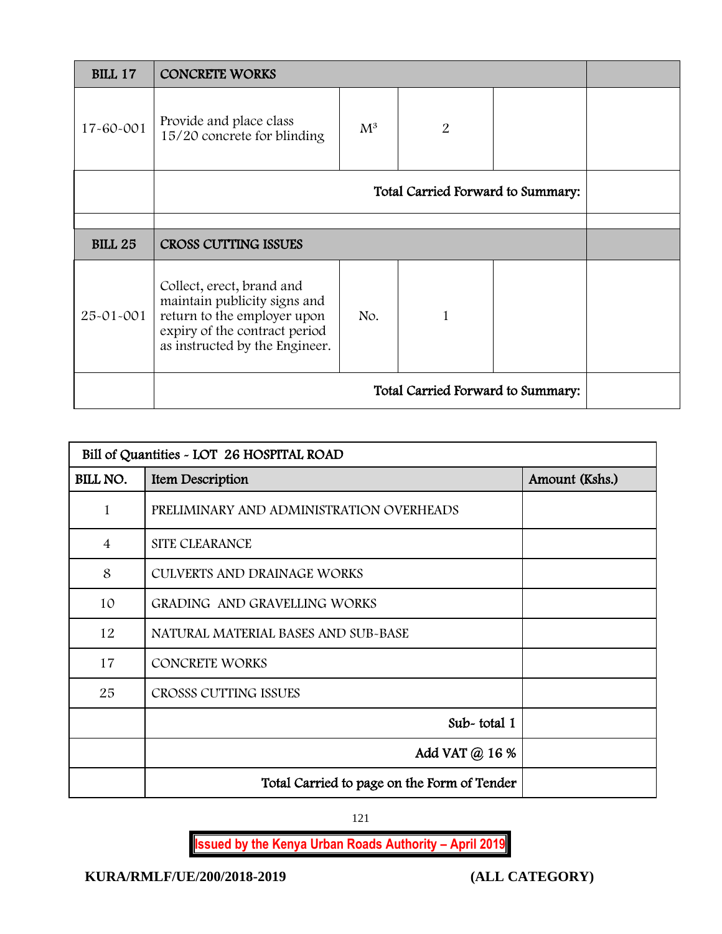| <b>BILL 17</b> | <b>CONCRETE WORKS</b>                                                                                                                                       |                |   |  |  |
|----------------|-------------------------------------------------------------------------------------------------------------------------------------------------------------|----------------|---|--|--|
| 17-60-001      | Provide and place class<br>15/20 concrete for blinding                                                                                                      | $\mathrm{M}^3$ | 2 |  |  |
|                | Total Carried Forward to Summary:                                                                                                                           |                |   |  |  |
|                |                                                                                                                                                             |                |   |  |  |
| <b>BILL 25</b> | <b>CROSS CUTTING ISSUES</b>                                                                                                                                 |                |   |  |  |
| 25-01-001      | Collect, erect, brand and<br>maintain publicity signs and<br>return to the employer upon<br>expiry of the contract period<br>as instructed by the Engineer. | No.            |   |  |  |
|                | Total Carried Forward to Summary:                                                                                                                           |                |   |  |  |

| Bill of Quantities - LOT 26 HOSPITAL ROAD |                                             |                |  |  |
|-------------------------------------------|---------------------------------------------|----------------|--|--|
| BILL NO.                                  | Item Description                            | Amount (Kshs.) |  |  |
| 1                                         | PRELIMINARY AND ADMINISTRATION OVERHEADS    |                |  |  |
| $\overline{4}$                            | <b>SITE CLEARANCE</b>                       |                |  |  |
| 8                                         | <b>CULVERTS AND DRAINAGE WORKS</b>          |                |  |  |
| 10                                        | GRADING AND GRAVELLING WORKS                |                |  |  |
| 12                                        | NATURAL MATERIAL BASES AND SUB-BASE         |                |  |  |
| 17                                        | <b>CONCRETE WORKS</b>                       |                |  |  |
| 25                                        | CROSSS CUTTING ISSUES                       |                |  |  |
|                                           | Sub-total 1                                 |                |  |  |
|                                           | Add VAT @ 16 %                              |                |  |  |
|                                           | Total Carried to page on the Form of Tender |                |  |  |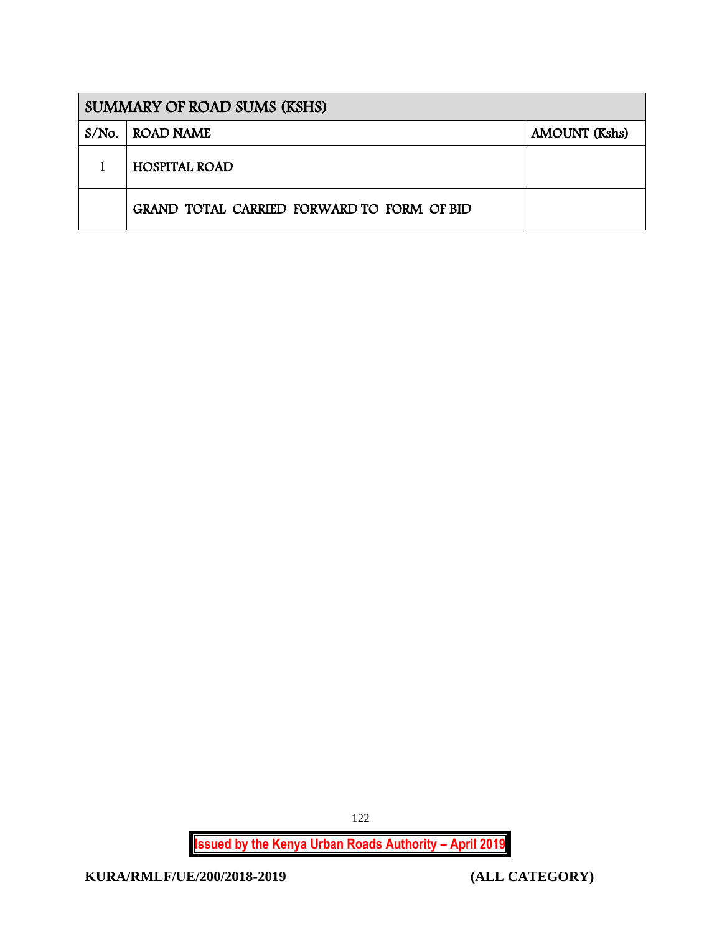|       | <b>SUMMARY OF ROAD SUMS (KSHS)</b>         |                      |  |  |  |
|-------|--------------------------------------------|----------------------|--|--|--|
| S/No. | ROAD NAME                                  | <b>AMOUNT</b> (Kshs) |  |  |  |
|       | <b>HOSPITAL ROAD</b>                       |                      |  |  |  |
|       | GRAND TOTAL CARRIED FORWARD TO FORM OF BID |                      |  |  |  |

**Issued by the Kenya Urban Roads Authority – April 2019**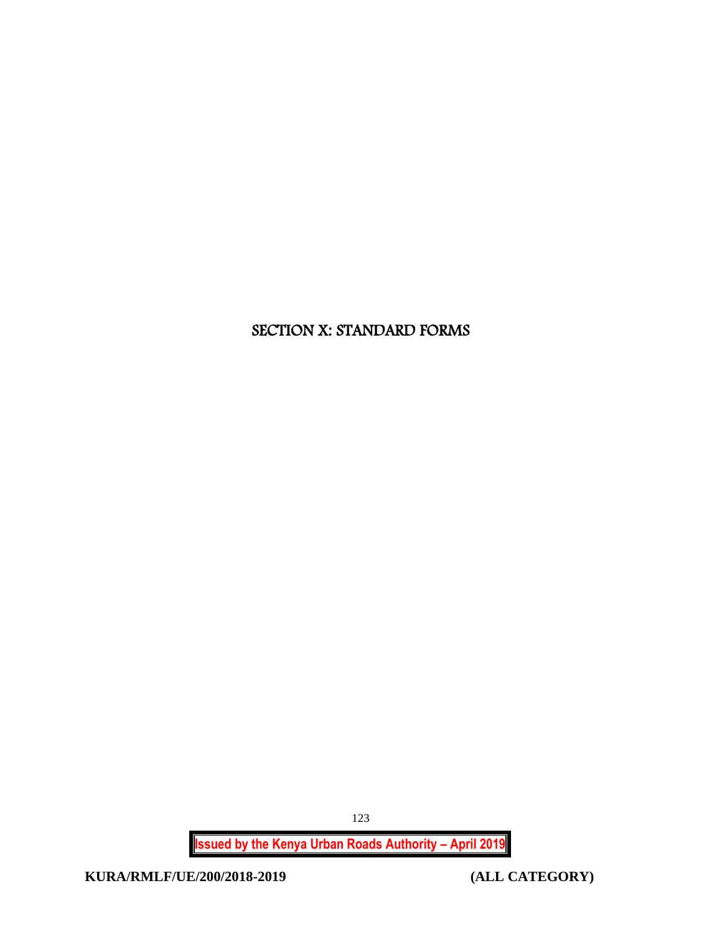# SECTION X: STANDARD FORMS

**Issued by the Kenya Urban Roads Authority – April 2019**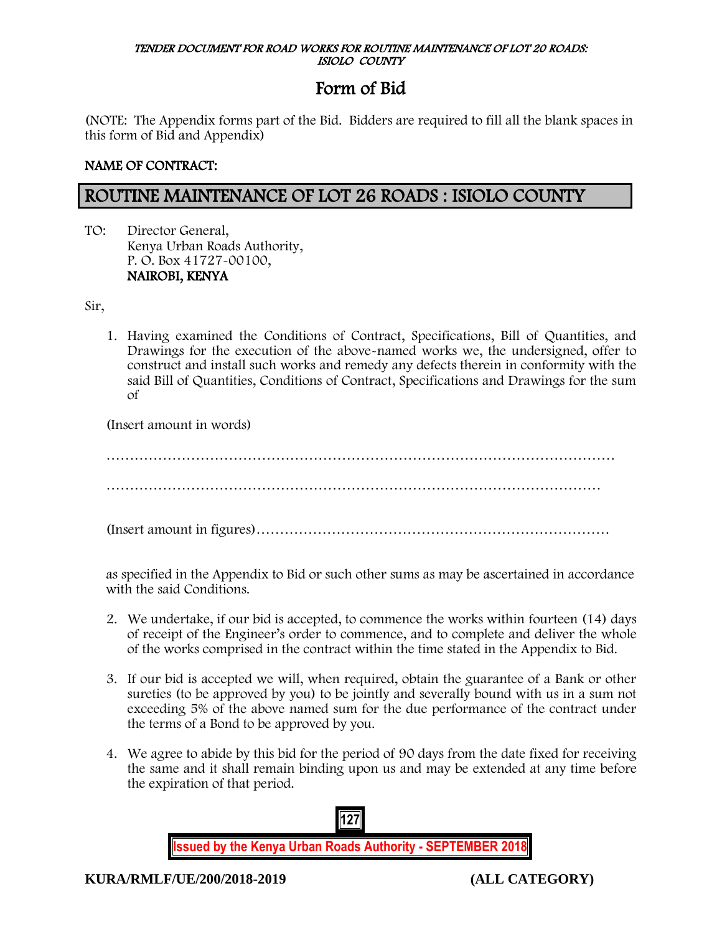#### TENDER DOCUMENT FOR ROAD WORKS FOR ROUTINE MAINTENANCE OF LOT 20 ROADS: ISIOLO COUNTY

# Form of Bid

(NOTE: The Appendix forms part of the Bid. Bidders are required to fill all the blank spaces in this form of Bid and Appendix)

# NAME OF CONTRACT:

# ROUTINE MAINTENANCE OF LOT 26 ROADS : ISIOLO COUNTY

TO: Director General, Kenya Urban Roads Authority, P. O. Box 41727-00100, NAIROBI, KENYA

Sir,

1. Having examined the Conditions of Contract, Specifications, Bill of Quantities, and Drawings for the execution of the above-named works we, the undersigned, offer to construct and install such works and remedy any defects therein in conformity with the said Bill of Quantities, Conditions of Contract, Specifications and Drawings for the sum of

(Insert amount in words)

……………………………………………………………………………………………… ……………………………………………………………………………………………

(Insert amount in figures)…………………………………………………………………

as specified in the Appendix to Bid or such other sums as may be ascertained in accordance with the said Conditions.

- 2. We undertake, if our bid is accepted, to commence the works within fourteen (14) days of receipt of the Engineer's order to commence, and to complete and deliver the whole of the works comprised in the contract within the time stated in the Appendix to Bid.
- 3. If our bid is accepted we will, when required, obtain the guarantee of a Bank or other sureties (to be approved by you) to be jointly and severally bound with us in a sum not exceeding 5% of the above named sum for the due performance of the contract under the terms of a Bond to be approved by you.
- 4. We agree to abide by this bid for the period of 90 days from the date fixed for receiving the same and it shall remain binding upon us and may be extended at any time before the expiration of that period.

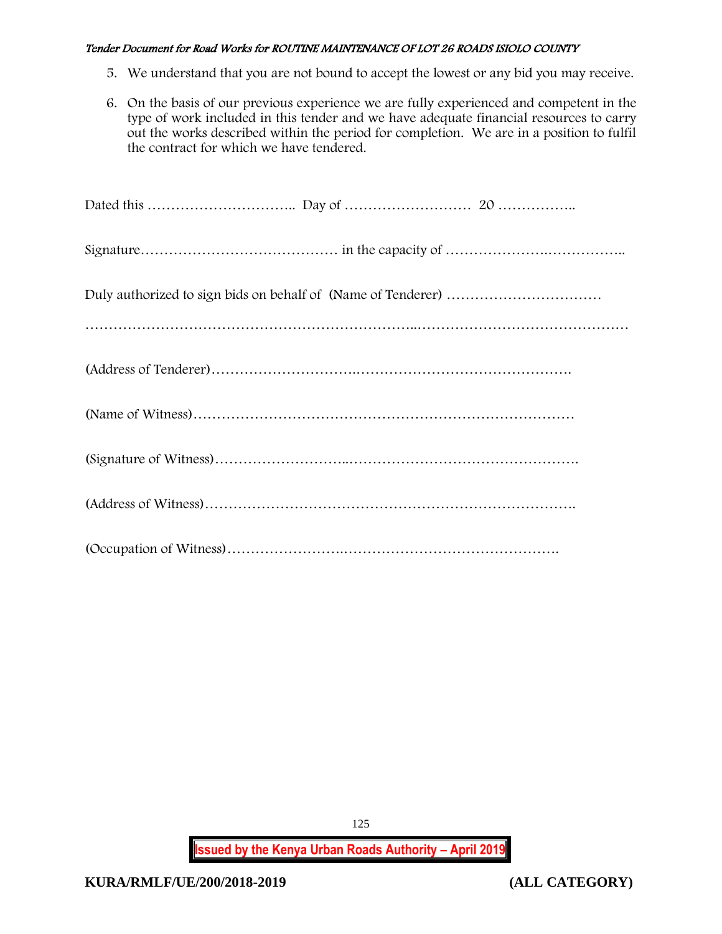- 5. We understand that you are not bound to accept the lowest or any bid you may receive.
- 6. On the basis of our previous experience we are fully experienced and competent in the type of work included in this tender and we have adequate financial resources to carry out the works described within the period for completion. We are in a position to fulfil the contract for which we have tendered.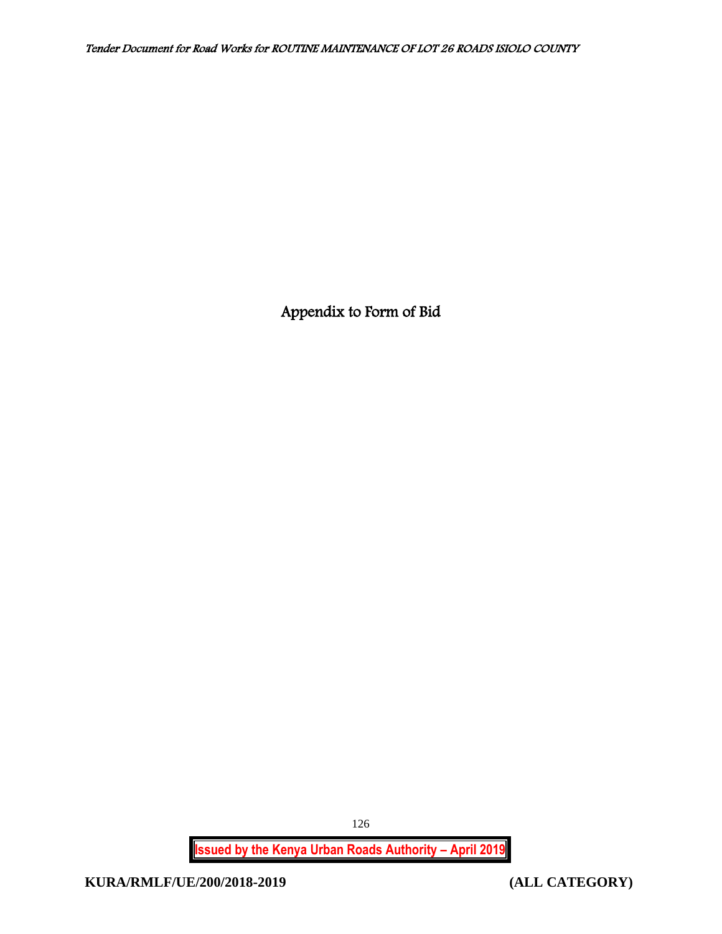Appendix to Form of Bid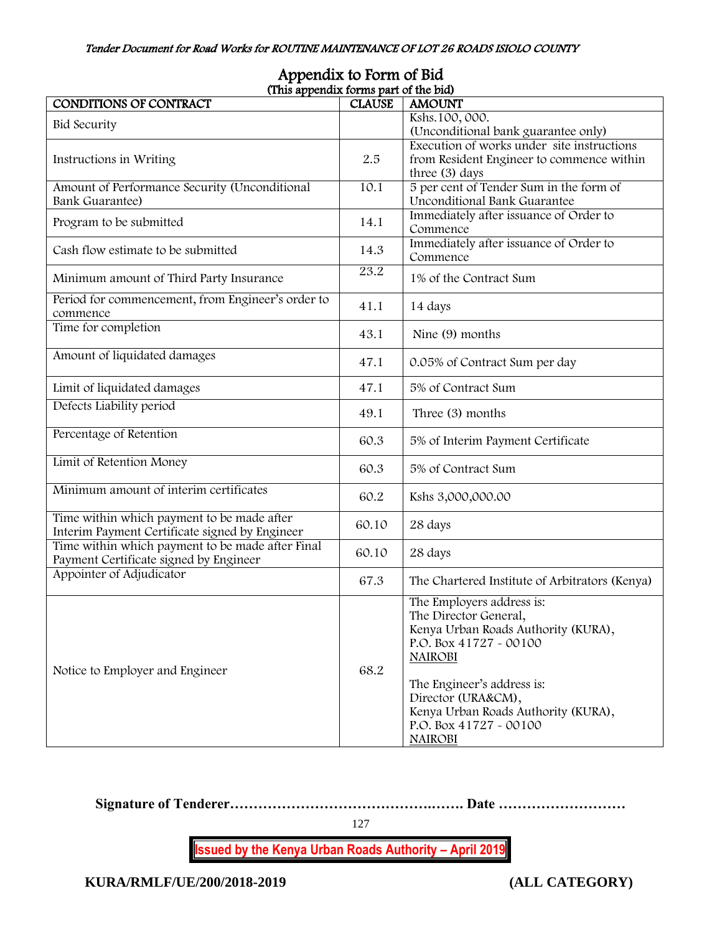| IPPULALA IO I UITII OI DIA<br>(This appendix forms part of the bid) |               |                                                |  |  |  |
|---------------------------------------------------------------------|---------------|------------------------------------------------|--|--|--|
| CONDITIONS OF CONTRACT                                              | <b>CLAUSE</b> | <b>AMOUNT</b>                                  |  |  |  |
| <b>Bid Security</b>                                                 |               | Kshs.100, 000.                                 |  |  |  |
|                                                                     |               | (Unconditional bank guarantee only)            |  |  |  |
|                                                                     |               | Execution of works under site instructions     |  |  |  |
| Instructions in Writing                                             | 2.5           | from Resident Engineer to commence within      |  |  |  |
|                                                                     |               | three (3) days                                 |  |  |  |
| Amount of Performance Security (Unconditional                       | 10.1          | 5 per cent of Tender Sum in the form of        |  |  |  |
| <b>Bank Guarantee)</b>                                              |               | Unconditional Bank Guarantee                   |  |  |  |
| Program to be submitted                                             | 14.1          | Immediately after issuance of Order to         |  |  |  |
|                                                                     |               | Commence                                       |  |  |  |
| Cash flow estimate to be submitted                                  | 14.3          | Immediately after issuance of Order to         |  |  |  |
|                                                                     |               | Commence                                       |  |  |  |
| Minimum amount of Third Party Insurance                             | 23.2          | 1% of the Contract Sum                         |  |  |  |
|                                                                     |               |                                                |  |  |  |
| Period for commencement, from Engineer's order to                   | 41.1          | 14 days                                        |  |  |  |
| commence                                                            |               |                                                |  |  |  |
| Time for completion                                                 | 43.1          | Nine (9) months                                |  |  |  |
|                                                                     |               |                                                |  |  |  |
| Amount of liquidated damages                                        | 47.1          | 0.05% of Contract Sum per day                  |  |  |  |
|                                                                     |               |                                                |  |  |  |
| Limit of liquidated damages                                         | 47.1          | 5% of Contract Sum                             |  |  |  |
| Defects Liability period                                            |               |                                                |  |  |  |
|                                                                     | 49.1          | Three (3) months                               |  |  |  |
| Percentage of Retention                                             | 60.3          | 5% of Interim Payment Certificate              |  |  |  |
|                                                                     |               |                                                |  |  |  |
| Limit of Retention Money                                            | 60.3          | 5% of Contract Sum                             |  |  |  |
|                                                                     |               |                                                |  |  |  |
| Minimum amount of interim certificates                              | 60.2          | Kshs 3,000,000.00                              |  |  |  |
|                                                                     |               |                                                |  |  |  |
| Time within which payment to be made after                          | 60.10         | 28 days                                        |  |  |  |
| Interim Payment Certificate signed by Engineer                      |               |                                                |  |  |  |
| Time within which payment to be made after Final                    | 60.10         | 28 days                                        |  |  |  |
| Payment Certificate signed by Engineer                              |               |                                                |  |  |  |
| Appointer of Adjudicator                                            | 67.3          | The Chartered Institute of Arbitrators (Kenya) |  |  |  |
|                                                                     |               | The Employers address is:                      |  |  |  |
|                                                                     |               | The Director General,                          |  |  |  |
|                                                                     |               | Kenya Urban Roads Authority (KURA),            |  |  |  |
|                                                                     |               | P.O. Box 41727 - 00100                         |  |  |  |
|                                                                     |               | <b>NAIROBI</b>                                 |  |  |  |
| Notice to Employer and Engineer                                     | 68.2          |                                                |  |  |  |
|                                                                     |               | The Engineer's address is:                     |  |  |  |
|                                                                     |               | Director (URA&CM),                             |  |  |  |
|                                                                     |               | Kenya Urban Roads Authority (KURA),            |  |  |  |
|                                                                     |               | P.O. Box 41727 - 00100                         |  |  |  |
|                                                                     |               | <b>NAIROBI</b>                                 |  |  |  |
|                                                                     |               |                                                |  |  |  |

# Appendix to Form of Bid

**Signature of Tenderer…………………………………….……. Date ………………………**

127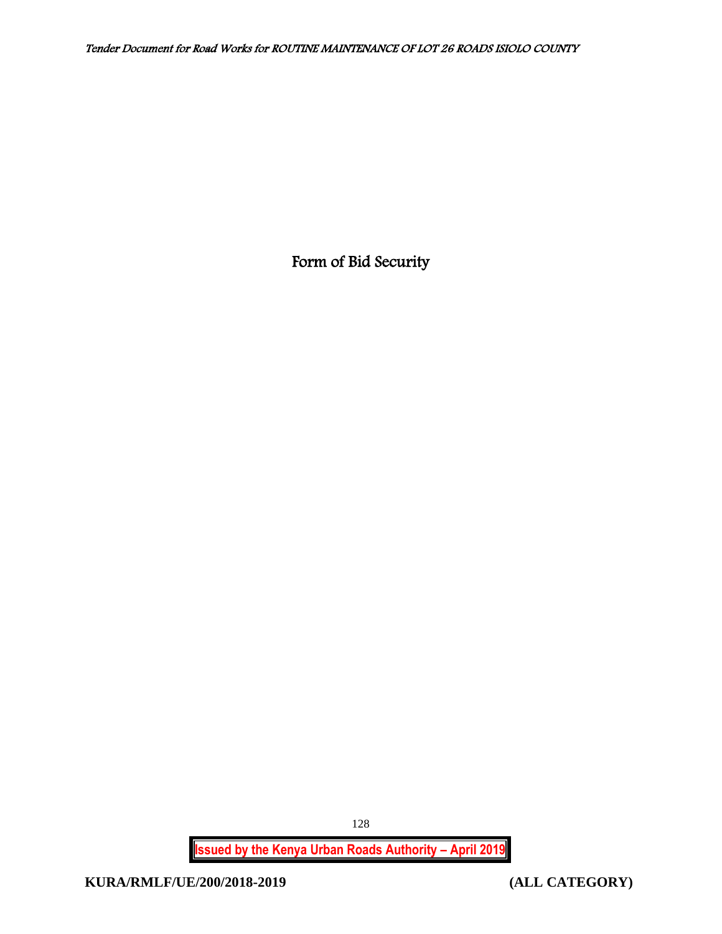Form of Bid Security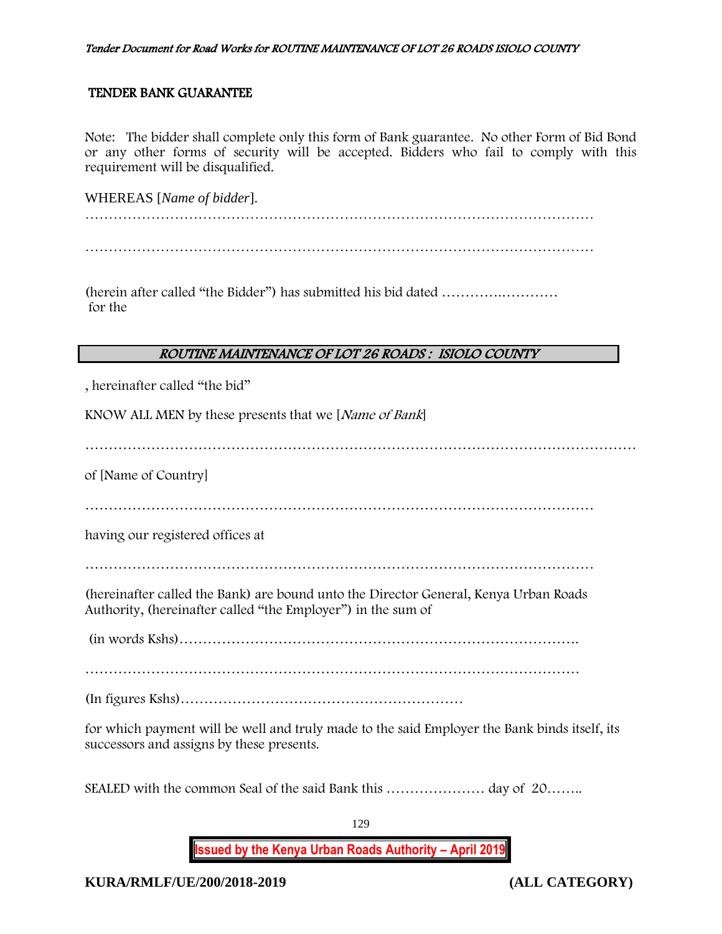## TENDER BANK GUARANTEE

Note: The bidder shall complete only this form of Bank guarantee. No other Form of Bid Bond or any other forms of security will be accepted. Bidders who fail to comply with this requirement will be disqualified.

WHEREAS [*Name of bidder*].

(herein after called "the Bidder") has submitted his bid dated ………….………… for the

# ROUTINE MAINTENANCE OF LOT 26 ROADS : ISIOLO COUNTY

, hereinafter called "the bid"

KNOW ALL MEN by these presents that we [Name of Bank]

………………………………………………………………………………………………………

of [Name of Country]

having our registered offices at

(hereinafter called the Bank) are bound unto the Director General, Kenya Urban Roads Authority, (hereinafter called "the Employer") in the sum of

(in words Kshs)………………………………………………………………………….

……………………………………………………………………………………………

(In figures Kshs)……………………………………………………

for which payment will be well and truly made to the said Employer the Bank binds itself, its successors and assigns by these presents.

SEALED with the common Seal of the said Bank this ………………… day of 20……..

**Issued by the Kenya Urban Roads Authority – April 2019**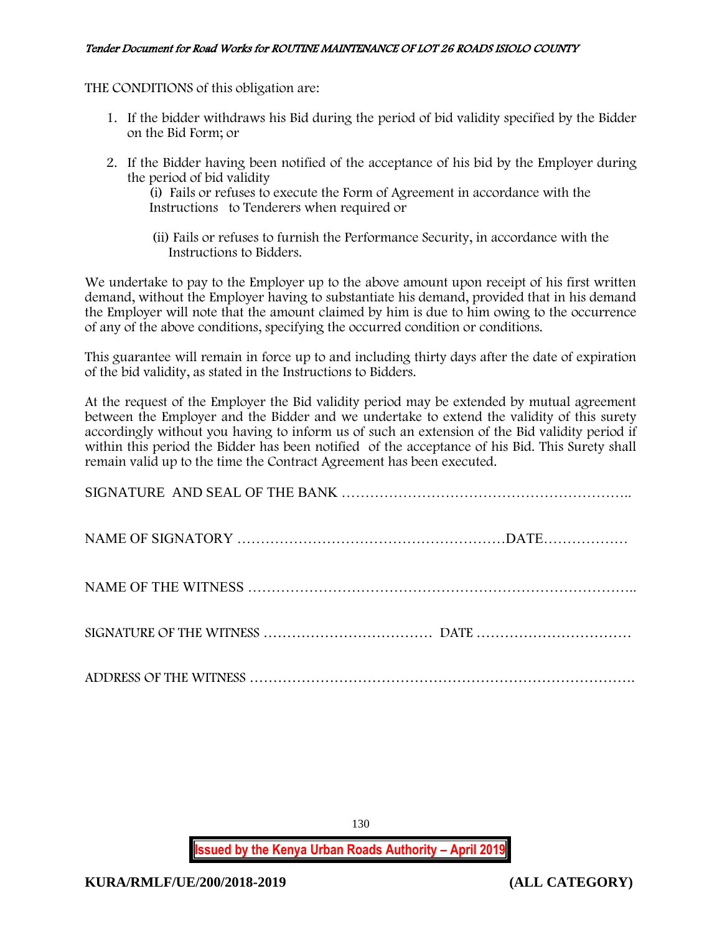THE CONDITIONS of this obligation are:

- 1. If the bidder withdraws his Bid during the period of bid validity specified by the Bidder on the Bid Form; or
- 2. If the Bidder having been notified of the acceptance of his bid by the Employer during the period of bid validity

(i) Fails or refuses to execute the Form of Agreement in accordance with the Instructions to Tenderers when required or

 (ii) Fails or refuses to furnish the Performance Security, in accordance with the Instructions to Bidders.

We undertake to pay to the Employer up to the above amount upon receipt of his first written demand, without the Employer having to substantiate his demand, provided that in his demand the Employer will note that the amount claimed by him is due to him owing to the occurrence of any of the above conditions, specifying the occurred condition or conditions.

This guarantee will remain in force up to and including thirty days after the date of expiration of the bid validity, as stated in the Instructions to Bidders.

At the request of the Employer the Bid validity period may be extended by mutual agreement between the Employer and the Bidder and we undertake to extend the validity of this surety accordingly without you having to inform us of such an extension of the Bid validity period if within this period the Bidder has been notified of the acceptance of his Bid. This Surety shall remain valid up to the time the Contract Agreement has been executed.

130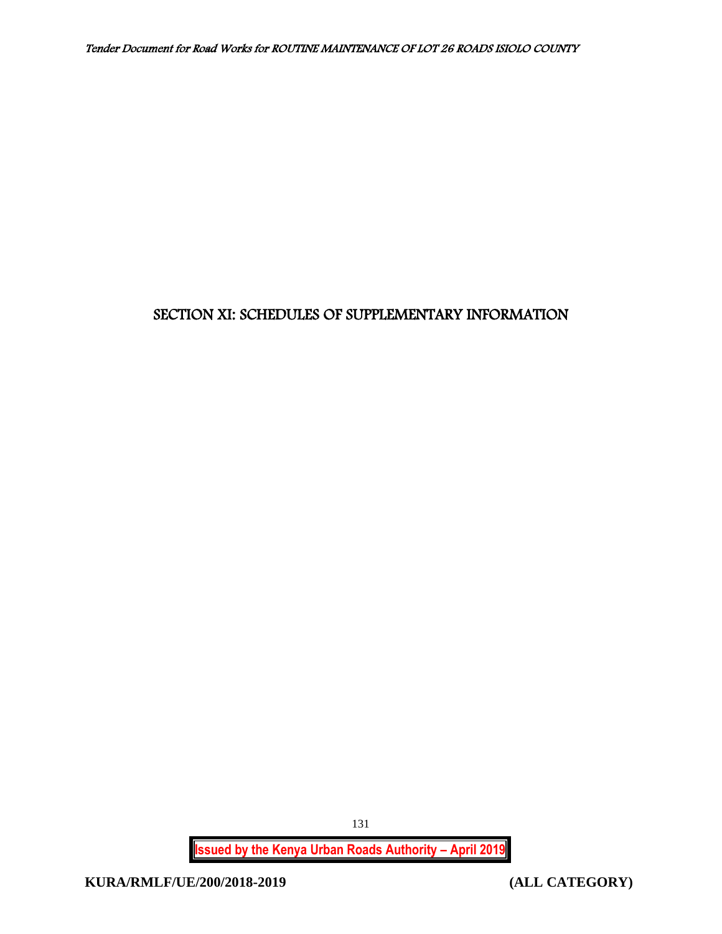# SECTION XI: SCHEDULES OF SUPPLEMENTARY INFORMATION

**Issued by the Kenya Urban Roads Authority – April 2019**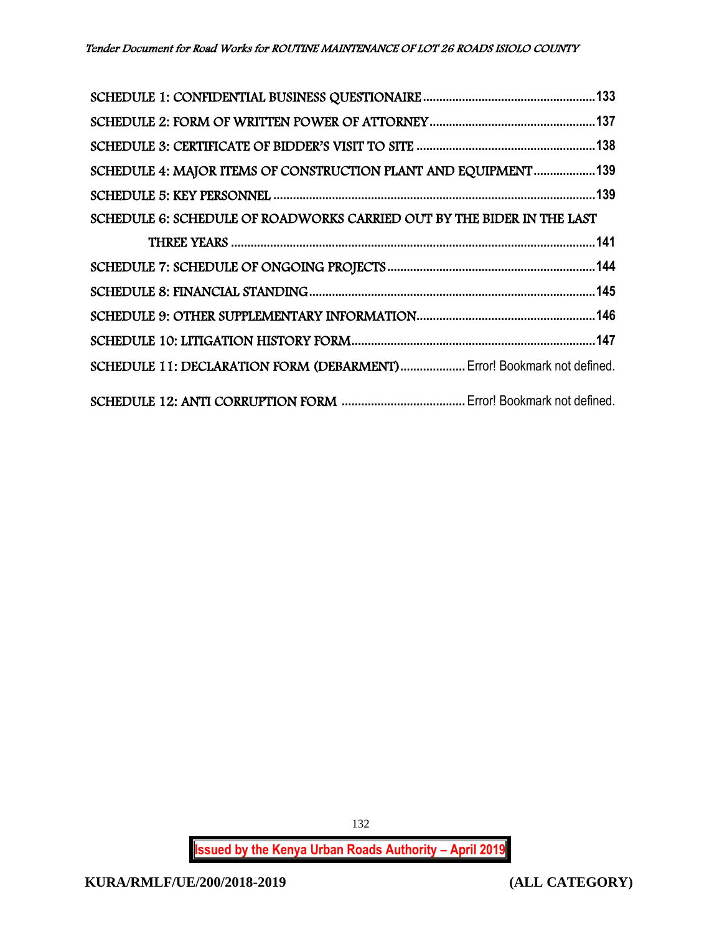| SCHEDULE 4: MAJOR ITEMS OF CONSTRUCTION PLANT AND EQUIPMENT139         |  |
|------------------------------------------------------------------------|--|
|                                                                        |  |
| SCHEDULE 6: SCHEDULE OF ROADWORKS CARRIED OUT BY THE BIDER IN THE LAST |  |
|                                                                        |  |
|                                                                        |  |
|                                                                        |  |
|                                                                        |  |
|                                                                        |  |
| SCHEDULE 11: DECLARATION FORM (DEBARMENT) Error! Bookmark not defined. |  |
|                                                                        |  |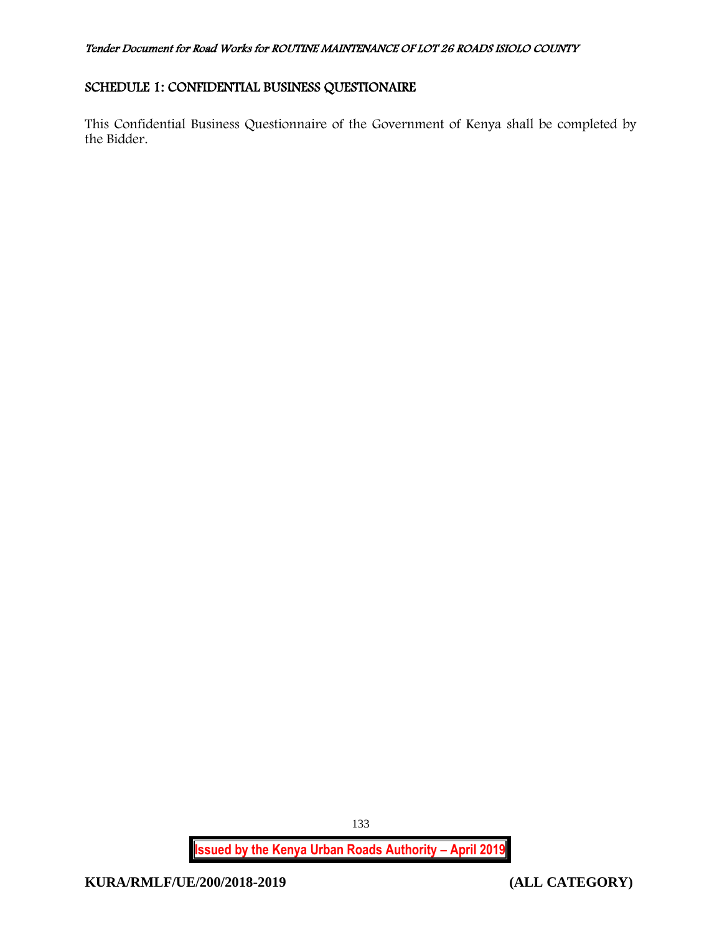# <span id="page-133-0"></span>SCHEDULE 1: CONFIDENTIAL BUSINESS QUESTIONAIRE

This Confidential Business Questionnaire of the Government of Kenya shall be completed by the Bidder.

**Issued by the Kenya Urban Roads Authority – April 2019**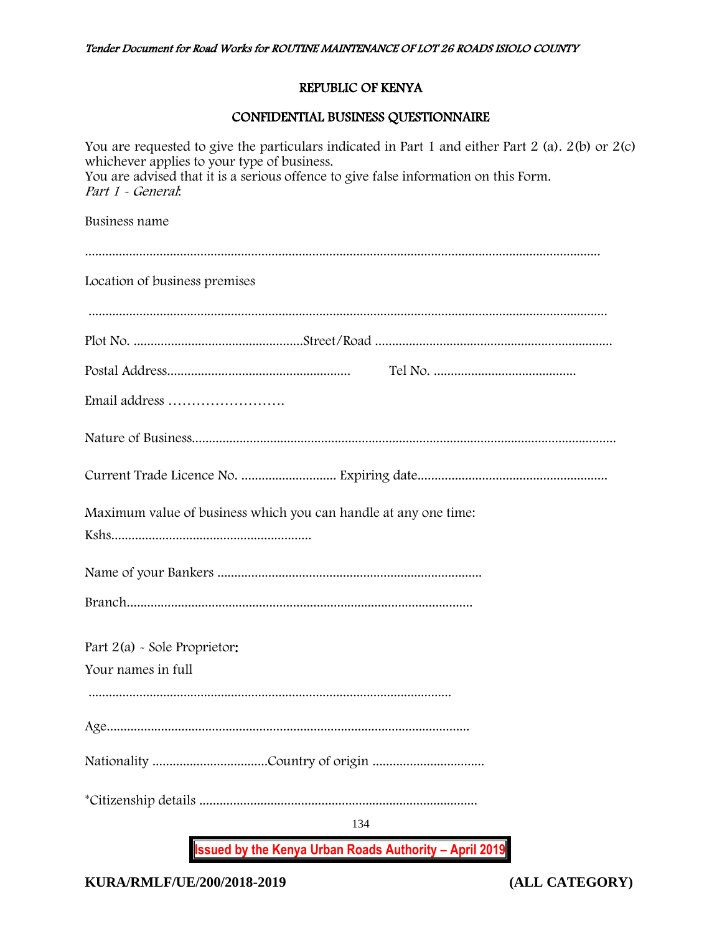## REPUBLIC OF KENYA

#### CONFIDENTIAL BUSINESS QUESTIONNAIRE

**Issued by the Kenya Urban Roads Authority – April 2019** 134 You are requested to give the particulars indicated in Part 1 and either Part 2 (a). 2(b) or 2(c) whichever applies to your type of business. You are advised that it is a serious offence to give false information on this Form. Part 1 - General: Business name ........................................................................................................................................................ Location of business premises ......................................................................................................................................................... Plot No. ..................................................Street/Road ...................................................................... Postal Address...................................................... Tel No. .......................................... Email address ……………………. Nature of Business............................................................................................................................. Current Trade Licence No. ............................ Expiring date........................................................ Maximum value of business which you can handle at any one time: Kshs........................................................... Name of your Bankers .............................................................................. Branch...................................................................................................... Part 2(a) - Sole Proprietor: Your names in full ........................................................................................................... Age........................................................................................................... Nationality ..................................Country of origin ................................. \*Citizenship details ..................................................................................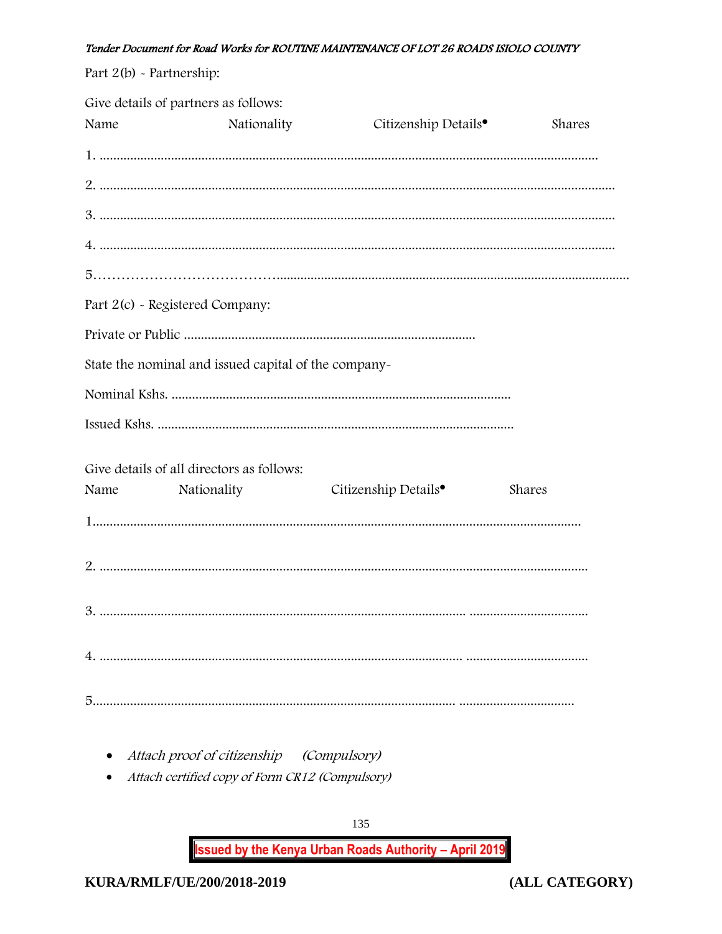| Part $2(b)$ - Partnership: |                                                      |                                  |        |
|----------------------------|------------------------------------------------------|----------------------------------|--------|
| Name                       | Give details of partners as follows:<br>Nationality  | Citizenship Details <sup>•</sup> | Shares |
|                            |                                                      |                                  |        |
|                            |                                                      |                                  |        |
|                            |                                                      |                                  |        |
|                            |                                                      |                                  |        |
|                            |                                                      |                                  |        |
|                            | Part 2(c) - Registered Company:                      |                                  |        |
|                            |                                                      |                                  |        |
|                            | State the nominal and issued capital of the company- |                                  |        |
|                            |                                                      |                                  |        |
|                            |                                                      |                                  |        |
|                            | Give details of all directors as follows:            |                                  |        |
| Name                       | Nationality                                          | Citizenship Details <sup>•</sup> | Shares |
|                            |                                                      |                                  |        |
|                            |                                                      |                                  |        |
|                            |                                                      |                                  |        |
|                            |                                                      |                                  |        |
|                            |                                                      |                                  |        |

- Attach proof of citizenship (Compulsory)
- Attach certified copy of Form CR12 (Compulsory)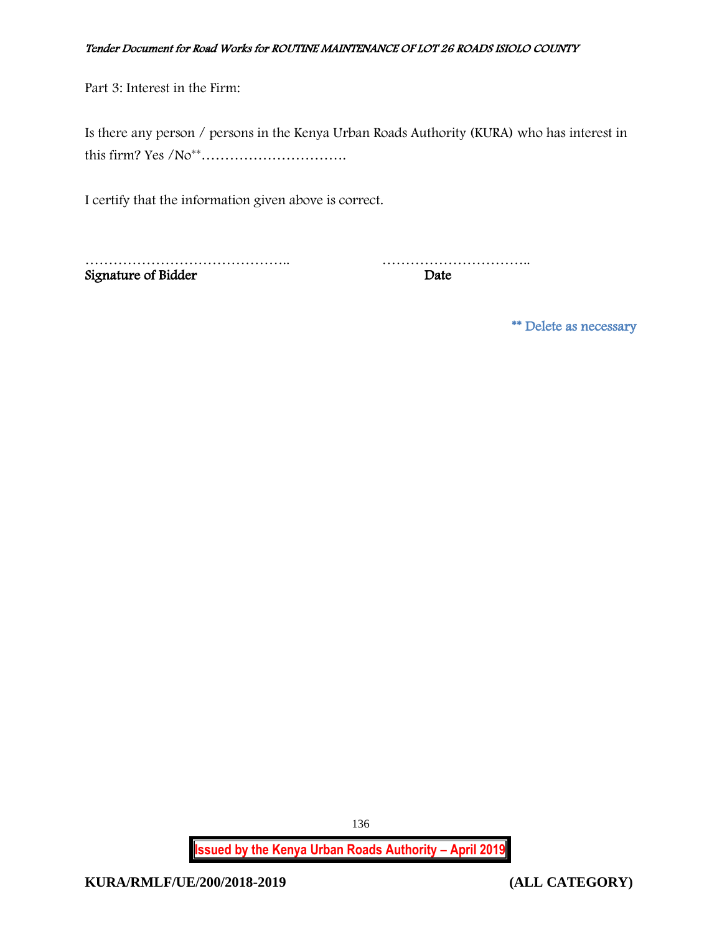Part 3: Interest in the Firm:

| Is there any person / persons in the Kenya Urban Roads Authority (KURA) who has interest in |  |
|---------------------------------------------------------------------------------------------|--|
|                                                                                             |  |

I certify that the information given above is correct.

Signature of Bidder Date

…………………………………….. …………………………..

\*\* Delete as necessary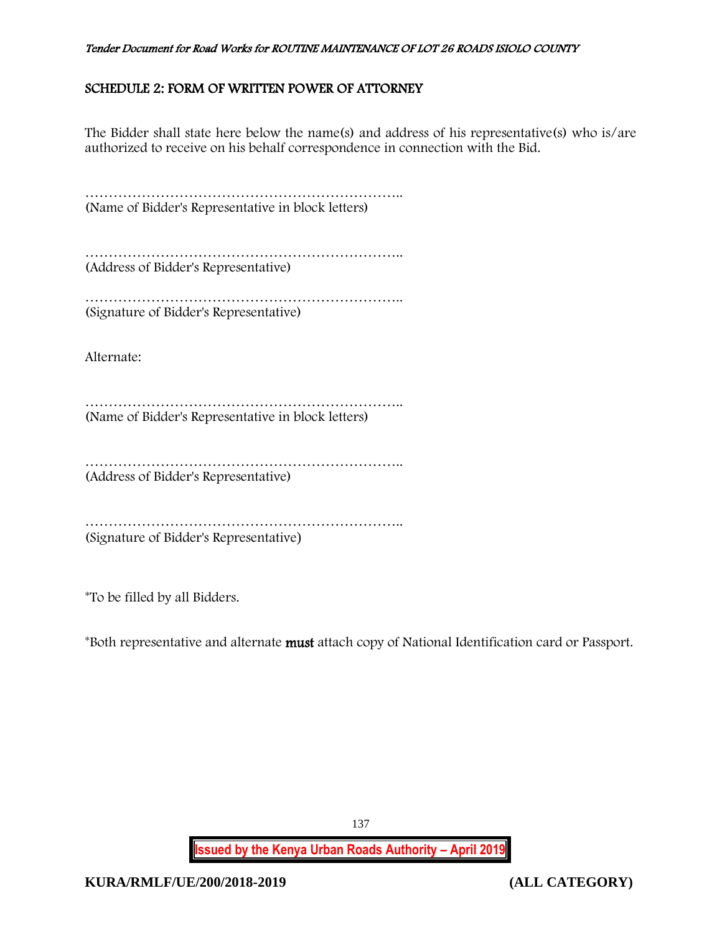# <span id="page-137-0"></span>SCHEDULE 2: FORM OF WRITTEN POWER OF ATTORNEY

The Bidder shall state here below the name(s) and address of his representative(s) who is/are authorized to receive on his behalf correspondence in connection with the Bid.

…………………………………………………………………………… (Name of Bidder's Representative in block letters)

………………………………………………………….. (Address of Bidder's Representative)

………………………………………………………….. (Signature of Bidder's Representative)

Alternate:

………………………………………………………….. (Name of Bidder's Representative in block letters)

………………………………………………………….. (Address of Bidder's Representative)

………………………………………………………………………… (Signature of Bidder's Representative)

\*To be filled by all Bidders.

\*Both representative and alternate must attach copy of National Identification card or Passport.

**Issued by the Kenya Urban Roads Authority – April 2019**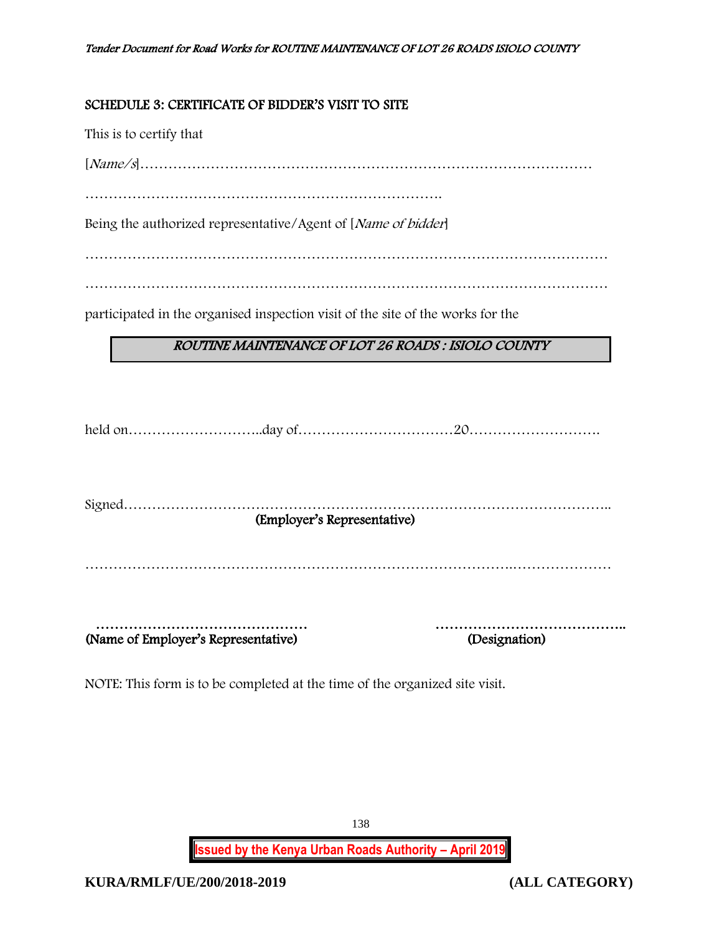# <span id="page-138-0"></span>SCHEDULE 3: CERTIFICATE OF BIDDER'S VISIT TO SITE

This is to certify that

[Name/s]……………………………………………………………………………………

………………………………………………………………….

Being the authorized representative/Agent of [Name of bidder]

…………………………………………………………………………………………………

…………………………………………………………………………………………………

participated in the organised inspection visit of the site of the works for the

# ROUTINE MAINTENANCE OF LOT 26 ROADS : ISIOLO COUNTY

|                                     | (Employer's Representative) |               |  |
|-------------------------------------|-----------------------------|---------------|--|
|                                     |                             |               |  |
|                                     |                             |               |  |
|                                     |                             |               |  |
|                                     |                             |               |  |
|                                     |                             |               |  |
| (Name of Employer's Representative) |                             |               |  |
|                                     |                             | (Designation) |  |

NOTE: This form is to be completed at the time of the organized site visit.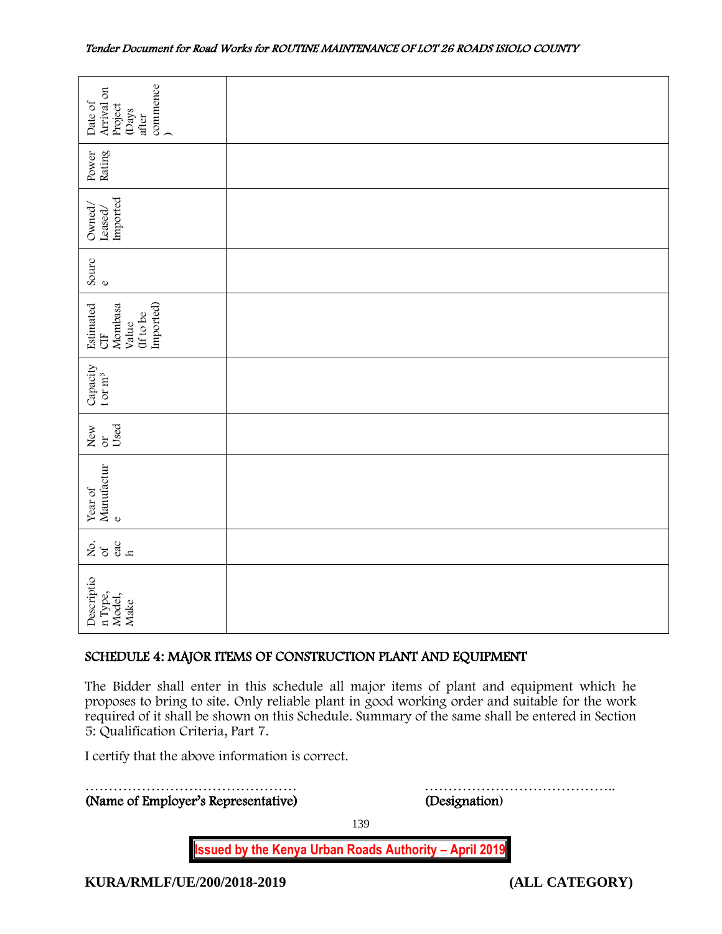| commence<br>Arrival on<br>Date of<br>Project<br>(Days<br>after                                                                                                                                                                                                                                                                     |  |               |  |
|------------------------------------------------------------------------------------------------------------------------------------------------------------------------------------------------------------------------------------------------------------------------------------------------------------------------------------|--|---------------|--|
| Rating<br>Power                                                                                                                                                                                                                                                                                                                    |  |               |  |
| Imported<br>Owned,<br>Leased/                                                                                                                                                                                                                                                                                                      |  |               |  |
| Sourc<br>$\mathbb O$                                                                                                                                                                                                                                                                                                               |  |               |  |
| Imported)<br>Estimated<br>Mombasa<br>(If to be<br>Value<br><b>UE</b>                                                                                                                                                                                                                                                               |  |               |  |
| Capacity<br>t or $m^3$                                                                                                                                                                                                                                                                                                             |  |               |  |
| Used<br>New<br>or                                                                                                                                                                                                                                                                                                                  |  |               |  |
| Manufactur<br>Year of<br>$\mathbf{o}$                                                                                                                                                                                                                                                                                              |  |               |  |
| $rac{60}{h}$<br>ર્ષ્ટ જ                                                                                                                                                                                                                                                                                                            |  |               |  |
| Descriptio<br>n Type,<br>Model,<br>Make                                                                                                                                                                                                                                                                                            |  |               |  |
| SCHEDULE 4: MAJOR ITEMS OF CONSTRUCTION PLANT AND EQUIPMENT                                                                                                                                                                                                                                                                        |  |               |  |
| The Bidder shall enter in this schedule all major items of plant and equipment which he<br>proposes to bring to site. Only reliable plant in good working order and suitable for the work<br>required of it shall be shown on this Schedule. Summary of the same shall be entered in Section<br>5: Qualification Criteria, Part 7. |  |               |  |
| I certify that the above information is correct.                                                                                                                                                                                                                                                                                   |  |               |  |
| (Name of Employer's Representative)                                                                                                                                                                                                                                                                                                |  | (Designation) |  |

# <span id="page-139-0"></span>SCHEDULE 4: MAJOR ITEMS OF CONSTRUCTION PLANT AND EQUIPMENT

139

**Issued by the Kenya Urban Roads Authority – April 2019**

<span id="page-139-1"></span>**KURA/RMLF/UE/200/2018-2019 (ALL CATEGORY)**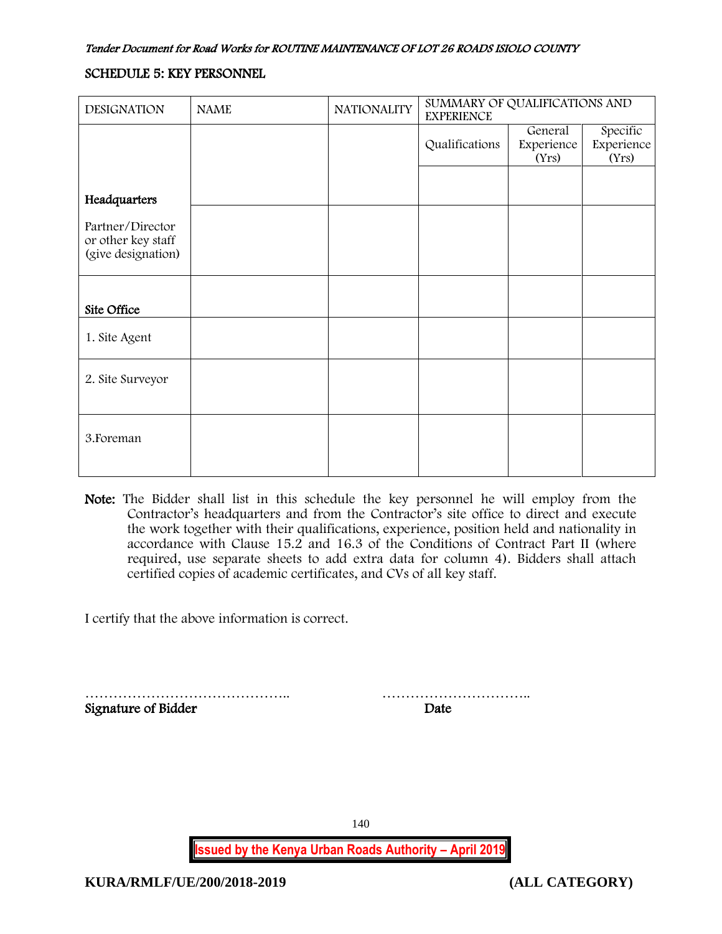## SCHEDULE 5: KEY PERSONNEL

| <b>DESIGNATION</b>                                           | <b>NAME</b> | <b>NATIONALITY</b> | SUMMARY OF QUALIFICATIONS AND<br><b>EXPERIENCE</b> |                                |                                 |
|--------------------------------------------------------------|-------------|--------------------|----------------------------------------------------|--------------------------------|---------------------------------|
|                                                              |             |                    | Qualifications                                     | General<br>Experience<br>(Yrs) | Specific<br>Experience<br>(Yrs) |
| Headquarters                                                 |             |                    |                                                    |                                |                                 |
| Partner/Director<br>or other key staff<br>(give designation) |             |                    |                                                    |                                |                                 |
| Site Office                                                  |             |                    |                                                    |                                |                                 |
| 1. Site Agent                                                |             |                    |                                                    |                                |                                 |
| 2. Site Surveyor                                             |             |                    |                                                    |                                |                                 |
| 3. Foreman                                                   |             |                    |                                                    |                                |                                 |

Note: The Bidder shall list in this schedule the key personnel he will employ from the Contractor's headquarters and from the Contractor's site office to direct and execute the work together with their qualifications, experience, position held and nationality in accordance with Clause 15.2 and 16.3 of the Conditions of Contract Part II (where required, use separate sheets to add extra data for column 4). Bidders shall attach certified copies of academic certificates, and CVs of all key staff.

I certify that the above information is correct.

…………………………………….. ………………………….. Signature of Bidder Date

**Issued by the Kenya Urban Roads Authority – April 2019**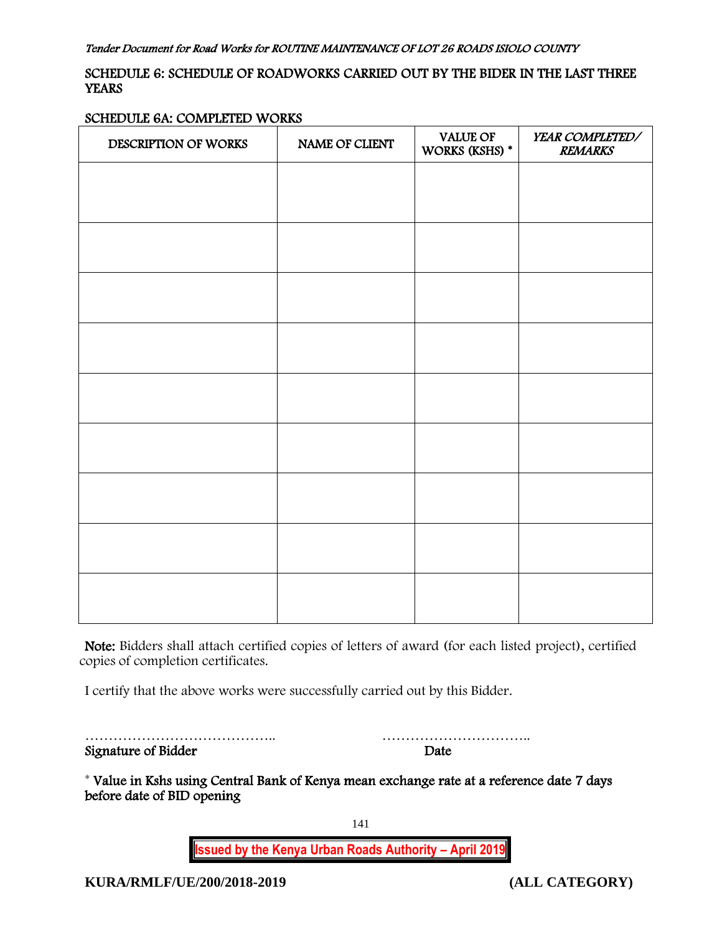# <span id="page-141-0"></span>SCHEDULE 6: SCHEDULE OF ROADWORKS CARRIED OUT BY THE BIDER IN THE LAST THREE **YEARS**

#### SCHEDULE 6A: COMPLETED WORKS

| DESCRIPTION OF WORKS | NAME OF CLIENT | <b>VALUE OF</b><br>WORKS (KSHS) * | <b>YEAR COMPLETED/</b><br><b>REMARKS</b> |
|----------------------|----------------|-----------------------------------|------------------------------------------|
|                      |                |                                   |                                          |
|                      |                |                                   |                                          |
|                      |                |                                   |                                          |
|                      |                |                                   |                                          |
|                      |                |                                   |                                          |
|                      |                |                                   |                                          |
|                      |                |                                   |                                          |
|                      |                |                                   |                                          |
|                      |                |                                   |                                          |
|                      |                |                                   |                                          |
|                      |                |                                   |                                          |
|                      |                |                                   |                                          |

Note: Bidders shall attach certified copies of letters of award (for each listed project), certified copies of completion certificates.

I certify that the above works were successfully carried out by this Bidder.

|                     | .    |
|---------------------|------|
| Signature of Bidder | Date |

………………………………….. …………………………..

\* Value in Kshs using Central Bank of Kenya mean exchange rate at a reference date 7 days before date of BID opening

141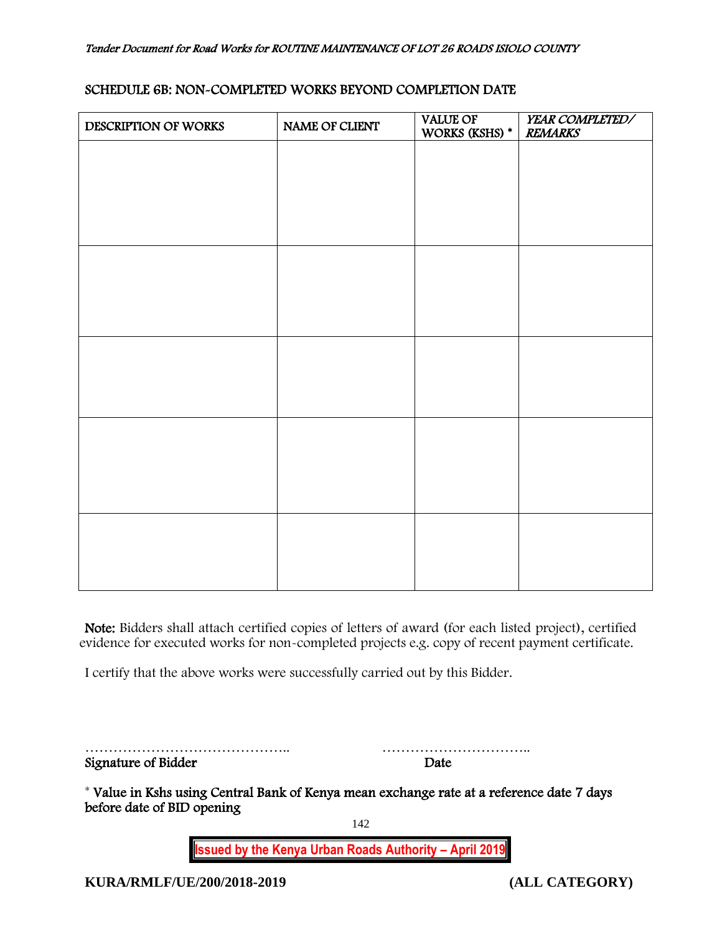| SCHEDULE 6B: NON-COMPLETED WORKS BEYOND COMPLETION DATE |  |
|---------------------------------------------------------|--|
|---------------------------------------------------------|--|

| DESCRIPTION OF WORKS | NAME OF CLIENT | <b>VALUE OF</b><br>WORKS (KSHS) * | YEAR COMPLETED/<br><b>REMARKS</b> |
|----------------------|----------------|-----------------------------------|-----------------------------------|
|                      |                |                                   |                                   |
|                      |                |                                   |                                   |
|                      |                |                                   |                                   |
|                      |                |                                   |                                   |
|                      |                |                                   |                                   |
|                      |                |                                   |                                   |
|                      |                |                                   |                                   |
|                      |                |                                   |                                   |
|                      |                |                                   |                                   |
|                      |                |                                   |                                   |
|                      |                |                                   |                                   |
|                      |                |                                   |                                   |
|                      |                |                                   |                                   |
|                      |                |                                   |                                   |
|                      |                |                                   |                                   |
|                      |                |                                   |                                   |

Note: Bidders shall attach certified copies of letters of award (for each listed project), certified evidence for executed works for non-completed projects e.g. copy of recent payment certificate.

I certify that the above works were successfully carried out by this Bidder.

|                     | .    |
|---------------------|------|
| Signature of Bidder | Date |

…………………………………….. …………………………..

\* Value in Kshs using Central Bank of Kenya mean exchange rate at a reference date 7 days before date of BID opening

142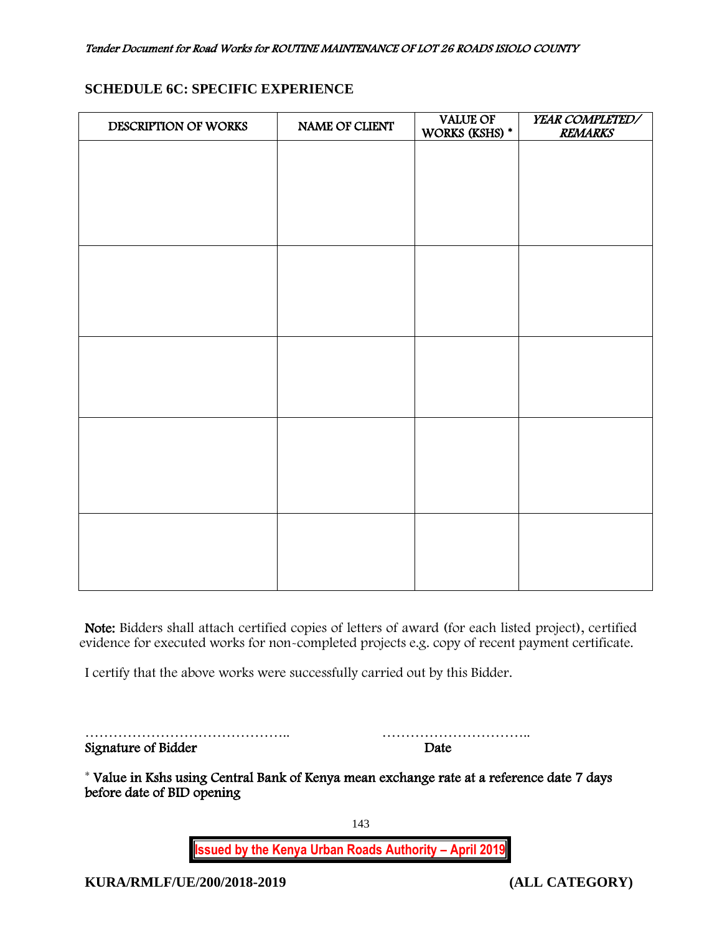# **SCHEDULE 6C: SPECIFIC EXPERIENCE**

| DESCRIPTION OF WORKS | NAME OF CLIENT | <b>VALUE OF</b><br>WORKS (KSHS) * | YEAR COMPLETED/<br><b>REMARKS</b> |
|----------------------|----------------|-----------------------------------|-----------------------------------|
|                      |                |                                   |                                   |
|                      |                |                                   |                                   |
|                      |                |                                   |                                   |
|                      |                |                                   |                                   |
|                      |                |                                   |                                   |
|                      |                |                                   |                                   |
|                      |                |                                   |                                   |
|                      |                |                                   |                                   |
|                      |                |                                   |                                   |
|                      |                |                                   |                                   |
|                      |                |                                   |                                   |
|                      |                |                                   |                                   |
|                      |                |                                   |                                   |
|                      |                |                                   |                                   |
|                      |                |                                   |                                   |
|                      |                |                                   |                                   |
|                      |                |                                   |                                   |

Note: Bidders shall attach certified copies of letters of award (for each listed project), certified evidence for executed works for non-completed projects e.g. copy of recent payment certificate.

I certify that the above works were successfully carried out by this Bidder.

…………………………………….. ………………………….. Signature of Bidder Date

\* Value in Kshs using Central Bank of Kenya mean exchange rate at a reference date 7 days before date of BID opening

143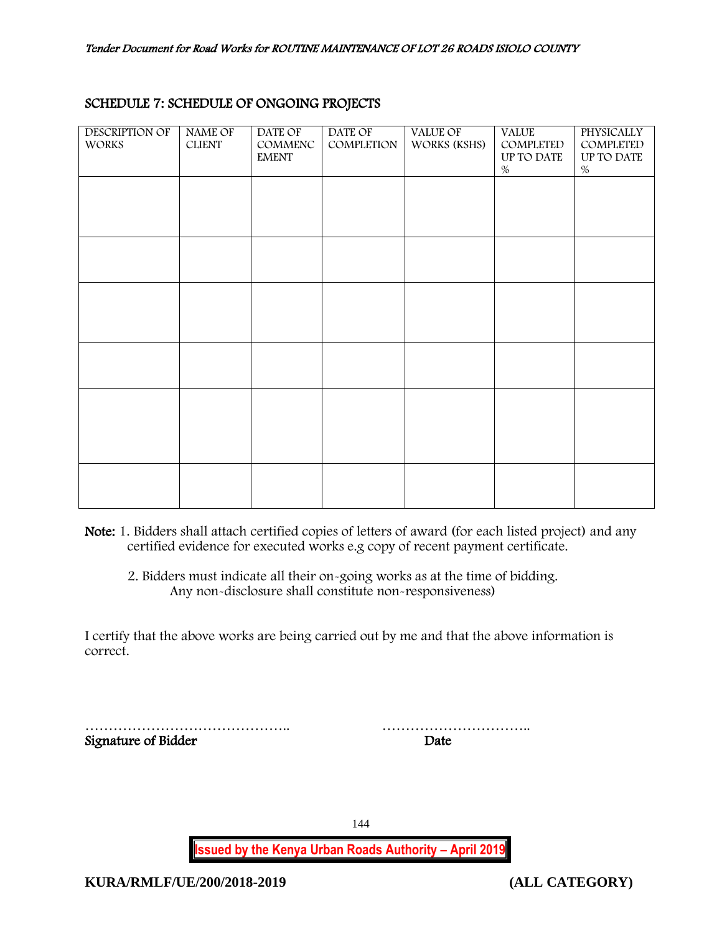| <b>DESCRIPTION OF</b><br><b>WORKS</b> | <b>NAME OF</b><br><b>CLIENT</b> | DATE OF<br>COMMENC<br><b>EMENT</b> | DATE OF<br>COMPLETION | <b>VALUE OF</b><br>WORKS (KSHS) | <b>VALUE</b><br>COMPLETED<br>UP TO DATE<br>$\%$ | <b>PHYSICALLY</b><br>COMPLETED<br>UP TO DATE<br>$\%$ |
|---------------------------------------|---------------------------------|------------------------------------|-----------------------|---------------------------------|-------------------------------------------------|------------------------------------------------------|
|                                       |                                 |                                    |                       |                                 |                                                 |                                                      |
|                                       |                                 |                                    |                       |                                 |                                                 |                                                      |
|                                       |                                 |                                    |                       |                                 |                                                 |                                                      |
|                                       |                                 |                                    |                       |                                 |                                                 |                                                      |
|                                       |                                 |                                    |                       |                                 |                                                 |                                                      |
|                                       |                                 |                                    |                       |                                 |                                                 |                                                      |

## SCHEDULE 7: SCHEDULE OF ONGOING PROJECTS

Note: 1. Bidders shall attach certified copies of letters of award (for each listed project) and any certified evidence for executed works e.g copy of recent payment certificate.

2. Bidders must indicate all their on-going works as at the time of bidding. Any non-disclosure shall constitute non-responsiveness)

I certify that the above works are being carried out by me and that the above information is correct.

…………………………………….. ………………………….. Signature of Bidder Date

144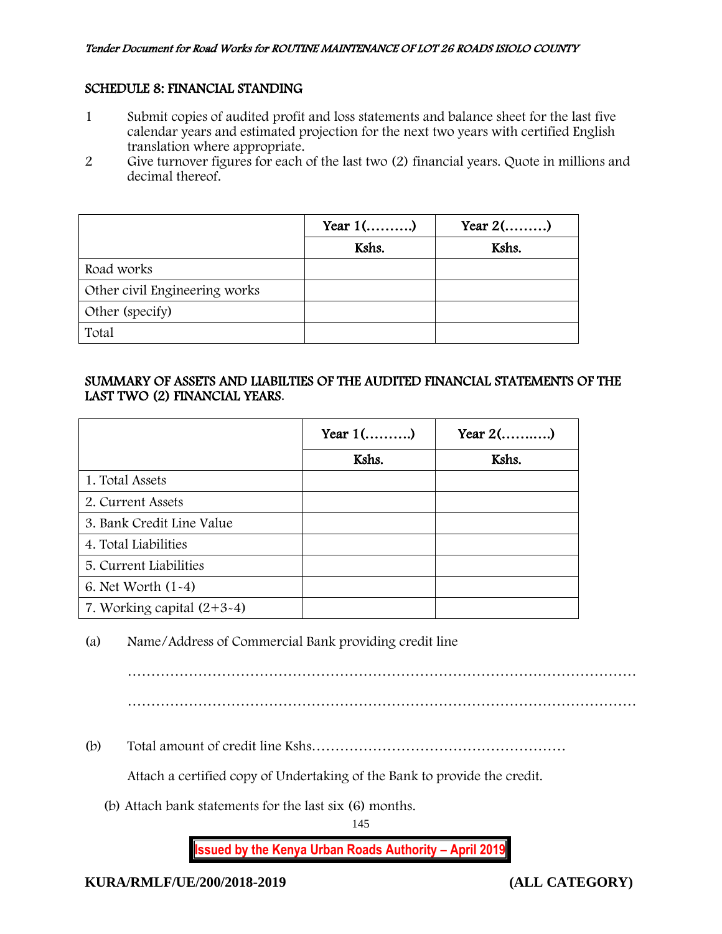## SCHEDULE 8: FINANCIAL STANDING

- 1 Submit copies of audited profit and loss statements and balance sheet for the last five calendar years and estimated projection for the next two years with certified English translation where appropriate.
- 2 Give turnover figures for each of the last two (2) financial years. Quote in millions and decimal thereof.

|                               | Year $1$ () | Year $2$ () |
|-------------------------------|-------------|-------------|
|                               | Kshs.       | Kshs.       |
| Road works                    |             |             |
| Other civil Engineering works |             |             |
| Other (specify)               |             |             |
| Total                         |             |             |

## SUMMARY OF ASSETS AND LIABILTIES OF THE AUDITED FINANCIAL STATEMENTS OF THE LAST TWO (2) FINANCIAL YEARS.

|                              | Year $1$ () | Year $2$ () |
|------------------------------|-------------|-------------|
|                              | Kshs.       | Kshs.       |
| 1. Total Assets              |             |             |
| 2. Current Assets            |             |             |
| 3. Bank Credit Line Value    |             |             |
| 4. Total Liabilities         |             |             |
| 5. Current Liabilities       |             |             |
| 6. Net Worth $(1-4)$         |             |             |
| 7. Working capital $(2+3-4)$ |             |             |

(a) Name/Address of Commercial Bank providing credit line

………………………………………………………………………………………………

(b) Total amount of credit line Kshs………………………………………………

Attach a certified copy of Undertaking of the Bank to provide the credit.

(b) Attach bank statements for the last six (6) months.

145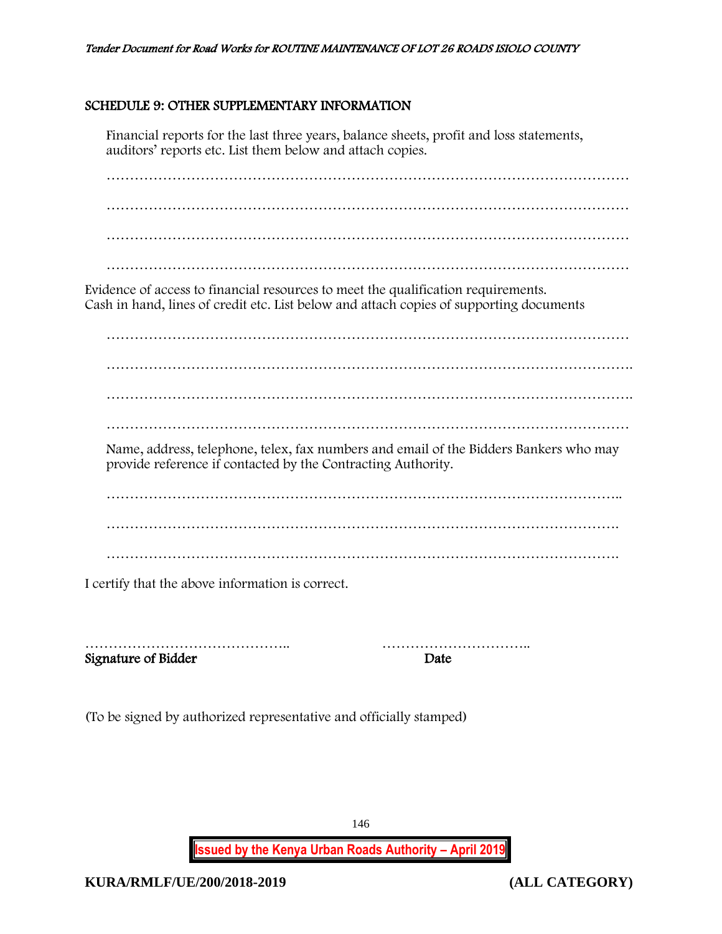### SCHEDULE 9: OTHER SUPPLEMENTARY INFORMATION

Financial reports for the last three years, balance sheets, profit and loss statements, auditors' reports etc. List them below and attach copies.

………………………………………………………………………………………………… …………………………………………………………………………………………………

Evidence of access to financial resources to meet the qualification requirements. Cash in hand, lines of credit etc. List below and attach copies of supporting documents

………………………………………………………………………………………………… …………………………………………………………………………………………………. …………………………………………………………………………………………………. ………………………………………………………………………………………………… Name, address, telephone, telex, fax numbers and email of the Bidders Bankers who may provide reference if contacted by the Contracting Authority. ……………………………………………………………………………………………….. ……………………………………………………………………………………………….

I certify that the above information is correct.

Signature of Bidder Date

…………………………………….. …………………………..

(To be signed by authorized representative and officially stamped)

**Issued by the Kenya Urban Roads Authority – April 2019**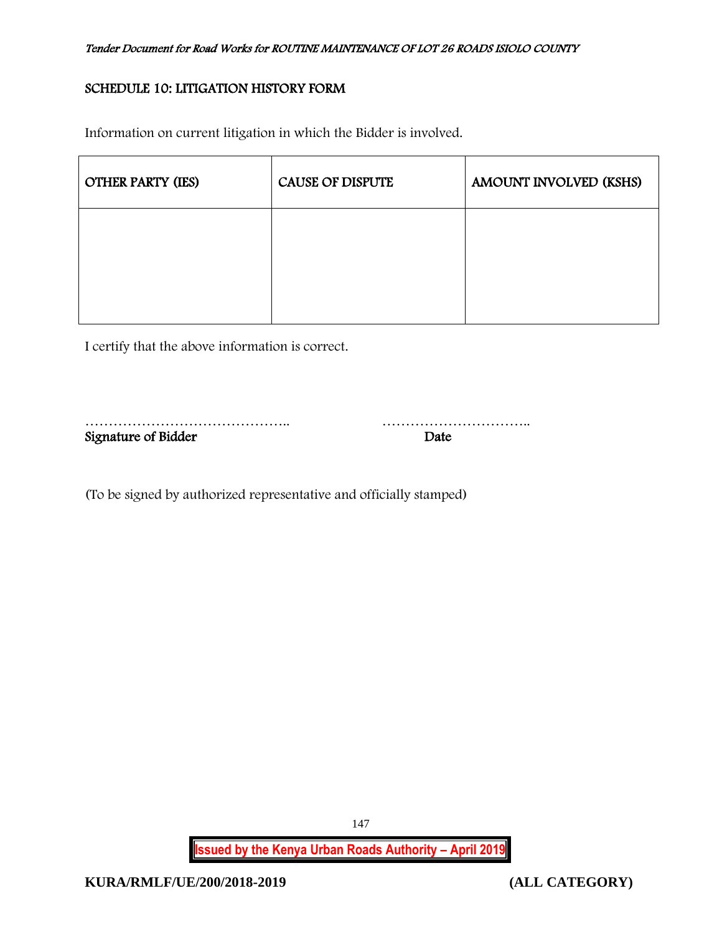## SCHEDULE 10: LITIGATION HISTORY FORM

Information on current litigation in which the Bidder is involved.

| <b>OTHER PARTY (IES)</b> | <b>CAUSE OF DISPUTE</b> | AMOUNT INVOLVED (KSHS) |
|--------------------------|-------------------------|------------------------|
|                          |                         |                        |
|                          |                         |                        |

I certify that the above information is correct.

| Signature of Bidder | Date |
|---------------------|------|

(To be signed by authorized representative and officially stamped)

**Issued by the Kenya Urban Roads Authority – April 2019**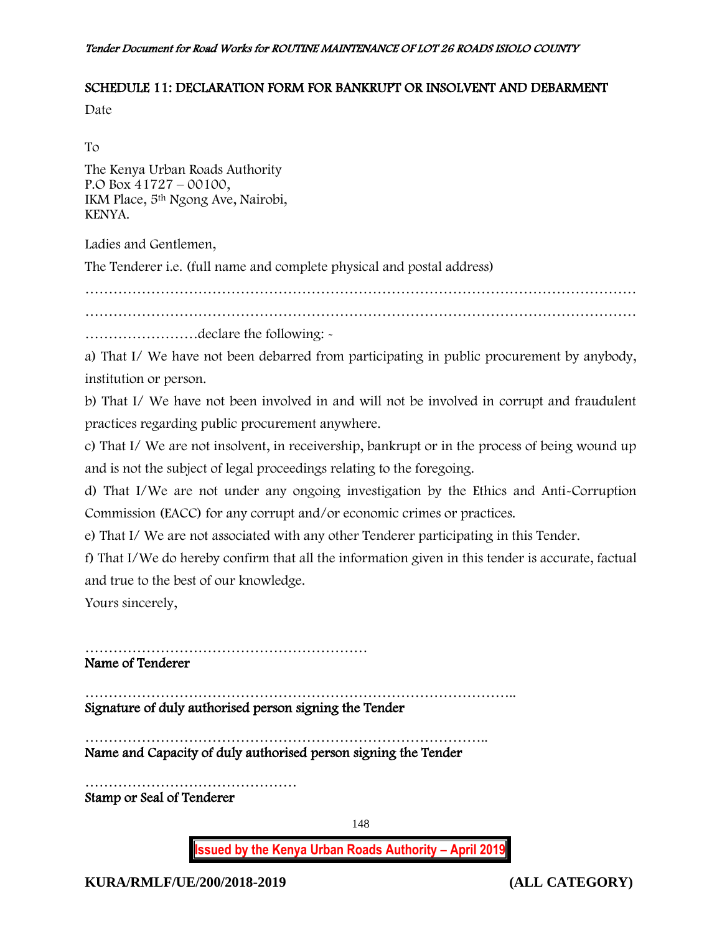## SCHEDULE 11: DECLARATION FORM FOR BANKRUPT OR INSOLVENT AND DEBARMENT

Date

To

The Kenya Urban Roads Authority P.O Box 41727 – 00100, IKM Place, 5th Ngong Ave, Nairobi, KENYA.

Ladies and Gentlemen,

The Tenderer i.e. (full name and complete physical and postal address)

………………………………………………………………………………………………………

………………………………………………………………………………………………………

……………………declare the following: -

a) That I/ We have not been debarred from participating in public procurement by anybody, institution or person.

b) That I/ We have not been involved in and will not be involved in corrupt and fraudulent practices regarding public procurement anywhere.

c) That I/ We are not insolvent, in receivership, bankrupt or in the process of being wound up and is not the subject of legal proceedings relating to the foregoing.

d) That I/We are not under any ongoing investigation by the Ethics and Anti-Corruption Commission (EACC) for any corrupt and/or economic crimes or practices.

e) That I/ We are not associated with any other Tenderer participating in this Tender.

f) That I/We do hereby confirm that all the information given in this tender is accurate, factual and true to the best of our knowledge.

Yours sincerely,

…………………………………………………… Name of Tenderer

……………………………………………………………………………….. Signature of duly authorised person signing the Tender

………………………………………………………………………….. Name and Capacity of duly authorised person signing the Tender

……………………………………… Stamp or Seal of Tenderer

148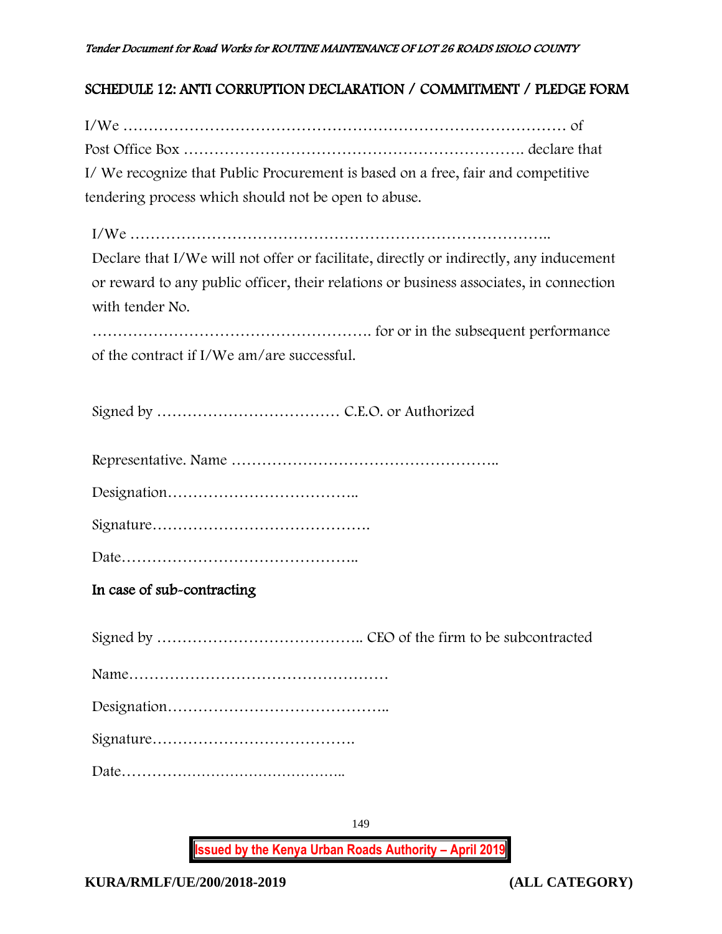## SCHEDULE 12: ANTI CORRUPTION DECLARATION / COMMITMENT / PLEDGE FORM

| I/ We recognize that Public Procurement is based on a free, fair and competitive |
|----------------------------------------------------------------------------------|
| tendering process which should not be open to abuse.                             |

I/We ……………………………………………………………………….. Declare that I/We will not offer or facilitate, directly or indirectly, any inducement or reward to any public officer, their relations or business associates, in connection with tender No.

………………………………………………. for or in the subsequent performance of the contract if I/We am/are successful.

Signed by ……………………………… C.E.O. or Authorized

Representative. Name ……………………………………………..

Designation………………………………..

Signature…………………………………….

Date………………………………………..

In case of sub-contracting

Signed by ………………………………….. CEO of the firm to be subcontracted Name…………………………………………… Designation…………………………………….. Signature…………………………………. Date………………………………………..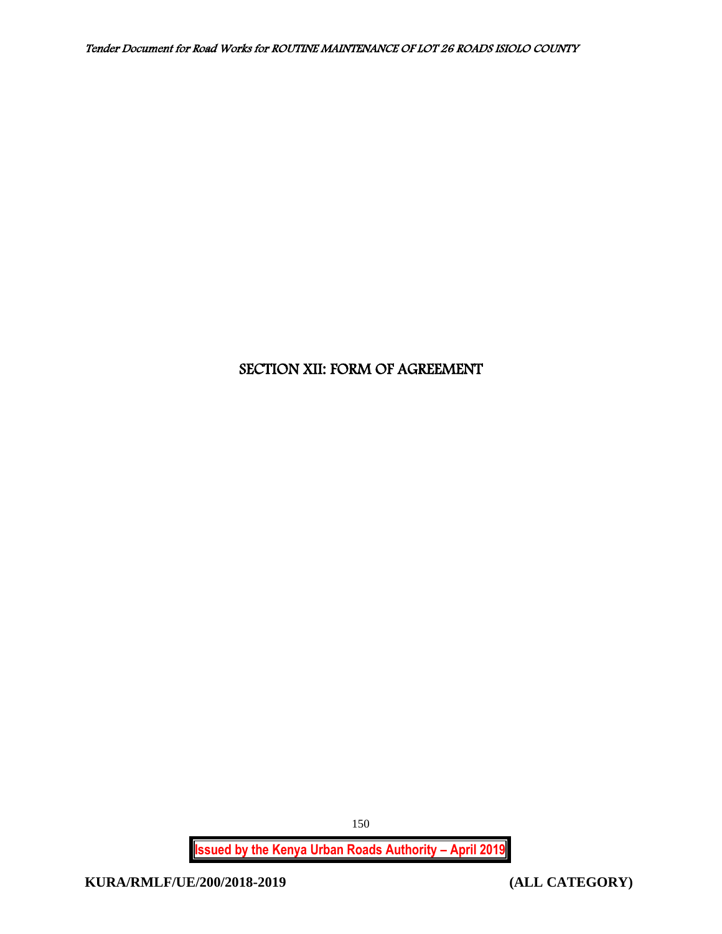# SECTION XII: FORM OF AGREEMENT

**Issued by the Kenya Urban Roads Authority – April 2019**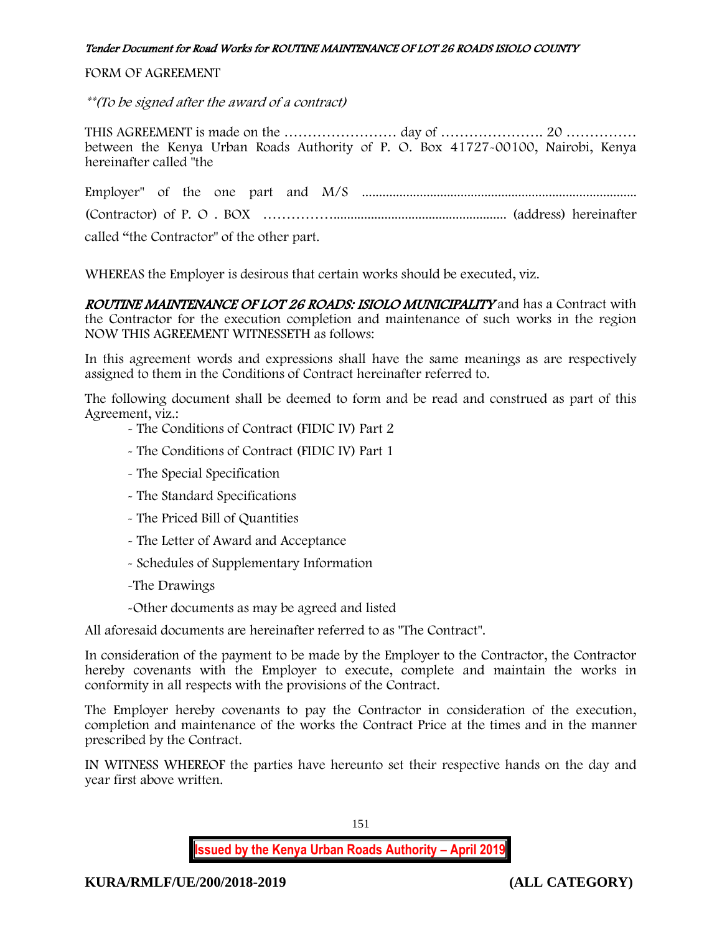## FORM OF AGREEMENT

\*\*(To be signed after the award of a contract)

THIS AGREEMENT is made on the ………………………… day of ……………………………………………………………………………………… between the Kenya Urban Roads Authority of P. O. Box 41727-00100, Nairobi, Kenya hereinafter called "the

Employer" of the one part and M/S ................................................................................. (Contractor) of P. O . BOX ……………................................................... (address) hereinafter called "the Contractor" of the other part.

WHEREAS the Employer is desirous that certain works should be executed, viz.

ROUTINE MAINTENANCE OF LOT 26 ROADS: ISIOLO MUNICIPALITY and has a Contract with the Contractor for the execution completion and maintenance of such works in the region NOW THIS AGREEMENT WITNESSETH as follows:

In this agreement words and expressions shall have the same meanings as are respectively assigned to them in the Conditions of Contract hereinafter referred to.

The following document shall be deemed to form and be read and construed as part of this Agreement, viz.:

- The Conditions of Contract (FIDIC IV) Part 2
- The Conditions of Contract (FIDIC IV) Part 1
- The Special Specification
- The Standard Specifications
- The Priced Bill of Quantities
- The Letter of Award and Acceptance
- Schedules of Supplementary Information
- -The Drawings
- -Other documents as may be agreed and listed

All aforesaid documents are hereinafter referred to as "The Contract".

In consideration of the payment to be made by the Employer to the Contractor, the Contractor hereby covenants with the Employer to execute, complete and maintain the works in conformity in all respects with the provisions of the Contract.

The Employer hereby covenants to pay the Contractor in consideration of the execution, completion and maintenance of the works the Contract Price at the times and in the manner prescribed by the Contract.

IN WITNESS WHEREOF the parties have hereunto set their respective hands on the day and year first above written.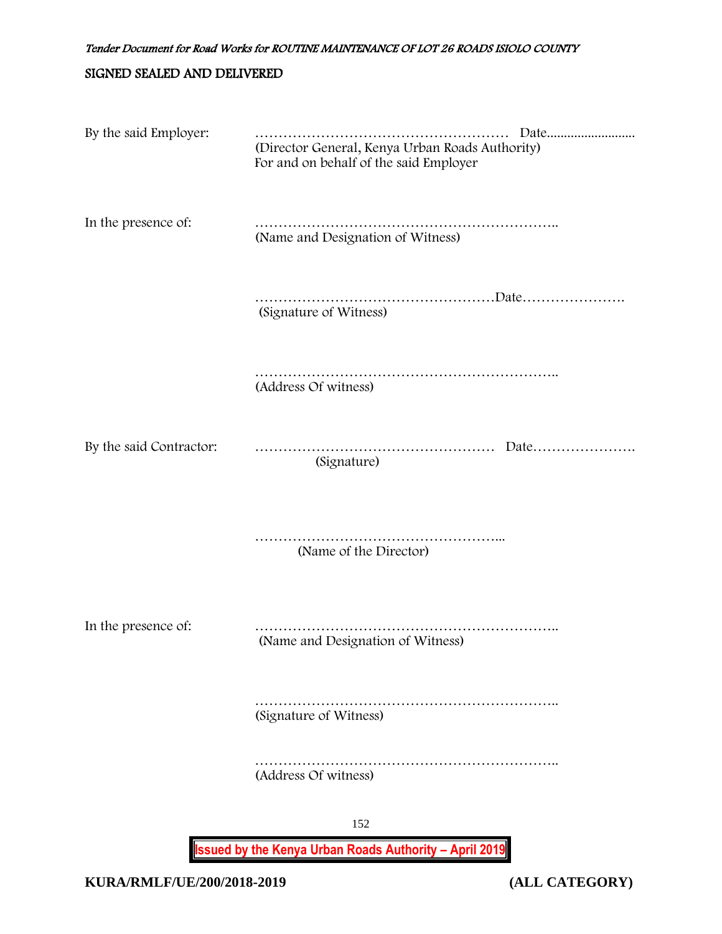## SIGNED SEALED AND DELIVERED

| By the said Employer:   | Date<br>(Director General, Kenya Urban Roads Authority)<br>For and on behalf of the said Employer |
|-------------------------|---------------------------------------------------------------------------------------------------|
| In the presence of:     | (Name and Designation of Witness)                                                                 |
|                         | (Signature of Witness)                                                                            |
|                         | (Address Of witness)                                                                              |
| By the said Contractor: | (Signature)                                                                                       |
|                         | (Name of the Director)                                                                            |
| In the presence of:     | (Name and Designation of Witness)                                                                 |
|                         | (Signature of Witness)                                                                            |
|                         | (Address Of witness)                                                                              |
|                         | 152                                                                                               |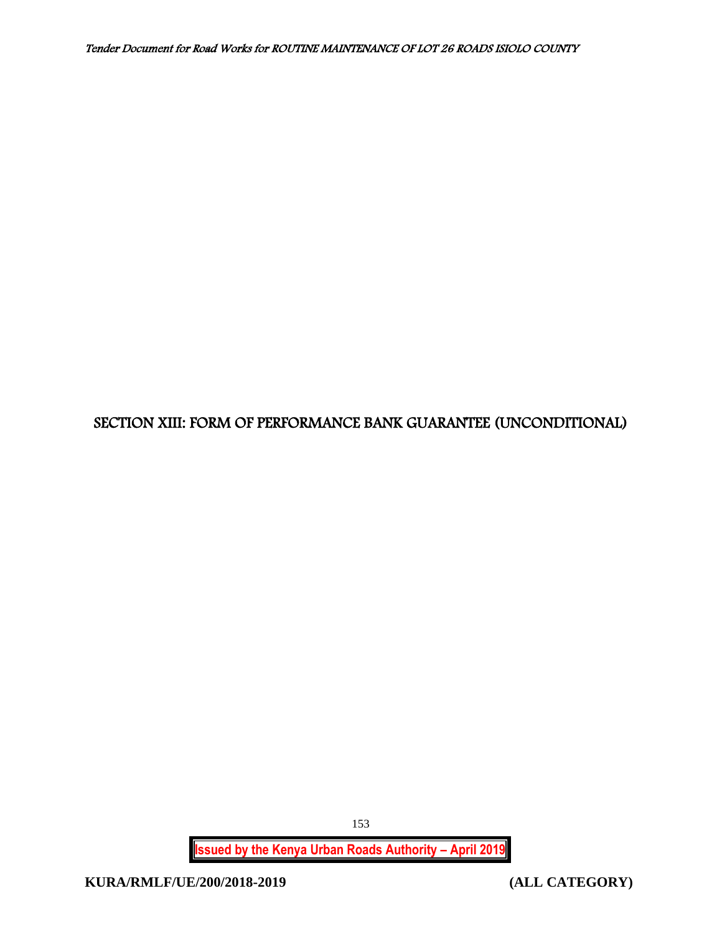## SECTION XIII: FORM OF PERFORMANCE BANK GUARANTEE (UNCONDITIONAL)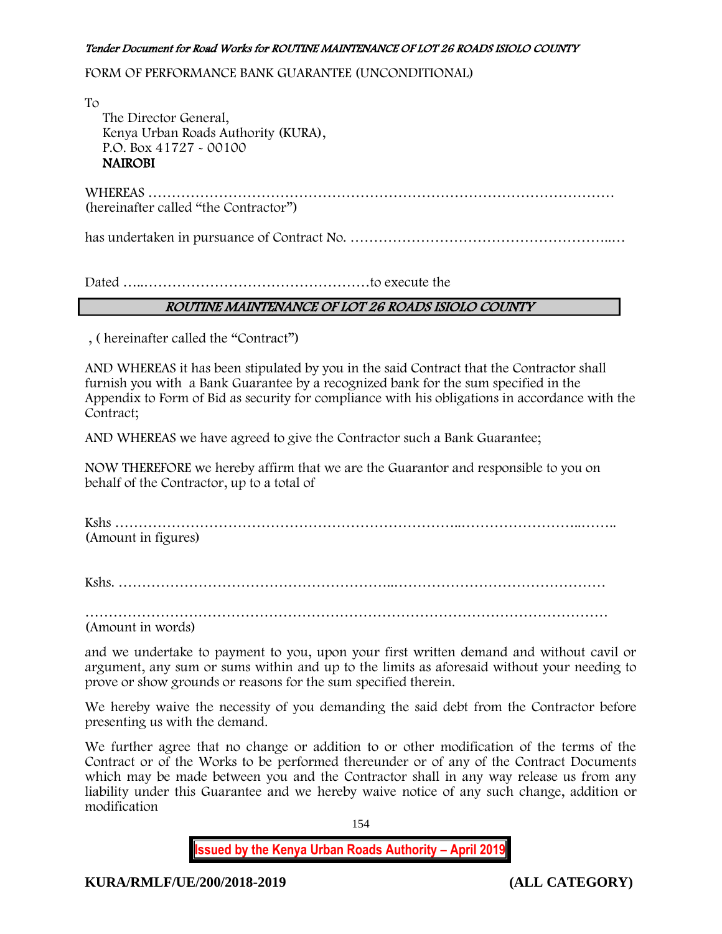FORM OF PERFORMANCE BANK GUARANTEE (UNCONDITIONAL)

To

 The Director General, Kenya Urban Roads Authority (KURA), P.O. Box 41727 - 00100 **NAIROBI** 

WHEREAS ……………………………………………………………………………………… (hereinafter called "the Contractor")

has undertaken in pursuance of Contract No. ………………………………………………..…

Dated …..…………………………………………to execute the

## ROUTINE MAINTENANCE OF LOT 26 ROADS ISIOLO COUNTY

, ( hereinafter called the "Contract")

AND WHEREAS it has been stipulated by you in the said Contract that the Contractor shall furnish you with a Bank Guarantee by a recognized bank for the sum specified in the Appendix to Form of Bid as security for compliance with his obligations in accordance with the Contract;

AND WHEREAS we have agreed to give the Contractor such a Bank Guarantee;

NOW THEREFORE we hereby affirm that we are the Guarantor and responsible to you on behalf of the Contractor, up to a total of

Kshs ………………………………………………………………..……………………..…….. (Amount in figures)

Kshs. …………………………………………………..………………………………………

…………………………………………………………………………………………………

(Amount in words)

and we undertake to payment to you, upon your first written demand and without cavil or argument, any sum or sums within and up to the limits as aforesaid without your needing to prove or show grounds or reasons for the sum specified therein.

We hereby waive the necessity of you demanding the said debt from the Contractor before presenting us with the demand.

We further agree that no change or addition to or other modification of the terms of the Contract or of the Works to be performed thereunder or of any of the Contract Documents which may be made between you and the Contractor shall in any way release us from any liability under this Guarantee and we hereby waive notice of any such change, addition or modification

154